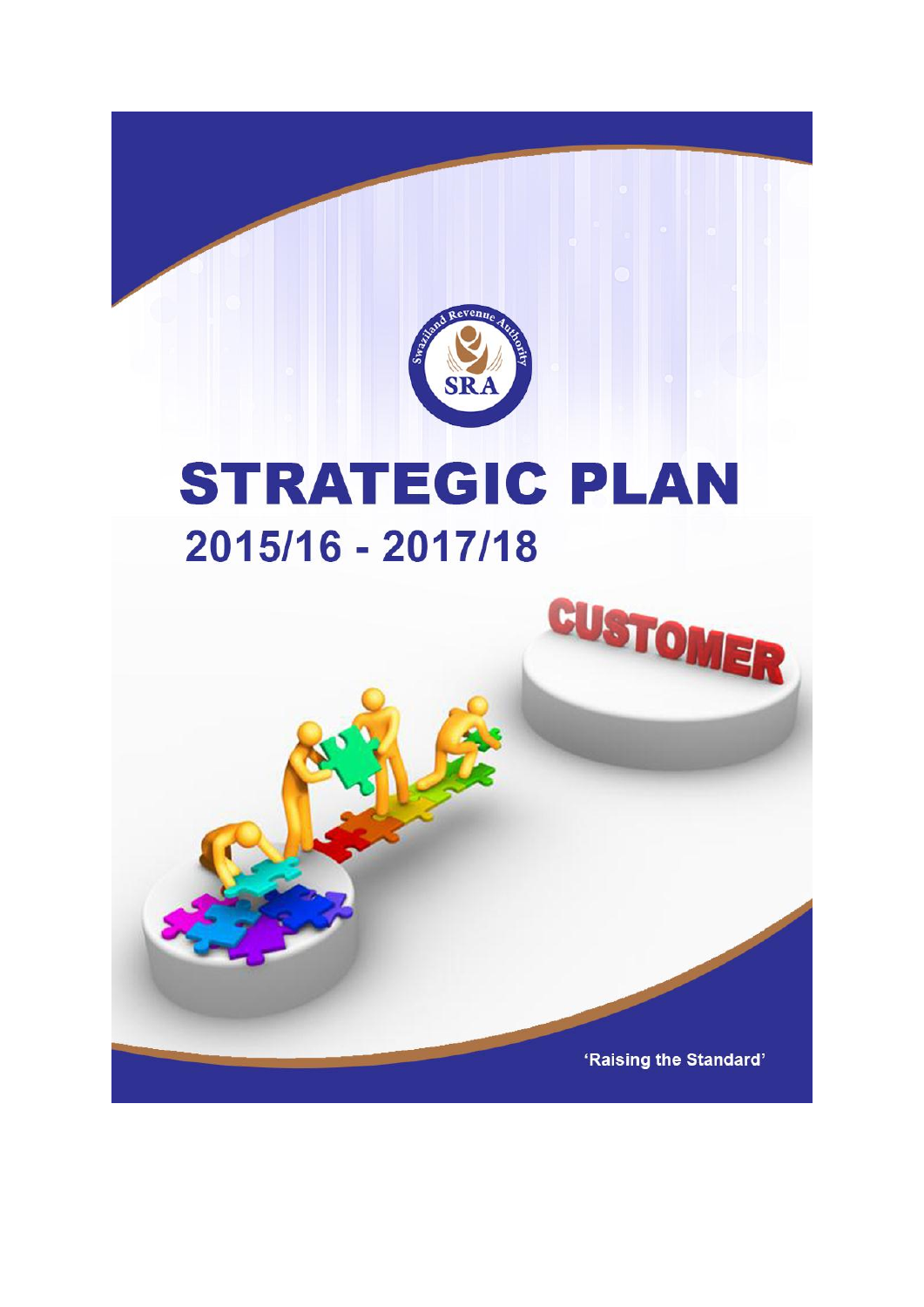

# **STRATEGIC PLAN** 2015/16 - 2017/18



CUSTOMER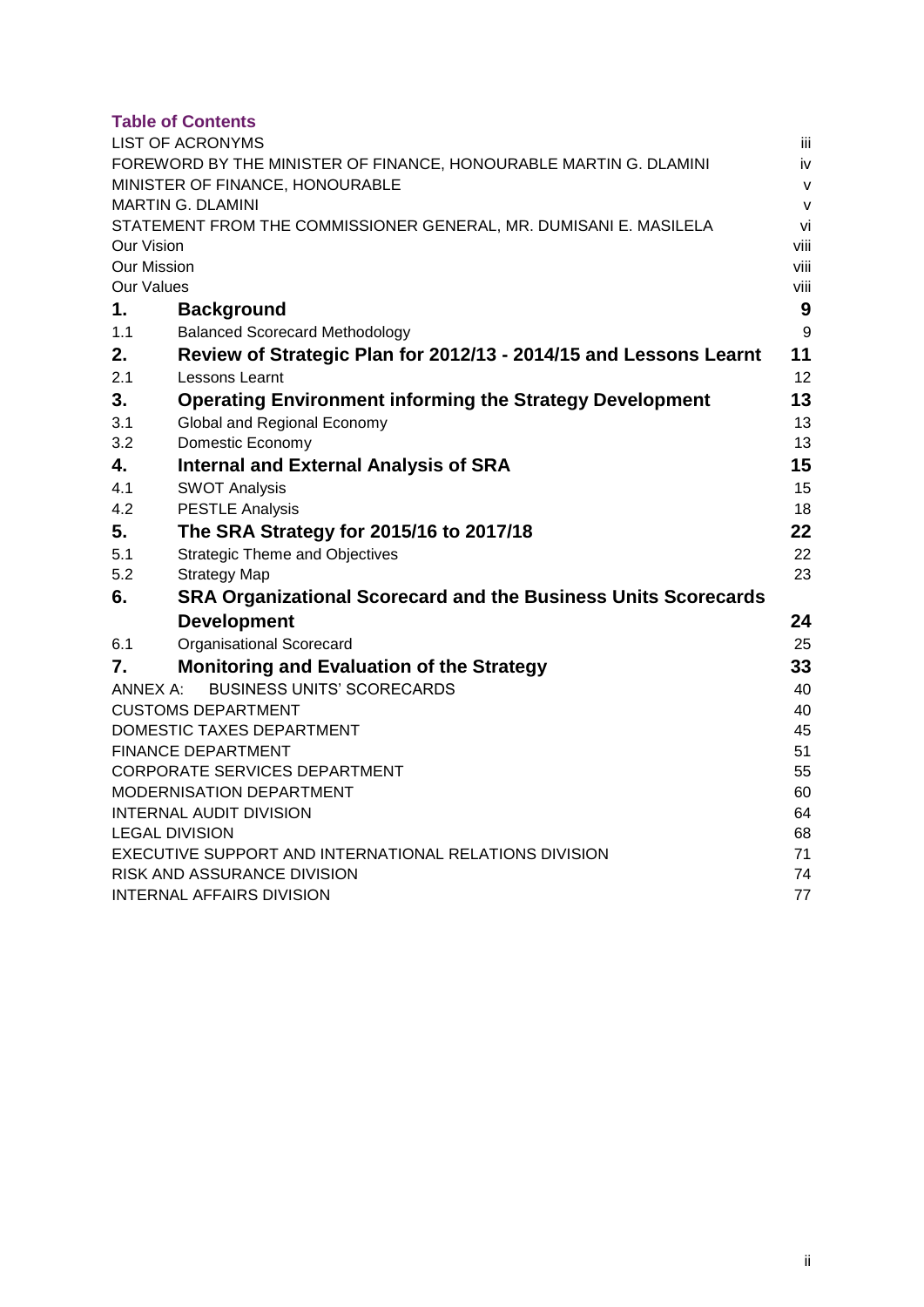#### **Table of Contents**

|                    | <b>LIST OF ACRONYMS</b>                                               | Ϊij          |
|--------------------|-----------------------------------------------------------------------|--------------|
|                    | FOREWORD BY THE MINISTER OF FINANCE, HONOURABLE MARTIN G. DLAMINI     | iv           |
|                    | MINISTER OF FINANCE, HONOURABLE                                       | $\mathsf{V}$ |
|                    | <b>MARTIN G. DLAMINI</b>                                              | $\mathsf{V}$ |
|                    | STATEMENT FROM THE COMMISSIONER GENERAL, MR. DUMISANI E. MASILELA     | vi           |
| <b>Our Vision</b>  |                                                                       | viii         |
| <b>Our Mission</b> |                                                                       | viii         |
| Our Values         |                                                                       | viii         |
| 1.                 | <b>Background</b>                                                     | 9            |
| 1.1                | <b>Balanced Scorecard Methodology</b>                                 | $9\,$        |
| 2.                 | Review of Strategic Plan for 2012/13 - 2014/15 and Lessons Learnt     | 11           |
| 2.1                | Lessons Learnt                                                        | 12           |
| 3.                 | <b>Operating Environment informing the Strategy Development</b>       | 13           |
| 3.1                | Global and Regional Economy                                           | 13           |
| 3.2                | Domestic Economy                                                      | 13           |
| 4.                 | <b>Internal and External Analysis of SRA</b>                          | 15           |
| 4.1                | <b>SWOT Analysis</b>                                                  | 15           |
| 4.2                | <b>PESTLE Analysis</b>                                                | 18           |
| 5.                 | The SRA Strategy for 2015/16 to 2017/18                               | 22           |
| 5.1                | <b>Strategic Theme and Objectives</b>                                 | 22           |
| 5.2                | <b>Strategy Map</b>                                                   | 23           |
| 6.                 | <b>SRA Organizational Scorecard and the Business Units Scorecards</b> |              |
|                    | <b>Development</b>                                                    | 24           |
| 6.1                | <b>Organisational Scorecard</b>                                       | 25           |
| 7.                 | <b>Monitoring and Evaluation of the Strategy</b>                      | 33           |
| ANNEX A:           | <b>BUSINESS UNITS' SCORECARDS</b>                                     | 40           |
|                    | <b>CUSTOMS DEPARTMENT</b>                                             | 40           |
|                    | DOMESTIC TAXES DEPARTMENT                                             | 45           |
|                    | <b>FINANCE DEPARTMENT</b>                                             | 51           |
|                    | <b>CORPORATE SERVICES DEPARTMENT</b>                                  | 55           |
|                    | MODERNISATION DEPARTMENT                                              | 60           |
|                    | <b>INTERNAL AUDIT DIVISION</b>                                        | 64           |
|                    | <b>LEGAL DIVISION</b>                                                 | 68           |
|                    | EXECUTIVE SUPPORT AND INTERNATIONAL RELATIONS DIVISION                | 71           |
|                    | RISK AND ASSURANCE DIVISION                                           | 74           |
|                    | <b>INTERNAL AFFAIRS DIVISION</b>                                      | 77           |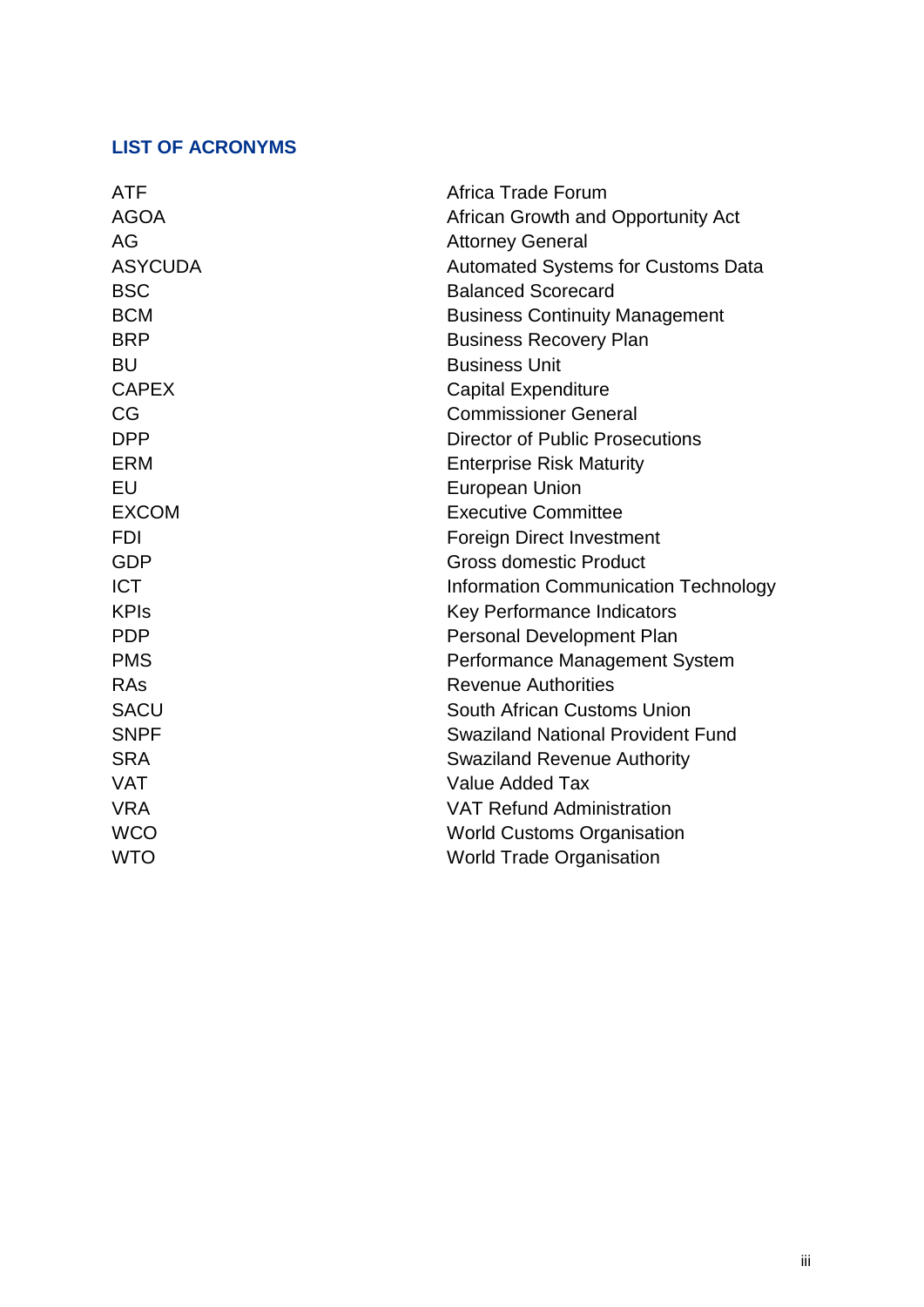## <span id="page-2-0"></span>**LIST OF ACRONYMS**

| <b>ATF</b>     | Africa Trade Forum                          |
|----------------|---------------------------------------------|
| <b>AGOA</b>    | African Growth and Opportunity Act          |
| AG             | <b>Attorney General</b>                     |
| <b>ASYCUDA</b> | Automated Systems for Customs Data          |
| <b>BSC</b>     | <b>Balanced Scorecard</b>                   |
| <b>BCM</b>     | <b>Business Continuity Management</b>       |
| <b>BRP</b>     | <b>Business Recovery Plan</b>               |
| <b>BU</b>      | <b>Business Unit</b>                        |
| <b>CAPEX</b>   | <b>Capital Expenditure</b>                  |
| CG             | <b>Commissioner General</b>                 |
| <b>DPP</b>     | <b>Director of Public Prosecutions</b>      |
| <b>ERM</b>     | <b>Enterprise Risk Maturity</b>             |
| EU             | <b>European Union</b>                       |
| <b>EXCOM</b>   | <b>Executive Committee</b>                  |
| <b>FDI</b>     | <b>Foreign Direct Investment</b>            |
| <b>GDP</b>     | <b>Gross domestic Product</b>               |
| <b>ICT</b>     | <b>Information Communication Technology</b> |
| <b>KPIs</b>    | <b>Key Performance Indicators</b>           |
| <b>PDP</b>     | <b>Personal Development Plan</b>            |
| <b>PMS</b>     | Performance Management System               |
| RAs            | <b>Revenue Authorities</b>                  |
| <b>SACU</b>    | South African Customs Union                 |
| <b>SNPF</b>    | <b>Swaziland National Provident Fund</b>    |
| <b>SRA</b>     | <b>Swaziland Revenue Authority</b>          |
| <b>VAT</b>     | <b>Value Added Tax</b>                      |
| <b>VRA</b>     | <b>VAT Refund Administration</b>            |
| <b>WCO</b>     | <b>World Customs Organisation</b>           |
| <b>WTO</b>     | <b>World Trade Organisation</b>             |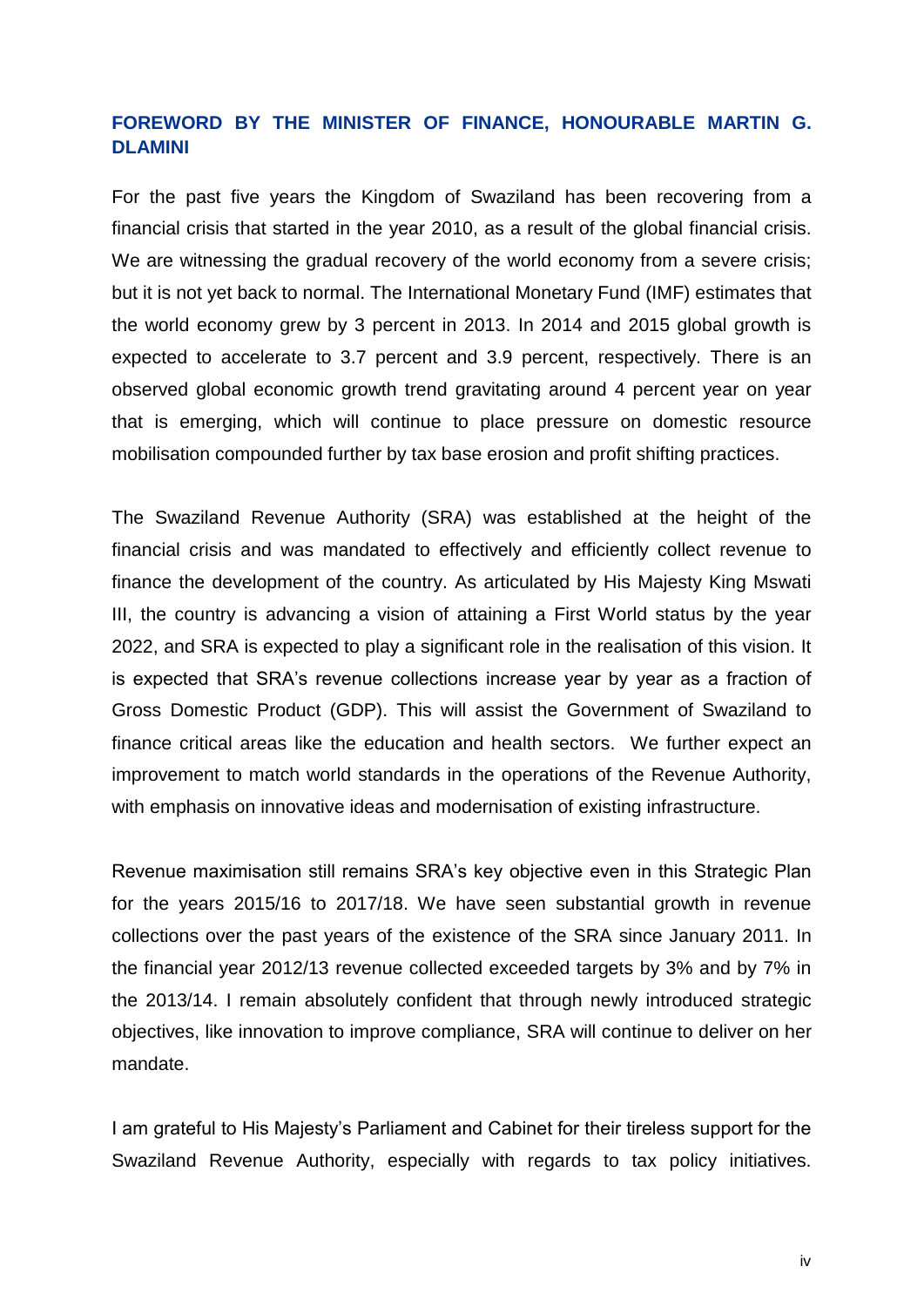## <span id="page-3-0"></span>**FOREWORD BY THE MINISTER OF FINANCE, HONOURABLE MARTIN G. DLAMINI**

For the past five years the Kingdom of Swaziland has been recovering from a financial crisis that started in the year 2010, as a result of the global financial crisis. We are witnessing the gradual recovery of the world economy from a severe crisis; but it is not yet back to normal. The International Monetary Fund (IMF) estimates that the world economy grew by 3 percent in 2013. In 2014 and 2015 global growth is expected to accelerate to 3.7 percent and 3.9 percent, respectively. There is an observed global economic growth trend gravitating around 4 percent year on year that is emerging, which will continue to place pressure on domestic resource mobilisation compounded further by tax base erosion and profit shifting practices.

The Swaziland Revenue Authority (SRA) was established at the height of the financial crisis and was mandated to effectively and efficiently collect revenue to finance the development of the country. As articulated by His Majesty King Mswati III, the country is advancing a vision of attaining a First World status by the year 2022, and SRA is expected to play a significant role in the realisation of this vision. It is expected that SRA's revenue collections increase year by year as a fraction of Gross Domestic Product (GDP). This will assist the Government of Swaziland to finance critical areas like the education and health sectors. We further expect an improvement to match world standards in the operations of the Revenue Authority, with emphasis on innovative ideas and modernisation of existing infrastructure.

Revenue maximisation still remains SRA's key objective even in this Strategic Plan for the years 2015/16 to 2017/18. We have seen substantial growth in revenue collections over the past years of the existence of the SRA since January 2011. In the financial year 2012/13 revenue collected exceeded targets by 3% and by 7% in the 2013/14. I remain absolutely confident that through newly introduced strategic objectives, like innovation to improve compliance, SRA will continue to deliver on her mandate.

I am grateful to His Majesty's Parliament and Cabinet for their tireless support for the Swaziland Revenue Authority, especially with regards to tax policy initiatives.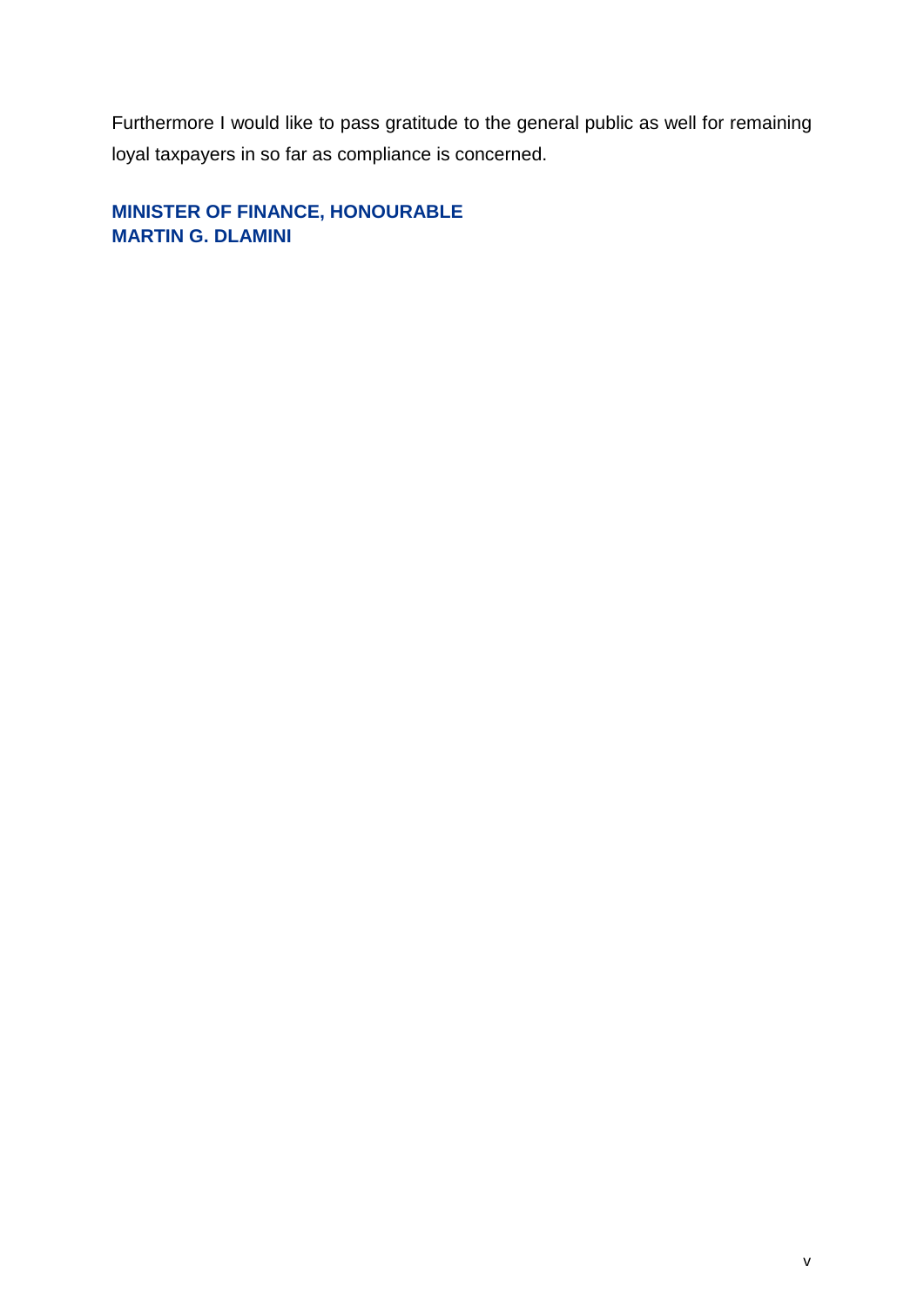Furthermore I would like to pass gratitude to the general public as well for remaining loyal taxpayers in so far as compliance is concerned.

<span id="page-4-1"></span><span id="page-4-0"></span>**MINISTER OF FINANCE, HONOURABLE MARTIN G. DLAMINI**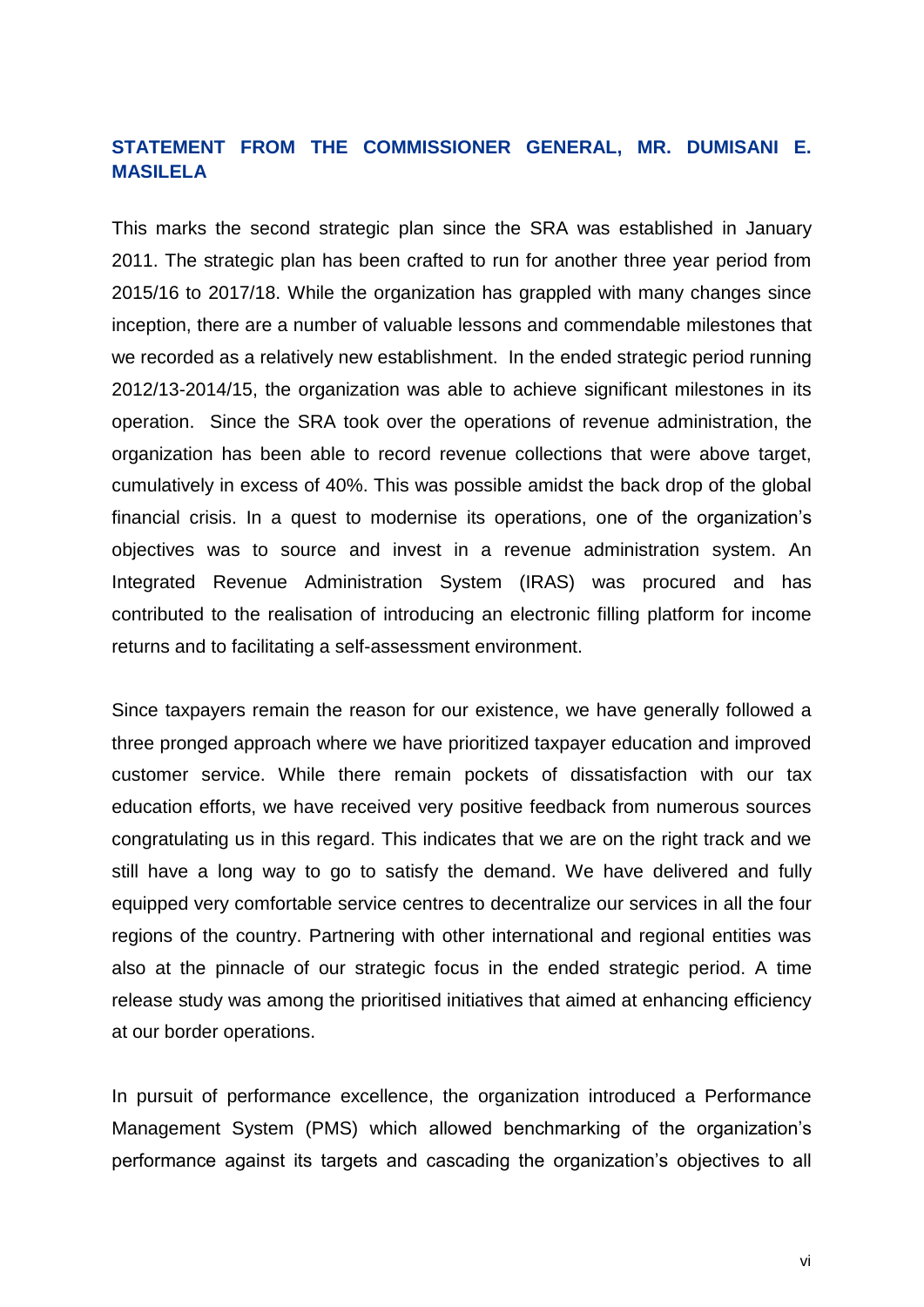## <span id="page-5-0"></span>**STATEMENT FROM THE COMMISSIONER GENERAL, MR. DUMISANI E. MASILELA**

This marks the second strategic plan since the SRA was established in January 2011. The strategic plan has been crafted to run for another three year period from 2015/16 to 2017/18. While the organization has grappled with many changes since inception, there are a number of valuable lessons and commendable milestones that we recorded as a relatively new establishment. In the ended strategic period running 2012/13-2014/15, the organization was able to achieve significant milestones in its operation. Since the SRA took over the operations of revenue administration, the organization has been able to record revenue collections that were above target, cumulatively in excess of 40%. This was possible amidst the back drop of the global financial crisis. In a quest to modernise its operations, one of the organization's objectives was to source and invest in a revenue administration system. An Integrated Revenue Administration System (IRAS) was procured and has contributed to the realisation of introducing an electronic filling platform for income returns and to facilitating a self-assessment environment.

Since taxpayers remain the reason for our existence, we have generally followed a three pronged approach where we have prioritized taxpayer education and improved customer service. While there remain pockets of dissatisfaction with our tax education efforts, we have received very positive feedback from numerous sources congratulating us in this regard. This indicates that we are on the right track and we still have a long way to go to satisfy the demand. We have delivered and fully equipped very comfortable service centres to decentralize our services in all the four regions of the country. Partnering with other international and regional entities was also at the pinnacle of our strategic focus in the ended strategic period. A time release study was among the prioritised initiatives that aimed at enhancing efficiency at our border operations.

In pursuit of performance excellence, the organization introduced a Performance Management System (PMS) which allowed benchmarking of the organization's performance against its targets and cascading the organization's objectives to all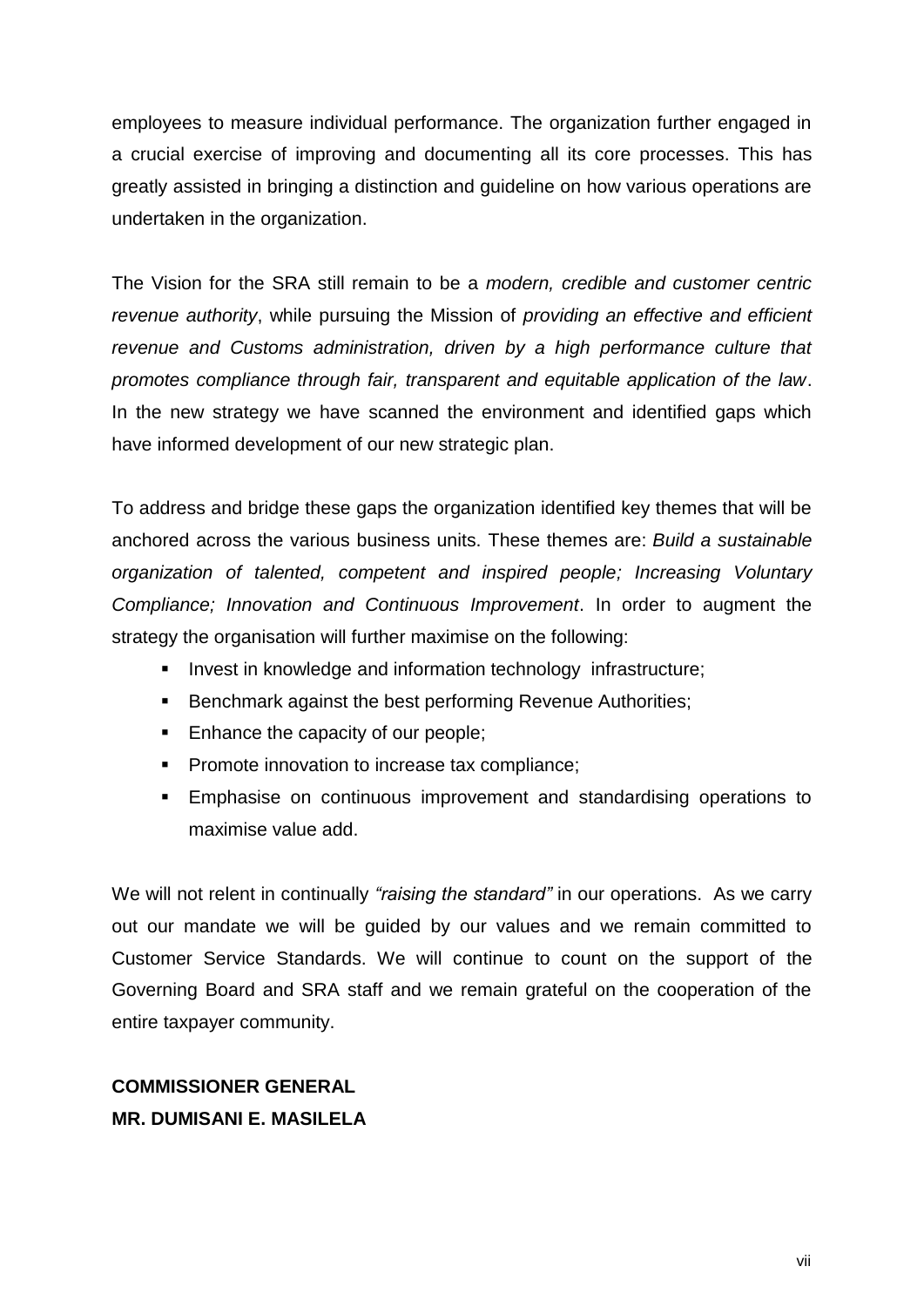employees to measure individual performance. The organization further engaged in a crucial exercise of improving and documenting all its core processes. This has greatly assisted in bringing a distinction and guideline on how various operations are undertaken in the organization.

The Vision for the SRA still remain to be a *modern, credible and customer centric revenue authority*, while pursuing the Mission of *providing an effective and efficient revenue and Customs administration, driven by a high performance culture that promotes compliance through fair, transparent and equitable application of the law*. In the new strategy we have scanned the environment and identified gaps which have informed development of our new strategic plan.

To address and bridge these gaps the organization identified key themes that will be anchored across the various business units. These themes are: *Build a sustainable organization of talented, competent and inspired people; Increasing Voluntary Compliance; Innovation and Continuous Improvement*. In order to augment the strategy the organisation will further maximise on the following:

- **Invest in knowledge and information technology infrastructure;**
- **Benchmark against the best performing Revenue Authorities;**
- Enhance the capacity of our people;
- **Promote innovation to increase tax compliance;**
- Emphasise on continuous improvement and standardising operations to maximise value add.

We will not relent in continually *"raising the standard"* in our operations. As we carry out our mandate we will be guided by our values and we remain committed to Customer Service Standards. We will continue to count on the support of the Governing Board and SRA staff and we remain grateful on the cooperation of the entire taxpayer community.

## **COMMISSIONER GENERAL MR. DUMISANI E. MASILELA**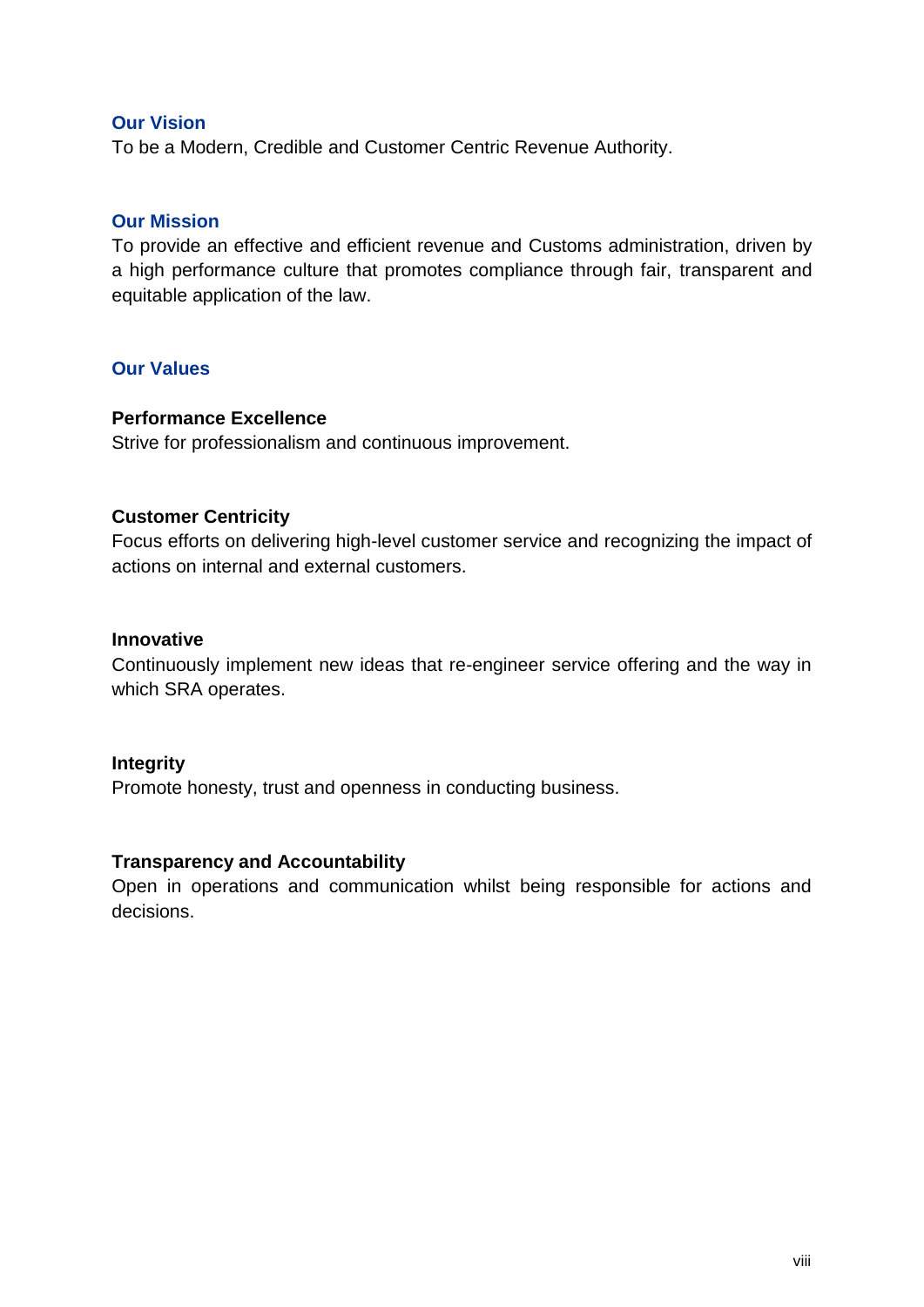#### <span id="page-7-0"></span>**Our Vision**

To be a Modern, Credible and Customer Centric Revenue Authority.

#### <span id="page-7-1"></span>**Our Mission**

To provide an effective and efficient revenue and Customs administration, driven by a high performance culture that promotes compliance through fair, transparent and equitable application of the law.

#### <span id="page-7-2"></span>**Our Values**

## **Performance Excellence**

Strive for professionalism and continuous improvement.

#### **Customer Centricity**

Focus efforts on delivering high-level customer service and recognizing the impact of actions on internal and external customers.

#### **Innovative**

Continuously implement new ideas that re-engineer service offering and the way in which SRA operates.

#### **Integrity**

Promote honesty, trust and openness in conducting business.

#### **Transparency and Accountability**

Open in operations and communication whilst being responsible for actions and decisions.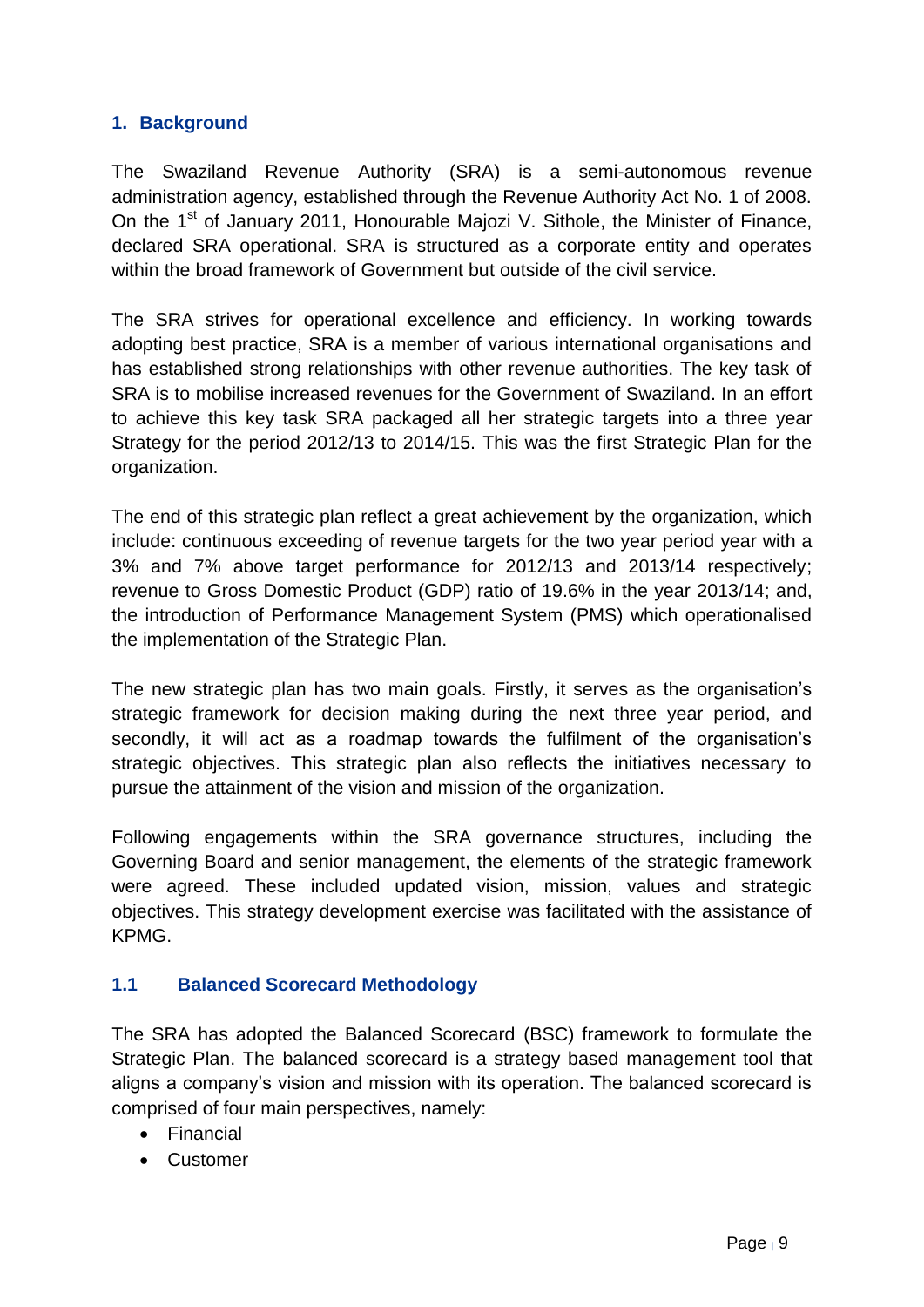## <span id="page-8-0"></span>**1. Background**

The Swaziland Revenue Authority (SRA) is a semi-autonomous revenue administration agency, established through the Revenue Authority Act No. 1 of 2008. On the 1<sup>st</sup> of January 2011, Honourable Majozi V. Sithole, the Minister of Finance, declared SRA operational. SRA is structured as a corporate entity and operates within the broad framework of Government but outside of the civil service.

The SRA strives for operational excellence and efficiency. In working towards adopting best practice, SRA is a member of various international organisations and has established strong relationships with other revenue authorities. The key task of SRA is to mobilise increased revenues for the Government of Swaziland. In an effort to achieve this key task SRA packaged all her strategic targets into a three year Strategy for the period 2012/13 to 2014/15. This was the first Strategic Plan for the organization.

The end of this strategic plan reflect a great achievement by the organization, which include: continuous exceeding of revenue targets for the two year period year with a 3% and 7% above target performance for 2012/13 and 2013/14 respectively; revenue to Gross Domestic Product (GDP) ratio of 19.6% in the year 2013/14; and, the introduction of Performance Management System (PMS) which operationalised the implementation of the Strategic Plan.

The new strategic plan has two main goals. Firstly, it serves as the organisation's strategic framework for decision making during the next three year period, and secondly, it will act as a roadmap towards the fulfilment of the organisation's strategic objectives. This strategic plan also reflects the initiatives necessary to pursue the attainment of the vision and mission of the organization.

Following engagements within the SRA governance structures, including the Governing Board and senior management, the elements of the strategic framework were agreed. These included updated vision, mission, values and strategic objectives. This strategy development exercise was facilitated with the assistance of KPMG.

## <span id="page-8-1"></span>**1.1 Balanced Scorecard Methodology**

The SRA has adopted the Balanced Scorecard (BSC) framework to formulate the Strategic Plan. The balanced scorecard is a strategy based management tool that aligns a company's vision and mission with its operation. The balanced scorecard is comprised of four main perspectives, namely:

- Financial
- **•** Customer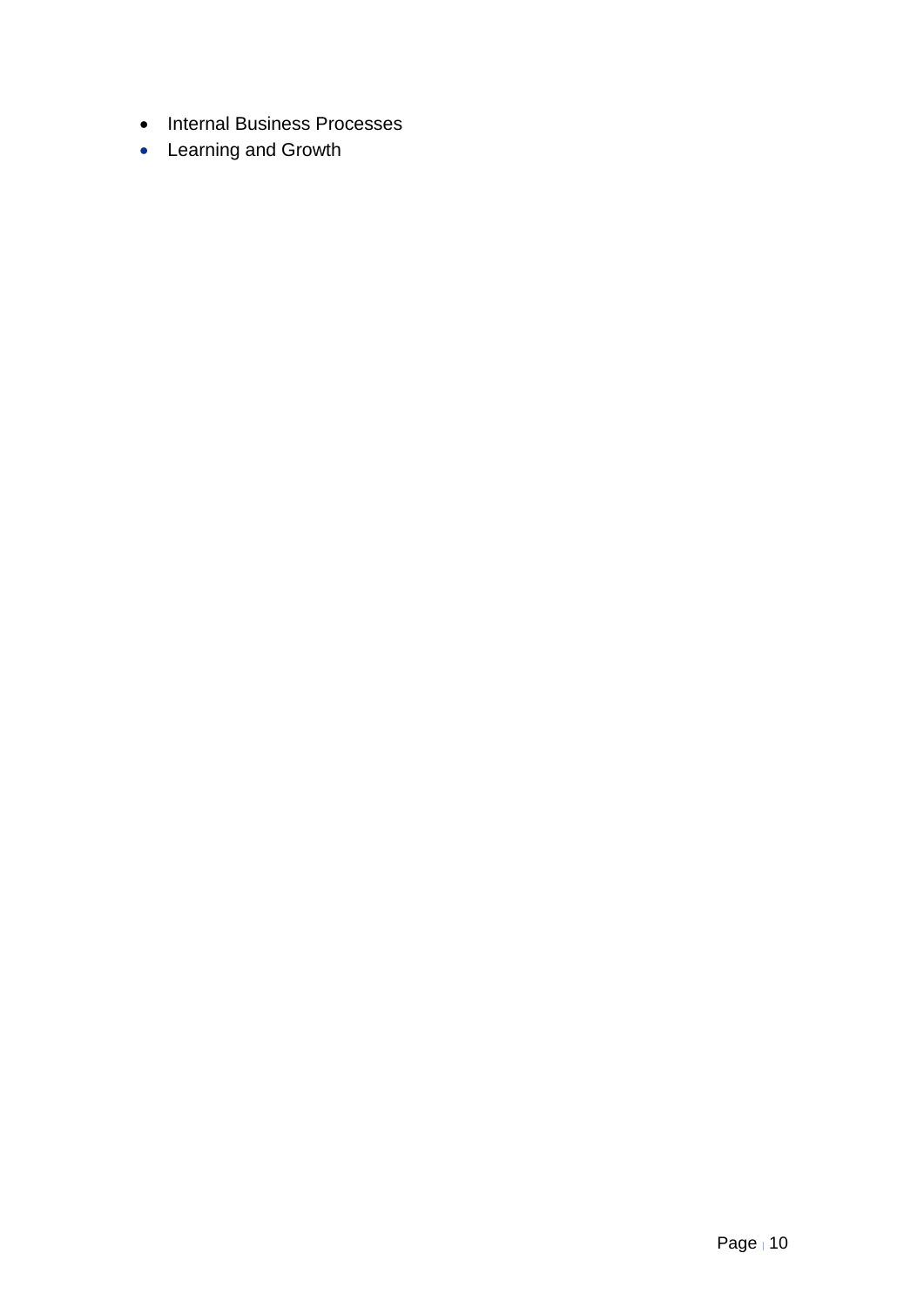- Internal Business Processes
- Learning and Growth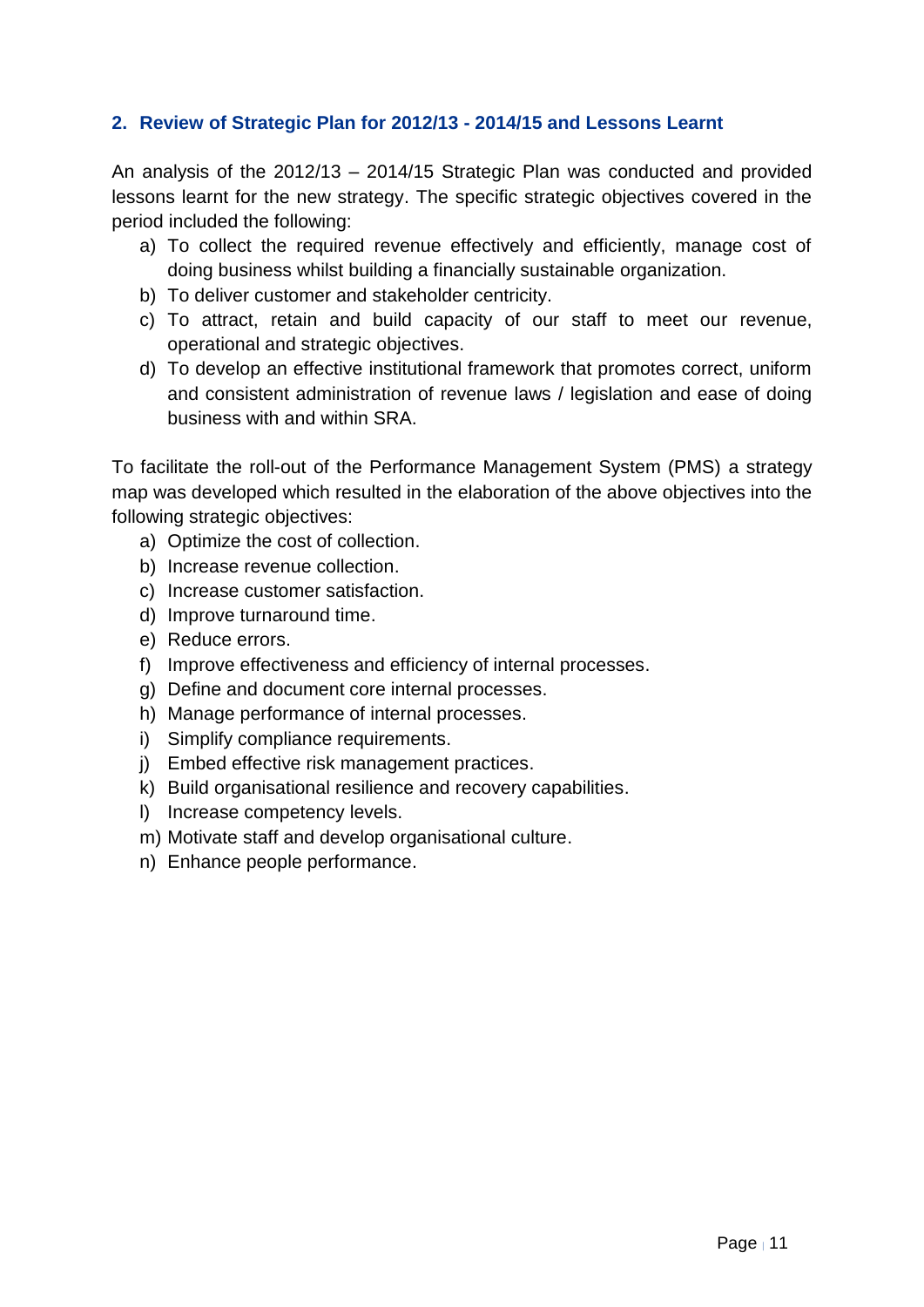## <span id="page-10-0"></span>**2. Review of Strategic Plan for 2012/13 - 2014/15 and Lessons Learnt**

An analysis of the 2012/13 – 2014/15 Strategic Plan was conducted and provided lessons learnt for the new strategy. The specific strategic objectives covered in the period included the following:

- a) To collect the required revenue effectively and efficiently, manage cost of doing business whilst building a financially sustainable organization.
- b) To deliver customer and stakeholder centricity.
- c) To attract, retain and build capacity of our staff to meet our revenue, operational and strategic objectives.
- d) To develop an effective institutional framework that promotes correct, uniform and consistent administration of revenue laws / legislation and ease of doing business with and within SRA.

To facilitate the roll-out of the Performance Management System (PMS) a strategy map was developed which resulted in the elaboration of the above objectives into the following strategic objectives:

- a) Optimize the cost of collection.
- b) Increase revenue collection.
- c) Increase customer satisfaction.
- d) Improve turnaround time.
- e) Reduce errors.
- f) Improve effectiveness and efficiency of internal processes.
- g) Define and document core internal processes.
- h) Manage performance of internal processes.
- i) Simplify compliance requirements.
- j) Embed effective risk management practices.
- k) Build organisational resilience and recovery capabilities.
- l) Increase competency levels.
- m) Motivate staff and develop organisational culture.
- n) Enhance people performance.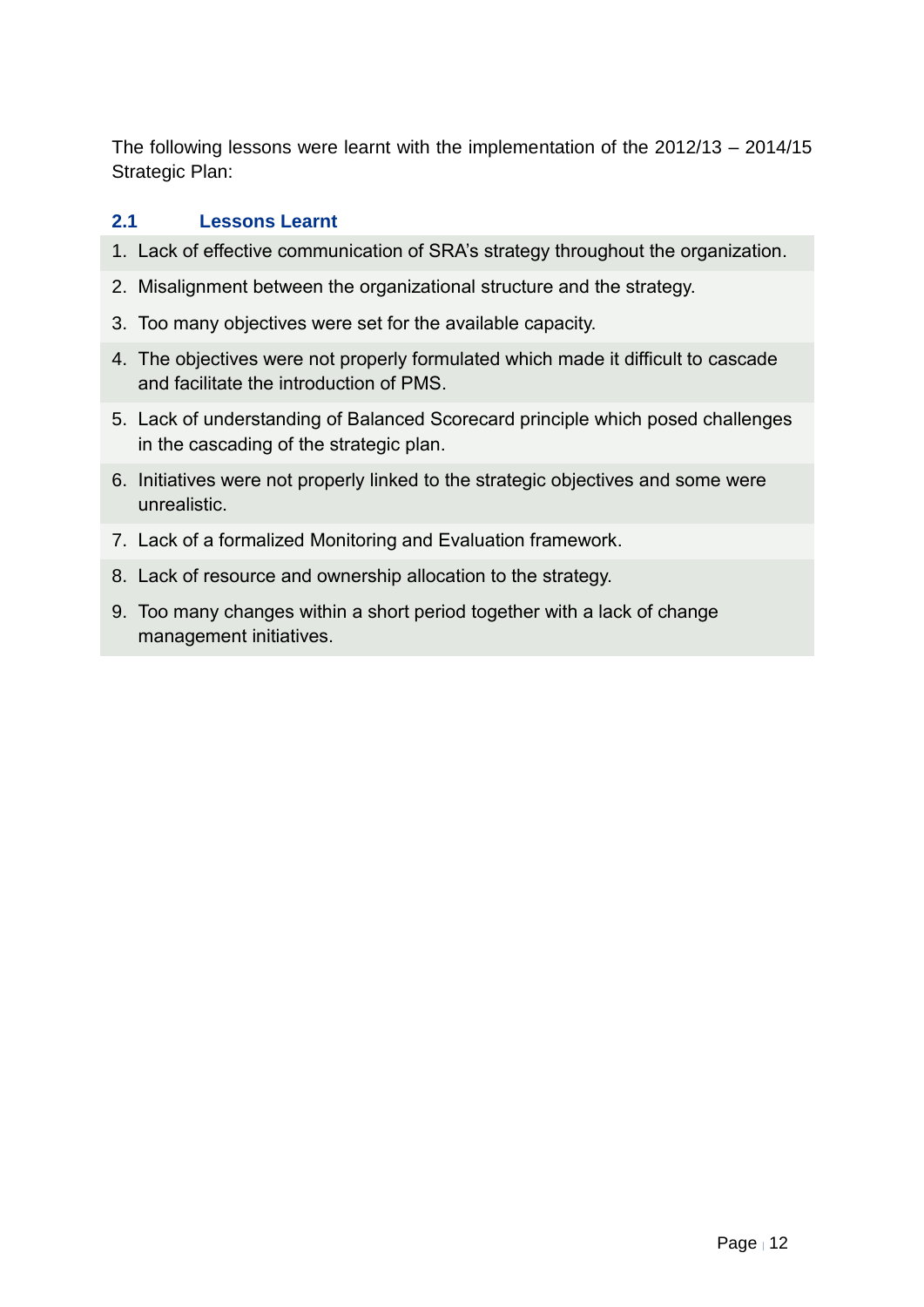The following lessons were learnt with the implementation of the 2012/13 – 2014/15 Strategic Plan:

## <span id="page-11-0"></span>**2.1 Lessons Learnt**

- 1. Lack of effective communication of SRA's strategy throughout the organization.
- 2. Misalignment between the organizational structure and the strategy.
- 3. Too many objectives were set for the available capacity.
- 4. The objectives were not properly formulated which made it difficult to cascade and facilitate the introduction of PMS.
- 5. Lack of understanding of Balanced Scorecard principle which posed challenges in the cascading of the strategic plan.
- 6. Initiatives were not properly linked to the strategic objectives and some were unrealistic.
- 7. Lack of a formalized Monitoring and Evaluation framework.
- 8. Lack of resource and ownership allocation to the strategy.
- 9. Too many changes within a short period together with a lack of change management initiatives.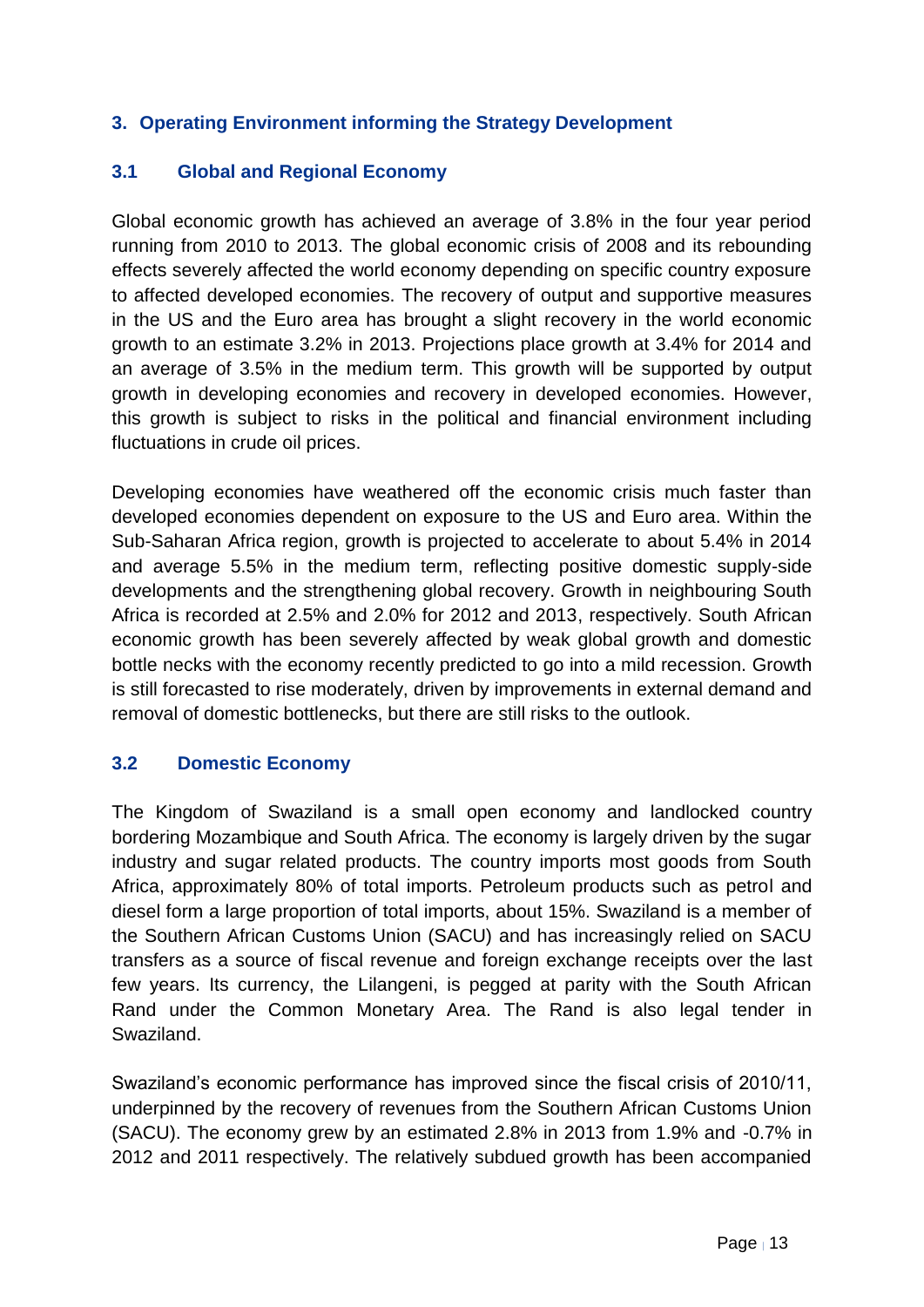## <span id="page-12-0"></span>**3. Operating Environment informing the Strategy Development**

#### <span id="page-12-1"></span>**3.1 Global and Regional Economy**

Global economic growth has achieved an average of 3.8% in the four year period running from 2010 to 2013. The global economic crisis of 2008 and its rebounding effects severely affected the world economy depending on specific country exposure to affected developed economies. The recovery of output and supportive measures in the US and the Euro area has brought a slight recovery in the world economic growth to an estimate 3.2% in 2013. Projections place growth at 3.4% for 2014 and an average of 3.5% in the medium term. This growth will be supported by output growth in developing economies and recovery in developed economies. However, this growth is subject to risks in the political and financial environment including fluctuations in crude oil prices.

Developing economies have weathered off the economic crisis much faster than developed economies dependent on exposure to the US and Euro area. Within the Sub-Saharan Africa region, growth is projected to accelerate to about 5.4% in 2014 and average 5.5% in the medium term, reflecting positive domestic supply-side developments and the strengthening global recovery. Growth in neighbouring South Africa is recorded at 2.5% and 2.0% for 2012 and 2013, respectively. South African economic growth has been severely affected by weak global growth and domestic bottle necks with the economy recently predicted to go into a mild recession. Growth is still forecasted to rise moderately, driven by improvements in external demand and removal of domestic bottlenecks, but there are still risks to the outlook.

#### <span id="page-12-2"></span>**3.2 Domestic Economy**

The Kingdom of Swaziland is a small open economy and landlocked country bordering Mozambique and South Africa. The economy is largely driven by the sugar industry and sugar related products. The country imports most goods from South Africa, approximately 80% of total imports. Petroleum products such as petrol and diesel form a large proportion of total imports, about 15%. Swaziland is a member of the Southern African Customs Union (SACU) and has increasingly relied on SACU transfers as a source of fiscal revenue and foreign exchange receipts over the last few years. Its currency, the Lilangeni, is pegged at parity with the South African Rand under the Common Monetary Area. The Rand is also legal tender in Swaziland.

Swaziland's economic performance has improved since the fiscal crisis of 2010/11, underpinned by the recovery of revenues from the Southern African Customs Union (SACU). The economy grew by an estimated 2.8% in 2013 from 1.9% and -0.7% in 2012 and 2011 respectively. The relatively subdued growth has been accompanied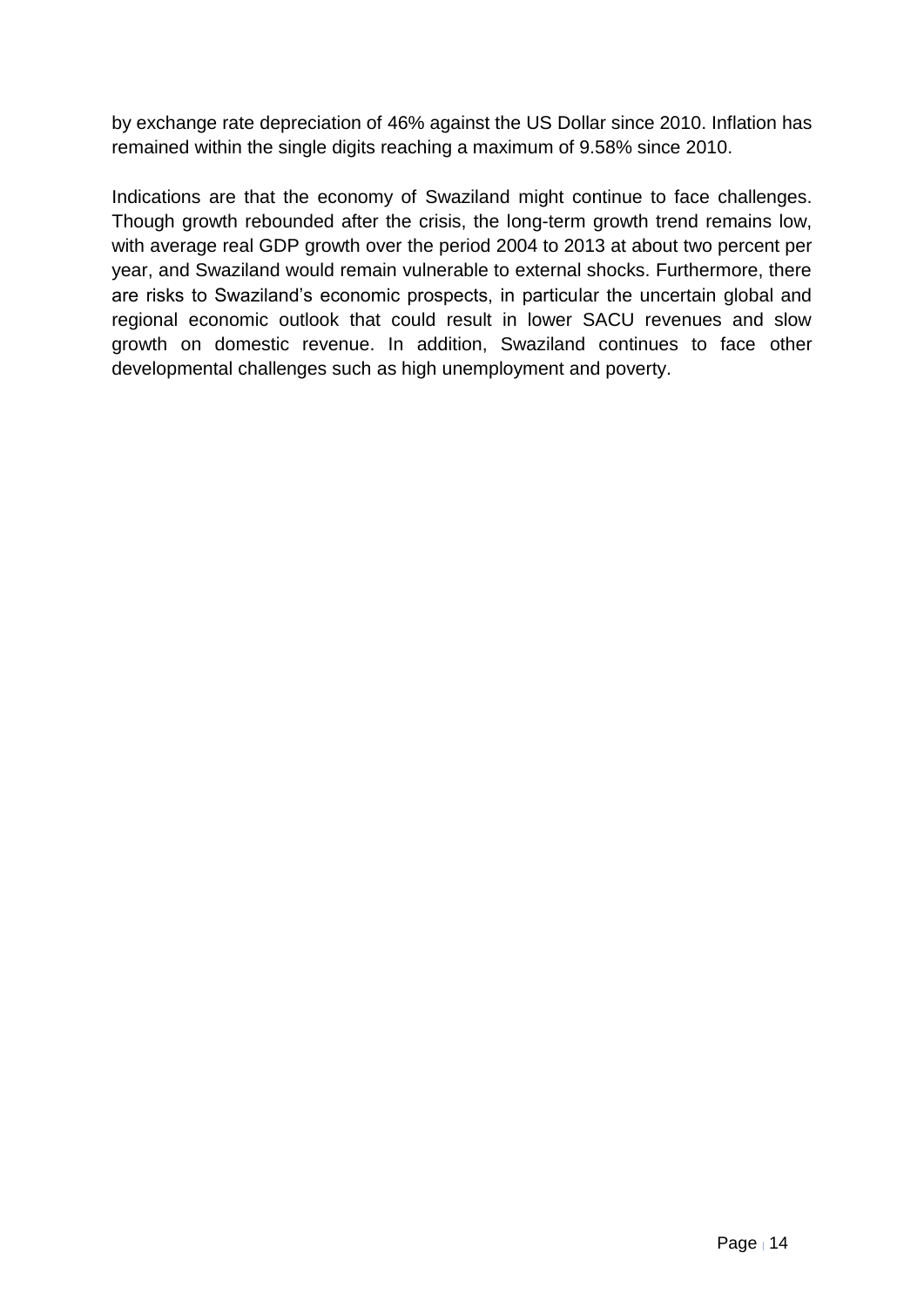by exchange rate depreciation of 46% against the US Dollar since 2010. Inflation has remained within the single digits reaching a maximum of 9.58% since 2010.

Indications are that the economy of Swaziland might continue to face challenges. Though growth rebounded after the crisis, the long-term growth trend remains low, with average real GDP growth over the period 2004 to 2013 at about two percent per year, and Swaziland would remain vulnerable to external shocks. Furthermore, there are risks to Swaziland's economic prospects, in particular the uncertain global and regional economic outlook that could result in lower SACU revenues and slow growth on domestic revenue. In addition, Swaziland continues to face other developmental challenges such as high unemployment and poverty.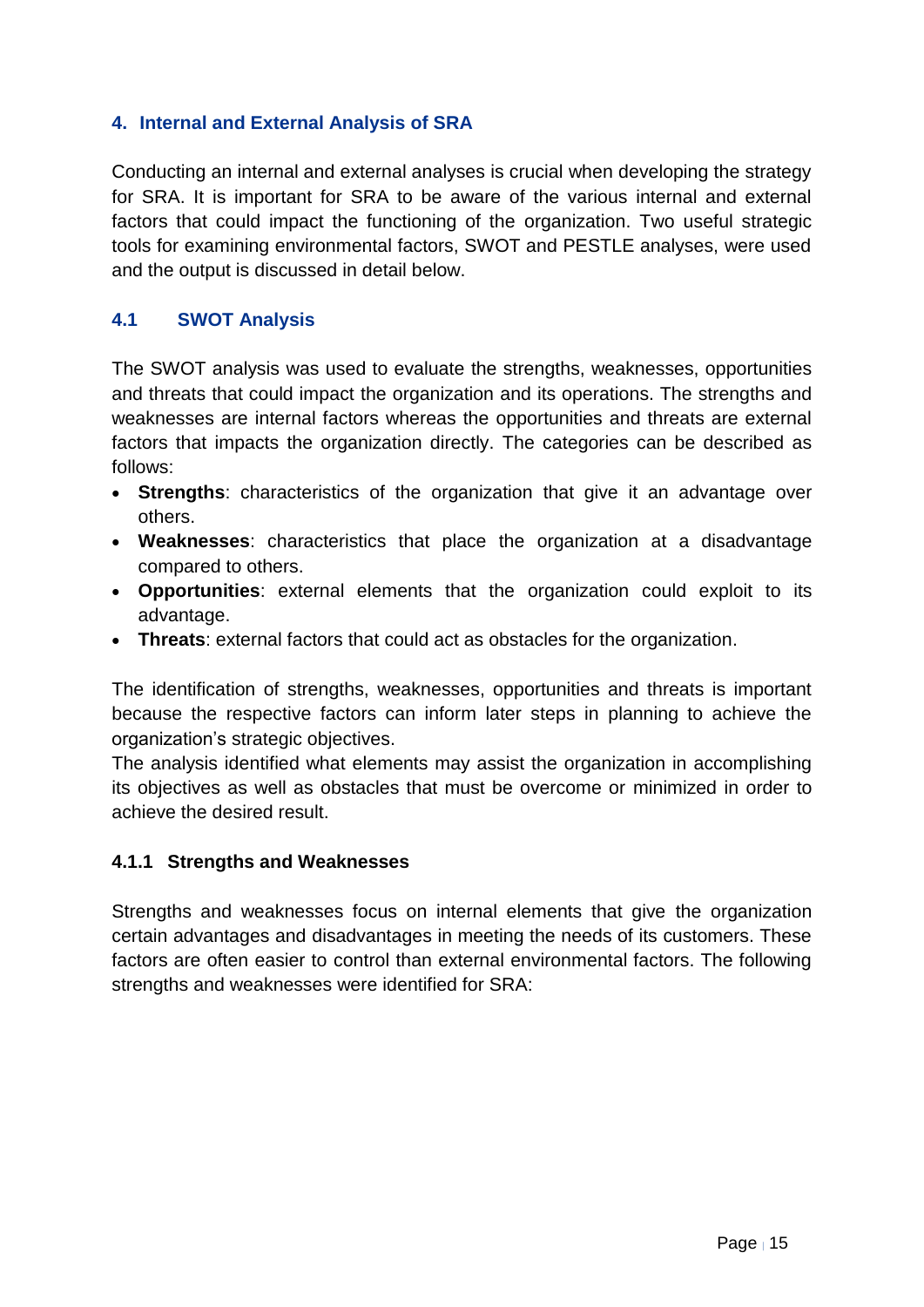## <span id="page-14-0"></span>**4. Internal and External Analysis of SRA**

Conducting an internal and external analyses is crucial when developing the strategy for SRA. It is important for SRA to be aware of the various internal and external factors that could impact the functioning of the organization. Two useful strategic tools for examining environmental factors, SWOT and PESTLE analyses, were used and the output is discussed in detail below.

## <span id="page-14-1"></span>**4.1 SWOT Analysis**

The SWOT analysis was used to evaluate the strengths, weaknesses, opportunities and threats that could impact the organization and its operations. The strengths and weaknesses are internal factors whereas the opportunities and threats are external factors that impacts the organization directly. The categories can be described as follows:

- **Strengths**: characteristics of the organization that give it an advantage over others.
- **Weaknesses**: characteristics that place the organization at a disadvantage compared to others.
- **Opportunities**: external elements that the organization could exploit to its advantage.
- **Threats**: external factors that could act as obstacles for the organization.

The identification of strengths, weaknesses, opportunities and threats is important because the respective factors can inform later steps in planning to achieve the organization's strategic objectives.

The analysis identified what elements may assist the organization in accomplishing its objectives as well as obstacles that must be overcome or minimized in order to achieve the desired result.

#### **4.1.1 Strengths and Weaknesses**

Strengths and weaknesses focus on internal elements that give the organization certain advantages and disadvantages in meeting the needs of its customers. These factors are often easier to control than external environmental factors. The following strengths and weaknesses were identified for SRA: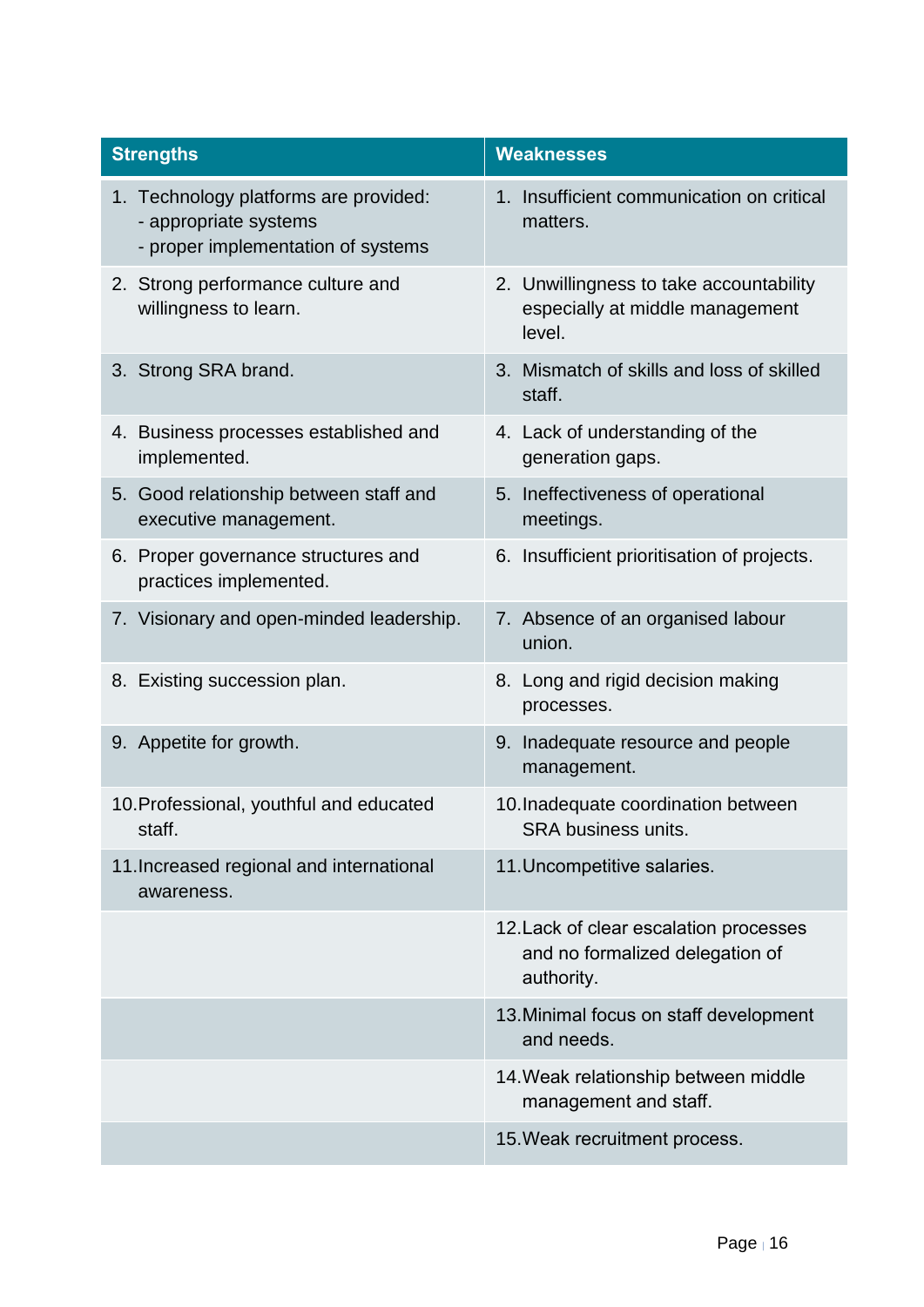| <b>Strengths</b>                                                                                     | <b>Weaknesses</b>                                                                       |
|------------------------------------------------------------------------------------------------------|-----------------------------------------------------------------------------------------|
| 1. Technology platforms are provided:<br>- appropriate systems<br>- proper implementation of systems | 1. Insufficient communication on critical<br>matters.                                   |
| 2. Strong performance culture and<br>willingness to learn.                                           | 2. Unwillingness to take accountability<br>especially at middle management<br>level.    |
| 3. Strong SRA brand.                                                                                 | 3. Mismatch of skills and loss of skilled<br>staff.                                     |
| 4. Business processes established and<br>implemented.                                                | 4. Lack of understanding of the<br>generation gaps.                                     |
| 5. Good relationship between staff and<br>executive management.                                      | 5. Ineffectiveness of operational<br>meetings.                                          |
| 6. Proper governance structures and<br>practices implemented.                                        | 6. Insufficient prioritisation of projects.                                             |
| 7. Visionary and open-minded leadership.                                                             | 7. Absence of an organised labour<br>union.                                             |
| 8. Existing succession plan.                                                                         | 8. Long and rigid decision making<br>processes.                                         |
| 9. Appetite for growth.                                                                              | 9. Inadequate resource and people<br>management.                                        |
| 10. Professional, youthful and educated<br>staff.                                                    | 10. Inadequate coordination between<br><b>SRA business units</b>                        |
| 11. Increased regional and international<br>awareness.                                               | 11. Uncompetitive salaries.                                                             |
|                                                                                                      | 12. Lack of clear escalation processes<br>and no formalized delegation of<br>authority. |
|                                                                                                      | 13. Minimal focus on staff development<br>and needs.                                    |
|                                                                                                      | 14. Weak relationship between middle<br>management and staff.                           |
|                                                                                                      | 15. Weak recruitment process.                                                           |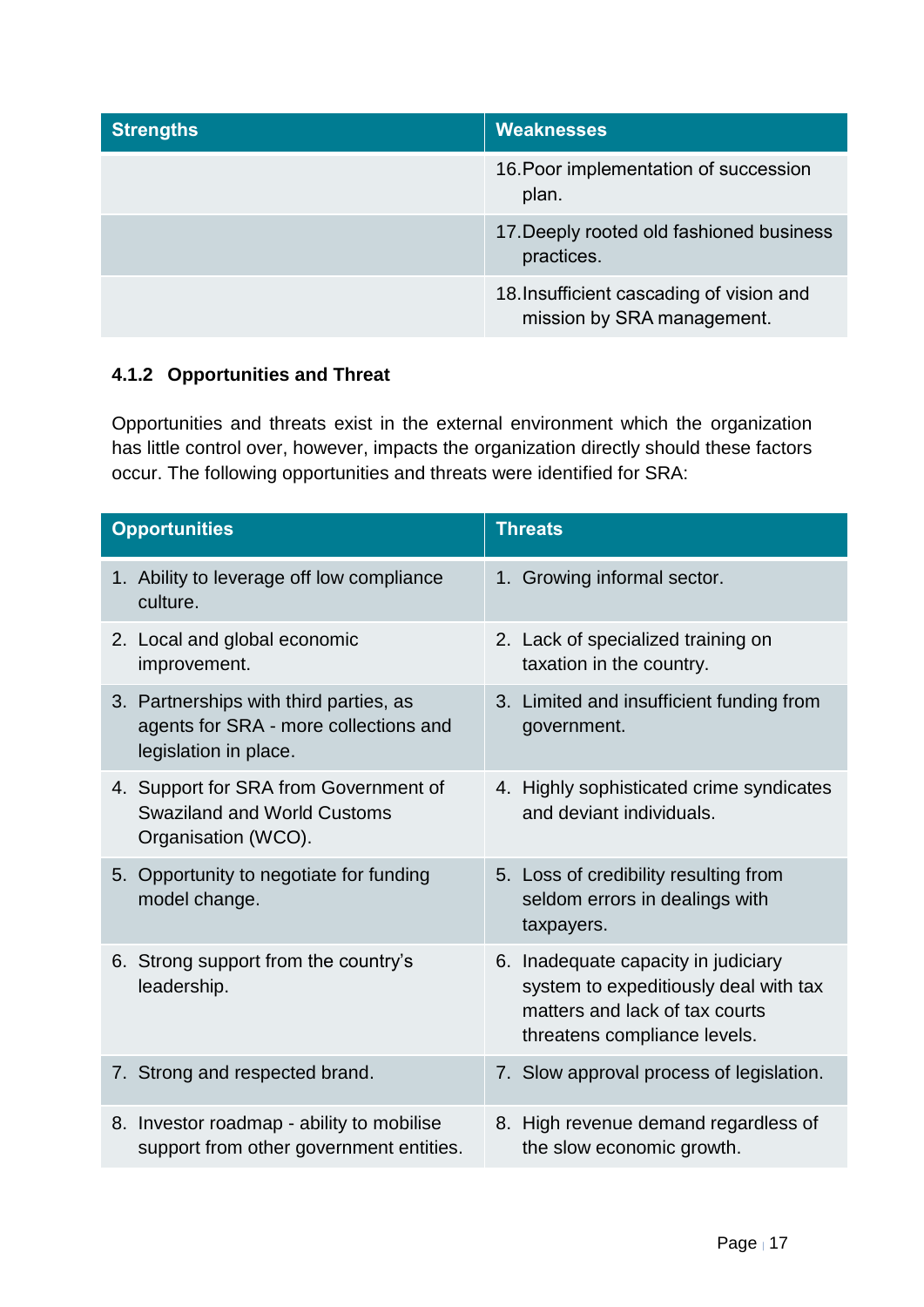| <b>Strengths</b> | <b>Weaknesses</b>                                                      |
|------------------|------------------------------------------------------------------------|
|                  | 16. Poor implementation of succession<br>plan.                         |
|                  | 17. Deeply rooted old fashioned business<br>practices.                 |
|                  | 18. Insufficient cascading of vision and<br>mission by SRA management. |

## **4.1.2 Opportunities and Threat**

Opportunities and threats exist in the external environment which the organization has little control over, however, impacts the organization directly should these factors occur. The following opportunities and threats were identified for SRA:

| <b>Opportunities</b>                                                                                     | <b>Threats</b>                                                                                                                                 |  |  |  |
|----------------------------------------------------------------------------------------------------------|------------------------------------------------------------------------------------------------------------------------------------------------|--|--|--|
| 1. Ability to leverage off low compliance<br>culture.                                                    | 1. Growing informal sector.                                                                                                                    |  |  |  |
| 2. Local and global economic<br>improvement.                                                             | 2. Lack of specialized training on<br>taxation in the country.                                                                                 |  |  |  |
| 3. Partnerships with third parties, as<br>agents for SRA - more collections and<br>legislation in place. | 3. Limited and insufficient funding from<br>government.                                                                                        |  |  |  |
| 4. Support for SRA from Government of<br><b>Swaziland and World Customs</b><br>Organisation (WCO).       | 4. Highly sophisticated crime syndicates<br>and deviant individuals.                                                                           |  |  |  |
| 5. Opportunity to negotiate for funding<br>model change.                                                 | 5. Loss of credibility resulting from<br>seldom errors in dealings with<br>taxpayers.                                                          |  |  |  |
| 6. Strong support from the country's<br>leadership.                                                      | 6. Inadequate capacity in judiciary<br>system to expeditiously deal with tax<br>matters and lack of tax courts<br>threatens compliance levels. |  |  |  |
| 7. Strong and respected brand.                                                                           | 7. Slow approval process of legislation.                                                                                                       |  |  |  |
| 8. Investor roadmap - ability to mobilise<br>support from other government entities.                     | 8. High revenue demand regardless of<br>the slow economic growth.                                                                              |  |  |  |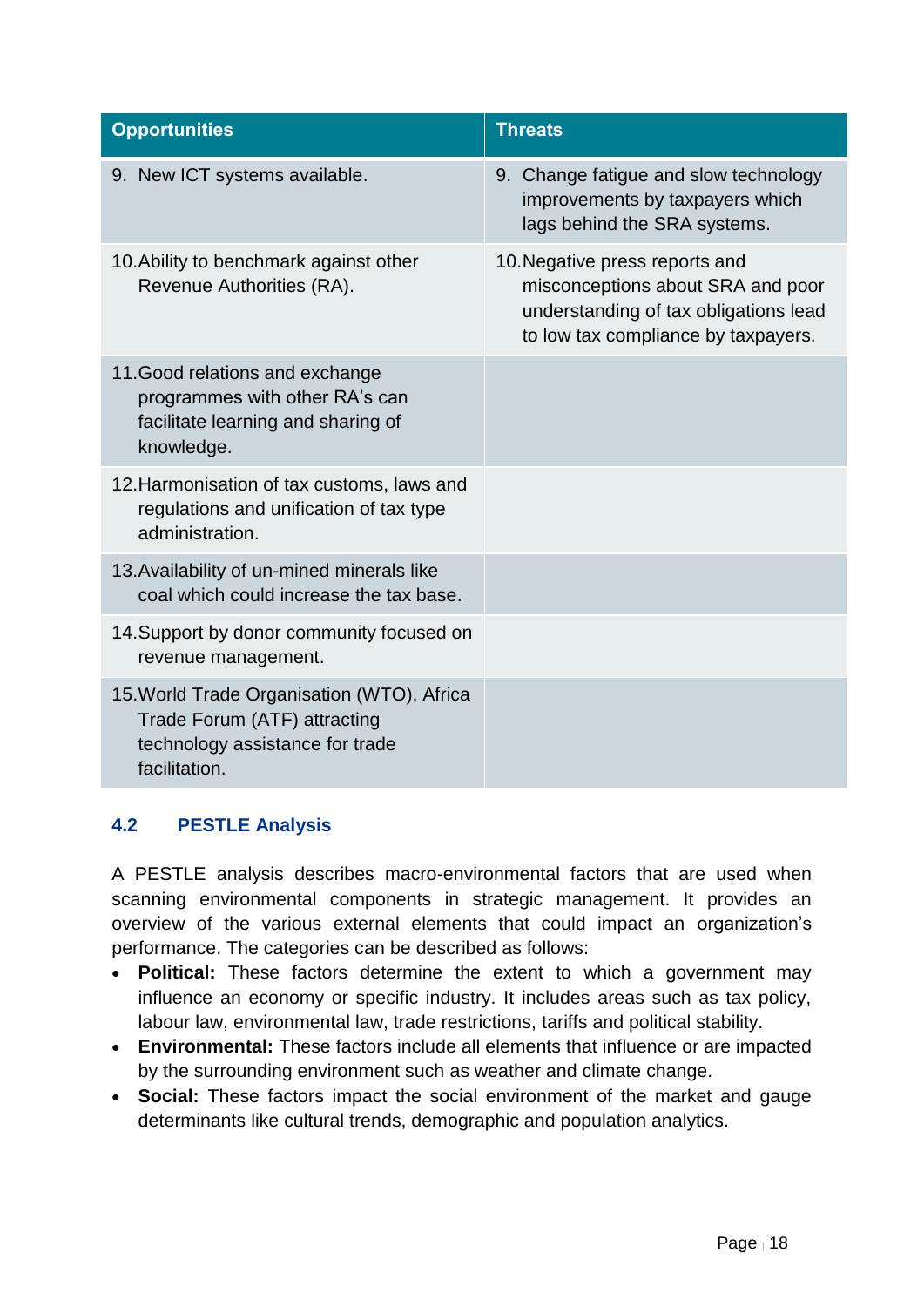| <b>Opportunities</b>                                                                                                           | <b>Threats</b>                                                                                                                                      |
|--------------------------------------------------------------------------------------------------------------------------------|-----------------------------------------------------------------------------------------------------------------------------------------------------|
| 9. New ICT systems available.                                                                                                  | 9. Change fatigue and slow technology<br>improvements by taxpayers which<br>lags behind the SRA systems.                                            |
| 10. Ability to benchmark against other<br>Revenue Authorities (RA).                                                            | 10. Negative press reports and<br>misconceptions about SRA and poor<br>understanding of tax obligations lead<br>to low tax compliance by taxpayers. |
| 11. Good relations and exchange<br>programmes with other RA's can<br>facilitate learning and sharing of<br>knowledge.          |                                                                                                                                                     |
| 12. Harmonisation of tax customs, laws and<br>regulations and unification of tax type<br>administration.                       |                                                                                                                                                     |
| 13. Availability of un-mined minerals like<br>coal which could increase the tax base.                                          |                                                                                                                                                     |
| 14. Support by donor community focused on<br>revenue management.                                                               |                                                                                                                                                     |
| 15. World Trade Organisation (WTO), Africa<br>Trade Forum (ATF) attracting<br>technology assistance for trade<br>facilitation. |                                                                                                                                                     |

## <span id="page-17-0"></span>**4.2 PESTLE Analysis**

A PESTLE analysis describes macro-environmental factors that are used when scanning environmental components in strategic management. It provides an overview of the various external elements that could impact an organization's performance. The categories can be described as follows:

- **Political:** These factors determine the extent to which a government may influence an economy or specific industry. It includes areas such as tax policy, labour law, environmental law, trade restrictions, tariffs and political stability.
- **Environmental:** These factors include all elements that influence or are impacted by the surrounding environment such as weather and climate change.
- **Social:** These factors impact the social environment of the market and gauge determinants like cultural trends, demographic and population analytics.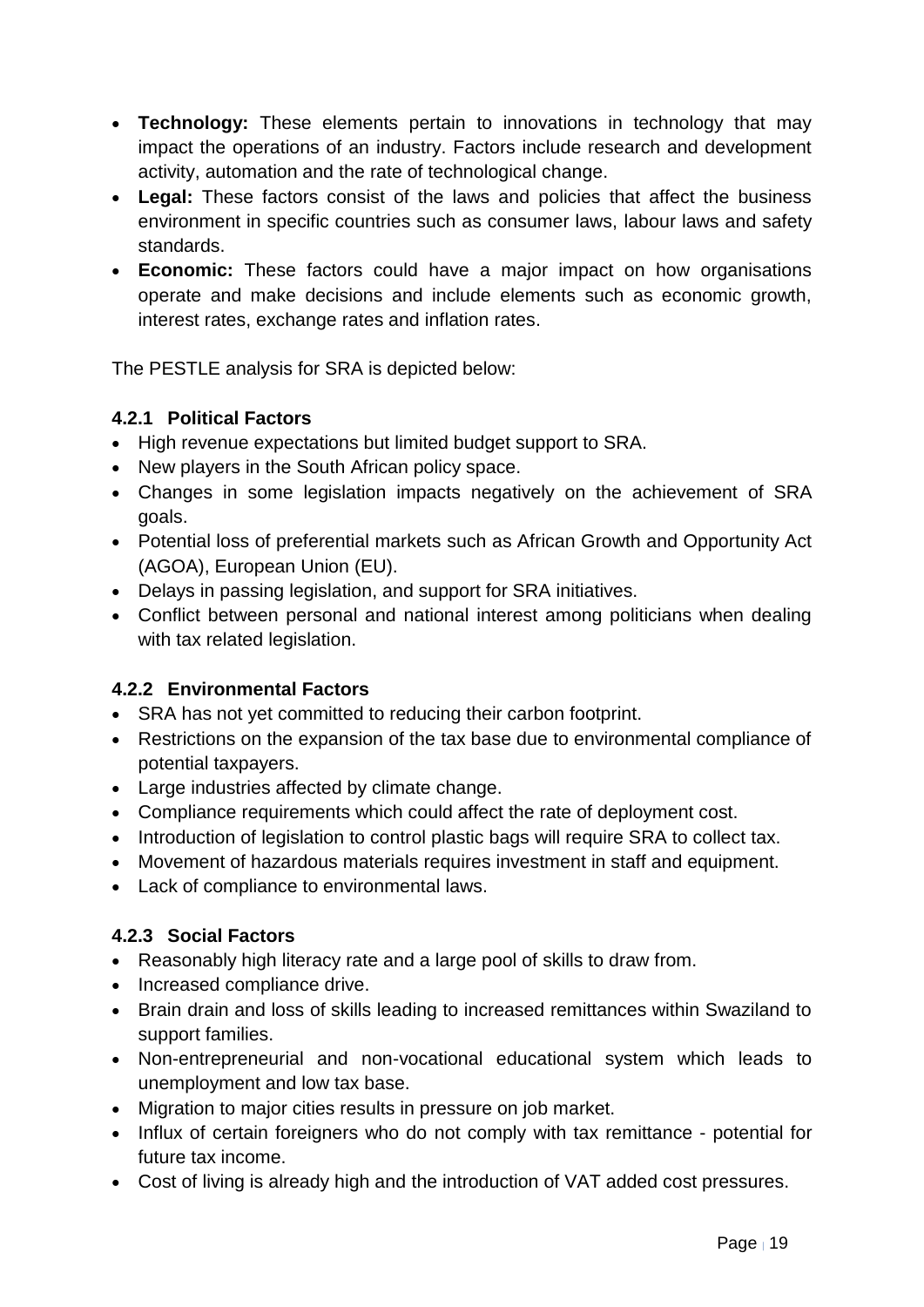- **Technology:** These elements pertain to innovations in technology that may impact the operations of an industry. Factors include research and development activity, automation and the rate of technological change.
- **Legal:** These factors consist of the laws and policies that affect the business environment in specific countries such as consumer laws, labour laws and safety standards.
- **Economic:** These factors could have a major impact on how organisations operate and make decisions and include elements such as economic growth, interest rates, exchange rates and inflation rates.

The PESTLE analysis for SRA is depicted below:

## **4.2.1 Political Factors**

- High revenue expectations but limited budget support to SRA.
- New players in the South African policy space.
- Changes in some legislation impacts negatively on the achievement of SRA goals.
- Potential loss of preferential markets such as African Growth and Opportunity Act (AGOA), European Union (EU).
- Delays in passing legislation, and support for SRA initiatives.
- Conflict between personal and national interest among politicians when dealing with tax related legislation.

## **4.2.2 Environmental Factors**

- SRA has not yet committed to reducing their carbon footprint.
- Restrictions on the expansion of the tax base due to environmental compliance of potential taxpayers.
- Large industries affected by climate change.
- Compliance requirements which could affect the rate of deployment cost.
- Introduction of legislation to control plastic bags will require SRA to collect tax.
- Movement of hazardous materials requires investment in staff and equipment.
- Lack of compliance to environmental laws.

## **4.2.3 Social Factors**

- Reasonably high literacy rate and a large pool of skills to draw from.
- Increased compliance drive.
- Brain drain and loss of skills leading to increased remittances within Swaziland to support families.
- Non-entrepreneurial and non-vocational educational system which leads to unemployment and low tax base.
- Migration to major cities results in pressure on job market.
- Influx of certain foreigners who do not comply with tax remittance potential for future tax income.
- Cost of living is already high and the introduction of VAT added cost pressures.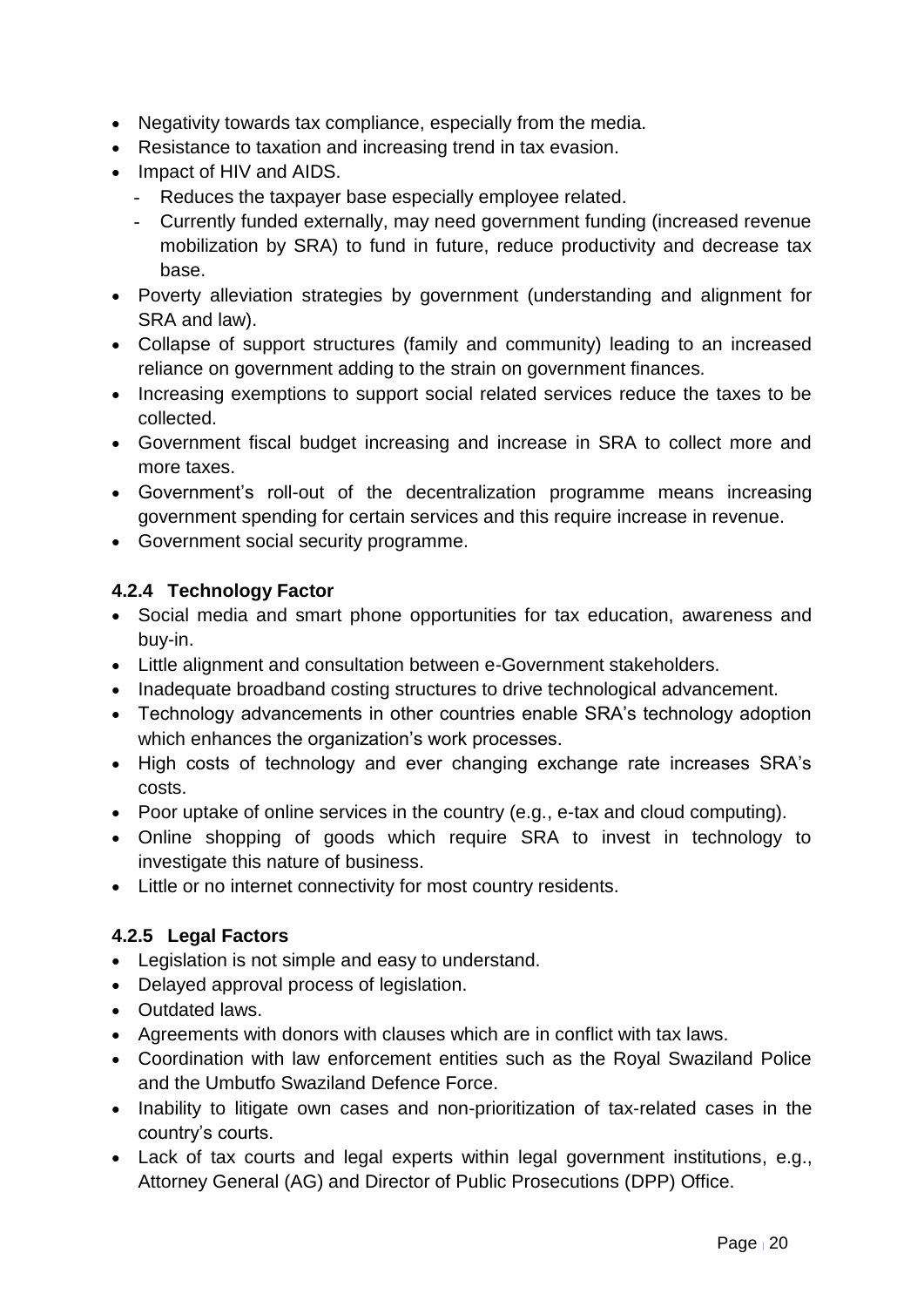- Negativity towards tax compliance, especially from the media.
- Resistance to taxation and increasing trend in tax evasion.
- Impact of HIV and AIDS.
	- Reduces the taxpayer base especially employee related.
	- Currently funded externally, may need government funding (increased revenue mobilization by SRA) to fund in future, reduce productivity and decrease tax base.
- Poverty alleviation strategies by government (understanding and alignment for SRA and law).
- Collapse of support structures (family and community) leading to an increased reliance on government adding to the strain on government finances.
- Increasing exemptions to support social related services reduce the taxes to be collected.
- Government fiscal budget increasing and increase in SRA to collect more and more taxes.
- Government's roll-out of the decentralization programme means increasing government spending for certain services and this require increase in revenue.
- Government social security programme.

## **4.2.4 Technology Factor**

- Social media and smart phone opportunities for tax education, awareness and buy-in.
- Little alignment and consultation between e-Government stakeholders.
- Inadequate broadband costing structures to drive technological advancement.
- Technology advancements in other countries enable SRA's technology adoption which enhances the organization's work processes.
- High costs of technology and ever changing exchange rate increases SRA's costs.
- Poor uptake of online services in the country (e.g., e-tax and cloud computing).
- Online shopping of goods which require SRA to invest in technology to investigate this nature of business.
- Little or no internet connectivity for most country residents.

## **4.2.5 Legal Factors**

- Legislation is not simple and easy to understand.
- Delayed approval process of legislation.
- Outdated laws.
- Agreements with donors with clauses which are in conflict with tax laws.
- Coordination with law enforcement entities such as the Royal Swaziland Police and the Umbutfo Swaziland Defence Force.
- Inability to litigate own cases and non-prioritization of tax-related cases in the country's courts.
- Lack of tax courts and legal experts within legal government institutions, e.g., Attorney General (AG) and Director of Public Prosecutions (DPP) Office.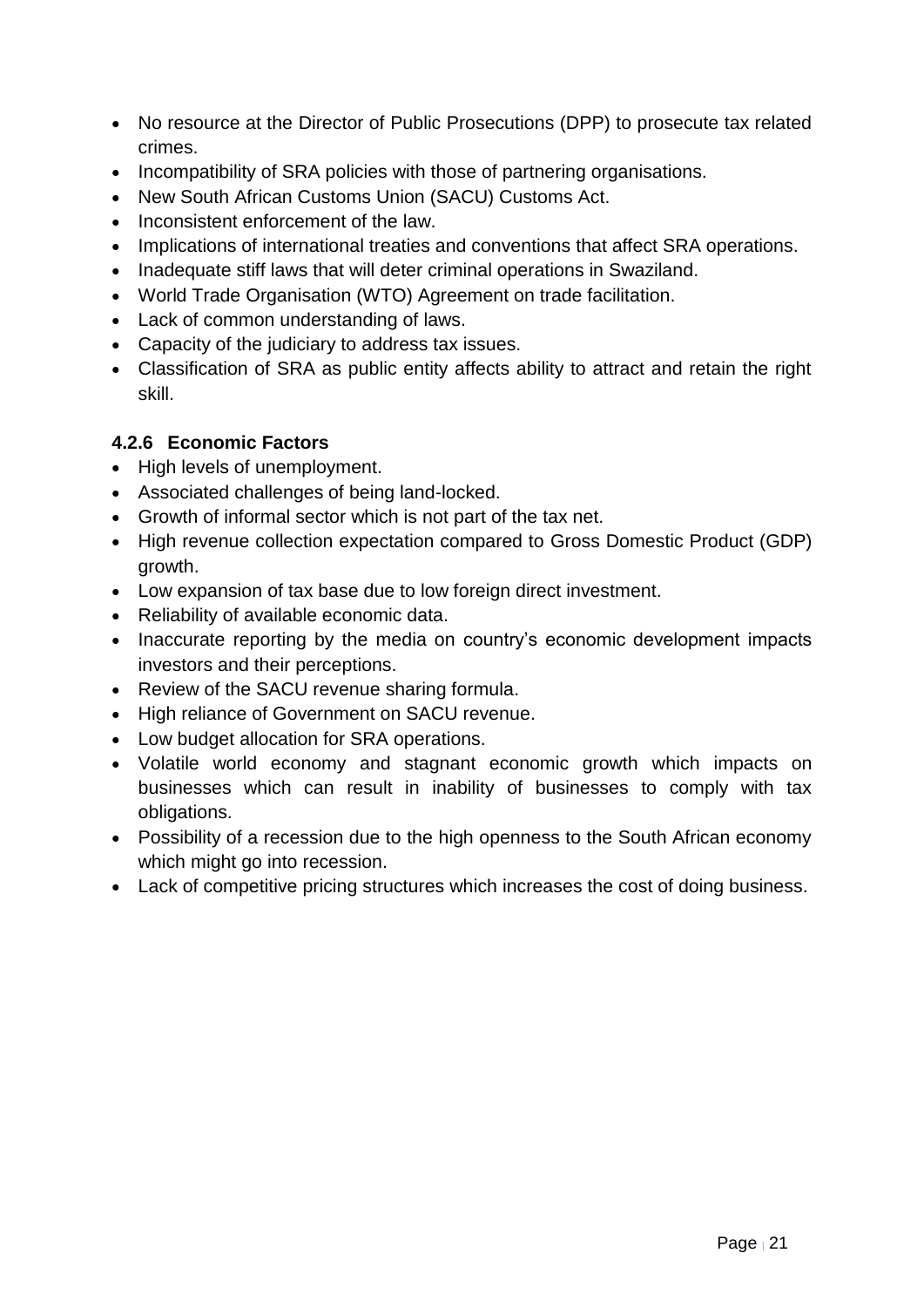- No resource at the Director of Public Prosecutions (DPP) to prosecute tax related crimes.
- Incompatibility of SRA policies with those of partnering organisations.
- New South African Customs Union (SACU) Customs Act.
- Inconsistent enforcement of the law.
- Implications of international treaties and conventions that affect SRA operations.
- Inadequate stiff laws that will deter criminal operations in Swaziland.
- World Trade Organisation (WTO) Agreement on trade facilitation.
- Lack of common understanding of laws.
- Capacity of the judiciary to address tax issues.
- Classification of SRA as public entity affects ability to attract and retain the right skill.

## **4.2.6 Economic Factors**

- High levels of unemployment.
- Associated challenges of being land-locked.
- Growth of informal sector which is not part of the tax net.
- High revenue collection expectation compared to Gross Domestic Product (GDP) growth.
- Low expansion of tax base due to low foreign direct investment.
- Reliability of available economic data.
- Inaccurate reporting by the media on country's economic development impacts investors and their perceptions.
- Review of the SACU revenue sharing formula.
- High reliance of Government on SACU revenue.
- Low budget allocation for SRA operations.
- Volatile world economy and stagnant economic growth which impacts on businesses which can result in inability of businesses to comply with tax obligations.
- Possibility of a recession due to the high openness to the South African economy which might go into recession.
- Lack of competitive pricing structures which increases the cost of doing business.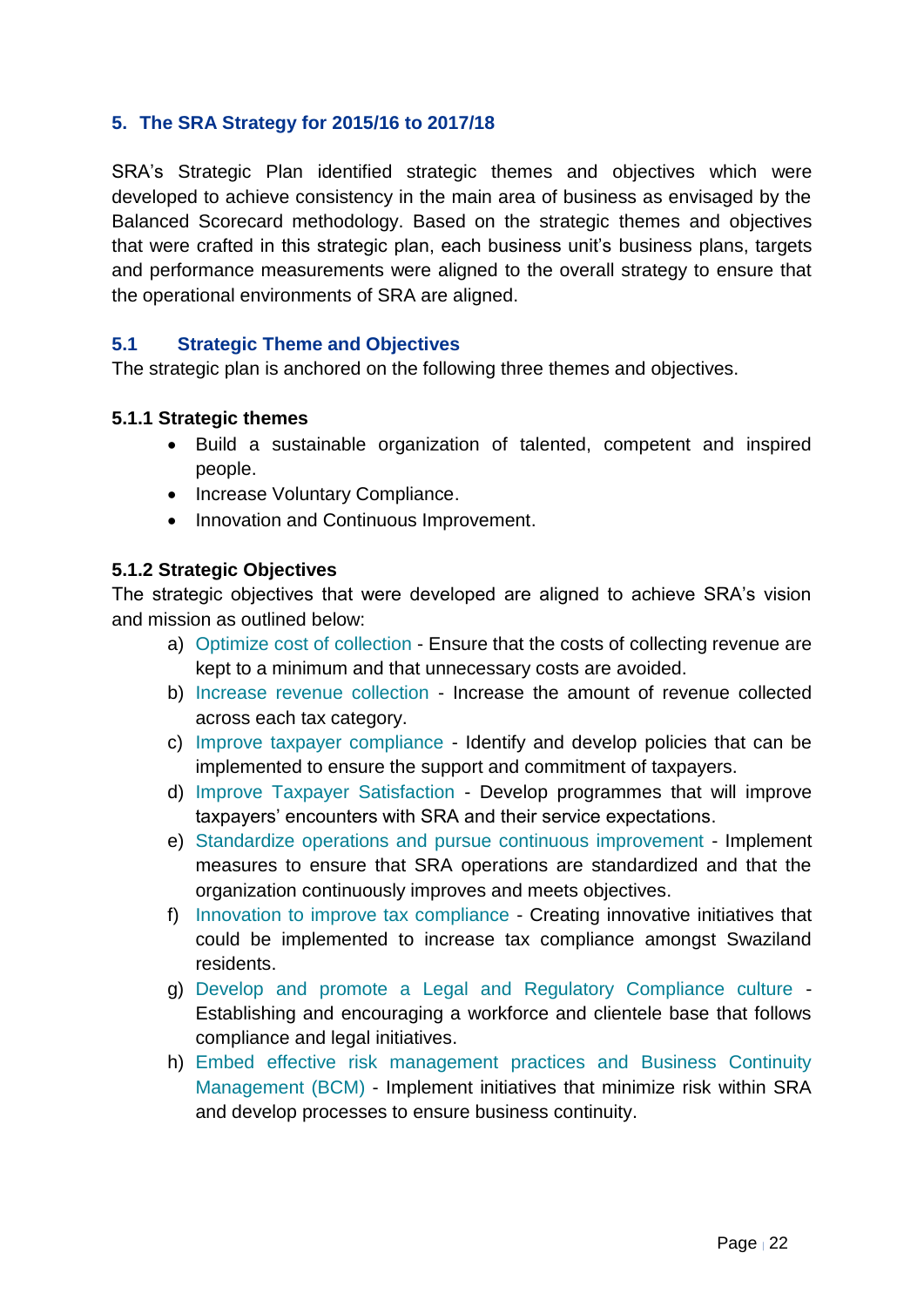## <span id="page-21-0"></span>**5. The SRA Strategy for 2015/16 to 2017/18**

SRA's Strategic Plan identified strategic themes and objectives which were developed to achieve consistency in the main area of business as envisaged by the Balanced Scorecard methodology. Based on the strategic themes and objectives that were crafted in this strategic plan, each business unit's business plans, targets and performance measurements were aligned to the overall strategy to ensure that the operational environments of SRA are aligned.

#### <span id="page-21-1"></span>**5.1 Strategic Theme and Objectives**

The strategic plan is anchored on the following three themes and objectives.

#### **5.1.1 Strategic themes**

- Build a sustainable organization of talented, competent and inspired people.
- Increase Voluntary Compliance.
- Innovation and Continuous Improvement.

#### **5.1.2 Strategic Objectives**

The strategic objectives that were developed are aligned to achieve SRA's vision and mission as outlined below:

- a) Optimize cost of collection Ensure that the costs of collecting revenue are kept to a minimum and that unnecessary costs are avoided.
- b) Increase revenue collection Increase the amount of revenue collected across each tax category.
- c) Improve taxpayer compliance Identify and develop policies that can be implemented to ensure the support and commitment of taxpayers.
- d) Improve Taxpayer Satisfaction Develop programmes that will improve taxpayers' encounters with SRA and their service expectations.
- e) Standardize operations and pursue continuous improvement Implement measures to ensure that SRA operations are standardized and that the organization continuously improves and meets objectives.
- f) Innovation to improve tax compliance Creating innovative initiatives that could be implemented to increase tax compliance amongst Swaziland residents.
- g) Develop and promote a Legal and Regulatory Compliance culture Establishing and encouraging a workforce and clientele base that follows compliance and legal initiatives.
- h) Embed effective risk management practices and Business Continuity Management (BCM) - Implement initiatives that minimize risk within SRA and develop processes to ensure business continuity.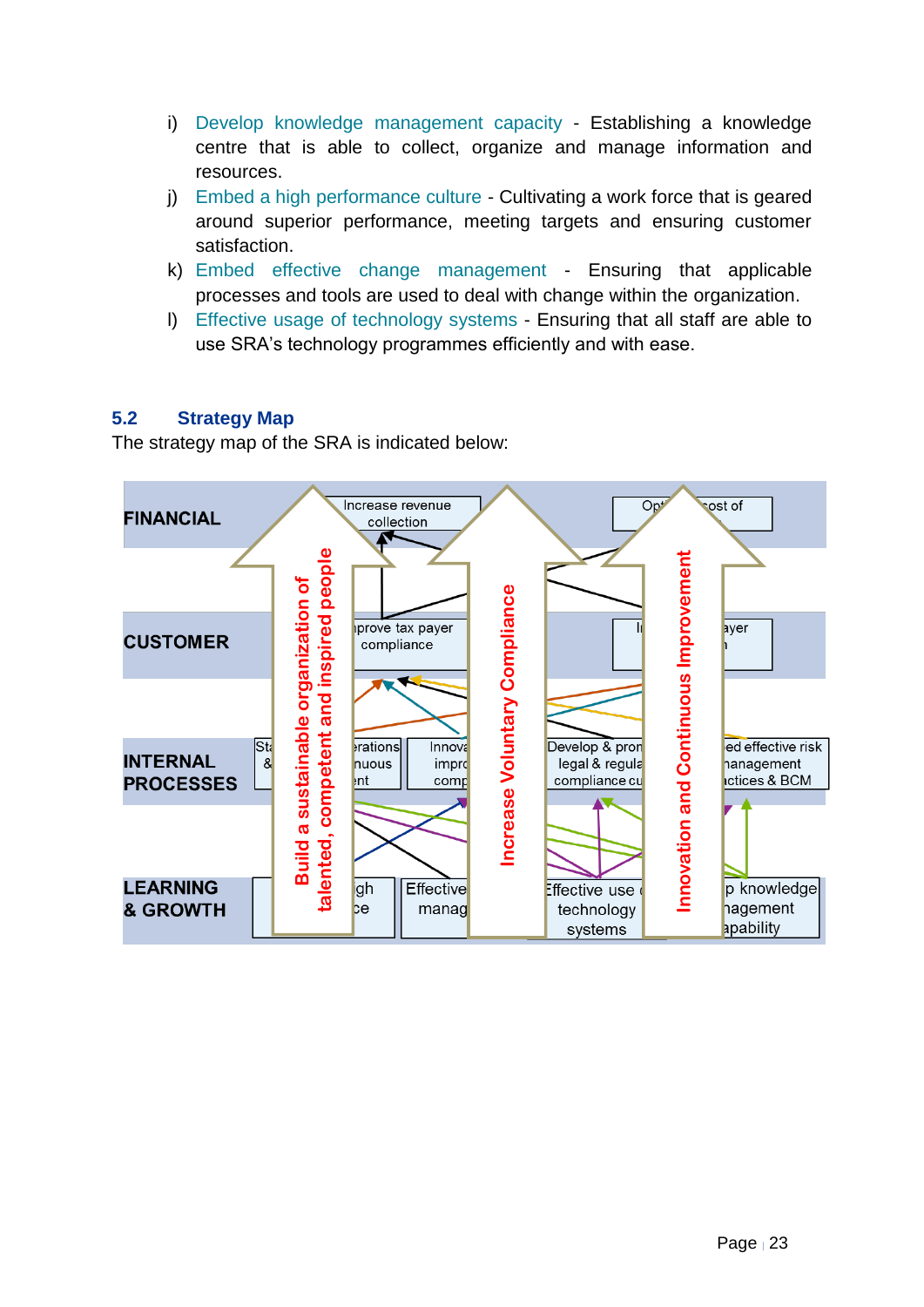- i) Develop knowledge management capacity Establishing a knowledge centre that is able to collect, organize and manage information and resources.
- j) Embed a high performance culture Cultivating a work force that is geared around superior performance, meeting targets and ensuring customer satisfaction.
- k) Embed effective change management Ensuring that applicable processes and tools are used to deal with change within the organization.
- l) Effective usage of technology systems Ensuring that all staff are able to use SRA's technology programmes efficiently and with ease.

## <span id="page-22-0"></span>**5.2 Strategy Map**

The strategy map of the SRA is indicated below:

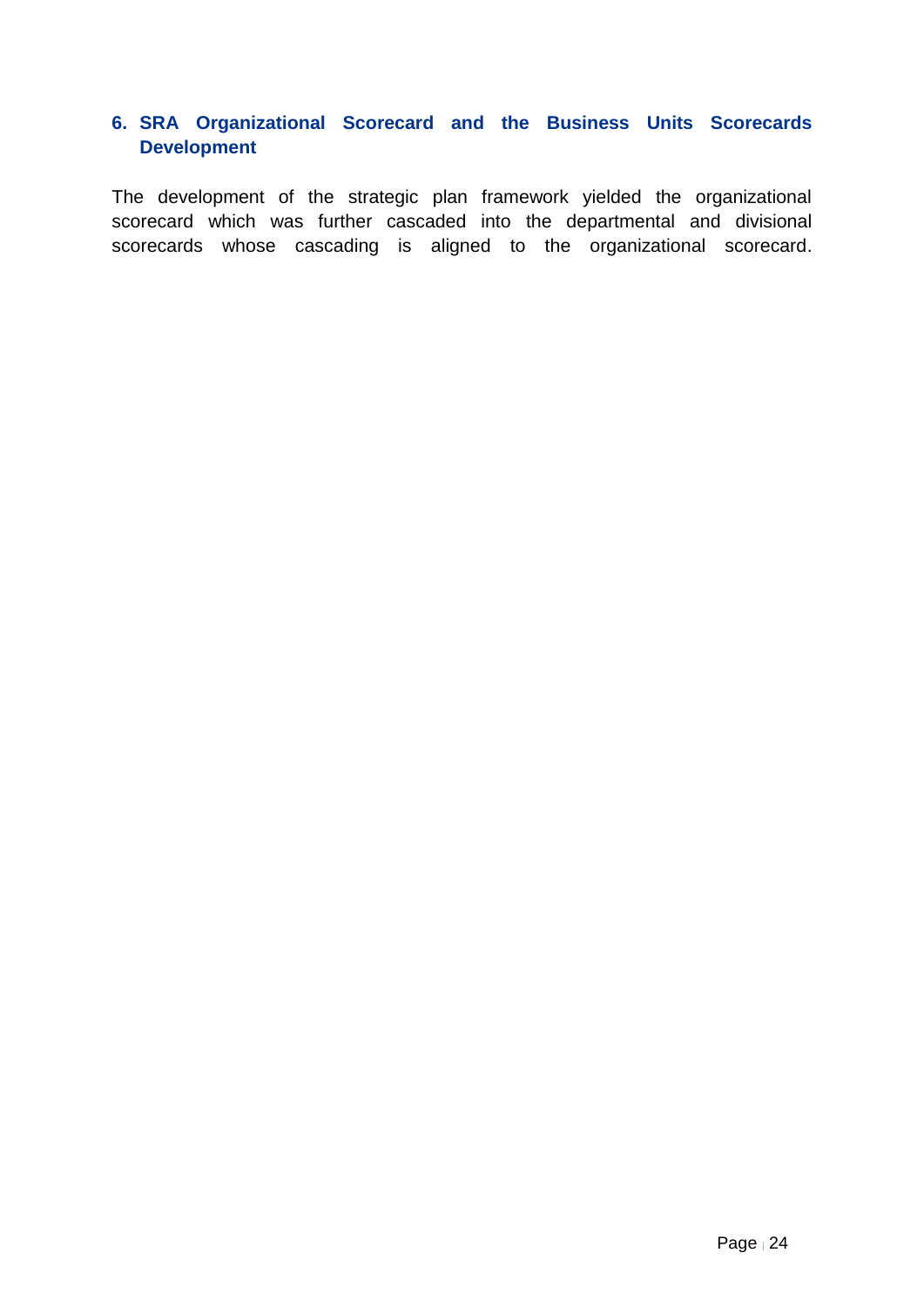## <span id="page-23-0"></span>**6. SRA Organizational Scorecard and the Business Units Scorecards Development**

The development of the strategic plan framework yielded the organizational scorecard which was further cascaded into the departmental and divisional scorecards whose cascading is aligned to the organizational scorecard.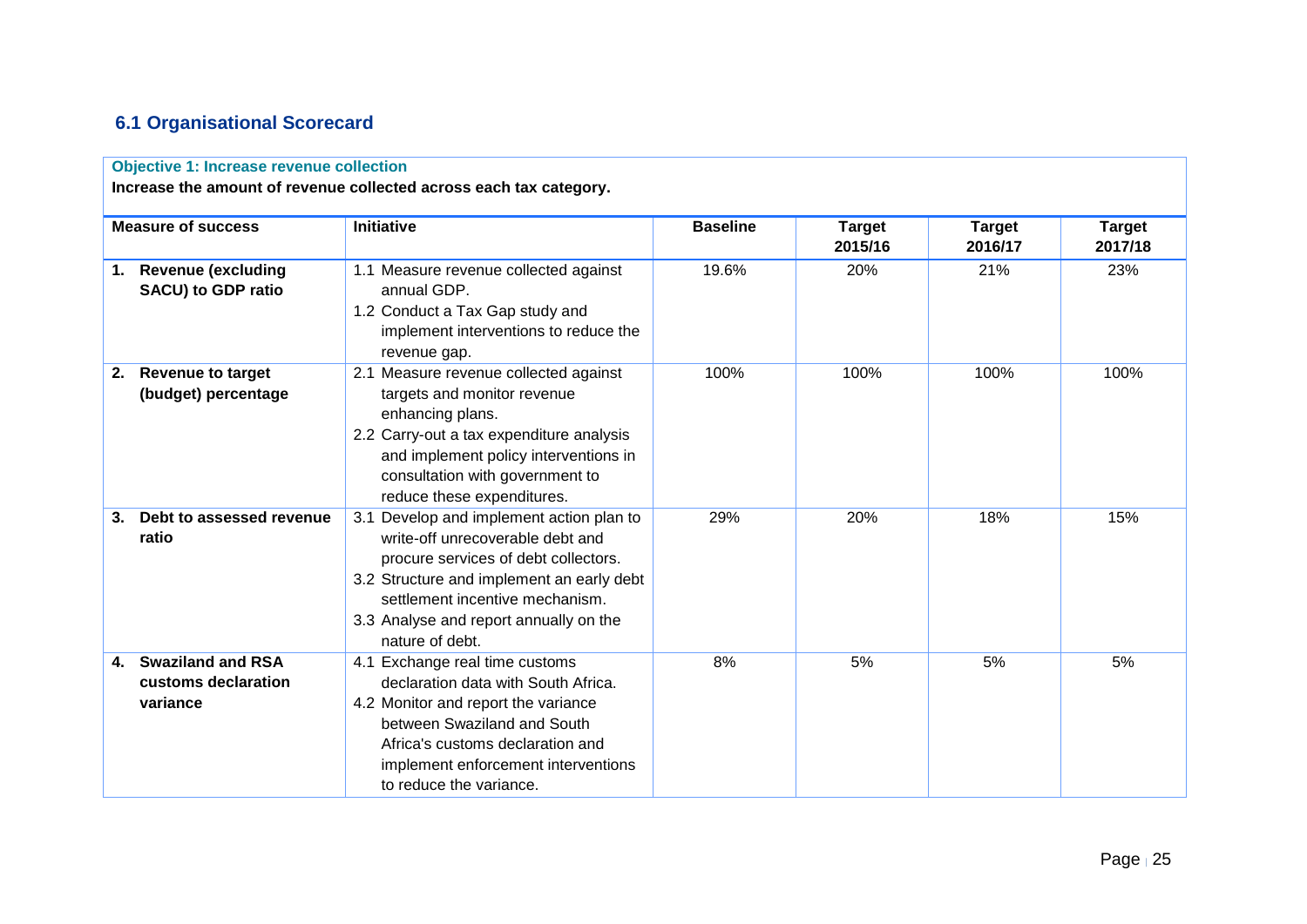## **6.1 Organisational Scorecard**

#### **Objective 1: Increase revenue collection**

**Increase the amount of revenue collected across each tax category.**

<span id="page-24-0"></span>

|    | <b>Measure of success</b>                                   | <b>Initiative</b>                                                                                                                                                                                                                                                 | <b>Baseline</b> | <b>Target</b><br>2015/16 | <b>Target</b><br>2016/17 | <b>Target</b><br>2017/18 |
|----|-------------------------------------------------------------|-------------------------------------------------------------------------------------------------------------------------------------------------------------------------------------------------------------------------------------------------------------------|-----------------|--------------------------|--------------------------|--------------------------|
|    | 1. Revenue (excluding<br><b>SACU) to GDP ratio</b>          | 1.1 Measure revenue collected against<br>annual GDP.<br>1.2 Conduct a Tax Gap study and<br>implement interventions to reduce the<br>revenue gap.                                                                                                                  | 19.6%           | 20%                      | 21%                      | 23%                      |
| 2. | <b>Revenue to target</b><br>(budget) percentage             | 2.1 Measure revenue collected against<br>targets and monitor revenue<br>enhancing plans.<br>2.2 Carry-out a tax expenditure analysis<br>and implement policy interventions in<br>consultation with government to<br>reduce these expenditures.                    | 100%            | 100%                     | 100%                     | 100%                     |
| 3. | Debt to assessed revenue<br>ratio                           | 3.1 Develop and implement action plan to<br>write-off unrecoverable debt and<br>procure services of debt collectors.<br>3.2 Structure and implement an early debt<br>settlement incentive mechanism.<br>3.3 Analyse and report annually on the<br>nature of debt. | 29%             | 20%                      | 18%                      | 15%                      |
| 4. | <b>Swaziland and RSA</b><br>customs declaration<br>variance | 4.1 Exchange real time customs<br>declaration data with South Africa.<br>4.2 Monitor and report the variance<br>between Swaziland and South<br>Africa's customs declaration and<br>implement enforcement interventions<br>to reduce the variance.                 | 8%              | 5%                       | 5%                       | 5%                       |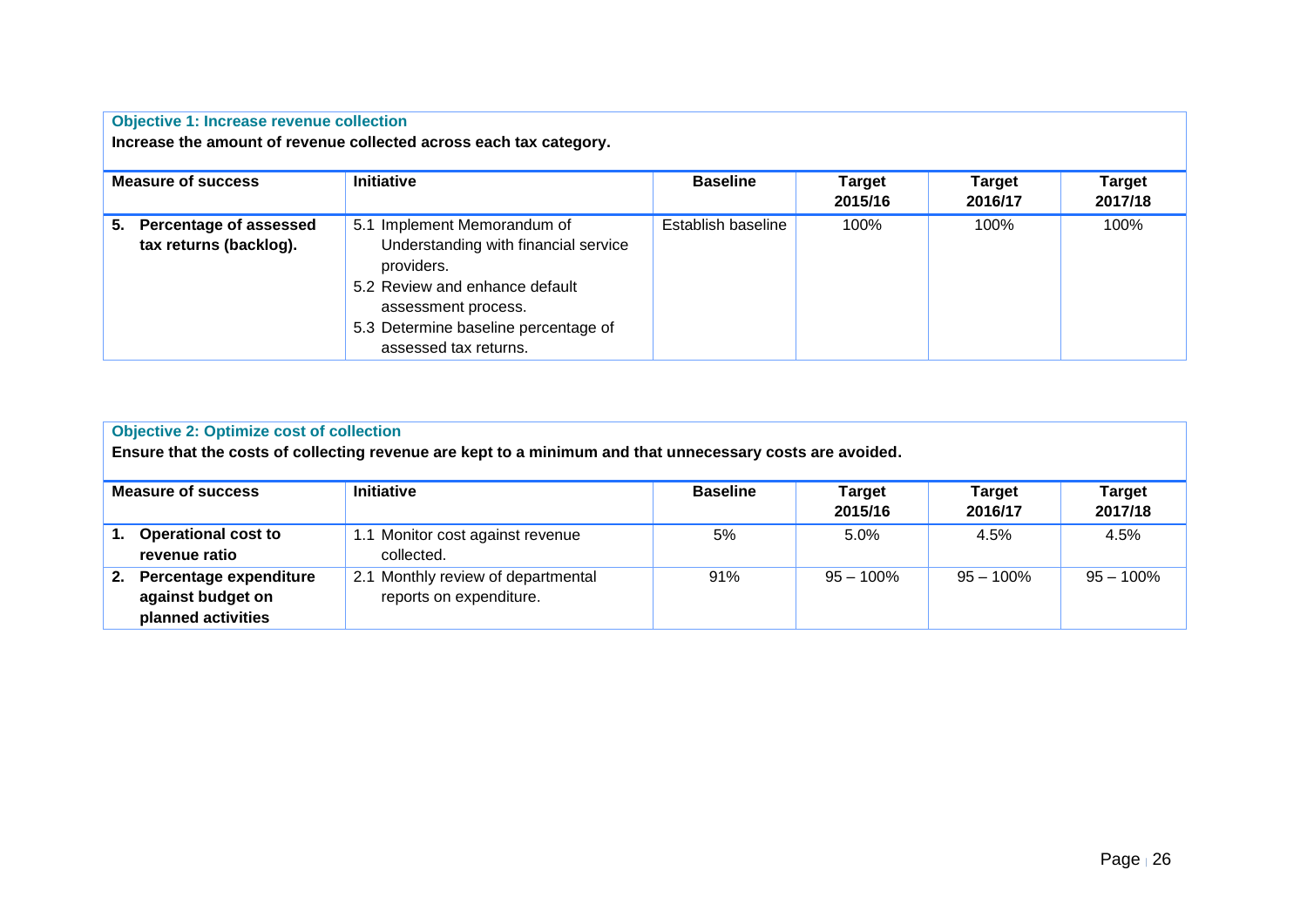#### **Objective 1: Increase revenue collection**

**Increase the amount of revenue collected across each tax category.**

| <b>Measure of success</b>                           | <b>Initiative</b>                                                                                                                                                                                           | <b>Baseline</b>    | <b>Target</b><br>2015/16 | <b>Target</b><br>2016/17 | <b>Target</b><br>2017/18 |
|-----------------------------------------------------|-------------------------------------------------------------------------------------------------------------------------------------------------------------------------------------------------------------|--------------------|--------------------------|--------------------------|--------------------------|
| 5. Percentage of assessed<br>tax returns (backlog). | 5.1 Implement Memorandum of<br>Understanding with financial service<br>providers.<br>5.2 Review and enhance default<br>assessment process.<br>5.3 Determine baseline percentage of<br>assessed tax returns. | Establish baseline | 100%                     | 100%                     | 100%                     |

|    | <b>Objective 2: Optimize cost of collection</b><br>Ensure that the costs of collecting revenue are kept to a minimum and that unnecessary costs are avoided. |                                                               |                 |                          |                          |                          |  |  |  |
|----|--------------------------------------------------------------------------------------------------------------------------------------------------------------|---------------------------------------------------------------|-----------------|--------------------------|--------------------------|--------------------------|--|--|--|
|    | <b>Measure of success</b>                                                                                                                                    | <b>Initiative</b>                                             | <b>Baseline</b> | <b>Target</b><br>2015/16 | <b>Target</b><br>2016/17 | <b>Target</b><br>2017/18 |  |  |  |
| 1. | <b>Operational cost to</b><br>revenue ratio                                                                                                                  | 1.1 Monitor cost against revenue<br>collected.                | 5%              | 5.0%                     | 4.5%                     | 4.5%                     |  |  |  |
| 2. | Percentage expenditure<br>against budget on<br>planned activities                                                                                            | 2.1 Monthly review of departmental<br>reports on expenditure. | 91%             | $95 - 100\%$             | $95 - 100\%$             | $95 - 100\%$             |  |  |  |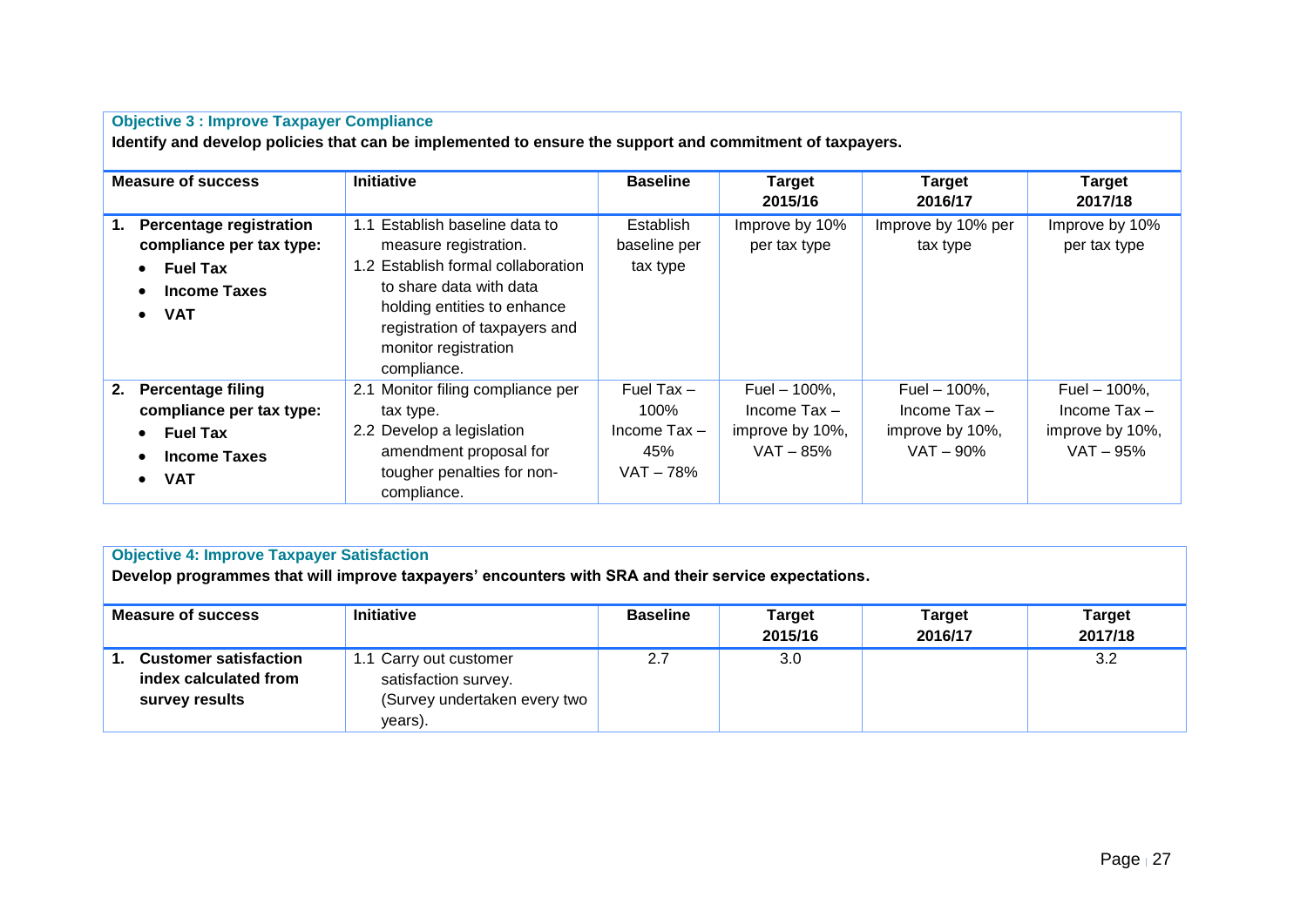|                                                                                                                                          | <b>Objective 3 : Improve Taxpayer Compliance</b><br>Identify and develop policies that can be implemented to ensure the support and commitment of taxpayers.                                                                       |                                                                   |                                                                           |                                                                         |                                                                         |  |  |  |  |
|------------------------------------------------------------------------------------------------------------------------------------------|------------------------------------------------------------------------------------------------------------------------------------------------------------------------------------------------------------------------------------|-------------------------------------------------------------------|---------------------------------------------------------------------------|-------------------------------------------------------------------------|-------------------------------------------------------------------------|--|--|--|--|
| <b>Measure of success</b>                                                                                                                | Initiative                                                                                                                                                                                                                         | <b>Baseline</b>                                                   | <b>Target</b><br>2015/16                                                  | <b>Target</b><br>2016/17                                                | Target<br>2017/18                                                       |  |  |  |  |
| <b>Percentage registration</b><br>1.<br>compliance per tax type:<br>$\bullet$ Fuel Tax<br><b>Income Taxes</b><br><b>VAT</b><br>$\bullet$ | Establish baseline data to<br>1.1<br>measure registration.<br>1.2 Establish formal collaboration<br>to share data with data<br>holding entities to enhance<br>registration of taxpayers and<br>monitor registration<br>compliance. | Establish<br>baseline per<br>tax type                             | Improve by 10%<br>per tax type                                            | Improve by 10% per<br>tax type                                          | Improve by 10%<br>per tax type                                          |  |  |  |  |
| <b>Percentage filing</b><br>2.<br>compliance per tax type:<br><b>Fuel Tax</b><br><b>Income Taxes</b><br><b>VAT</b>                       | 2.1 Monitor filing compliance per<br>tax type.<br>2.2 Develop a legislation<br>amendment proposal for<br>tougher penalties for non-<br>compliance.                                                                                 | Fuel Tax $-$<br>100%<br>Income $\text{Tax}$ -<br>45%<br>VAT – 78% | Fuel $-$ 100%,<br>Income $\text{Tax} -$<br>improve by 10%,<br>$VAT - 85%$ | Fuel $-$ 100%,<br>Income $\text{Tax} -$<br>improve by 10%,<br>VAT - 90% | Fuel $-$ 100%,<br>Income $\text{Tax} -$<br>improve by 10%,<br>VAT - 95% |  |  |  |  |

| <b>Objective 4: Improve Taxpayer Satisfaction</b> |  |  |  |  |  |  |  |
|---------------------------------------------------|--|--|--|--|--|--|--|
|---------------------------------------------------|--|--|--|--|--|--|--|

**Develop programmes that will improve taxpayers' encounters with SRA and their service expectations.**

| <b>Measure of success</b>                                               | <b>Initiative</b>                                                                         | <b>Baseline</b> | Target<br>2015/16 | <b>Target</b><br>2016/17 | <b>Target</b><br>2017/18 |
|-------------------------------------------------------------------------|-------------------------------------------------------------------------------------------|-----------------|-------------------|--------------------------|--------------------------|
| <b>Customer satisfaction</b><br>index calculated from<br>survey results | 1.1 Carry out customer<br>satisfaction survey.<br>(Survey undertaken every two<br>years). | 2.7             | 3.0 <sub>1</sub>  |                          | 3.2                      |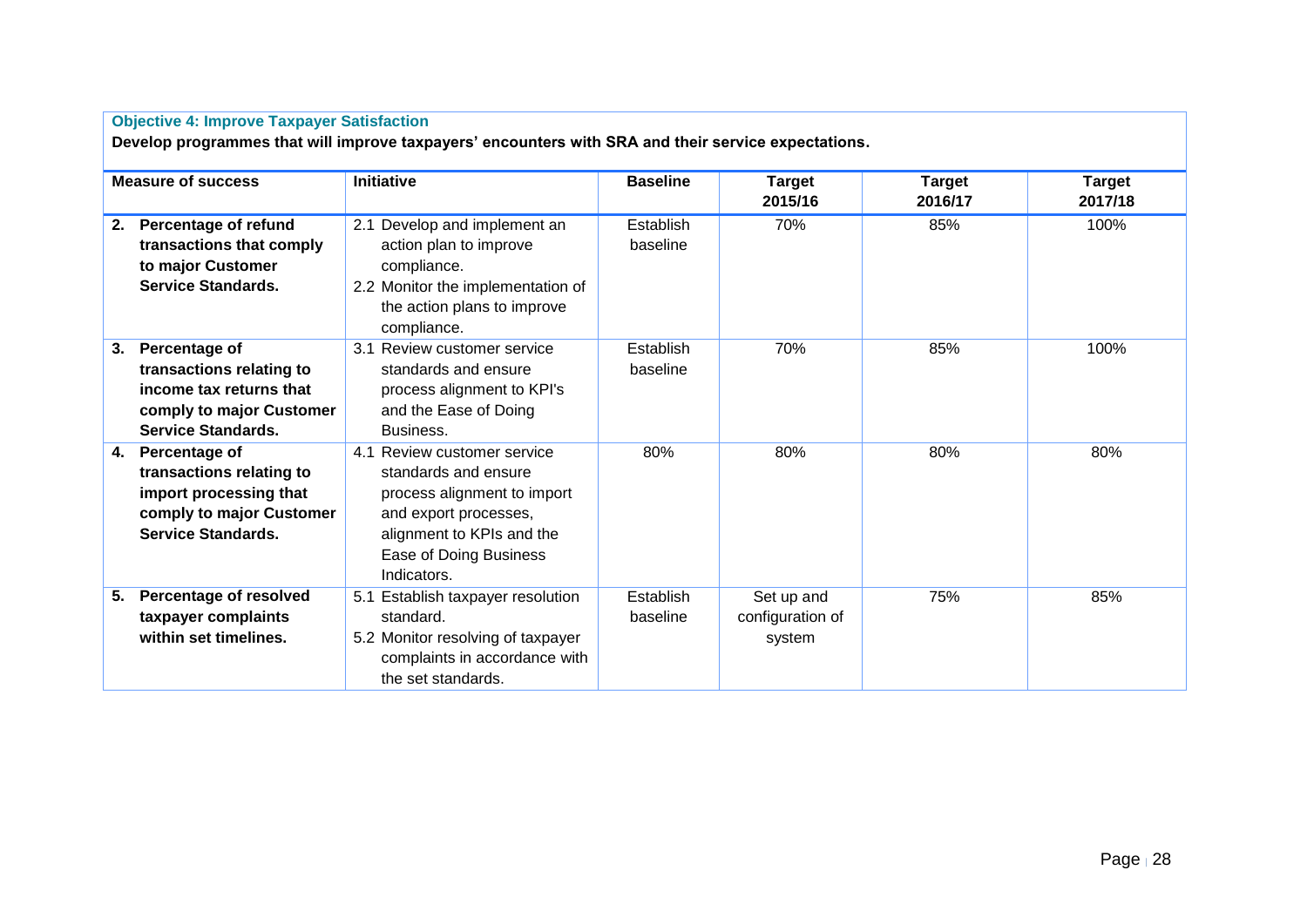| <b>Objective 4: Improve Taxpayer Satisfaction</b><br>Develop programmes that will improve taxpayers' encounters with SRA and their service expectations. |                                                                                                                                                                                   |                              |                                          |                          |                          |  |  |  |  |
|----------------------------------------------------------------------------------------------------------------------------------------------------------|-----------------------------------------------------------------------------------------------------------------------------------------------------------------------------------|------------------------------|------------------------------------------|--------------------------|--------------------------|--|--|--|--|
| <b>Measure of success</b>                                                                                                                                | <b>Initiative</b>                                                                                                                                                                 | <b>Baseline</b>              | <b>Target</b><br>2015/16                 | <b>Target</b><br>2016/17 | <b>Target</b><br>2017/18 |  |  |  |  |
| <b>Percentage of refund</b><br>2.<br>transactions that comply<br>to major Customer<br><b>Service Standards.</b>                                          | 2.1 Develop and implement an<br>action plan to improve<br>compliance.<br>2.2 Monitor the implementation of<br>the action plans to improve<br>compliance.                          | <b>Establish</b><br>baseline | 70%                                      | 85%                      | 100%                     |  |  |  |  |
| Percentage of<br>3.<br>transactions relating to<br>income tax returns that<br>comply to major Customer<br><b>Service Standards.</b>                      | 3.1 Review customer service<br>standards and ensure<br>process alignment to KPI's<br>and the Ease of Doing<br>Business.                                                           | Establish<br>baseline        | 70%                                      | 85%                      | 100%                     |  |  |  |  |
| Percentage of<br>4.<br>transactions relating to<br>import processing that<br>comply to major Customer<br><b>Service Standards.</b>                       | 4.1 Review customer service<br>standards and ensure<br>process alignment to import<br>and export processes,<br>alignment to KPIs and the<br>Ease of Doing Business<br>Indicators. |                              | 80%                                      | 80%                      | 80%                      |  |  |  |  |
| Percentage of resolved<br>5.<br>taxpayer complaints<br>within set timelines.                                                                             | 5.1 Establish taxpayer resolution<br>standard.<br>5.2 Monitor resolving of taxpayer<br>complaints in accordance with<br>the set standards.                                        | <b>Establish</b><br>baseline | Set up and<br>configuration of<br>system | 75%                      | 85%                      |  |  |  |  |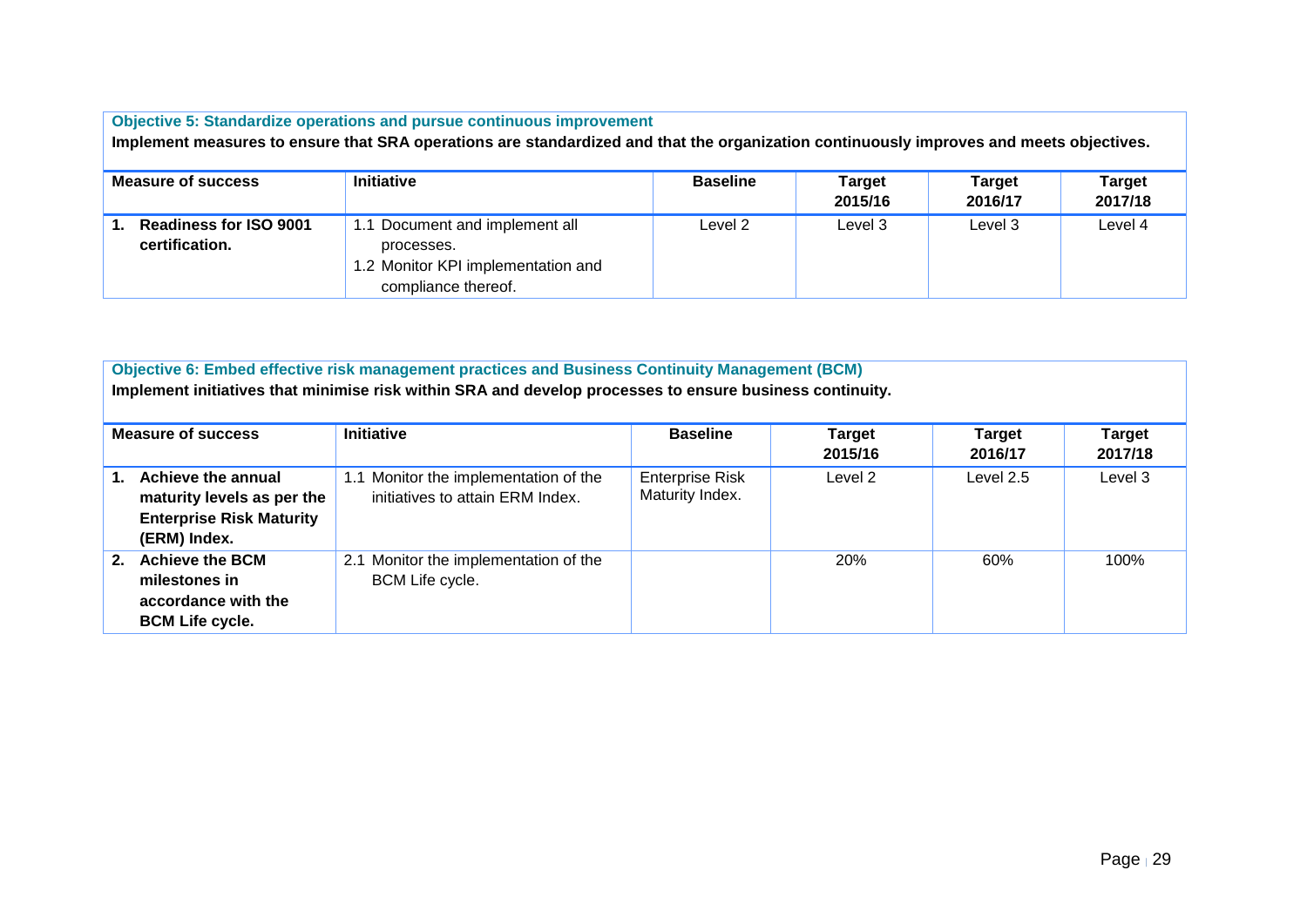| <b>Objective 5: Standardize operations and pursue continuous improvement</b><br>Implement measures to ensure that SRA operations are standardized and that the organization continuously improves and meets objectives. |                                                                                                           |                 |                          |                   |                          |  |  |
|-------------------------------------------------------------------------------------------------------------------------------------------------------------------------------------------------------------------------|-----------------------------------------------------------------------------------------------------------|-----------------|--------------------------|-------------------|--------------------------|--|--|
| Measure of success                                                                                                                                                                                                      | <b>Initiative</b>                                                                                         | <b>Baseline</b> | <b>Target</b><br>2015/16 | Target<br>2016/17 | <b>Target</b><br>2017/18 |  |  |
| Readiness for ISO 9001<br>certification.                                                                                                                                                                                | 1.1 Document and implement all<br>processes.<br>1.2 Monitor KPI implementation and<br>compliance thereof. | Level 2         | Level 3                  | Level 3           | Level 4                  |  |  |

| Objective 6: Embed effective risk management practices and Business Continuity Management (BCM)<br>Implement initiatives that minimise risk within SRA and develop processes to ensure business continuity. |                                                                                                     |                                                                           |                                           |                          |                          |                          |  |
|-------------------------------------------------------------------------------------------------------------------------------------------------------------------------------------------------------------|-----------------------------------------------------------------------------------------------------|---------------------------------------------------------------------------|-------------------------------------------|--------------------------|--------------------------|--------------------------|--|
| <b>Measure of success</b>                                                                                                                                                                                   |                                                                                                     | <b>Initiative</b>                                                         | <b>Baseline</b>                           | <b>Target</b><br>2015/16 | <b>Target</b><br>2016/17 | <b>Target</b><br>2017/18 |  |
| 1.                                                                                                                                                                                                          | Achieve the annual<br>maturity levels as per the<br><b>Enterprise Risk Maturity</b><br>(ERM) Index. | 1.1 Monitor the implementation of the<br>initiatives to attain ERM Index. | <b>Enterprise Risk</b><br>Maturity Index. | Level 2                  | Level 2.5                | Level 3                  |  |
| 2.                                                                                                                                                                                                          | <b>Achieve the BCM</b><br>milestones in<br>accordance with the<br><b>BCM Life cycle.</b>            | Monitor the implementation of the<br>2.1<br>BCM Life cycle.               |                                           | 20%                      | 60%                      | 100%                     |  |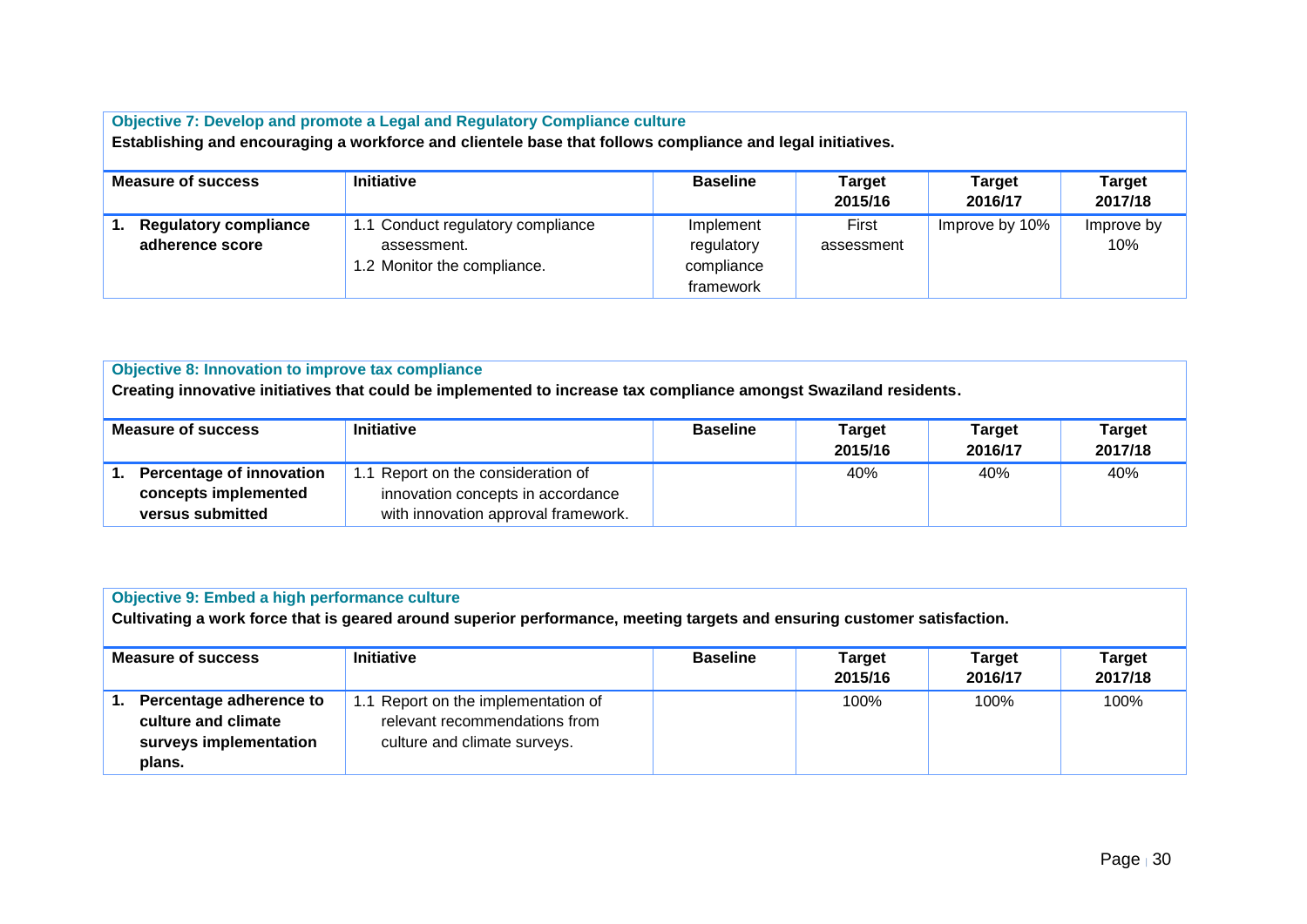| Objective 7: Develop and promote a Legal and Regulatory Compliance culture<br>Establishing and encouraging a workforce and clientele base that follows compliance and legal initiatives. |                                                                                 |                                                    |                          |                          |                          |  |  |
|------------------------------------------------------------------------------------------------------------------------------------------------------------------------------------------|---------------------------------------------------------------------------------|----------------------------------------------------|--------------------------|--------------------------|--------------------------|--|--|
| <b>Measure of success</b>                                                                                                                                                                | <b>Initiative</b>                                                               | <b>Baseline</b>                                    | <b>Target</b><br>2015/16 | <b>Target</b><br>2016/17 | <b>Target</b><br>2017/18 |  |  |
| <b>Regulatory compliance</b><br>adherence score                                                                                                                                          | 1.1 Conduct regulatory compliance<br>assessment.<br>1.2 Monitor the compliance. | Implement<br>regulatory<br>compliance<br>framework | First<br>assessment      | Improve by 10%           | Improve by<br>10%        |  |  |

| <b>Objective 8: Innovation to improve tax compliance</b><br>Creating innovative initiatives that could be implemented to increase tax compliance amongst Swaziland residents. |                                                                                                                |                 |                   |                          |                          |  |  |
|-------------------------------------------------------------------------------------------------------------------------------------------------------------------------------|----------------------------------------------------------------------------------------------------------------|-----------------|-------------------|--------------------------|--------------------------|--|--|
| <b>Measure of success</b>                                                                                                                                                     | <b>Initiative</b>                                                                                              | <b>Baseline</b> | Target<br>2015/16 | <b>Target</b><br>2016/17 | <b>Target</b><br>2017/18 |  |  |
| <b>Percentage of innovation</b><br>concepts implemented<br>versus submitted                                                                                                   | 1.1 Report on the consideration of<br>innovation concepts in accordance<br>with innovation approval framework. |                 | 40%               | 40%                      | 40%                      |  |  |

| <b>Objective 9: Embed a high performance culture</b><br>Cultivating a work force that is geared around superior performance, meeting targets and ensuring customer satisfaction. |                                                                                                      |                 |                          |                          |                   |  |  |
|----------------------------------------------------------------------------------------------------------------------------------------------------------------------------------|------------------------------------------------------------------------------------------------------|-----------------|--------------------------|--------------------------|-------------------|--|--|
| <b>Measure of success</b>                                                                                                                                                        | <b>Initiative</b>                                                                                    | <b>Baseline</b> | <b>Target</b><br>2015/16 | <b>Target</b><br>2016/17 | Target<br>2017/18 |  |  |
| Percentage adherence to<br>1.<br>culture and climate<br>surveys implementation<br>plans.                                                                                         | 1.1 Report on the implementation of<br>relevant recommendations from<br>culture and climate surveys. |                 | 100%                     | 100%                     | 100%              |  |  |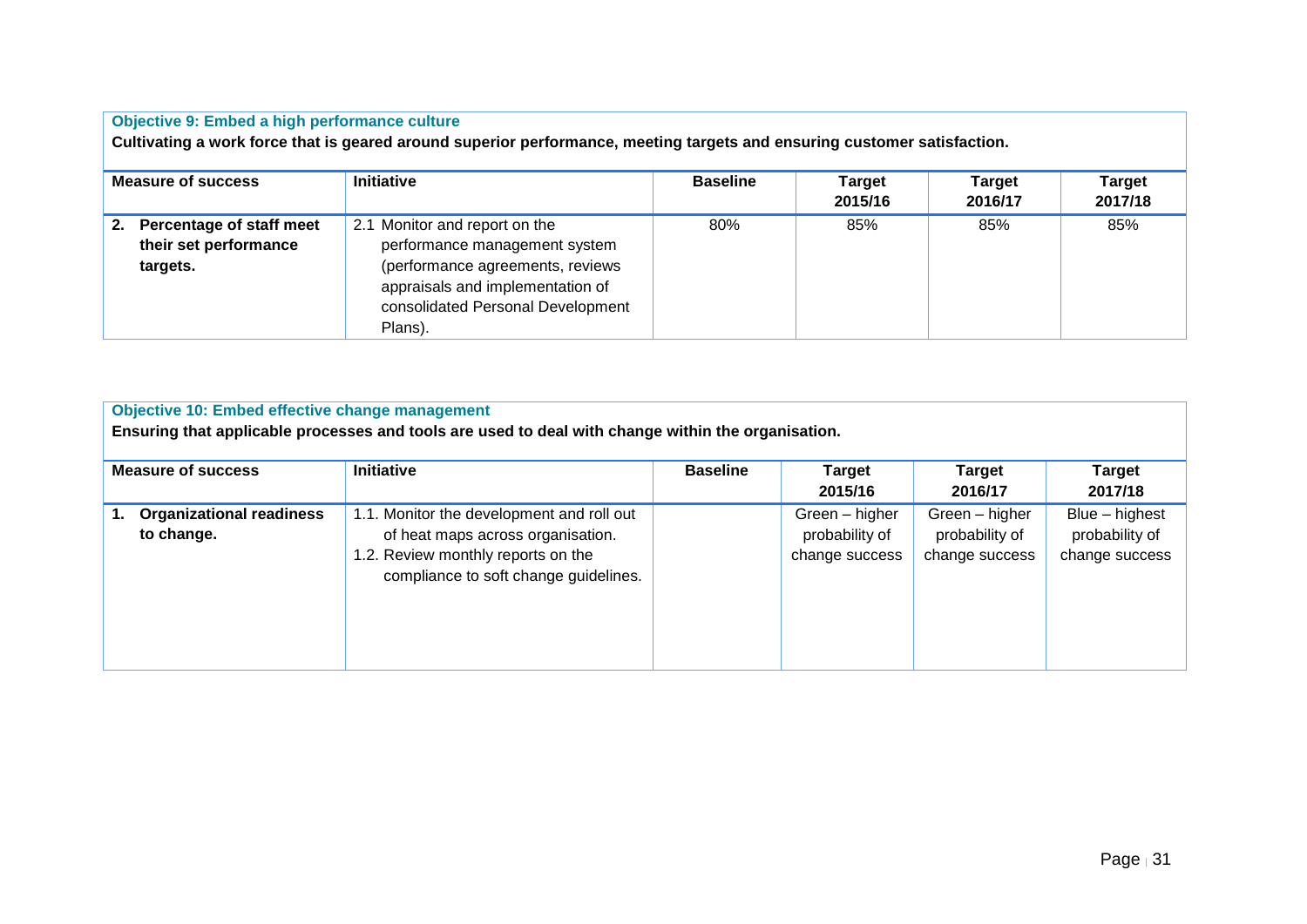| <b>Objective 9: Embed a high performance culture</b><br>Cultivating a work force that is geared around superior performance, meeting targets and ensuring customer satisfaction. |                                                                                                                                                                                        |                 |                          |                          |                          |  |  |  |
|----------------------------------------------------------------------------------------------------------------------------------------------------------------------------------|----------------------------------------------------------------------------------------------------------------------------------------------------------------------------------------|-----------------|--------------------------|--------------------------|--------------------------|--|--|--|
| <b>Measure of success</b>                                                                                                                                                        | <b>Initiative</b>                                                                                                                                                                      | <b>Baseline</b> | <b>Target</b><br>2015/16 | <b>Target</b><br>2016/17 | <b>Target</b><br>2017/18 |  |  |  |
| Percentage of staff meet<br>2.<br>their set performance<br>targets.                                                                                                              | 2.1 Monitor and report on the<br>performance management system<br>(performance agreements, reviews<br>appraisals and implementation of<br>consolidated Personal Development<br>Plans). | 80%             | 85%                      | 85%                      | 85%                      |  |  |  |

| <b>Objective 10: Embed effective change management</b><br>Ensuring that applicable processes and tools are used to deal with change within the organisation. |                                                                                                                                                               |                 |                                                    |                                                    |                                                    |  |  |  |
|--------------------------------------------------------------------------------------------------------------------------------------------------------------|---------------------------------------------------------------------------------------------------------------------------------------------------------------|-----------------|----------------------------------------------------|----------------------------------------------------|----------------------------------------------------|--|--|--|
| <b>Measure of success</b>                                                                                                                                    | <b>Initiative</b>                                                                                                                                             | <b>Baseline</b> | <b>Target</b><br>2015/16                           | <b>Target</b><br>2016/17                           | <b>Target</b><br>2017/18                           |  |  |  |
| <b>Organizational readiness</b><br>to change.                                                                                                                | 1.1. Monitor the development and roll out<br>of heat maps across organisation.<br>1.2. Review monthly reports on the<br>compliance to soft change guidelines. |                 | Green - higher<br>probability of<br>change success | Green - higher<br>probability of<br>change success | Blue - highest<br>probability of<br>change success |  |  |  |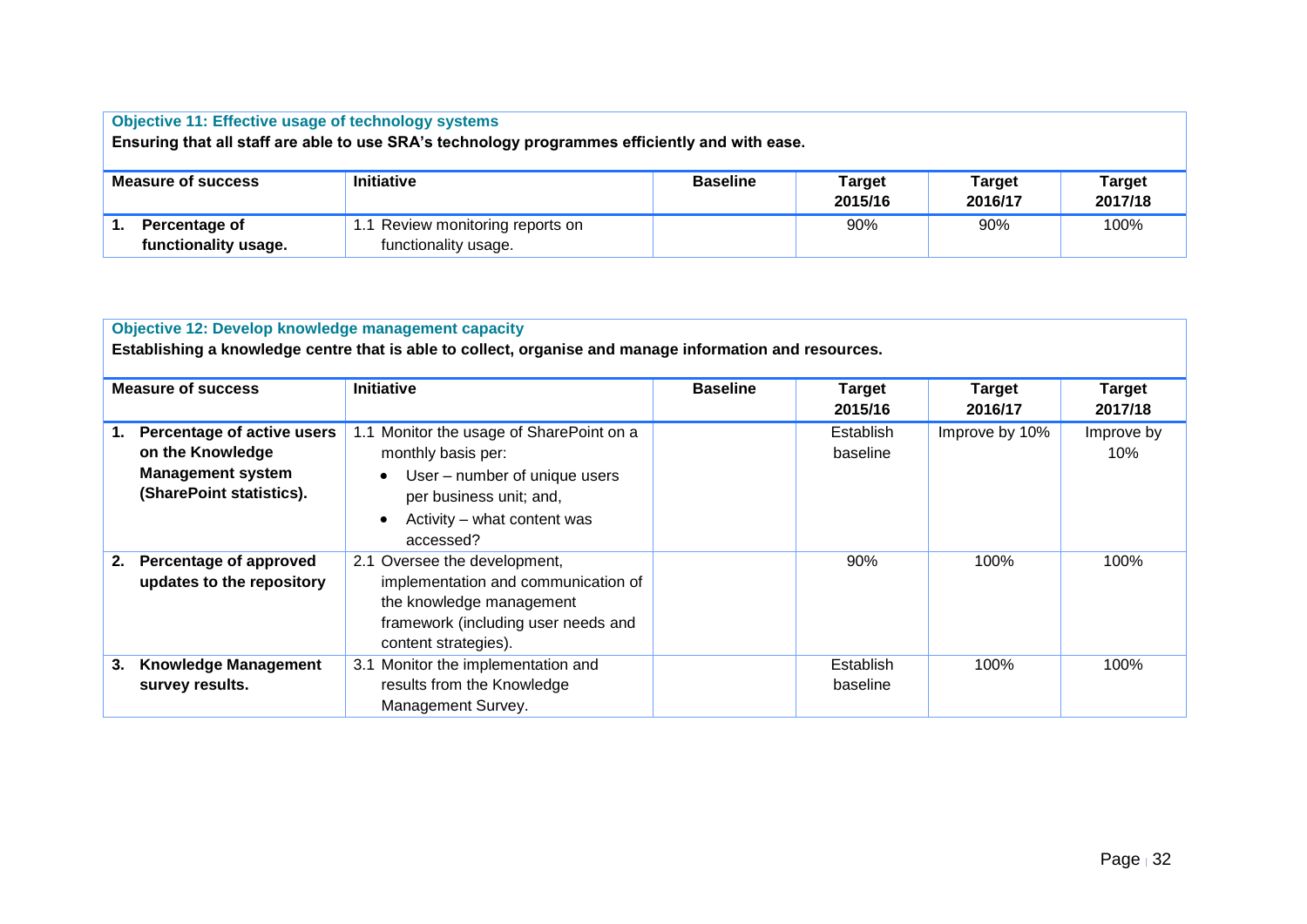| <b>Objective 11: Effective usage of technology systems</b><br>Ensuring that all staff are able to use SRA's technology programmes efficiently and with ease. |                                                                                                            |  |  |  |  |  |  |  |  |
|--------------------------------------------------------------------------------------------------------------------------------------------------------------|------------------------------------------------------------------------------------------------------------|--|--|--|--|--|--|--|--|
| <b>Measure of success</b>                                                                                                                                    | <b>Initiative</b><br><b>Baseline</b><br>Target<br>Target<br><b>Target</b><br>2017/18<br>2015/16<br>2016/17 |  |  |  |  |  |  |  |  |
| 1.1 Review monitoring reports on<br>90%<br>90%<br>100%<br>Percentage of<br>functionality usage.<br>functionality usage.                                      |                                                                                                            |  |  |  |  |  |  |  |  |

|                           | <b>Objective 12: Develop knowledge management capacity</b><br>Establishing a knowledge centre that is able to collect, organise and manage information and resources. |                                                                                                                                                                        |                 |                          |                          |                          |  |  |  |  |
|---------------------------|-----------------------------------------------------------------------------------------------------------------------------------------------------------------------|------------------------------------------------------------------------------------------------------------------------------------------------------------------------|-----------------|--------------------------|--------------------------|--------------------------|--|--|--|--|
| <b>Measure of success</b> |                                                                                                                                                                       | <b>Initiative</b>                                                                                                                                                      | <b>Baseline</b> | <b>Target</b><br>2015/16 | <b>Target</b><br>2016/17 | <b>Target</b><br>2017/18 |  |  |  |  |
|                           | Percentage of active users<br>on the Knowledge<br><b>Management system</b><br>(SharePoint statistics).                                                                | 1.1 Monitor the usage of SharePoint on a<br>monthly basis per:<br>User – number of unique users<br>per business unit; and,<br>Activity – what content was<br>accessed? |                 | Establish<br>baseline    | Improve by 10%           | Improve by<br>$10\%$     |  |  |  |  |
| 2.                        | Percentage of approved<br>updates to the repository                                                                                                                   | 2.1 Oversee the development,<br>implementation and communication of<br>the knowledge management<br>framework (including user needs and<br>content strategies).         |                 | 90%                      | 100%                     | 100%                     |  |  |  |  |
| 3.                        | <b>Knowledge Management</b><br>survey results.                                                                                                                        | 3.1 Monitor the implementation and<br>results from the Knowledge<br>Management Survey.                                                                                 |                 | Establish<br>baseline    | 100%                     | 100%                     |  |  |  |  |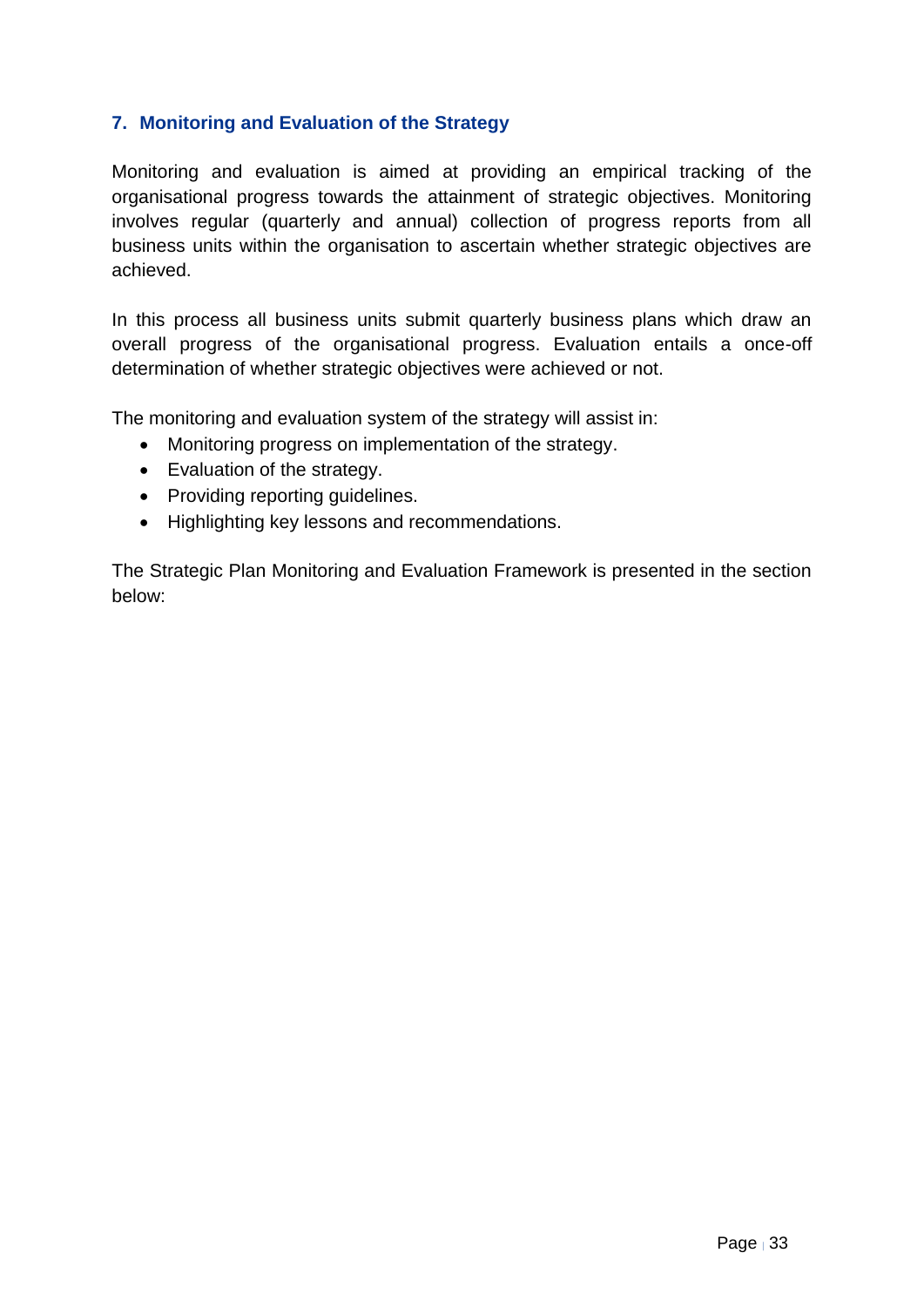## <span id="page-32-0"></span>**7. Monitoring and Evaluation of the Strategy**

Monitoring and evaluation is aimed at providing an empirical tracking of the organisational progress towards the attainment of strategic objectives. Monitoring involves regular (quarterly and annual) collection of progress reports from all business units within the organisation to ascertain whether strategic objectives are achieved.

In this process all business units submit quarterly business plans which draw an overall progress of the organisational progress. Evaluation entails a once-off determination of whether strategic objectives were achieved or not.

The monitoring and evaluation system of the strategy will assist in:

- Monitoring progress on implementation of the strategy.
- Evaluation of the strategy.
- Providing reporting guidelines.
- Highlighting key lessons and recommendations.

The Strategic Plan Monitoring and Evaluation Framework is presented in the section below: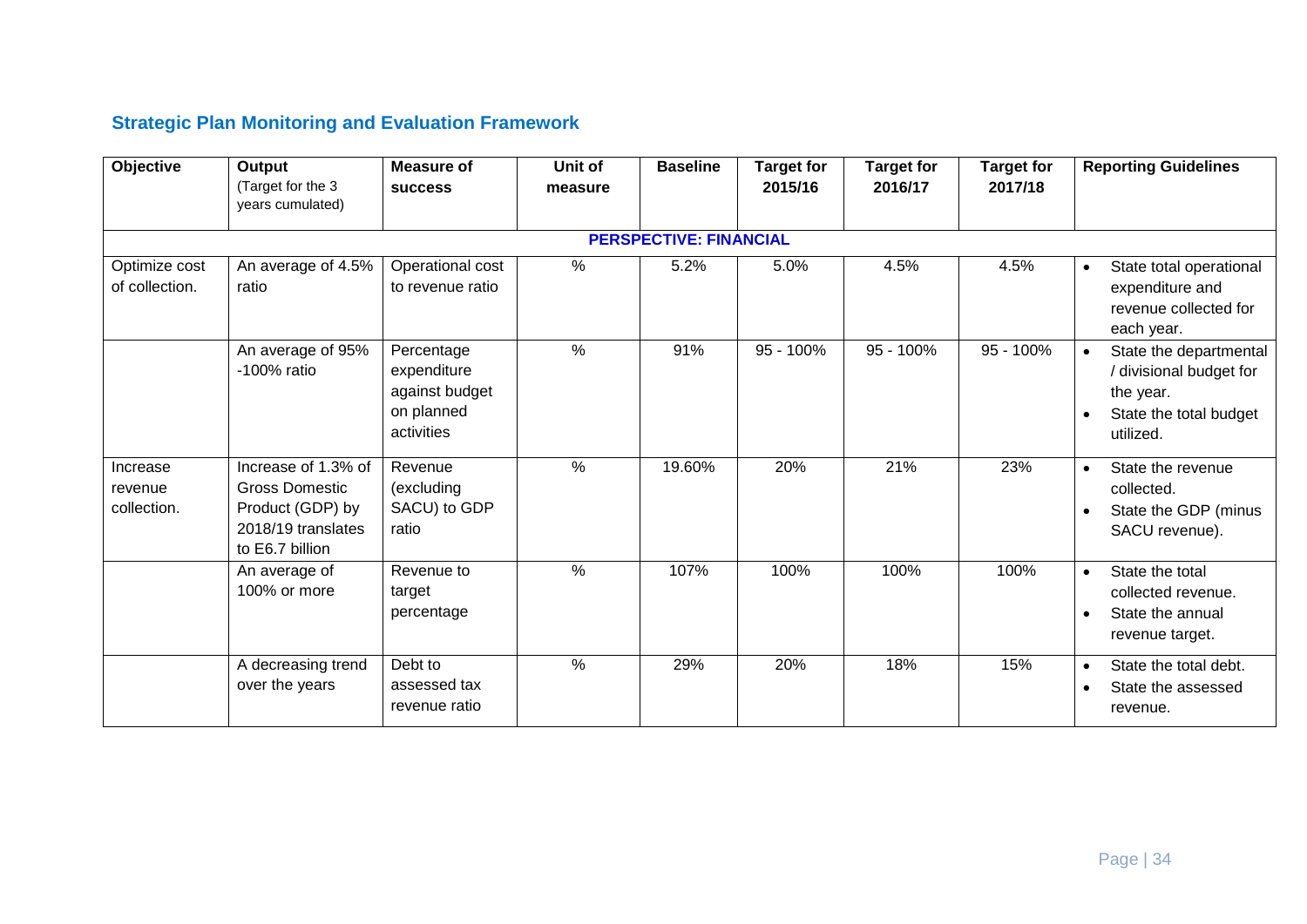# **Strategic Plan Monitoring and Evaluation Framework**

| Objective                          | Output<br>(Target for the 3<br>years cumulated)                                                           | <b>Measure of</b><br><b>SUCCESS</b>                                     | Unit of<br>measure | <b>Baseline</b>               | <b>Target for</b><br>2015/16 | <b>Target for</b><br>2016/17 | <b>Target for</b><br>2017/18 | <b>Reporting Guidelines</b>                                                                           |
|------------------------------------|-----------------------------------------------------------------------------------------------------------|-------------------------------------------------------------------------|--------------------|-------------------------------|------------------------------|------------------------------|------------------------------|-------------------------------------------------------------------------------------------------------|
|                                    |                                                                                                           |                                                                         |                    | <b>PERSPECTIVE: FINANCIAL</b> |                              |                              |                              |                                                                                                       |
| Optimize cost<br>of collection.    | An average of 4.5%<br>ratio                                                                               | Operational cost<br>to revenue ratio                                    | $\%$               | 5.2%                          | 5.0%                         | 4.5%                         | 4.5%                         | State total operational<br>$\bullet$<br>expenditure and<br>revenue collected for<br>each year.        |
|                                    | An average of 95%<br>-100% ratio                                                                          | Percentage<br>expenditure<br>against budget<br>on planned<br>activities | $\%$               | 91%                           | 95 - 100%                    | 95 - 100%                    | 95 - 100%                    | State the departmental<br>/ divisional budget for<br>the year.<br>State the total budget<br>utilized. |
| Increase<br>revenue<br>collection. | Increase of 1.3% of<br><b>Gross Domestic</b><br>Product (GDP) by<br>2018/19 translates<br>to E6.7 billion | Revenue<br>(excluding<br>SACU) to GDP<br>ratio                          | $\frac{0}{0}$      | 19.60%                        | 20%                          | 21%                          | 23%                          | State the revenue<br>$\bullet$<br>collected.<br>State the GDP (minus<br>SACU revenue).                |
|                                    | An average of<br>100% or more                                                                             | Revenue to<br>target<br>percentage                                      | $\%$               | 107%                          | 100%                         | 100%                         | 100%                         | State the total<br>$\bullet$<br>collected revenue.<br>State the annual<br>revenue target.             |
|                                    | A decreasing trend<br>over the years                                                                      | Debt to<br>assessed tax<br>revenue ratio                                | $\%$               | 29%                           | 20%                          | 18%                          | 15%                          | State the total debt.<br>$\bullet$<br>State the assessed<br>$\bullet$<br>revenue.                     |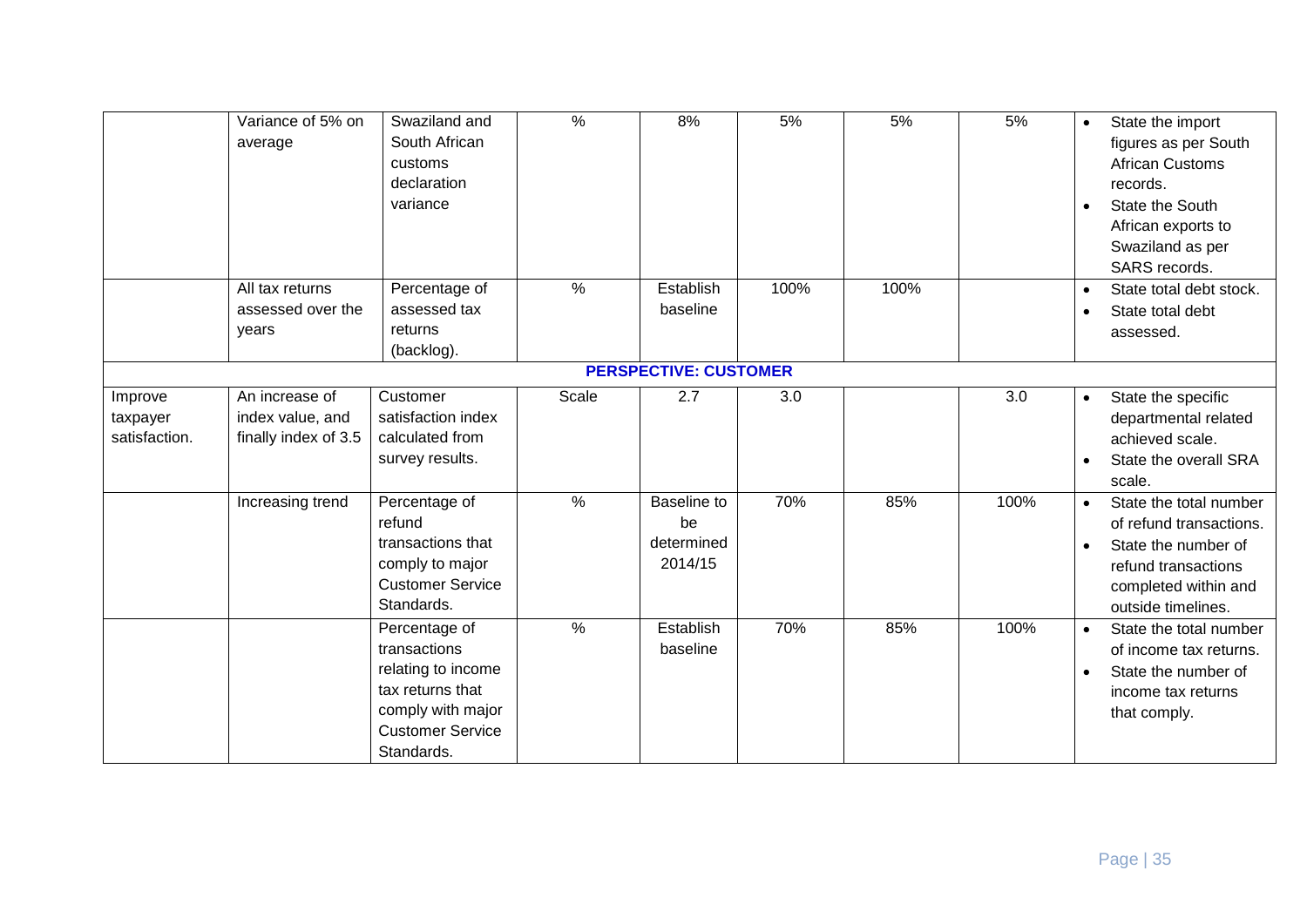|                                      | Variance of 5% on<br>average                               | Swaziland and<br>South African<br>customs<br>declaration<br>variance                                                                  | $\frac{1}{2}$ | 8%                                         | 5%   | 5%   | 5%   | State the import<br>$\bullet$<br>figures as per South<br><b>African Customs</b><br>records.<br>State the South<br>$\bullet$<br>African exports to<br>Swaziland as per<br><b>SARS</b> records. |
|--------------------------------------|------------------------------------------------------------|---------------------------------------------------------------------------------------------------------------------------------------|---------------|--------------------------------------------|------|------|------|-----------------------------------------------------------------------------------------------------------------------------------------------------------------------------------------------|
|                                      | All tax returns<br>assessed over the<br>years              | Percentage of<br>assessed tax<br>returns<br>(backlog).                                                                                | $\%$          | Establish<br>baseline                      | 100% | 100% |      | State total debt stock.<br>$\bullet$<br>State total debt<br>assessed.                                                                                                                         |
|                                      |                                                            |                                                                                                                                       |               | <b>PERSPECTIVE: CUSTOMER</b>               |      |      |      |                                                                                                                                                                                               |
| Improve<br>taxpayer<br>satisfaction. | An increase of<br>index value, and<br>finally index of 3.5 | Customer<br>satisfaction index<br>calculated from<br>survey results.                                                                  | Scale         | 2.7                                        | 3.0  |      | 3.0  | State the specific<br>$\bullet$<br>departmental related<br>achieved scale.<br>State the overall SRA<br>scale.                                                                                 |
|                                      | Increasing trend                                           | Percentage of<br>refund<br>transactions that<br>comply to major<br><b>Customer Service</b><br>Standards.                              | $\frac{9}{6}$ | Baseline to<br>be<br>determined<br>2014/15 | 70%  | 85%  | 100% | State the total number<br>$\bullet$<br>of refund transactions.<br>State the number of<br>$\bullet$<br>refund transactions<br>completed within and<br>outside timelines.                       |
|                                      |                                                            | Percentage of<br>transactions<br>relating to income<br>tax returns that<br>comply with major<br><b>Customer Service</b><br>Standards. | $\frac{9}{6}$ | Establish<br>baseline                      | 70%  | 85%  | 100% | State the total number<br>$\bullet$<br>of income tax returns.<br>State the number of<br>$\bullet$<br>income tax returns<br>that comply.                                                       |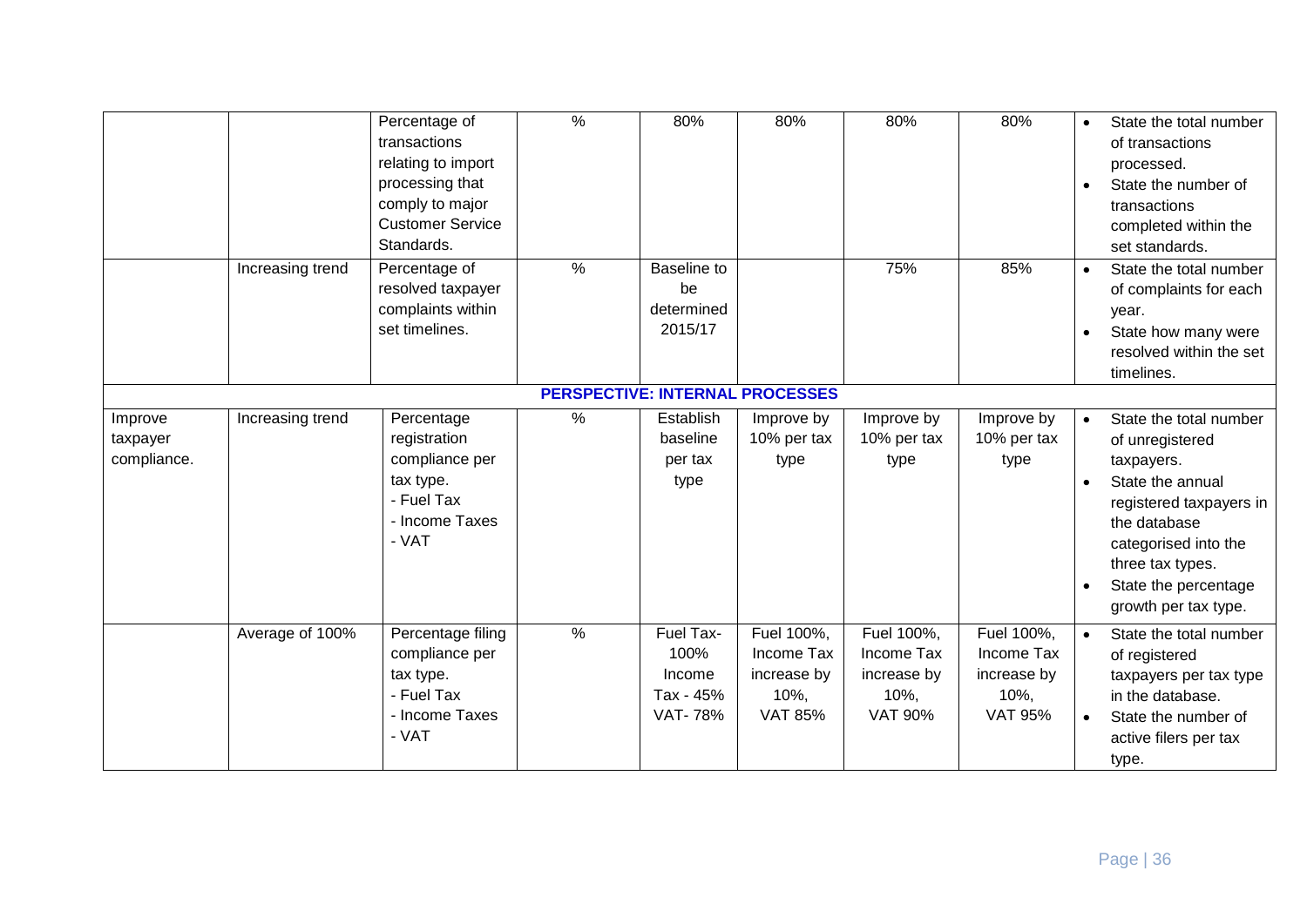|                                        |                  | Percentage of<br>transactions<br>relating to import<br>processing that<br>comply to major<br><b>Customer Service</b><br>Standards. | $\frac{0}{6}$ | 80%                                                        | 80%                                                               | 80%                                                                  | 80%                                                                  | State the total number<br>$\bullet$<br>of transactions<br>processed.<br>State the number of<br>$\bullet$<br>transactions<br>completed within the<br>set standards.                                                              |
|----------------------------------------|------------------|------------------------------------------------------------------------------------------------------------------------------------|---------------|------------------------------------------------------------|-------------------------------------------------------------------|----------------------------------------------------------------------|----------------------------------------------------------------------|---------------------------------------------------------------------------------------------------------------------------------------------------------------------------------------------------------------------------------|
|                                        | Increasing trend | Percentage of<br>resolved taxpayer<br>complaints within<br>set timelines.                                                          | $\%$          | Baseline to<br>be<br>determined<br>2015/17                 |                                                                   | 75%                                                                  | 85%                                                                  | State the total number<br>$\bullet$<br>of complaints for each<br>year.<br>State how many were<br>resolved within the set<br>timelines.                                                                                          |
| <b>PERSPECTIVE: INTERNAL PROCESSES</b> |                  |                                                                                                                                    |               |                                                            |                                                                   |                                                                      |                                                                      |                                                                                                                                                                                                                                 |
| Improve<br>taxpayer<br>compliance.     | Increasing trend | Percentage<br>registration<br>compliance per<br>tax type.<br>- Fuel Tax<br>- Income Taxes<br>- VAT                                 | $\frac{1}{2}$ | Establish<br>baseline<br>per tax<br>type                   | Improve by<br>10% per tax<br>type                                 | Improve by<br>10% per tax<br>type                                    | Improve by<br>10% per tax<br>type                                    | State the total number<br>of unregistered<br>taxpayers.<br>State the annual<br>registered taxpayers in<br>the database<br>categorised into the<br>three tax types.<br>State the percentage<br>$\bullet$<br>growth per tax type. |
|                                        | Average of 100%  | Percentage filing<br>compliance per<br>tax type.<br>- Fuel Tax<br>- Income Taxes<br>- VAT                                          | $\frac{9}{6}$ | Fuel Tax-<br>100%<br>Income<br>Tax - 45%<br><b>VAT-78%</b> | Fuel 100%,<br>Income Tax<br>increase by<br>10%,<br><b>VAT 85%</b> | Fuel 100%,<br>Income Tax<br>increase by<br>$10%$ ,<br><b>VAT 90%</b> | Fuel 100%,<br>Income Tax<br>increase by<br>$10%$ ,<br><b>VAT 95%</b> | State the total number<br>of registered<br>taxpayers per tax type<br>in the database.<br>State the number of<br>active filers per tax<br>type.                                                                                  |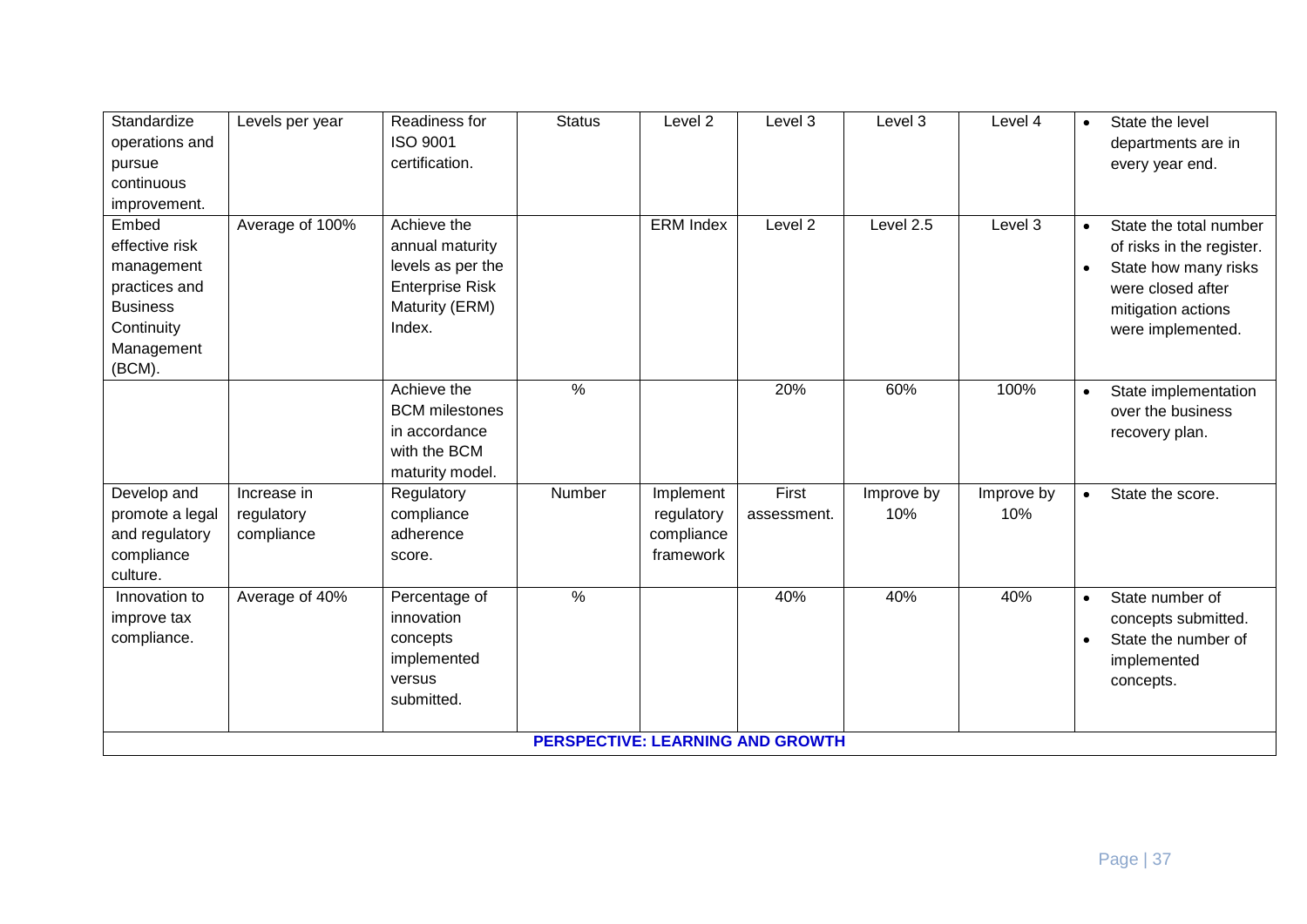| Standardize<br>operations and | Levels per year | Readiness for<br><b>ISO 9001</b> | <b>Status</b> | Level <sub>2</sub> | Level 3                                 | Level 3    | Level 4    | State the level<br>$\bullet$<br>departments are in |
|-------------------------------|-----------------|----------------------------------|---------------|--------------------|-----------------------------------------|------------|------------|----------------------------------------------------|
| pursue                        |                 | certification.                   |               |                    |                                         |            |            | every year end.                                    |
| continuous                    |                 |                                  |               |                    |                                         |            |            |                                                    |
| improvement.                  |                 |                                  |               |                    |                                         |            |            |                                                    |
| Embed                         | Average of 100% | Achieve the                      |               | <b>ERM Index</b>   | Level <sub>2</sub>                      | Level 2.5  | Level 3    | State the total number<br>$\bullet$                |
| effective risk                |                 | annual maturity                  |               |                    |                                         |            |            | of risks in the register.                          |
| management                    |                 | levels as per the                |               |                    |                                         |            |            | State how many risks<br>$\bullet$                  |
| practices and                 |                 | <b>Enterprise Risk</b>           |               |                    |                                         |            |            | were closed after                                  |
| <b>Business</b>               |                 | Maturity (ERM)                   |               |                    |                                         |            |            | mitigation actions                                 |
| Continuity                    |                 | Index.                           |               |                    |                                         |            |            | were implemented.                                  |
| Management                    |                 |                                  |               |                    |                                         |            |            |                                                    |
| (BCM).                        |                 |                                  |               |                    |                                         |            |            |                                                    |
|                               |                 | Achieve the                      | $\frac{9}{6}$ |                    | 20%                                     | 60%        | 100%       | State implementation<br>$\bullet$                  |
|                               |                 | <b>BCM</b> milestones            |               |                    |                                         |            |            | over the business                                  |
|                               |                 | in accordance                    |               |                    |                                         |            |            | recovery plan.                                     |
|                               |                 | with the BCM                     |               |                    |                                         |            |            |                                                    |
|                               |                 | maturity model.                  |               |                    |                                         |            |            |                                                    |
| Develop and                   | Increase in     | Regulatory                       | Number        | Implement          | First                                   | Improve by | Improve by | State the score.<br>$\bullet$                      |
| promote a legal               | regulatory      | compliance                       |               | regulatory         | assessment.                             | 10%        | 10%        |                                                    |
| and regulatory                | compliance      | adherence                        |               | compliance         |                                         |            |            |                                                    |
| compliance                    |                 | score.                           |               | framework          |                                         |            |            |                                                    |
| culture.                      |                 |                                  | $\frac{9}{6}$ |                    |                                         |            |            |                                                    |
| Innovation to                 | Average of 40%  | Percentage of                    |               |                    | 40%                                     | 40%        | 40%        | State number of<br>$\bullet$                       |
| improve tax                   |                 | innovation                       |               |                    |                                         |            |            | concepts submitted.                                |
| compliance.                   |                 | concepts                         |               |                    |                                         |            |            | State the number of<br>$\bullet$                   |
|                               |                 | implemented<br>versus            |               |                    |                                         |            |            | implemented                                        |
|                               |                 | submitted.                       |               |                    |                                         |            |            | concepts.                                          |
|                               |                 |                                  |               |                    |                                         |            |            |                                                    |
|                               |                 |                                  |               |                    | <b>PERSPECTIVE: LEARNING AND GROWTH</b> |            |            |                                                    |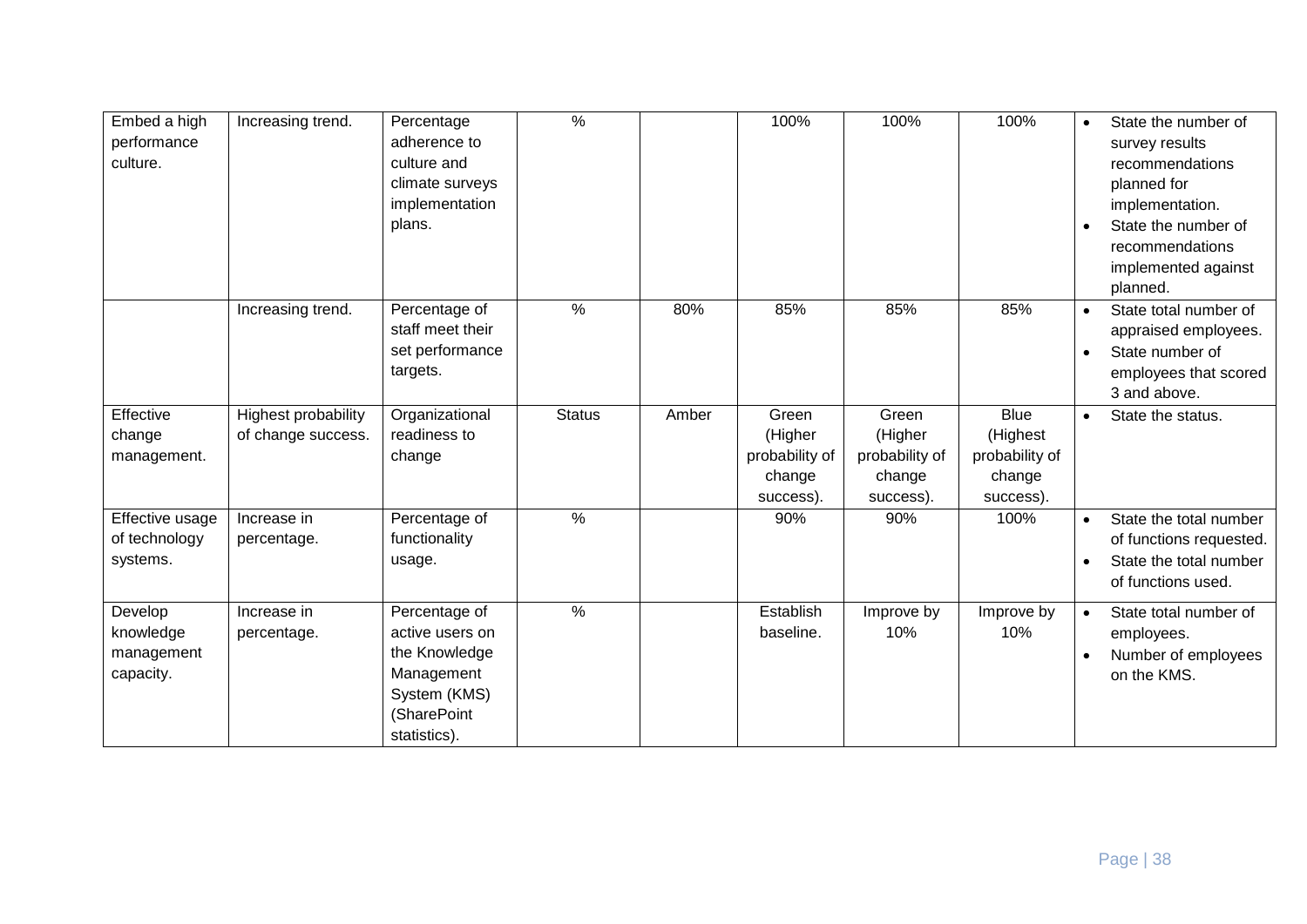| Embed a high<br>performance<br>culture.         | Increasing trend.                                | Percentage<br>adherence to<br>culture and<br>climate surveys<br>implementation<br>plans.                       | $\frac{9}{6}$ |       | 100%                                                      | 100%                                                      | 100%                                                             | State the number of<br>survey results<br>recommendations<br>planned for<br>implementation.<br>State the number of<br>recommendations<br>implemented against<br>planned. |
|-------------------------------------------------|--------------------------------------------------|----------------------------------------------------------------------------------------------------------------|---------------|-------|-----------------------------------------------------------|-----------------------------------------------------------|------------------------------------------------------------------|-------------------------------------------------------------------------------------------------------------------------------------------------------------------------|
|                                                 | Increasing trend.                                | Percentage of<br>staff meet their<br>set performance<br>targets.                                               | $\%$          | 80%   | 85%                                                       | 85%                                                       | 85%                                                              | State total number of<br>$\bullet$<br>appraised employees.<br>State number of<br>employees that scored<br>3 and above.                                                  |
| Effective<br>change<br>management.              | <b>Highest probability</b><br>of change success. | Organizational<br>readiness to<br>change                                                                       | <b>Status</b> | Amber | Green<br>(Higher<br>probability of<br>change<br>success). | Green<br>(Higher<br>probability of<br>change<br>success). | <b>Blue</b><br>(Highest<br>probability of<br>change<br>success). | State the status.<br>$\bullet$                                                                                                                                          |
| Effective usage<br>of technology<br>systems.    | Increase in<br>percentage.                       | Percentage of<br>functionality<br>usage.                                                                       | $\%$          |       | 90%                                                       | 90%                                                       | 100%                                                             | State the total number<br>of functions requested.<br>State the total number<br>of functions used.                                                                       |
| Develop<br>knowledge<br>management<br>capacity. | Increase in<br>percentage.                       | Percentage of<br>active users on<br>the Knowledge<br>Management<br>System (KMS)<br>(SharePoint<br>statistics). | $\frac{9}{6}$ |       | Establish<br>baseline.                                    | Improve by<br>10%                                         | Improve by<br>10%                                                | State total number of<br>employees.<br>Number of employees<br>on the KMS.                                                                                               |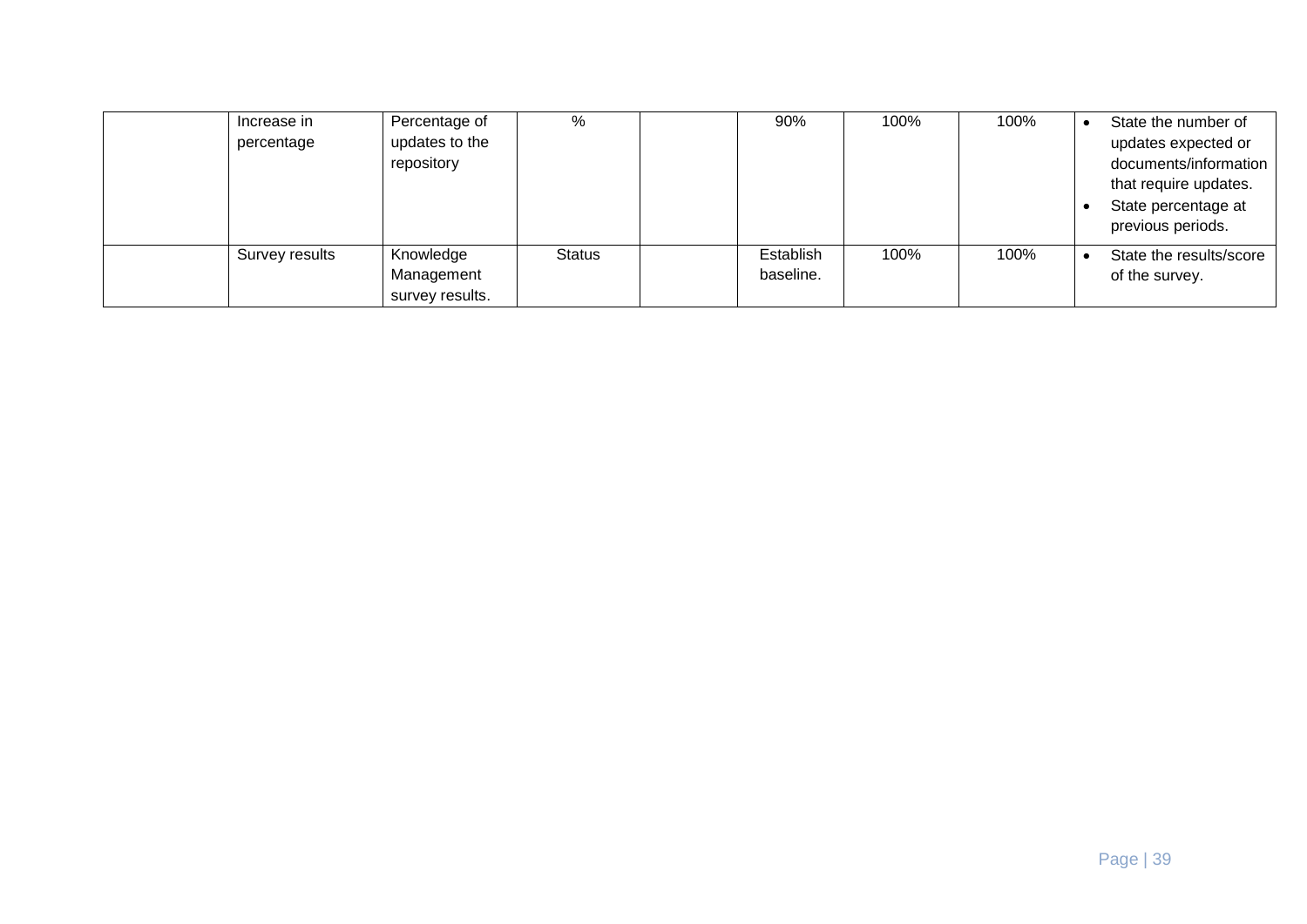| Increase in<br>percentage | Percentage of<br>updates to the<br>repository | %             | 90%                    | 100% | 100% | State the number of<br>updates expected or<br>documents/information<br>that require updates.<br>State percentage at<br>previous periods. |
|---------------------------|-----------------------------------------------|---------------|------------------------|------|------|------------------------------------------------------------------------------------------------------------------------------------------|
| Survey results            | Knowledge<br>Management<br>survey results.    | <b>Status</b> | Establish<br>baseline. | 100% | 100% | State the results/score<br>of the survey.                                                                                                |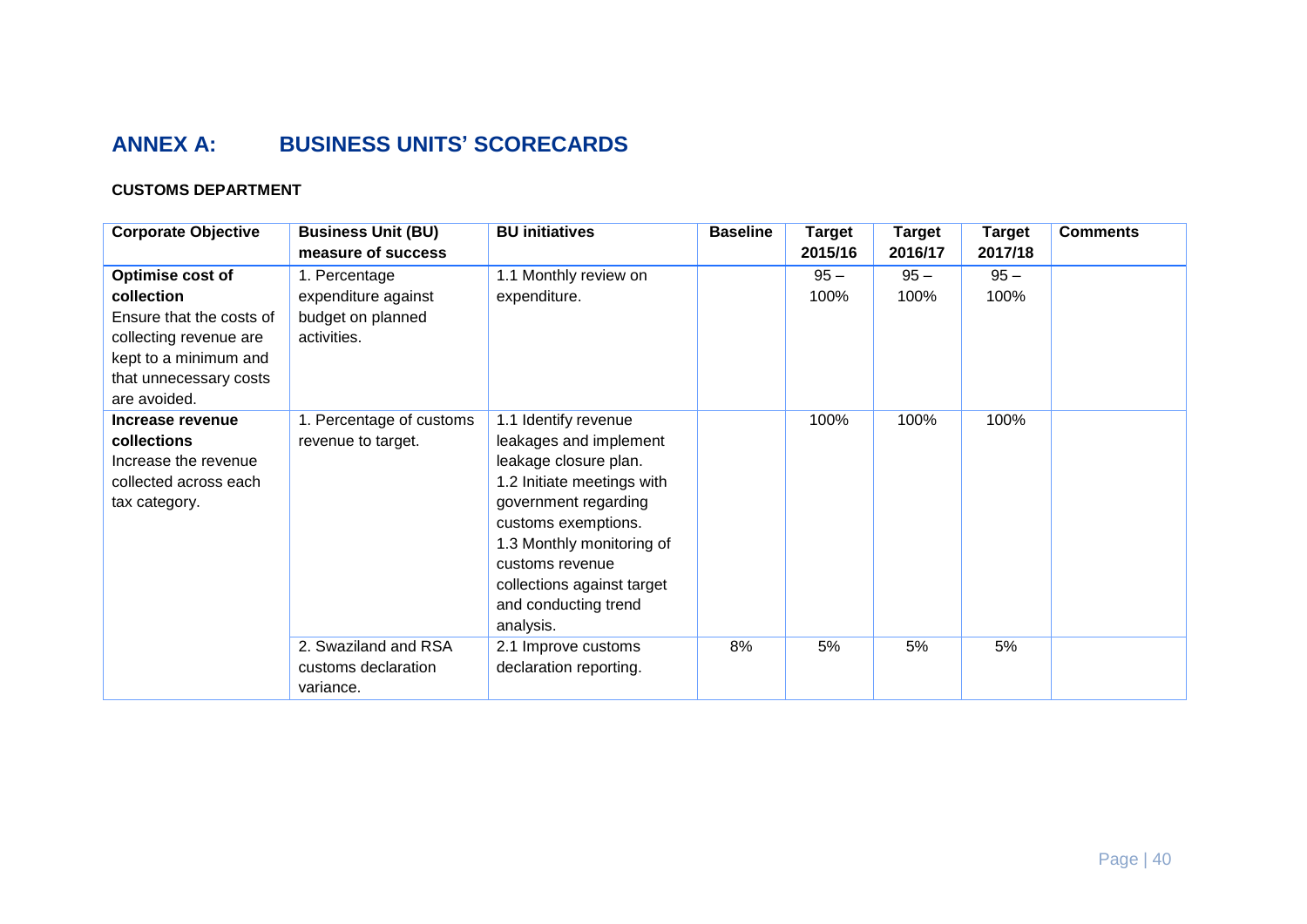# **ANNEX A: BUSINESS UNITS' SCORECARDS**

# **CUSTOMS DEPARTMENT**

| <b>Corporate Objective</b> | <b>Business Unit (BU)</b> | <b>BU initiatives</b>      | <b>Baseline</b> | <b>Target</b> | <b>Target</b> | <b>Target</b> | <b>Comments</b> |
|----------------------------|---------------------------|----------------------------|-----------------|---------------|---------------|---------------|-----------------|
|                            | measure of success        |                            |                 | 2015/16       | 2016/17       | 2017/18       |                 |
| Optimise cost of           | 1. Percentage             | 1.1 Monthly review on      |                 | $95 -$        | $95 -$        | $95 -$        |                 |
| collection                 | expenditure against       | expenditure.               |                 | 100%          | 100%          | 100%          |                 |
| Ensure that the costs of   | budget on planned         |                            |                 |               |               |               |                 |
| collecting revenue are     | activities.               |                            |                 |               |               |               |                 |
| kept to a minimum and      |                           |                            |                 |               |               |               |                 |
| that unnecessary costs     |                           |                            |                 |               |               |               |                 |
| are avoided.               |                           |                            |                 |               |               |               |                 |
| Increase revenue           | 1. Percentage of customs  | 1.1 Identify revenue       |                 | 100%          | 100%          | 100%          |                 |
| collections                | revenue to target.        | leakages and implement     |                 |               |               |               |                 |
| Increase the revenue       |                           | leakage closure plan.      |                 |               |               |               |                 |
| collected across each      |                           | 1.2 Initiate meetings with |                 |               |               |               |                 |
| tax category.              |                           | government regarding       |                 |               |               |               |                 |
|                            |                           | customs exemptions.        |                 |               |               |               |                 |
|                            |                           | 1.3 Monthly monitoring of  |                 |               |               |               |                 |
|                            |                           | customs revenue            |                 |               |               |               |                 |
|                            |                           | collections against target |                 |               |               |               |                 |
|                            |                           | and conducting trend       |                 |               |               |               |                 |
|                            |                           | analysis.                  |                 |               |               |               |                 |
|                            | 2. Swaziland and RSA      | 2.1 Improve customs        | 8%              | 5%            | 5%            | 5%            |                 |
|                            | customs declaration       | declaration reporting.     |                 |               |               |               |                 |
|                            | variance.                 |                            |                 |               |               |               |                 |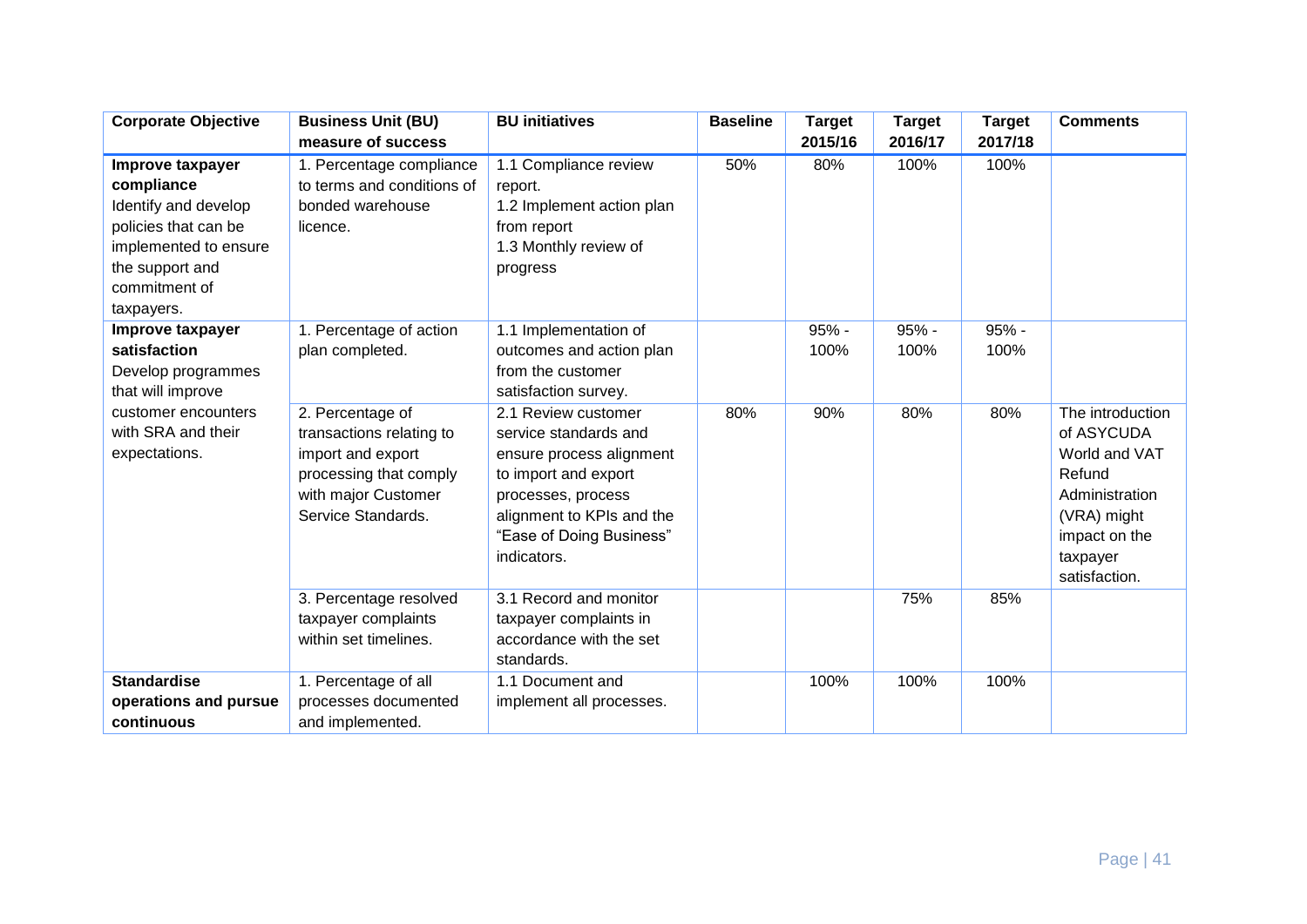| <b>Corporate Objective</b>                                                                                                                                | <b>Business Unit (BU)</b>                                                                                                                                        | <b>BU</b> initiatives                                                                                                                                                                                                    | <b>Baseline</b> | <b>Target</b>        | <b>Target</b>        | <b>Target</b>        | <b>Comments</b>                                                             |
|-----------------------------------------------------------------------------------------------------------------------------------------------------------|------------------------------------------------------------------------------------------------------------------------------------------------------------------|--------------------------------------------------------------------------------------------------------------------------------------------------------------------------------------------------------------------------|-----------------|----------------------|----------------------|----------------------|-----------------------------------------------------------------------------|
|                                                                                                                                                           | measure of success                                                                                                                                               |                                                                                                                                                                                                                          |                 | 2015/16              | 2016/17              | 2017/18              |                                                                             |
| Improve taxpayer<br>compliance<br>Identify and develop<br>policies that can be<br>implemented to ensure<br>the support and<br>commitment of<br>taxpayers. | 1. Percentage compliance<br>to terms and conditions of<br>bonded warehouse<br>licence.                                                                           | 1.1 Compliance review<br>report.<br>1.2 Implement action plan<br>from report<br>1.3 Monthly review of<br>progress                                                                                                        | 50%             | 80%                  | 100%                 | 100%                 |                                                                             |
| Improve taxpayer<br>satisfaction<br>Develop programmes<br>that will improve<br>customer encounters<br>with SRA and their<br>expectations.                 | 1. Percentage of action<br>plan completed.<br>2. Percentage of<br>transactions relating to<br>import and export<br>processing that comply<br>with major Customer | 1.1 Implementation of<br>outcomes and action plan<br>from the customer<br>satisfaction survey.<br>2.1 Review customer<br>service standards and<br>ensure process alignment<br>to import and export<br>processes, process | 80%             | 95% -<br>100%<br>90% | 95% -<br>100%<br>80% | 95% -<br>100%<br>80% | The introduction<br>of ASYCUDA<br>World and VAT<br>Refund<br>Administration |
|                                                                                                                                                           | Service Standards.                                                                                                                                               | alignment to KPIs and the<br>"Ease of Doing Business"<br>indicators.                                                                                                                                                     |                 |                      |                      |                      | (VRA) might<br>impact on the<br>taxpayer<br>satisfaction.                   |
|                                                                                                                                                           | 3. Percentage resolved<br>taxpayer complaints<br>within set timelines.                                                                                           | 3.1 Record and monitor<br>taxpayer complaints in<br>accordance with the set<br>standards.                                                                                                                                |                 |                      | 75%                  | 85%                  |                                                                             |
| <b>Standardise</b>                                                                                                                                        | 1. Percentage of all                                                                                                                                             | 1.1 Document and                                                                                                                                                                                                         |                 | 100%                 | 100%                 | 100%                 |                                                                             |
| operations and pursue                                                                                                                                     | processes documented                                                                                                                                             | implement all processes.                                                                                                                                                                                                 |                 |                      |                      |                      |                                                                             |
| continuous                                                                                                                                                | and implemented.                                                                                                                                                 |                                                                                                                                                                                                                          |                 |                      |                      |                      |                                                                             |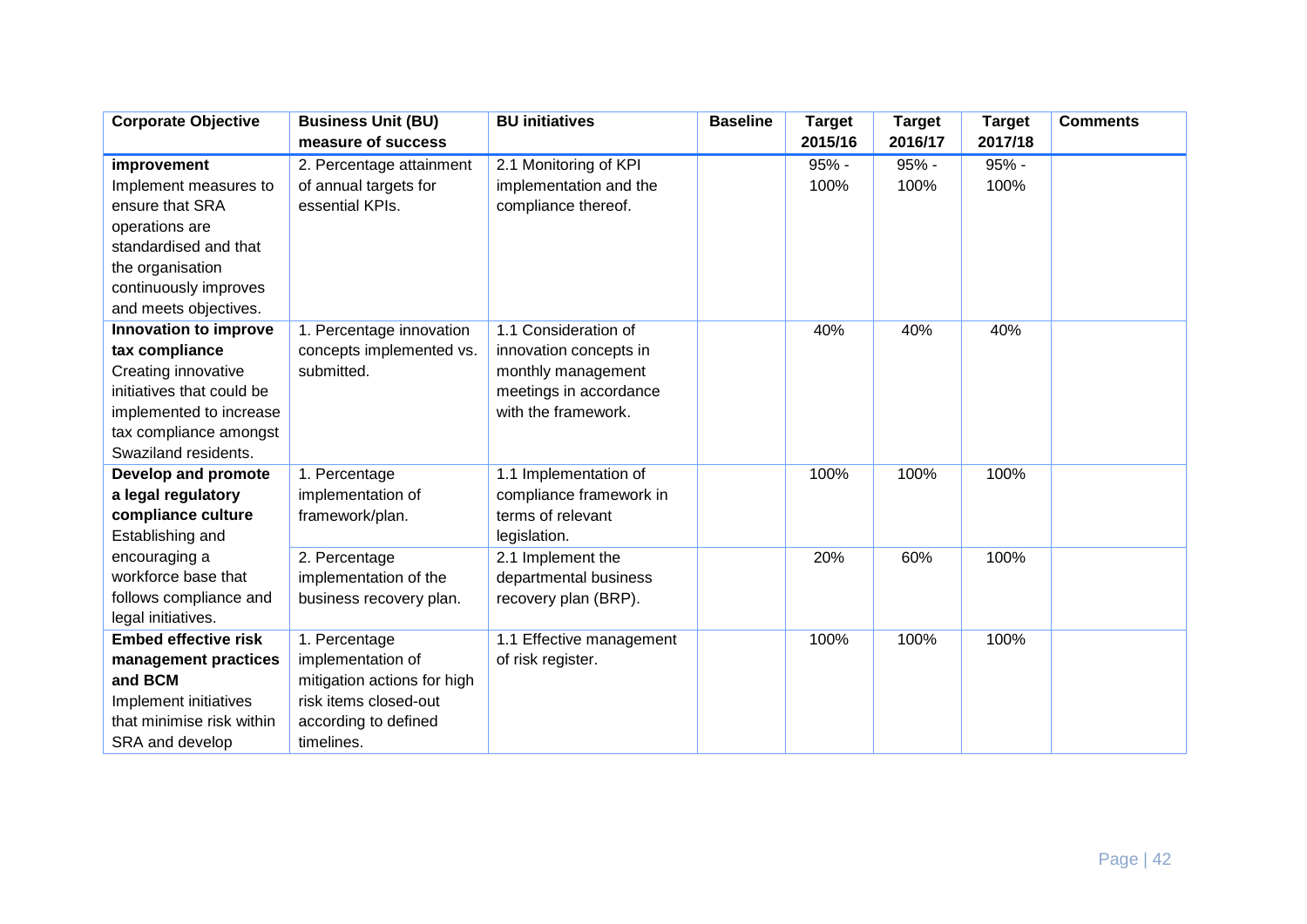| <b>Corporate Objective</b>  | <b>Business Unit (BU)</b>   | <b>BU</b> initiatives    | <b>Baseline</b> | <b>Target</b> | <b>Target</b> | <b>Target</b> | <b>Comments</b> |
|-----------------------------|-----------------------------|--------------------------|-----------------|---------------|---------------|---------------|-----------------|
|                             | measure of success          |                          |                 | 2015/16       | 2016/17       | 2017/18       |                 |
| improvement                 | 2. Percentage attainment    | 2.1 Monitoring of KPI    |                 | $95% -$       | 95% -         | $95% -$       |                 |
| Implement measures to       | of annual targets for       | implementation and the   |                 | 100%          | 100%          | 100%          |                 |
| ensure that SRA             | essential KPIs.             | compliance thereof.      |                 |               |               |               |                 |
| operations are              |                             |                          |                 |               |               |               |                 |
| standardised and that       |                             |                          |                 |               |               |               |                 |
| the organisation            |                             |                          |                 |               |               |               |                 |
| continuously improves       |                             |                          |                 |               |               |               |                 |
| and meets objectives.       |                             |                          |                 |               |               |               |                 |
| Innovation to improve       | 1. Percentage innovation    | 1.1 Consideration of     |                 | 40%           | 40%           | 40%           |                 |
| tax compliance              | concepts implemented vs.    | innovation concepts in   |                 |               |               |               |                 |
| Creating innovative         | submitted.                  | monthly management       |                 |               |               |               |                 |
| initiatives that could be   |                             | meetings in accordance   |                 |               |               |               |                 |
| implemented to increase     |                             | with the framework.      |                 |               |               |               |                 |
| tax compliance amongst      |                             |                          |                 |               |               |               |                 |
| Swaziland residents.        |                             |                          |                 |               |               |               |                 |
| Develop and promote         | 1. Percentage               | 1.1 Implementation of    |                 | 100%          | 100%          | 100%          |                 |
| a legal regulatory          | implementation of           | compliance framework in  |                 |               |               |               |                 |
| compliance culture          | framework/plan.             | terms of relevant        |                 |               |               |               |                 |
| Establishing and            |                             | legislation.             |                 |               |               |               |                 |
| encouraging a               | 2. Percentage               | 2.1 Implement the        |                 | 20%           | 60%           | 100%          |                 |
| workforce base that         | implementation of the       | departmental business    |                 |               |               |               |                 |
| follows compliance and      | business recovery plan.     | recovery plan (BRP).     |                 |               |               |               |                 |
| legal initiatives.          |                             |                          |                 |               |               |               |                 |
| <b>Embed effective risk</b> | 1. Percentage               | 1.1 Effective management |                 | 100%          | 100%          | 100%          |                 |
| management practices        | implementation of           | of risk register.        |                 |               |               |               |                 |
| and BCM                     | mitigation actions for high |                          |                 |               |               |               |                 |
| Implement initiatives       | risk items closed-out       |                          |                 |               |               |               |                 |
| that minimise risk within   | according to defined        |                          |                 |               |               |               |                 |
| SRA and develop             | timelines.                  |                          |                 |               |               |               |                 |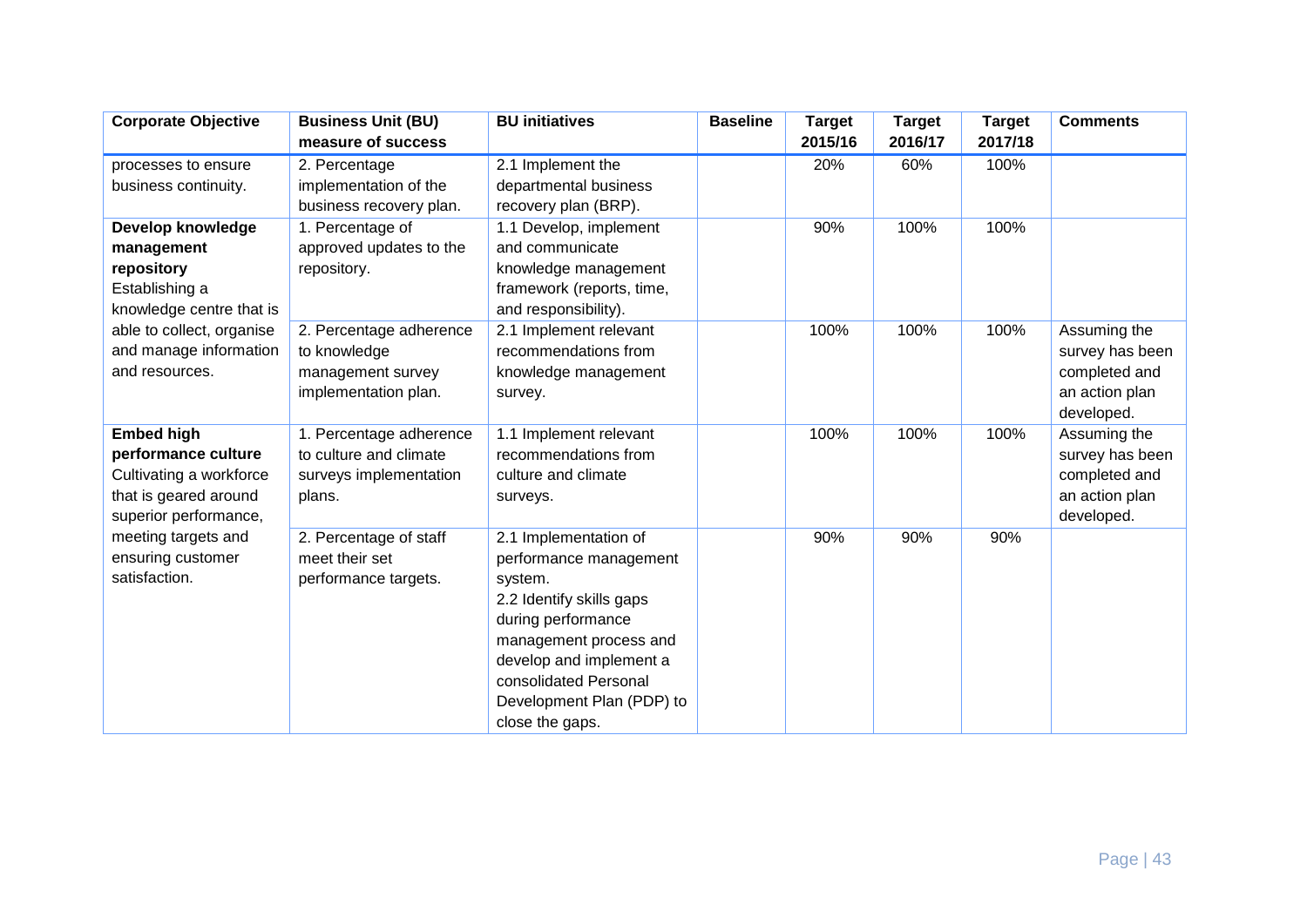| <b>Corporate Objective</b> | <b>Business Unit (BU)</b> | <b>BU</b> initiatives     | <b>Baseline</b> | <b>Target</b> | <b>Target</b> | <b>Target</b> | <b>Comments</b> |
|----------------------------|---------------------------|---------------------------|-----------------|---------------|---------------|---------------|-----------------|
|                            | measure of success        |                           |                 | 2015/16       | 2016/17       | 2017/18       |                 |
| processes to ensure        | 2. Percentage             | 2.1 Implement the         |                 | 20%           | 60%           | 100%          |                 |
| business continuity.       | implementation of the     | departmental business     |                 |               |               |               |                 |
|                            | business recovery plan.   | recovery plan (BRP).      |                 |               |               |               |                 |
| Develop knowledge          | 1. Percentage of          | 1.1 Develop, implement    |                 | 90%           | 100%          | 100%          |                 |
| management                 | approved updates to the   | and communicate           |                 |               |               |               |                 |
| repository                 | repository.               | knowledge management      |                 |               |               |               |                 |
| Establishing a             |                           | framework (reports, time, |                 |               |               |               |                 |
| knowledge centre that is   |                           | and responsibility).      |                 |               |               |               |                 |
| able to collect, organise  | 2. Percentage adherence   | 2.1 Implement relevant    |                 | 100%          | 100%          | 100%          | Assuming the    |
| and manage information     | to knowledge              | recommendations from      |                 |               |               |               | survey has been |
| and resources.             | management survey         | knowledge management      |                 |               |               |               | completed and   |
|                            | implementation plan.      | survey.                   |                 |               |               |               | an action plan  |
|                            |                           |                           |                 |               |               |               | developed.      |
| <b>Embed high</b>          | 1. Percentage adherence   | 1.1 Implement relevant    |                 | 100%          | 100%          | 100%          | Assuming the    |
| performance culture        | to culture and climate    | recommendations from      |                 |               |               |               | survey has been |
| Cultivating a workforce    | surveys implementation    | culture and climate       |                 |               |               |               | completed and   |
| that is geared around      | plans.                    | surveys.                  |                 |               |               |               | an action plan  |
| superior performance,      |                           |                           |                 |               |               |               | developed.      |
| meeting targets and        | 2. Percentage of staff    | 2.1 Implementation of     |                 | 90%           | 90%           | 90%           |                 |
| ensuring customer          | meet their set            | performance management    |                 |               |               |               |                 |
| satisfaction.              | performance targets.      | system.                   |                 |               |               |               |                 |
|                            |                           | 2.2 Identify skills gaps  |                 |               |               |               |                 |
|                            |                           | during performance        |                 |               |               |               |                 |
|                            |                           | management process and    |                 |               |               |               |                 |
|                            |                           | develop and implement a   |                 |               |               |               |                 |
|                            |                           | consolidated Personal     |                 |               |               |               |                 |
|                            |                           | Development Plan (PDP) to |                 |               |               |               |                 |
|                            |                           | close the gaps.           |                 |               |               |               |                 |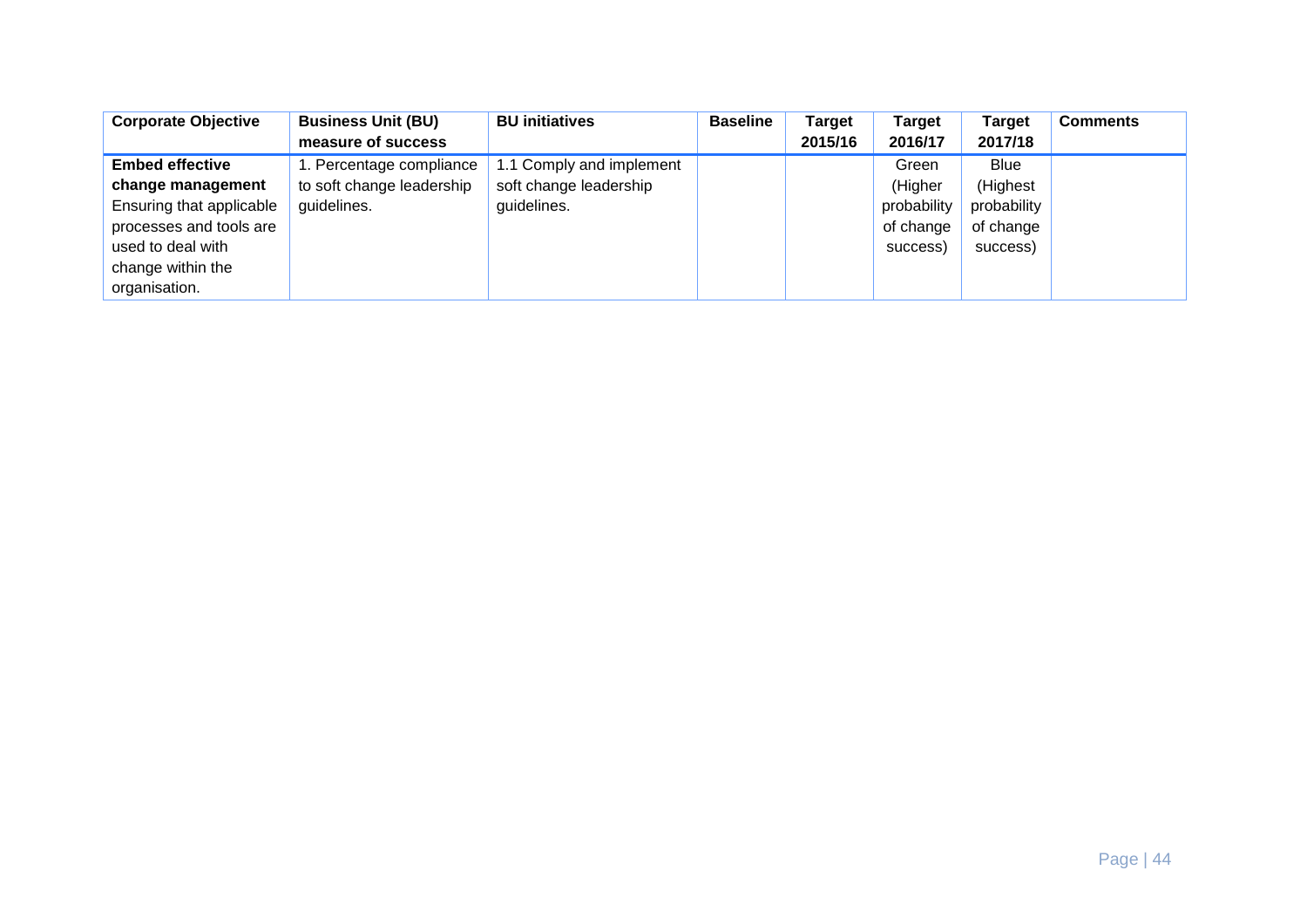| <b>Corporate Objective</b> | <b>Business Unit (BU)</b> | <b>BU</b> initiatives    | <b>Baseline</b> | Target  | Target      | Target      | <b>Comments</b> |
|----------------------------|---------------------------|--------------------------|-----------------|---------|-------------|-------------|-----------------|
|                            | measure of success        |                          |                 | 2015/16 | 2016/17     | 2017/18     |                 |
| <b>Embed effective</b>     | 1. Percentage compliance  | 1.1 Comply and implement |                 |         | Green       | <b>Blue</b> |                 |
| change management          | to soft change leadership | soft change leadership   |                 |         | (Higher     | (Highest    |                 |
| Ensuring that applicable   | guidelines.               | guidelines.              |                 |         | probability | probability |                 |
| processes and tools are    |                           |                          |                 |         | of change   | of change   |                 |
| used to deal with          |                           |                          |                 |         | success)    | success)    |                 |
| change within the          |                           |                          |                 |         |             |             |                 |
| organisation.              |                           |                          |                 |         |             |             |                 |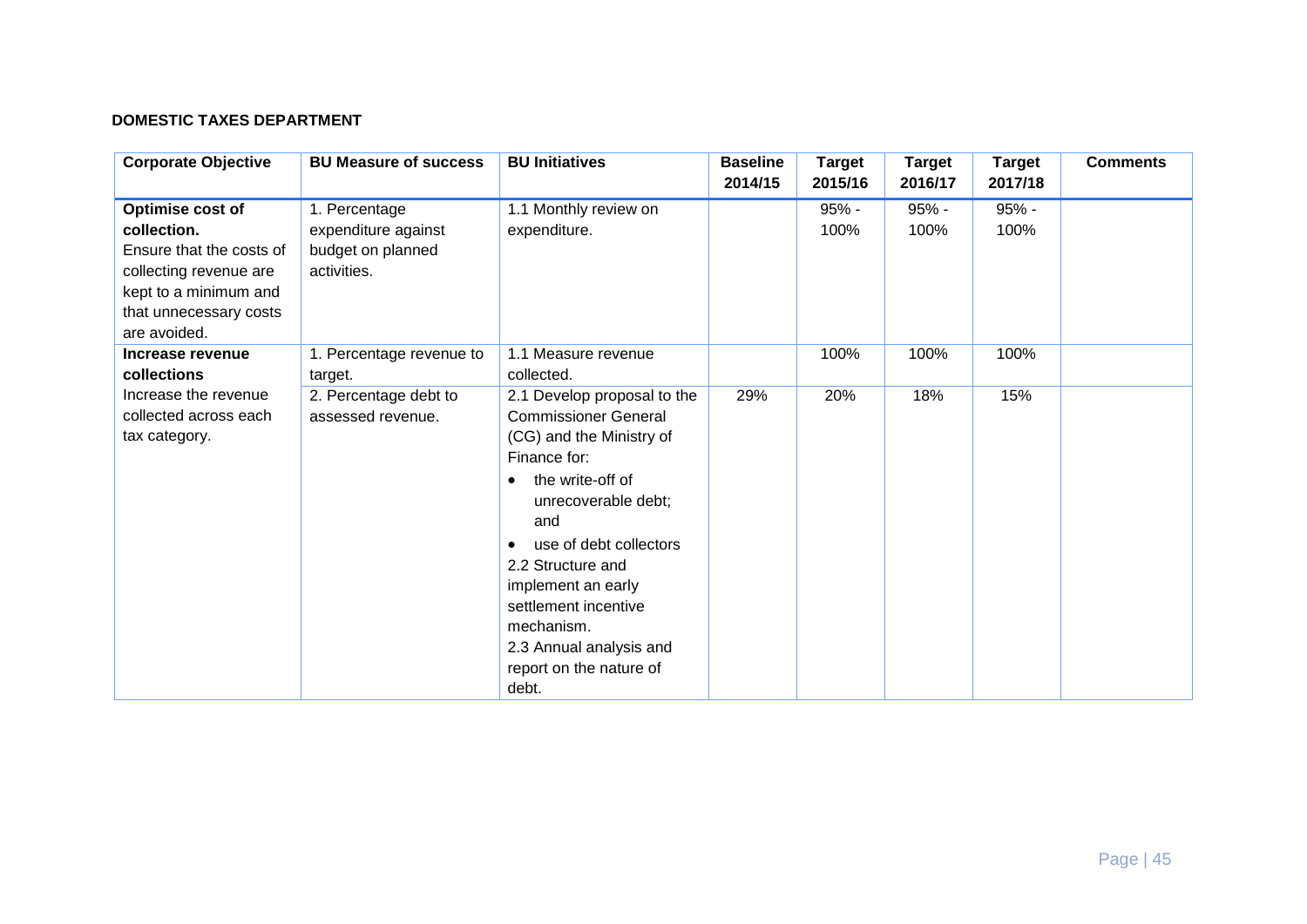#### **DOMESTIC TAXES DEPARTMENT**

| <b>Corporate Objective</b>                                                                                                                               | <b>BU Measure of success</b>                                             | <b>BU Initiatives</b>                                                                                                                                                                                                                                                                                                                                        | <b>Baseline</b><br>2014/15 | <b>Target</b><br>2015/16 | <b>Target</b><br>2016/17 | <b>Target</b><br>2017/18 | <b>Comments</b> |
|----------------------------------------------------------------------------------------------------------------------------------------------------------|--------------------------------------------------------------------------|--------------------------------------------------------------------------------------------------------------------------------------------------------------------------------------------------------------------------------------------------------------------------------------------------------------------------------------------------------------|----------------------------|--------------------------|--------------------------|--------------------------|-----------------|
| Optimise cost of<br>collection.<br>Ensure that the costs of<br>collecting revenue are<br>kept to a minimum and<br>that unnecessary costs<br>are avoided. | 1. Percentage<br>expenditure against<br>budget on planned<br>activities. | 1.1 Monthly review on<br>expenditure.                                                                                                                                                                                                                                                                                                                        |                            | $95% -$<br>100%          | $95% -$<br>100%          | $95% -$<br>100%          |                 |
| Increase revenue<br>collections                                                                                                                          | 1. Percentage revenue to<br>target.                                      | 1.1 Measure revenue<br>collected.                                                                                                                                                                                                                                                                                                                            |                            | 100%                     | 100%                     | 100%                     |                 |
| Increase the revenue<br>collected across each<br>tax category.                                                                                           | 2. Percentage debt to<br>assessed revenue.                               | 2.1 Develop proposal to the<br><b>Commissioner General</b><br>(CG) and the Ministry of<br>Finance for:<br>the write-off of<br>$\bullet$<br>unrecoverable debt;<br>and<br>use of debt collectors<br>$\bullet$<br>2.2 Structure and<br>implement an early<br>settlement incentive<br>mechanism.<br>2.3 Annual analysis and<br>report on the nature of<br>debt. | 29%                        | 20%                      | 18%                      | 15%                      |                 |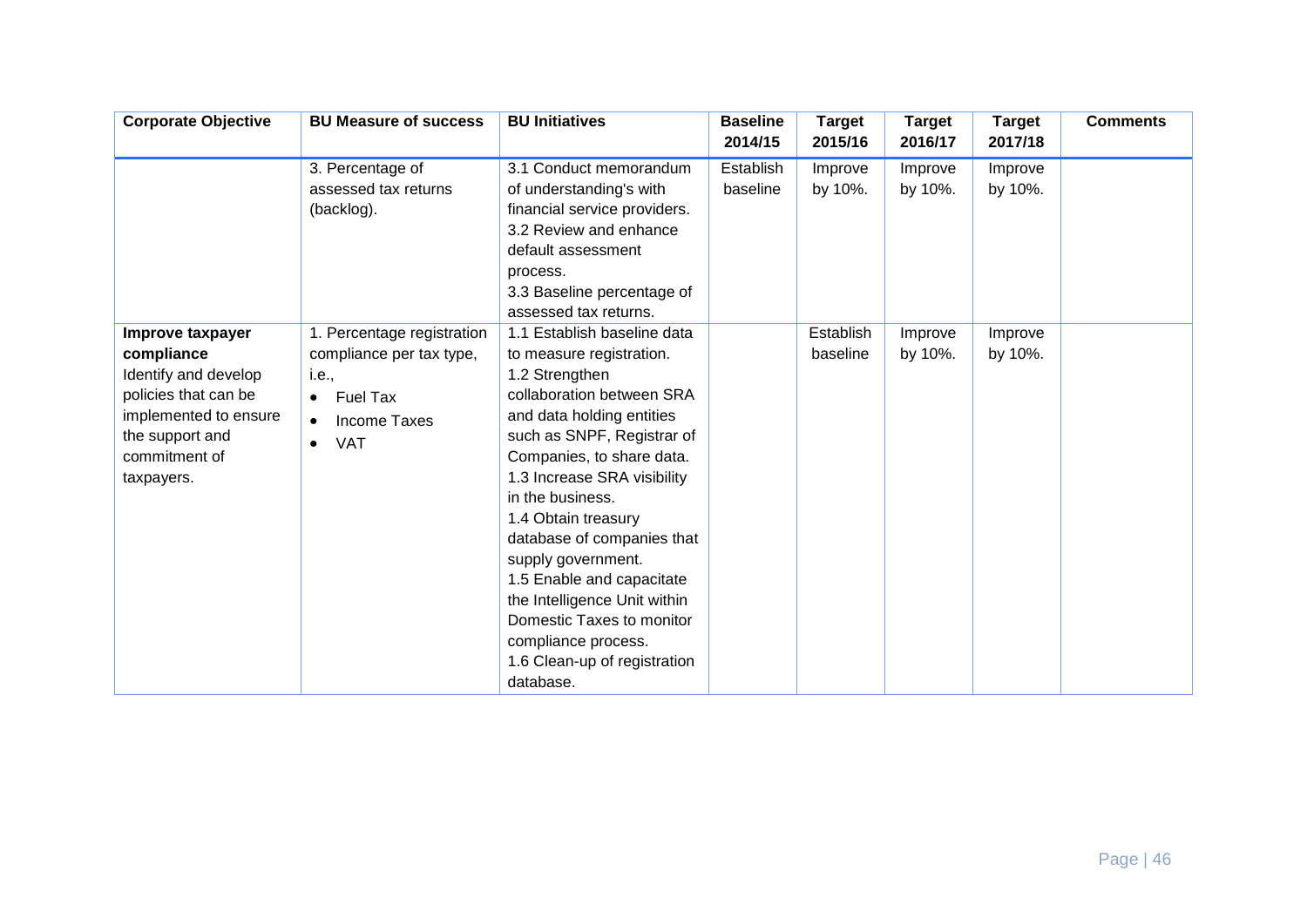| <b>Corporate Objective</b>                                                                                                                                | <b>BU Measure of success</b>                                                                                                               | <b>BU Initiatives</b>                                                                                                                                                                                                                                                                                                                                                                                                                                                                      | <b>Baseline</b><br>2014/15 | <b>Target</b><br>2015/16 | <b>Target</b><br>2016/17 | <b>Target</b><br>2017/18 | <b>Comments</b> |
|-----------------------------------------------------------------------------------------------------------------------------------------------------------|--------------------------------------------------------------------------------------------------------------------------------------------|--------------------------------------------------------------------------------------------------------------------------------------------------------------------------------------------------------------------------------------------------------------------------------------------------------------------------------------------------------------------------------------------------------------------------------------------------------------------------------------------|----------------------------|--------------------------|--------------------------|--------------------------|-----------------|
|                                                                                                                                                           | 3. Percentage of<br>assessed tax returns<br>(backlog).                                                                                     | 3.1 Conduct memorandum<br>of understanding's with<br>financial service providers.<br>3.2 Review and enhance<br>default assessment<br>process.<br>3.3 Baseline percentage of<br>assessed tax returns.                                                                                                                                                                                                                                                                                       | Establish<br>baseline      | Improve<br>by 10%.       | Improve<br>by 10%.       | Improve<br>by 10%.       |                 |
| Improve taxpayer<br>compliance<br>Identify and develop<br>policies that can be<br>implemented to ensure<br>the support and<br>commitment of<br>taxpayers. | 1. Percentage registration<br>compliance per tax type,<br>i.e.,<br>Fuel Tax<br>$\bullet$<br><b>Income Taxes</b><br><b>VAT</b><br>$\bullet$ | 1.1 Establish baseline data<br>to measure registration.<br>1.2 Strengthen<br>collaboration between SRA<br>and data holding entities<br>such as SNPF, Registrar of<br>Companies, to share data.<br>1.3 Increase SRA visibility<br>in the business.<br>1.4 Obtain treasury<br>database of companies that<br>supply government.<br>1.5 Enable and capacitate<br>the Intelligence Unit within<br>Domestic Taxes to monitor<br>compliance process.<br>1.6 Clean-up of registration<br>database. |                            | Establish<br>baseline    | Improve<br>by 10%.       | Improve<br>by 10%.       |                 |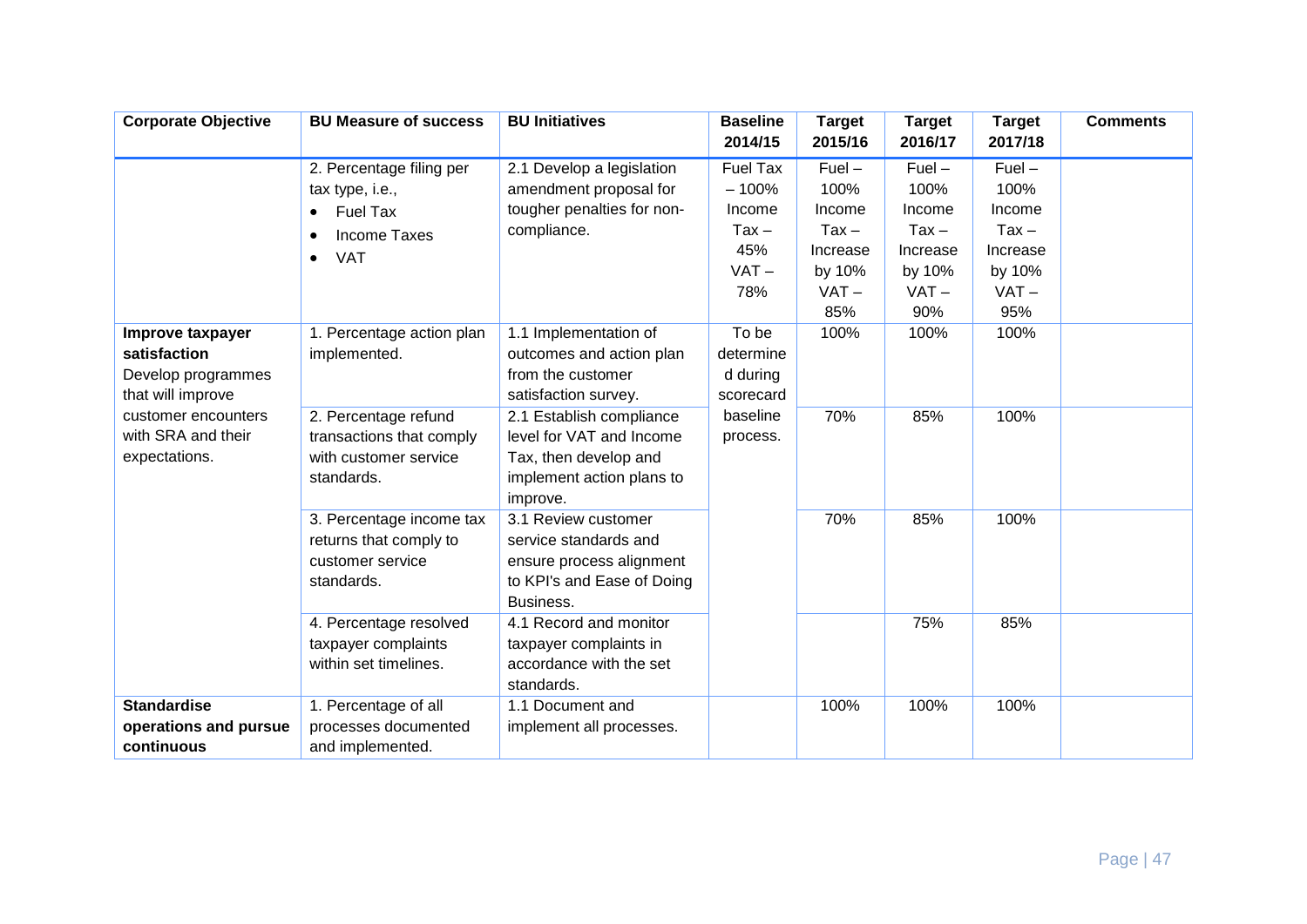| <b>Corporate Objective</b>                                                  | <b>BU Measure of success</b>                                                                                                        | <b>BU Initiatives</b>                                                                                                  | <b>Baseline</b><br>2014/15                                               | <b>Target</b><br>2015/16                                                      | <b>Target</b><br>2016/17                                                      | <b>Target</b><br>2017/18                                                      | <b>Comments</b> |
|-----------------------------------------------------------------------------|-------------------------------------------------------------------------------------------------------------------------------------|------------------------------------------------------------------------------------------------------------------------|--------------------------------------------------------------------------|-------------------------------------------------------------------------------|-------------------------------------------------------------------------------|-------------------------------------------------------------------------------|-----------------|
|                                                                             | 2. Percentage filing per<br>tax type, i.e.,<br>Fuel Tax<br>$\bullet$<br><b>Income Taxes</b><br>$\bullet$<br><b>VAT</b><br>$\bullet$ | 2.1 Develop a legislation<br>amendment proposal for<br>tougher penalties for non-<br>compliance.                       | <b>Fuel Tax</b><br>$-100%$<br>Income<br>$Tax -$<br>45%<br>$VAT -$<br>78% | $Fuel -$<br>100%<br>Income<br>$Tax -$<br>Increase<br>by 10%<br>$VAT -$<br>85% | $Fuel -$<br>100%<br>Income<br>$Tax -$<br>Increase<br>by 10%<br>$VAT -$<br>90% | $Fuel -$<br>100%<br>Income<br>$Tax -$<br>Increase<br>by 10%<br>$VAT -$<br>95% |                 |
| Improve taxpayer<br>satisfaction<br>Develop programmes<br>that will improve | 1. Percentage action plan<br>implemented.                                                                                           | 1.1 Implementation of<br>outcomes and action plan<br>from the customer<br>satisfaction survey.                         | To be<br>determine<br>d during<br>scorecard                              | 100%                                                                          | 100%                                                                          | 100%                                                                          |                 |
| customer encounters<br>with SRA and their<br>expectations.                  | 2. Percentage refund<br>transactions that comply<br>with customer service<br>standards.                                             | 2.1 Establish compliance<br>level for VAT and Income<br>Tax, then develop and<br>implement action plans to<br>improve. | baseline<br>process.                                                     | 70%                                                                           | 85%                                                                           | 100%                                                                          |                 |
|                                                                             | 3. Percentage income tax<br>returns that comply to<br>customer service<br>standards.                                                | 3.1 Review customer<br>service standards and<br>ensure process alignment<br>to KPI's and Ease of Doing<br>Business.    |                                                                          | 70%                                                                           | 85%                                                                           | 100%                                                                          |                 |
|                                                                             | 4. Percentage resolved<br>taxpayer complaints<br>within set timelines.                                                              | 4.1 Record and monitor<br>taxpayer complaints in<br>accordance with the set<br>standards.                              |                                                                          |                                                                               | 75%                                                                           | 85%                                                                           |                 |
| <b>Standardise</b><br>operations and pursue<br>continuous                   | 1. Percentage of all<br>processes documented<br>and implemented.                                                                    | 1.1 Document and<br>implement all processes.                                                                           |                                                                          | 100%                                                                          | 100%                                                                          | 100%                                                                          |                 |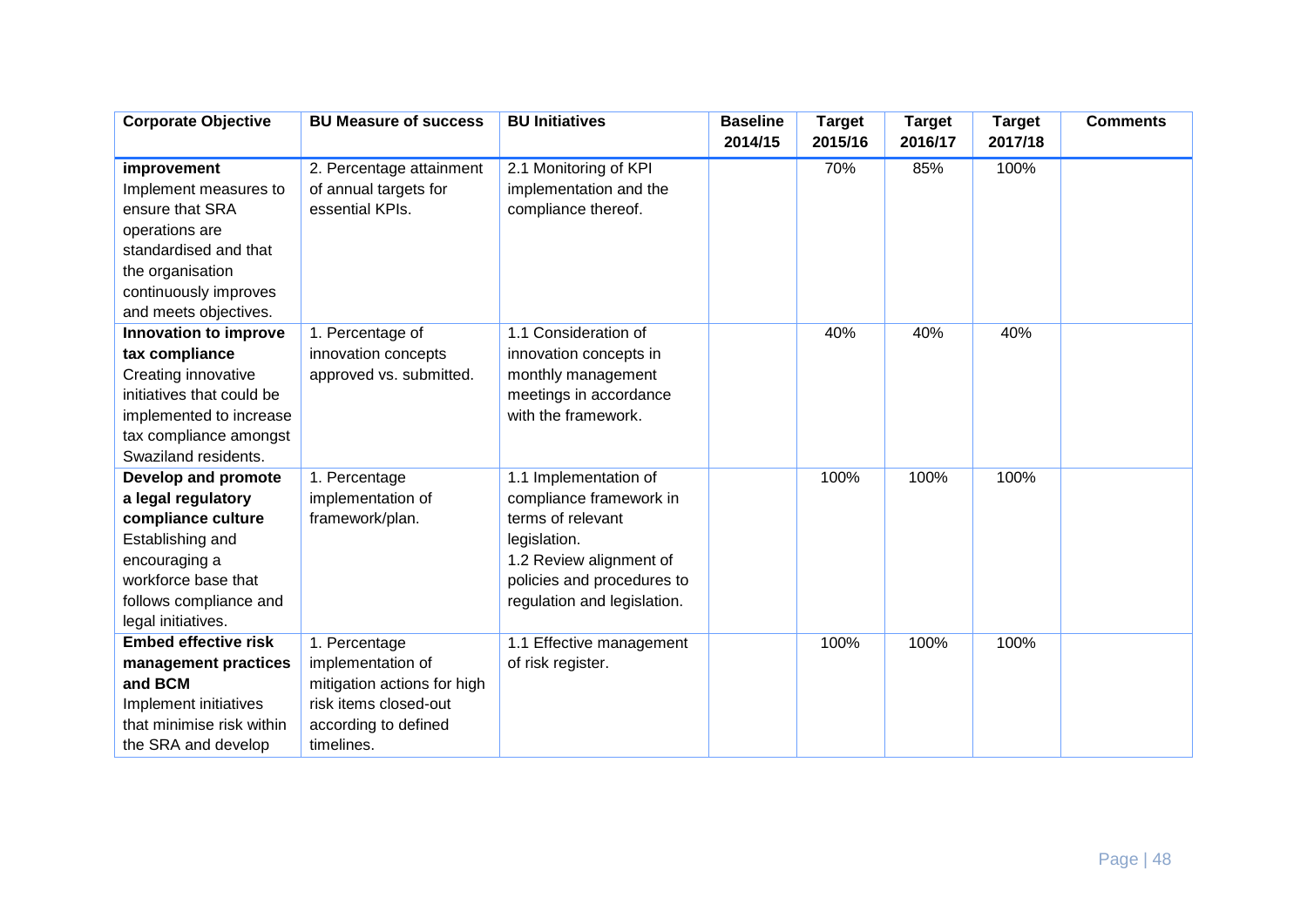| <b>Corporate Objective</b>               | <b>BU Measure of success</b>         | <b>BU Initiatives</b>                        | <b>Baseline</b> | <b>Target</b> | <b>Target</b> | <b>Target</b> | <b>Comments</b> |
|------------------------------------------|--------------------------------------|----------------------------------------------|-----------------|---------------|---------------|---------------|-----------------|
|                                          |                                      |                                              | 2014/15         | 2015/16       | 2016/17       | 2017/18       |                 |
| improvement                              | 2. Percentage attainment             | 2.1 Monitoring of KPI                        |                 | 70%           | 85%           | 100%          |                 |
| Implement measures to                    | of annual targets for                | implementation and the                       |                 |               |               |               |                 |
| ensure that SRA                          | essential KPIs.                      | compliance thereof.                          |                 |               |               |               |                 |
| operations are                           |                                      |                                              |                 |               |               |               |                 |
| standardised and that                    |                                      |                                              |                 |               |               |               |                 |
| the organisation                         |                                      |                                              |                 |               |               |               |                 |
| continuously improves                    |                                      |                                              |                 |               |               |               |                 |
| and meets objectives.                    |                                      |                                              |                 |               |               |               |                 |
| Innovation to improve                    | 1. Percentage of                     | 1.1 Consideration of                         |                 | 40%           | 40%           | 40%           |                 |
| tax compliance                           | innovation concepts                  | innovation concepts in                       |                 |               |               |               |                 |
| Creating innovative                      | approved vs. submitted.              | monthly management                           |                 |               |               |               |                 |
| initiatives that could be                |                                      | meetings in accordance                       |                 |               |               |               |                 |
| implemented to increase                  |                                      | with the framework.                          |                 |               |               |               |                 |
| tax compliance amongst                   |                                      |                                              |                 |               |               |               |                 |
| Swaziland residents.                     |                                      |                                              |                 |               |               |               |                 |
| Develop and promote                      | 1. Percentage                        | 1.1 Implementation of                        |                 | 100%          | 100%          | 100%          |                 |
| a legal regulatory<br>compliance culture | implementation of<br>framework/plan. | compliance framework in<br>terms of relevant |                 |               |               |               |                 |
| Establishing and                         |                                      | legislation.                                 |                 |               |               |               |                 |
| encouraging a                            |                                      | 1.2 Review alignment of                      |                 |               |               |               |                 |
| workforce base that                      |                                      | policies and procedures to                   |                 |               |               |               |                 |
| follows compliance and                   |                                      | regulation and legislation.                  |                 |               |               |               |                 |
| legal initiatives.                       |                                      |                                              |                 |               |               |               |                 |
| <b>Embed effective risk</b>              | 1. Percentage                        | 1.1 Effective management                     |                 | 100%          | 100%          | 100%          |                 |
| management practices                     | implementation of                    | of risk register.                            |                 |               |               |               |                 |
| and BCM                                  | mitigation actions for high          |                                              |                 |               |               |               |                 |
| Implement initiatives                    | risk items closed-out                |                                              |                 |               |               |               |                 |
| that minimise risk within                | according to defined                 |                                              |                 |               |               |               |                 |
| the SRA and develop                      | timelines.                           |                                              |                 |               |               |               |                 |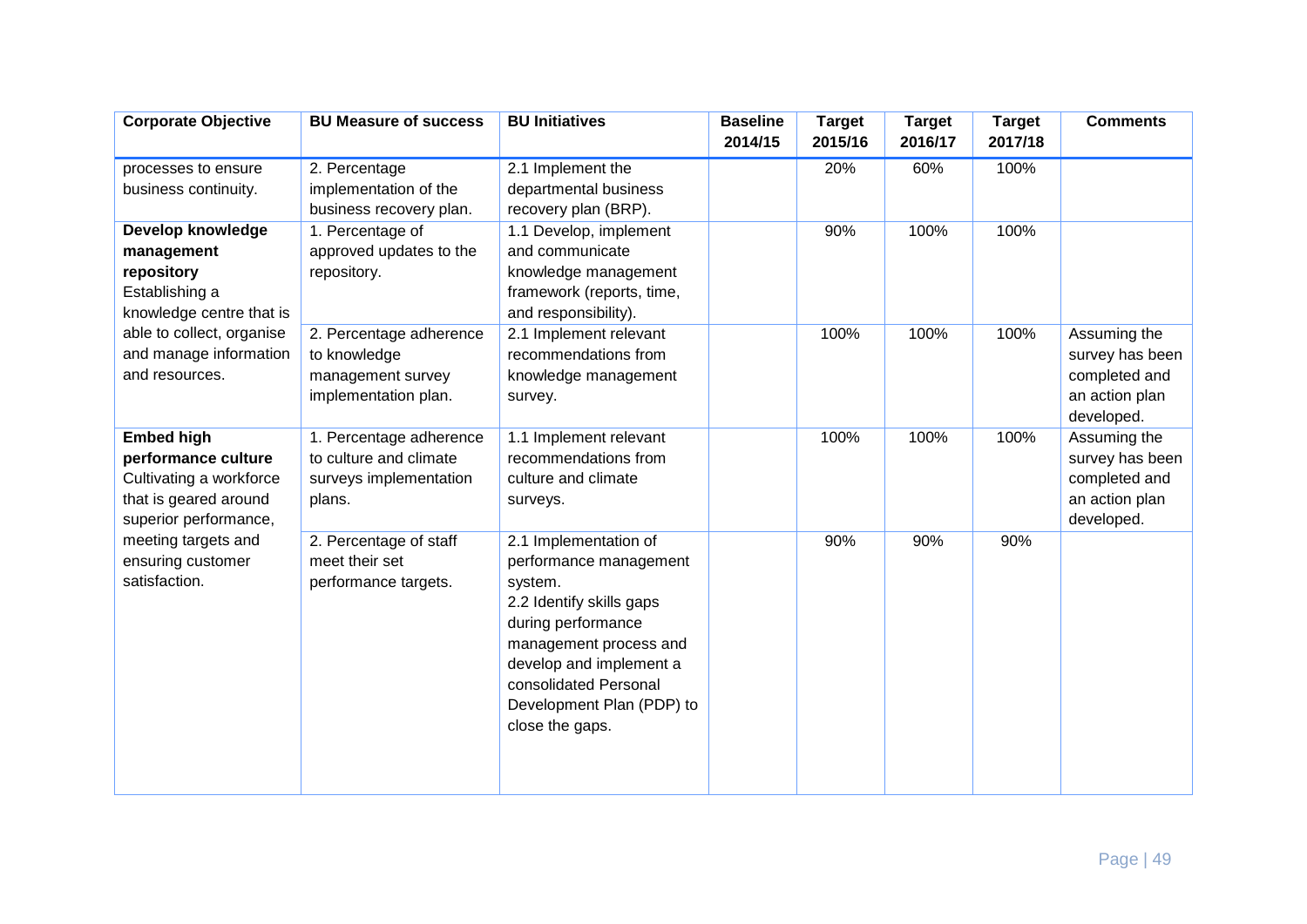| <b>Corporate Objective</b>                                                                                            | <b>BU Measure of success</b>                                                          | <b>BU Initiatives</b>                                                                                                                                                                                                                      | <b>Baseline</b><br>2014/15 | <b>Target</b><br>2015/16 | <b>Target</b><br>2016/17 | <b>Target</b><br>2017/18 | <b>Comments</b>                                                                  |
|-----------------------------------------------------------------------------------------------------------------------|---------------------------------------------------------------------------------------|--------------------------------------------------------------------------------------------------------------------------------------------------------------------------------------------------------------------------------------------|----------------------------|--------------------------|--------------------------|--------------------------|----------------------------------------------------------------------------------|
| processes to ensure<br>business continuity.                                                                           | 2. Percentage<br>implementation of the<br>business recovery plan.                     | 2.1 Implement the<br>departmental business<br>recovery plan (BRP).                                                                                                                                                                         |                            | 20%                      | 60%                      | 100%                     |                                                                                  |
| Develop knowledge<br>management<br>repository<br>Establishing a<br>knowledge centre that is                           | 1. Percentage of<br>approved updates to the<br>repository.                            | 1.1 Develop, implement<br>and communicate<br>knowledge management<br>framework (reports, time,<br>and responsibility).                                                                                                                     |                            | 90%                      | 100%                     | 100%                     |                                                                                  |
| able to collect, organise<br>and manage information<br>and resources.                                                 | 2. Percentage adherence<br>to knowledge<br>management survey<br>implementation plan.  | 2.1 Implement relevant<br>recommendations from<br>knowledge management<br>survey.                                                                                                                                                          |                            | 100%                     | 100%                     | 100%                     | Assuming the<br>survey has been<br>completed and<br>an action plan<br>developed. |
| <b>Embed high</b><br>performance culture<br>Cultivating a workforce<br>that is geared around<br>superior performance, | 1. Percentage adherence<br>to culture and climate<br>surveys implementation<br>plans. | 1.1 Implement relevant<br>recommendations from<br>culture and climate<br>surveys.                                                                                                                                                          |                            | 100%                     | 100%                     | 100%                     | Assuming the<br>survey has been<br>completed and<br>an action plan<br>developed. |
| meeting targets and<br>ensuring customer<br>satisfaction.                                                             | 2. Percentage of staff<br>meet their set<br>performance targets.                      | 2.1 Implementation of<br>performance management<br>system.<br>2.2 Identify skills gaps<br>during performance<br>management process and<br>develop and implement a<br>consolidated Personal<br>Development Plan (PDP) to<br>close the gaps. |                            | 90%                      | 90%                      | 90%                      |                                                                                  |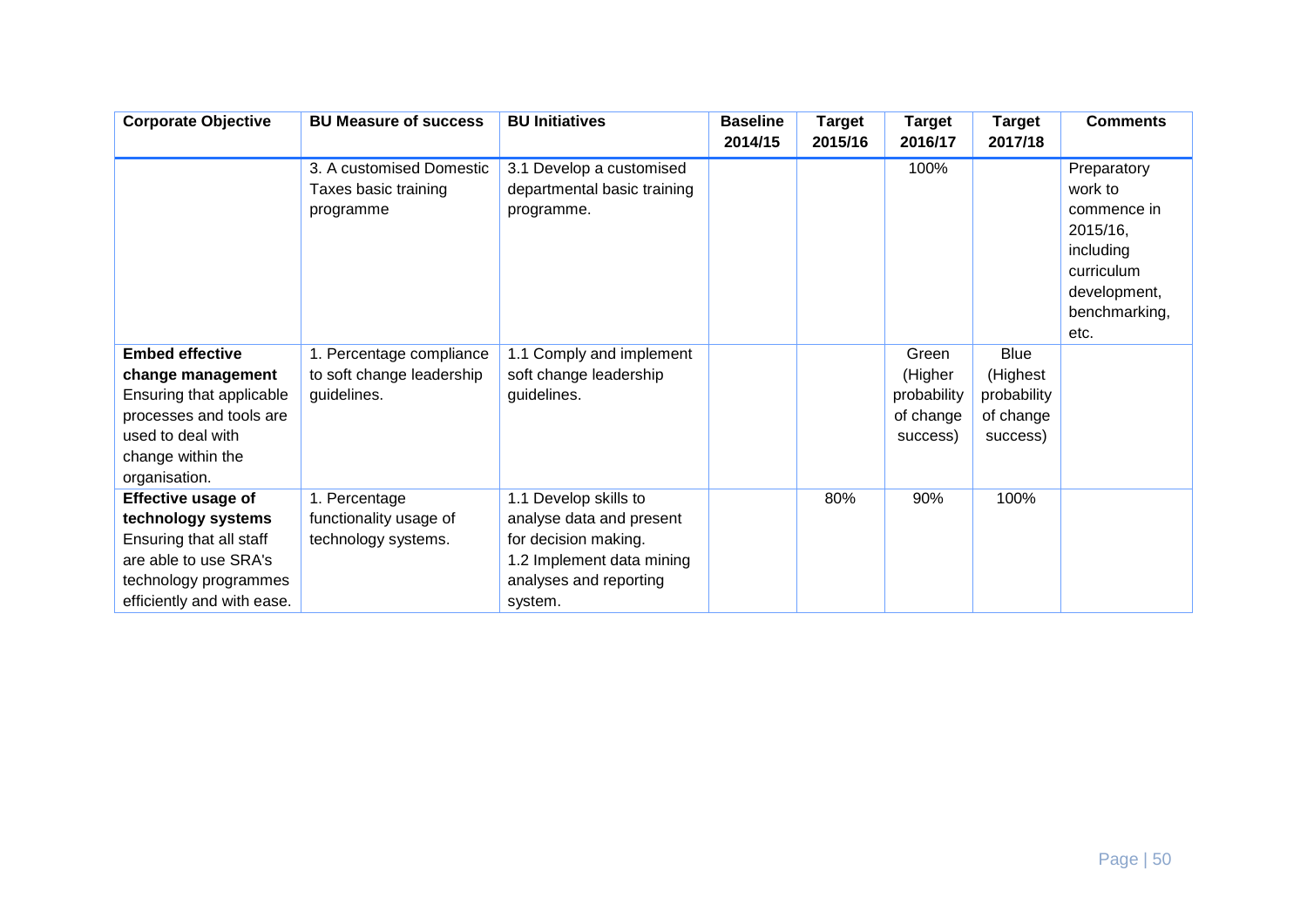| <b>Corporate Objective</b>                                                                                                                                    | <b>BU Measure of success</b>                                         | <b>BU Initiatives</b>                                                                                                                       | <b>Baseline</b><br>2014/15 | <b>Target</b><br>2015/16 | <b>Target</b><br>2016/17                                 | <b>Target</b><br>2017/18                                        | <b>Comments</b>                                                                                                       |
|---------------------------------------------------------------------------------------------------------------------------------------------------------------|----------------------------------------------------------------------|---------------------------------------------------------------------------------------------------------------------------------------------|----------------------------|--------------------------|----------------------------------------------------------|-----------------------------------------------------------------|-----------------------------------------------------------------------------------------------------------------------|
|                                                                                                                                                               | 3. A customised Domestic<br>Taxes basic training<br>programme        | 3.1 Develop a customised<br>departmental basic training<br>programme.                                                                       |                            |                          | 100%                                                     |                                                                 | Preparatory<br>work to<br>commence in<br>2015/16,<br>including<br>curriculum<br>development,<br>benchmarking,<br>etc. |
| <b>Embed effective</b><br>change management<br>Ensuring that applicable<br>processes and tools are<br>used to deal with<br>change within the<br>organisation. | 1. Percentage compliance<br>to soft change leadership<br>guidelines. | 1.1 Comply and implement<br>soft change leadership<br>guidelines.                                                                           |                            |                          | Green<br>(Higher<br>probability<br>of change<br>success) | <b>Blue</b><br>(Highest<br>probability<br>of change<br>success) |                                                                                                                       |
| Effective usage of<br>technology systems<br>Ensuring that all staff<br>are able to use SRA's<br>technology programmes<br>efficiently and with ease.           | 1. Percentage<br>functionality usage of<br>technology systems.       | 1.1 Develop skills to<br>analyse data and present<br>for decision making.<br>1.2 Implement data mining<br>analyses and reporting<br>system. |                            | 80%                      | 90%                                                      | 100%                                                            |                                                                                                                       |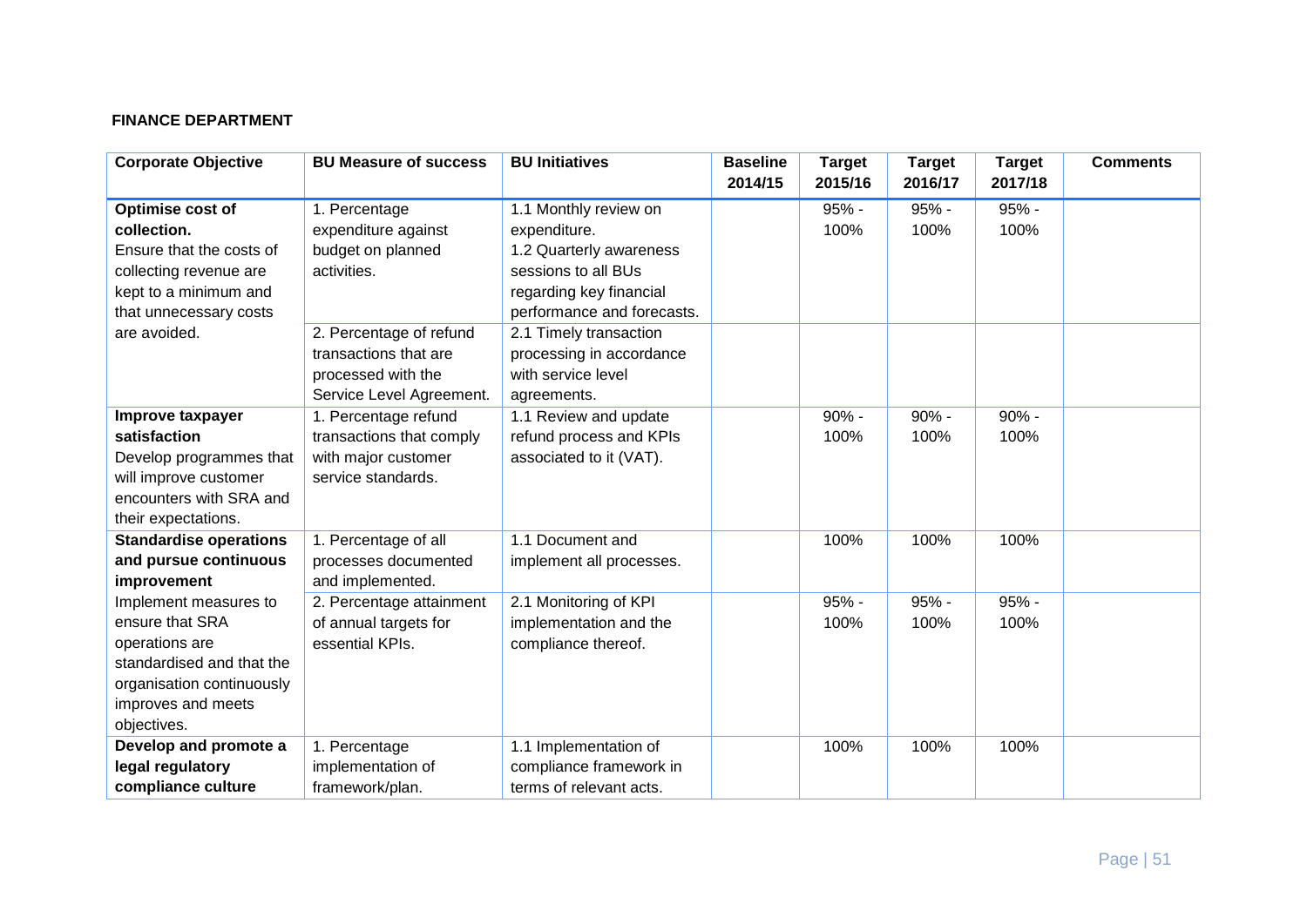# **FINANCE DEPARTMENT**

| <b>Corporate Objective</b>    | <b>BU Measure of success</b> | <b>BU Initiatives</b>      | <b>Baseline</b><br>2014/15 | <b>Target</b><br>2015/16 | <b>Target</b><br>2016/17 | <b>Target</b><br>2017/18 | <b>Comments</b> |
|-------------------------------|------------------------------|----------------------------|----------------------------|--------------------------|--------------------------|--------------------------|-----------------|
| Optimise cost of              | 1. Percentage                | 1.1 Monthly review on      |                            | $95% -$                  | $95% -$                  | 95% -                    |                 |
| collection.                   | expenditure against          | expenditure.               |                            | 100%                     | 100%                     | 100%                     |                 |
| Ensure that the costs of      | budget on planned            | 1.2 Quarterly awareness    |                            |                          |                          |                          |                 |
| collecting revenue are        | activities.                  | sessions to all BUs        |                            |                          |                          |                          |                 |
| kept to a minimum and         |                              | regarding key financial    |                            |                          |                          |                          |                 |
| that unnecessary costs        |                              | performance and forecasts. |                            |                          |                          |                          |                 |
| are avoided.                  | 2. Percentage of refund      | 2.1 Timely transaction     |                            |                          |                          |                          |                 |
|                               | transactions that are        | processing in accordance   |                            |                          |                          |                          |                 |
|                               | processed with the           | with service level         |                            |                          |                          |                          |                 |
|                               | Service Level Agreement.     | agreements.                |                            |                          |                          |                          |                 |
| Improve taxpayer              | 1. Percentage refund         | 1.1 Review and update      |                            | $90% -$                  | $90% -$                  | $90% -$                  |                 |
| satisfaction                  | transactions that comply     | refund process and KPIs    |                            | 100%                     | 100%                     | 100%                     |                 |
| Develop programmes that       | with major customer          | associated to it (VAT).    |                            |                          |                          |                          |                 |
| will improve customer         | service standards.           |                            |                            |                          |                          |                          |                 |
| encounters with SRA and       |                              |                            |                            |                          |                          |                          |                 |
| their expectations.           |                              |                            |                            |                          |                          |                          |                 |
| <b>Standardise operations</b> | 1. Percentage of all         | 1.1 Document and           |                            | 100%                     | 100%                     | 100%                     |                 |
| and pursue continuous         | processes documented         | implement all processes.   |                            |                          |                          |                          |                 |
| improvement                   | and implemented.             |                            |                            |                          |                          |                          |                 |
| Implement measures to         | 2. Percentage attainment     | 2.1 Monitoring of KPI      |                            | 95% -                    | $95% -$                  | 95% -                    |                 |
| ensure that SRA               | of annual targets for        | implementation and the     |                            | 100%                     | 100%                     | 100%                     |                 |
| operations are                | essential KPIs.              | compliance thereof.        |                            |                          |                          |                          |                 |
| standardised and that the     |                              |                            |                            |                          |                          |                          |                 |
| organisation continuously     |                              |                            |                            |                          |                          |                          |                 |
| improves and meets            |                              |                            |                            |                          |                          |                          |                 |
| objectives.                   |                              |                            |                            |                          |                          |                          |                 |
| Develop and promote a         | 1. Percentage                | 1.1 Implementation of      |                            | 100%                     | 100%                     | 100%                     |                 |
| legal regulatory              | implementation of            | compliance framework in    |                            |                          |                          |                          |                 |
| compliance culture            | framework/plan.              | terms of relevant acts.    |                            |                          |                          |                          |                 |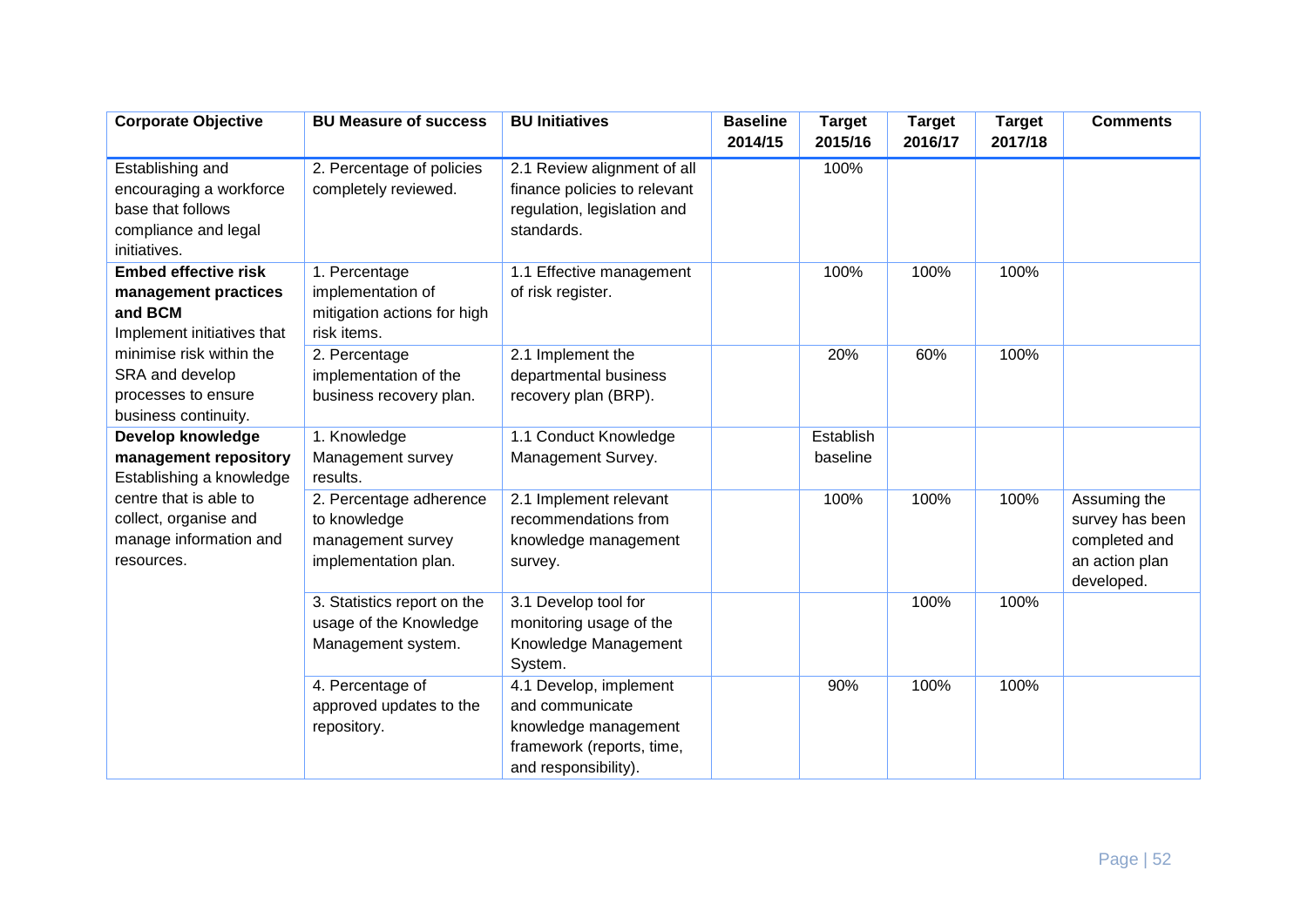| <b>Corporate Objective</b>                                                                                                                                                                 | <b>BU Measure of success</b>                                                         | <b>BU Initiatives</b>                                                                                                  | <b>Baseline</b><br>2014/15 | <b>Target</b><br>2015/16 | <b>Target</b><br>2016/17 | <b>Target</b><br>2017/18 | <b>Comments</b>                                                                  |
|--------------------------------------------------------------------------------------------------------------------------------------------------------------------------------------------|--------------------------------------------------------------------------------------|------------------------------------------------------------------------------------------------------------------------|----------------------------|--------------------------|--------------------------|--------------------------|----------------------------------------------------------------------------------|
| Establishing and<br>encouraging a workforce<br>base that follows<br>compliance and legal<br>initiatives.                                                                                   | 2. Percentage of policies<br>completely reviewed.                                    | 2.1 Review alignment of all<br>finance policies to relevant<br>regulation, legislation and<br>standards.               |                            | 100%                     |                          |                          |                                                                                  |
| <b>Embed effective risk</b><br>management practices<br>and BCM<br>Implement initiatives that<br>minimise risk within the<br>SRA and develop<br>processes to ensure<br>business continuity. | 1. Percentage<br>implementation of<br>mitigation actions for high<br>risk items.     | 1.1 Effective management<br>of risk register.                                                                          |                            | 100%                     | 100%                     | 100%                     |                                                                                  |
|                                                                                                                                                                                            | 2. Percentage<br>implementation of the<br>business recovery plan.                    | 2.1 Implement the<br>departmental business<br>recovery plan (BRP).                                                     |                            | 20%                      | 60%                      | 100%                     |                                                                                  |
| Develop knowledge<br>management repository<br>Establishing a knowledge                                                                                                                     | 1. Knowledge<br>Management survey<br>results.                                        | 1.1 Conduct Knowledge<br>Management Survey.                                                                            |                            | Establish<br>baseline    |                          |                          |                                                                                  |
| centre that is able to<br>collect, organise and<br>manage information and<br>resources.                                                                                                    | 2. Percentage adherence<br>to knowledge<br>management survey<br>implementation plan. | 2.1 Implement relevant<br>recommendations from<br>knowledge management<br>survey.                                      |                            | 100%                     | 100%                     | 100%                     | Assuming the<br>survey has been<br>completed and<br>an action plan<br>developed. |
|                                                                                                                                                                                            | 3. Statistics report on the<br>usage of the Knowledge<br>Management system.          | 3.1 Develop tool for<br>monitoring usage of the<br>Knowledge Management<br>System.                                     |                            |                          | 100%                     | 100%                     |                                                                                  |
|                                                                                                                                                                                            | 4. Percentage of<br>approved updates to the<br>repository.                           | 4.1 Develop, implement<br>and communicate<br>knowledge management<br>framework (reports, time,<br>and responsibility). |                            | 90%                      | 100%                     | 100%                     |                                                                                  |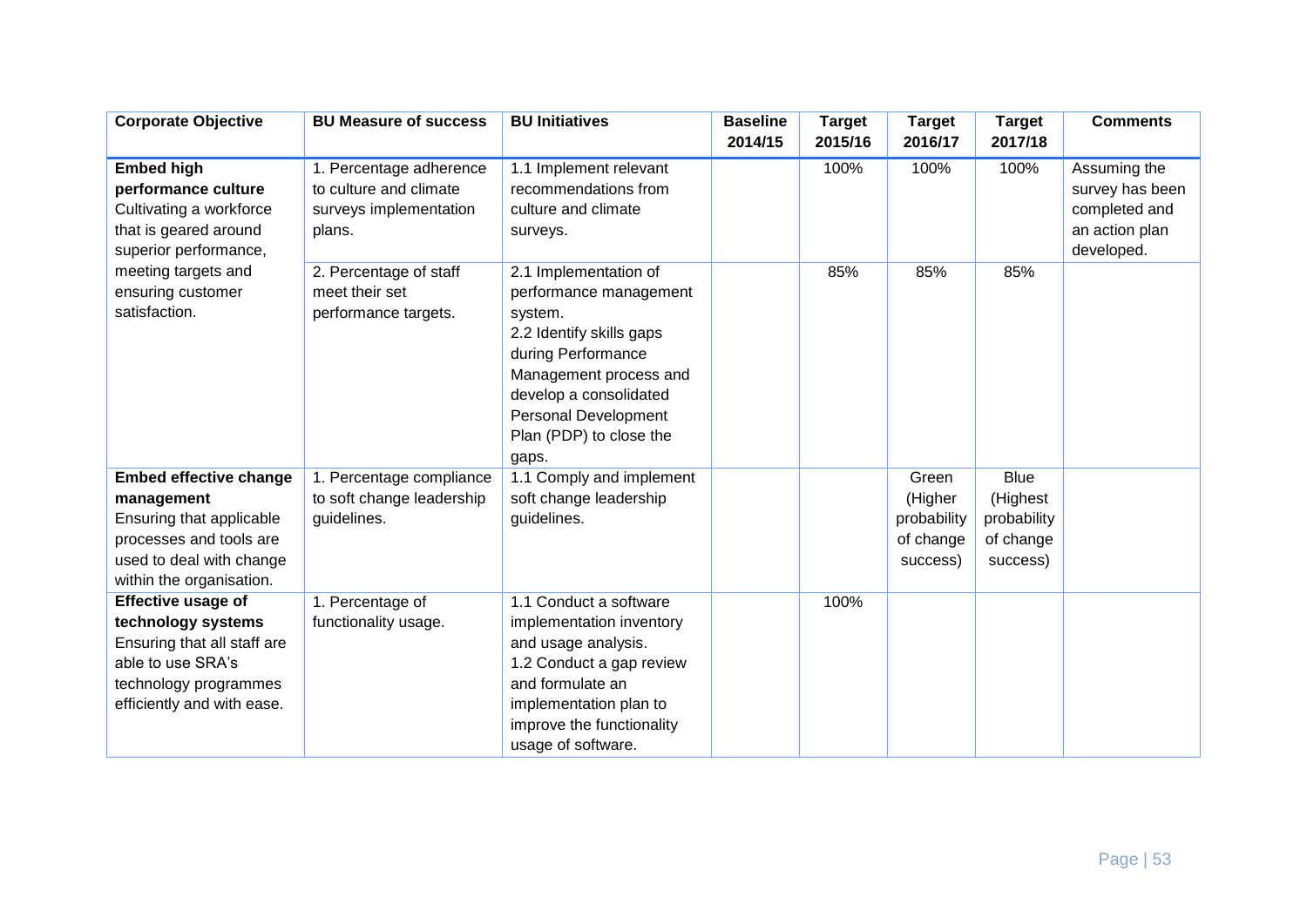| <b>Corporate Objective</b>    | <b>BU Measure of success</b> | <b>BU Initiatives</b>       | <b>Baseline</b><br>2014/15 | <b>Target</b><br>2015/16 | <b>Target</b><br>2016/17 | <b>Target</b><br>2017/18 | <b>Comments</b> |
|-------------------------------|------------------------------|-----------------------------|----------------------------|--------------------------|--------------------------|--------------------------|-----------------|
|                               |                              |                             |                            |                          |                          |                          |                 |
| <b>Embed high</b>             | 1. Percentage adherence      | 1.1 Implement relevant      |                            | 100%                     | 100%                     | 100%                     | Assuming the    |
| performance culture           | to culture and climate       | recommendations from        |                            |                          |                          |                          | survey has been |
| Cultivating a workforce       | surveys implementation       | culture and climate         |                            |                          |                          |                          | completed and   |
| that is geared around         | plans.                       | surveys.                    |                            |                          |                          |                          | an action plan  |
| superior performance,         |                              |                             |                            |                          |                          |                          | developed.      |
| meeting targets and           | 2. Percentage of staff       | 2.1 Implementation of       |                            | 85%                      | 85%                      | 85%                      |                 |
| ensuring customer             | meet their set               | performance management      |                            |                          |                          |                          |                 |
| satisfaction.                 | performance targets.         | system.                     |                            |                          |                          |                          |                 |
|                               |                              | 2.2 Identify skills gaps    |                            |                          |                          |                          |                 |
|                               |                              | during Performance          |                            |                          |                          |                          |                 |
|                               |                              | Management process and      |                            |                          |                          |                          |                 |
|                               |                              | develop a consolidated      |                            |                          |                          |                          |                 |
|                               |                              | <b>Personal Development</b> |                            |                          |                          |                          |                 |
|                               |                              | Plan (PDP) to close the     |                            |                          |                          |                          |                 |
|                               |                              | gaps.                       |                            |                          |                          |                          |                 |
| <b>Embed effective change</b> | 1. Percentage compliance     | 1.1 Comply and implement    |                            |                          | Green                    | <b>Blue</b>              |                 |
| management                    | to soft change leadership    | soft change leadership      |                            |                          | (Higher                  | (Highest                 |                 |
| Ensuring that applicable      | guidelines.                  | guidelines.                 |                            |                          | probability              | probability              |                 |
| processes and tools are       |                              |                             |                            |                          | of change                | of change                |                 |
| used to deal with change      |                              |                             |                            |                          | success)                 | success)                 |                 |
| within the organisation.      |                              |                             |                            |                          |                          |                          |                 |
| <b>Effective usage of</b>     | 1. Percentage of             | 1.1 Conduct a software      |                            | 100%                     |                          |                          |                 |
| technology systems            | functionality usage.         | implementation inventory    |                            |                          |                          |                          |                 |
| Ensuring that all staff are   |                              | and usage analysis.         |                            |                          |                          |                          |                 |
| able to use SRA's             |                              | 1.2 Conduct a gap review    |                            |                          |                          |                          |                 |
| technology programmes         |                              | and formulate an            |                            |                          |                          |                          |                 |
| efficiently and with ease.    |                              | implementation plan to      |                            |                          |                          |                          |                 |
|                               |                              | improve the functionality   |                            |                          |                          |                          |                 |
|                               |                              | usage of software.          |                            |                          |                          |                          |                 |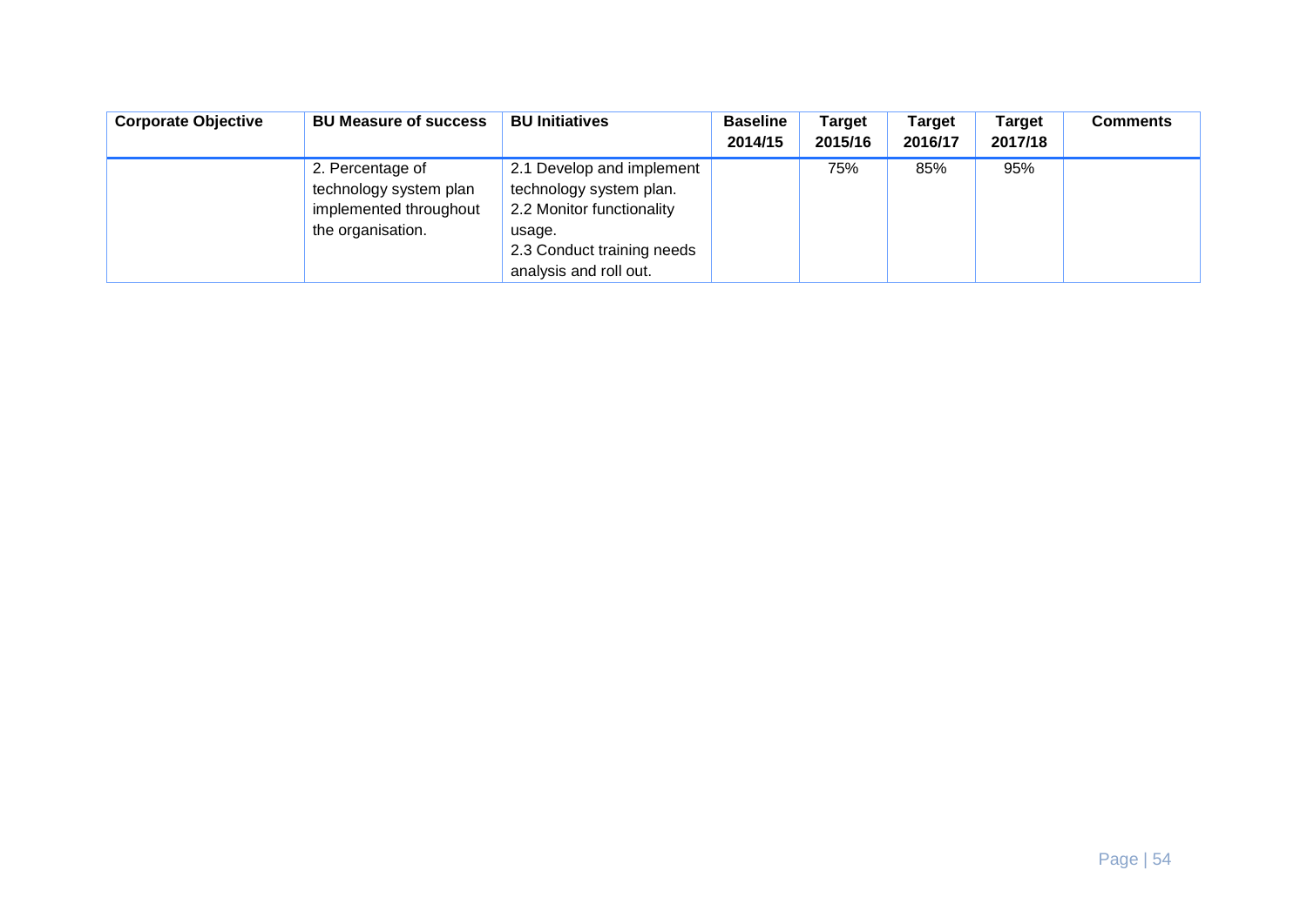| <b>Corporate Objective</b> | <b>BU Measure of success</b>                                                              | <b>BU Initiatives</b>                                                                                                                               | <b>Baseline</b><br>2014/15 | <b>Target</b><br>2015/16 | Target<br>2016/17 | <b>Target</b><br>2017/18 | <b>Comments</b> |
|----------------------------|-------------------------------------------------------------------------------------------|-----------------------------------------------------------------------------------------------------------------------------------------------------|----------------------------|--------------------------|-------------------|--------------------------|-----------------|
|                            | 2. Percentage of<br>technology system plan<br>implemented throughout<br>the organisation. | 2.1 Develop and implement<br>technology system plan.<br>2.2 Monitor functionality<br>usage.<br>2.3 Conduct training needs<br>analysis and roll out. |                            | 75%                      | 85%               | 95%                      |                 |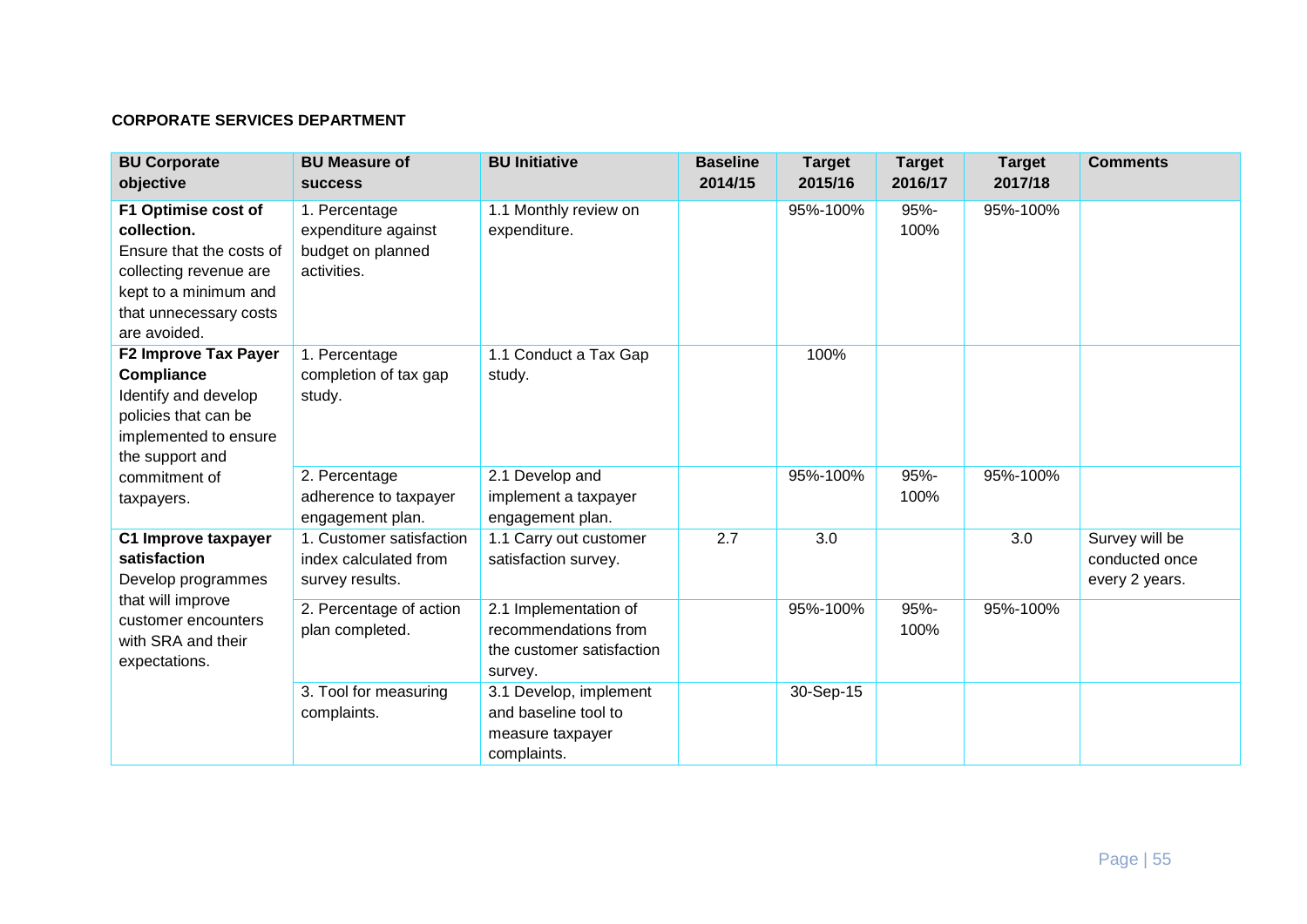#### **CORPORATE SERVICES DEPARTMENT**

| <b>BU Corporate</b><br>objective                                                                                                                            | <b>BU Measure of</b><br><b>SUCCESS</b>                                   | <b>BU Initiative</b>                                                                  | <b>Baseline</b><br>2014/15 | <b>Target</b><br>2015/16 | <b>Target</b><br>2016/17 | <b>Target</b><br>2017/18 | <b>Comments</b>                                    |
|-------------------------------------------------------------------------------------------------------------------------------------------------------------|--------------------------------------------------------------------------|---------------------------------------------------------------------------------------|----------------------------|--------------------------|--------------------------|--------------------------|----------------------------------------------------|
| F1 Optimise cost of<br>collection.<br>Ensure that the costs of<br>collecting revenue are<br>kept to a minimum and<br>that unnecessary costs<br>are avoided. | 1. Percentage<br>expenditure against<br>budget on planned<br>activities. | 1.1 Monthly review on<br>expenditure.                                                 |                            | 95%-100%                 | 95%-<br>100%             | 95%-100%                 |                                                    |
| <b>F2 Improve Tax Payer</b><br><b>Compliance</b><br>Identify and develop<br>policies that can be<br>implemented to ensure<br>the support and                | 1. Percentage<br>completion of tax gap<br>study.                         | 1.1 Conduct a Tax Gap<br>study.                                                       |                            | 100%                     |                          |                          |                                                    |
| commitment of<br>taxpayers.                                                                                                                                 | 2. Percentage<br>adherence to taxpayer<br>engagement plan.               | 2.1 Develop and<br>implement a taxpayer<br>engagement plan.                           |                            | 95%-100%                 | 95%-<br>100%             | 95%-100%                 |                                                    |
| C1 Improve taxpayer<br>satisfaction<br>Develop programmes                                                                                                   | 1. Customer satisfaction<br>index calculated from<br>survey results.     | 1.1 Carry out customer<br>satisfaction survey.                                        | 2.7                        | 3.0                      |                          | 3.0                      | Survey will be<br>conducted once<br>every 2 years. |
| that will improve<br>customer encounters<br>with SRA and their<br>expectations.                                                                             | 2. Percentage of action<br>plan completed.                               | 2.1 Implementation of<br>recommendations from<br>the customer satisfaction<br>survey. |                            | 95%-100%                 | 95%-<br>100%             | 95%-100%                 |                                                    |
|                                                                                                                                                             | 3. Tool for measuring<br>complaints.                                     | 3.1 Develop, implement<br>and baseline tool to<br>measure taxpayer<br>complaints.     |                            | 30-Sep-15                |                          |                          |                                                    |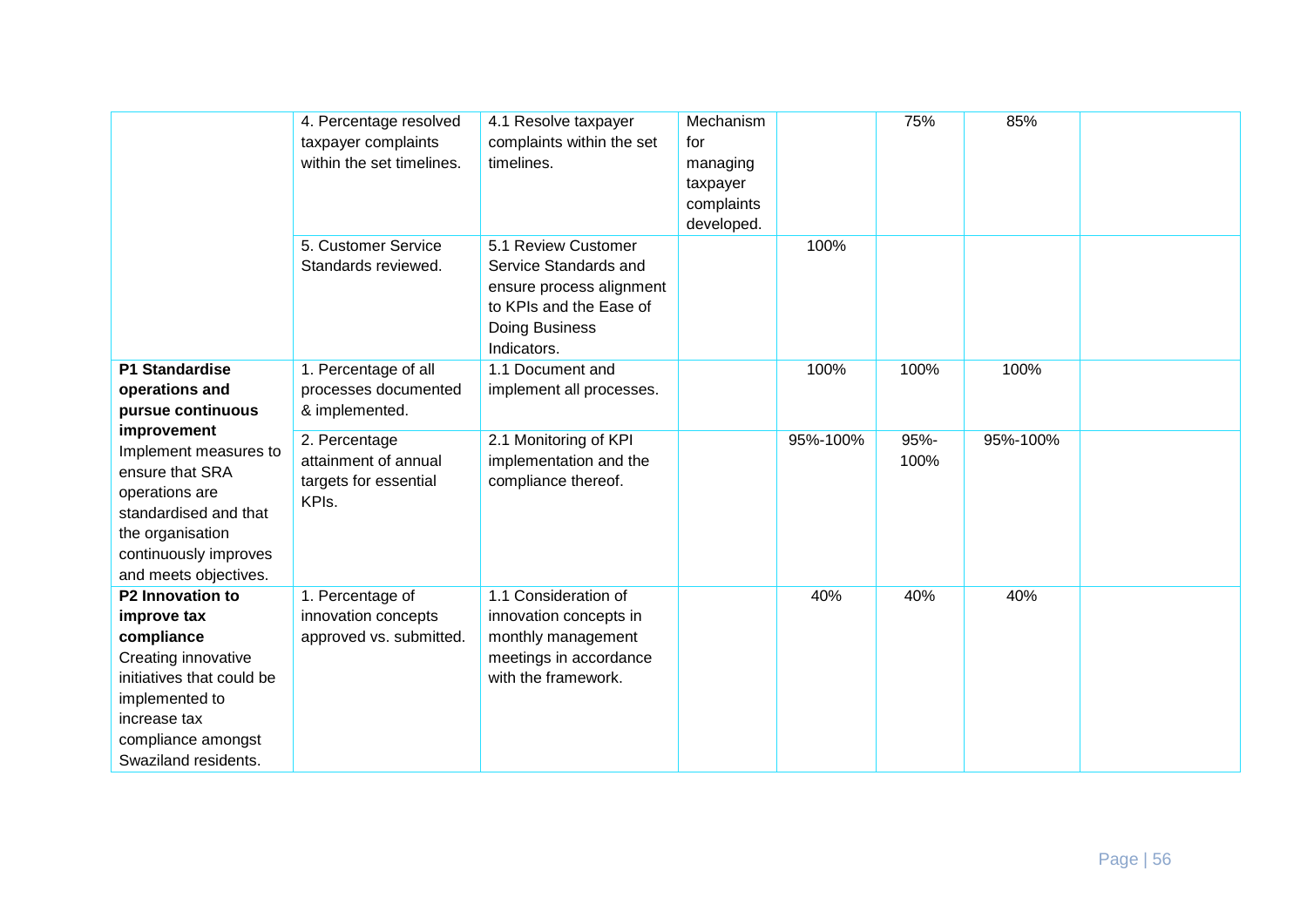|                                                                                                                                                                                   | 4. Percentage resolved<br>taxpayer complaints<br>within the set timelines. | 4.1 Resolve taxpayer<br>complaints within the set<br>timelines.                                                                      | Mechanism<br>for<br>managing<br>taxpayer<br>complaints<br>developed. |          | 75%          | 85%      |  |
|-----------------------------------------------------------------------------------------------------------------------------------------------------------------------------------|----------------------------------------------------------------------------|--------------------------------------------------------------------------------------------------------------------------------------|----------------------------------------------------------------------|----------|--------------|----------|--|
|                                                                                                                                                                                   | 5. Customer Service<br>Standards reviewed.                                 | 5.1 Review Customer<br>Service Standards and<br>ensure process alignment<br>to KPIs and the Ease of<br>Doing Business<br>Indicators. |                                                                      | 100%     |              |          |  |
| P1 Standardise<br>operations and<br>pursue continuous                                                                                                                             | 1. Percentage of all<br>processes documented<br>& implemented.             | 1.1 Document and<br>implement all processes.                                                                                         |                                                                      | 100%     | 100%         | 100%     |  |
| improvement<br>Implement measures to<br>ensure that SRA<br>operations are<br>standardised and that<br>the organisation<br>continuously improves<br>and meets objectives.          | 2. Percentage<br>attainment of annual<br>targets for essential<br>KPIs.    | 2.1 Monitoring of KPI<br>implementation and the<br>compliance thereof.                                                               |                                                                      | 95%-100% | 95%-<br>100% | 95%-100% |  |
| P2 Innovation to<br>improve tax<br>compliance<br>Creating innovative<br>initiatives that could be<br>implemented to<br>increase tax<br>compliance amongst<br>Swaziland residents. | 1. Percentage of<br>innovation concepts<br>approved vs. submitted.         | 1.1 Consideration of<br>innovation concepts in<br>monthly management<br>meetings in accordance<br>with the framework.                |                                                                      | 40%      | 40%          | 40%      |  |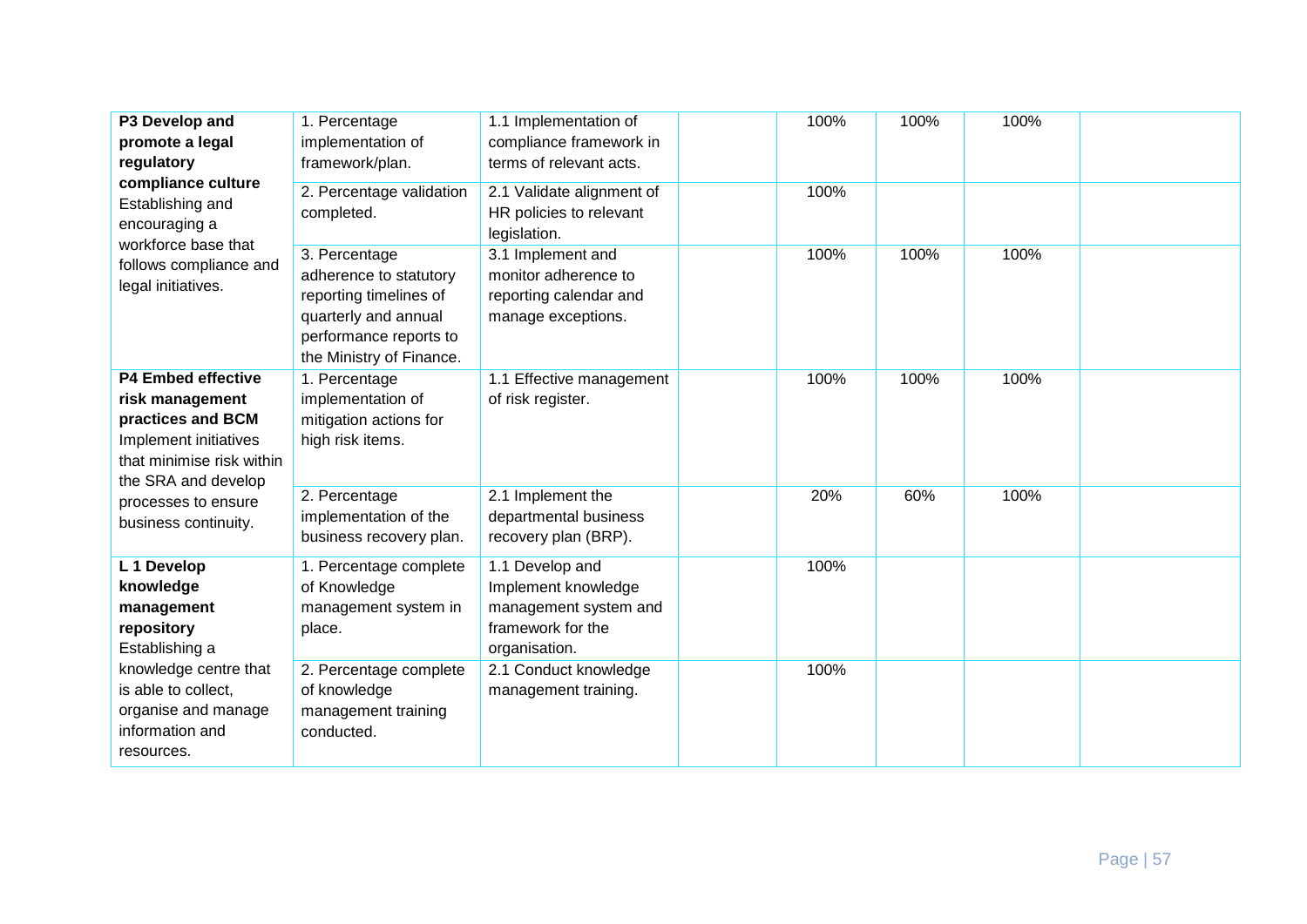| P3 Develop and<br>promote a legal<br>regulatory<br>compliance culture<br>Establishing and<br>encouraging a<br>workforce base that<br>follows compliance and<br>legal initiatives. | 1. Percentage<br>implementation of<br>framework/plan.<br>2. Percentage validation<br>completed.                                                 | 1.1 Implementation of<br>compliance framework in<br>terms of relevant acts.<br>2.1 Validate alignment of<br>HR policies to relevant<br>legislation. | 100%<br>100% | 100% | 100% |  |
|-----------------------------------------------------------------------------------------------------------------------------------------------------------------------------------|-------------------------------------------------------------------------------------------------------------------------------------------------|-----------------------------------------------------------------------------------------------------------------------------------------------------|--------------|------|------|--|
|                                                                                                                                                                                   | 3. Percentage<br>adherence to statutory<br>reporting timelines of<br>quarterly and annual<br>performance reports to<br>the Ministry of Finance. | 3.1 Implement and<br>monitor adherence to<br>reporting calendar and<br>manage exceptions.                                                           | 100%         | 100% | 100% |  |
| <b>P4 Embed effective</b><br>risk management<br>practices and BCM<br>Implement initiatives<br>that minimise risk within<br>the SRA and develop                                    | 1. Percentage<br>implementation of<br>mitigation actions for<br>high risk items.                                                                | 1.1 Effective management<br>of risk register.                                                                                                       | 100%         | 100% | 100% |  |
| processes to ensure<br>business continuity.                                                                                                                                       | 2. Percentage<br>implementation of the<br>business recovery plan.                                                                               | 2.1 Implement the<br>departmental business<br>recovery plan (BRP).                                                                                  | 20%          | 60%  | 100% |  |
| L 1 Develop<br>knowledge<br>management<br>repository<br>Establishing a                                                                                                            | 1. Percentage complete<br>of Knowledge<br>management system in<br>place.                                                                        | 1.1 Develop and<br>Implement knowledge<br>management system and<br>framework for the<br>organisation.                                               | 100%         |      |      |  |
| knowledge centre that<br>is able to collect,<br>organise and manage<br>information and<br>resources.                                                                              | 2. Percentage complete<br>of knowledge<br>management training<br>conducted.                                                                     | 2.1 Conduct knowledge<br>management training.                                                                                                       | 100%         |      |      |  |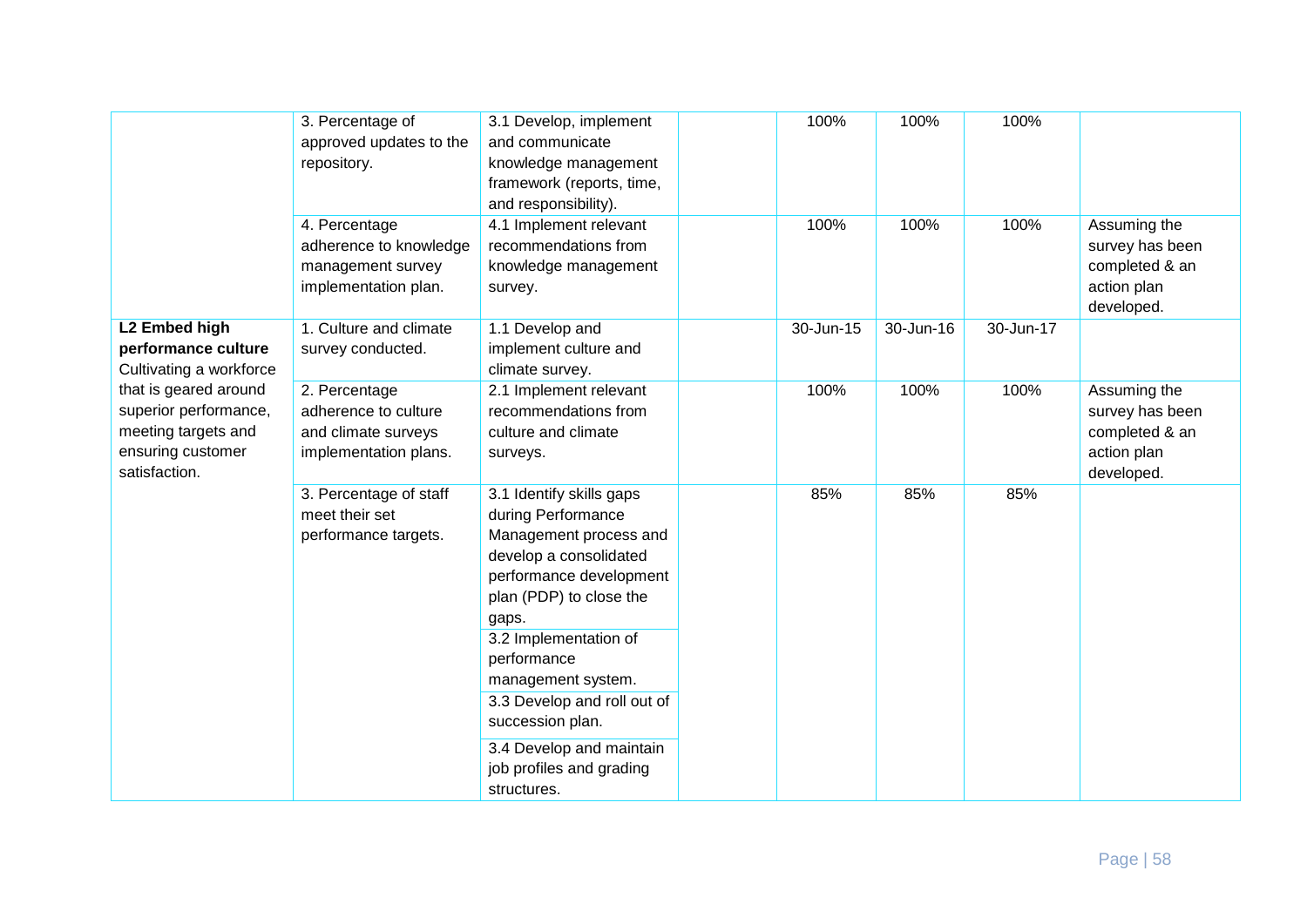|                                                                                                             | 3. Percentage of<br>approved updates to the<br>repository.                            | 3.1 Develop, implement<br>and communicate<br>knowledge management<br>framework (reports, time,<br>and responsibility).                                                                                                                                                                                                                                    | 100%      | 100%      | 100%      |                                                                                |
|-------------------------------------------------------------------------------------------------------------|---------------------------------------------------------------------------------------|-----------------------------------------------------------------------------------------------------------------------------------------------------------------------------------------------------------------------------------------------------------------------------------------------------------------------------------------------------------|-----------|-----------|-----------|--------------------------------------------------------------------------------|
|                                                                                                             | 4. Percentage<br>adherence to knowledge<br>management survey<br>implementation plan.  | 4.1 Implement relevant<br>recommendations from<br>knowledge management<br>survey.                                                                                                                                                                                                                                                                         | 100%      | 100%      | 100%      | Assuming the<br>survey has been<br>completed & an<br>action plan<br>developed. |
| L2 Embed high<br>performance culture<br>Cultivating a workforce                                             | 1. Culture and climate<br>survey conducted.                                           | 1.1 Develop and<br>implement culture and<br>climate survey.                                                                                                                                                                                                                                                                                               | 30-Jun-15 | 30-Jun-16 | 30-Jun-17 |                                                                                |
| that is geared around<br>superior performance,<br>meeting targets and<br>ensuring customer<br>satisfaction. | 2. Percentage<br>adherence to culture<br>and climate surveys<br>implementation plans. | 2.1 Implement relevant<br>recommendations from<br>culture and climate<br>surveys.                                                                                                                                                                                                                                                                         | 100%      | 100%      | 100%      | Assuming the<br>survey has been<br>completed & an<br>action plan<br>developed. |
|                                                                                                             | 3. Percentage of staff<br>meet their set<br>performance targets.                      | 3.1 Identify skills gaps<br>during Performance<br>Management process and<br>develop a consolidated<br>performance development<br>plan (PDP) to close the<br>gaps.<br>3.2 Implementation of<br>performance<br>management system.<br>3.3 Develop and roll out of<br>succession plan.<br>3.4 Develop and maintain<br>job profiles and grading<br>structures. | 85%       | 85%       | 85%       |                                                                                |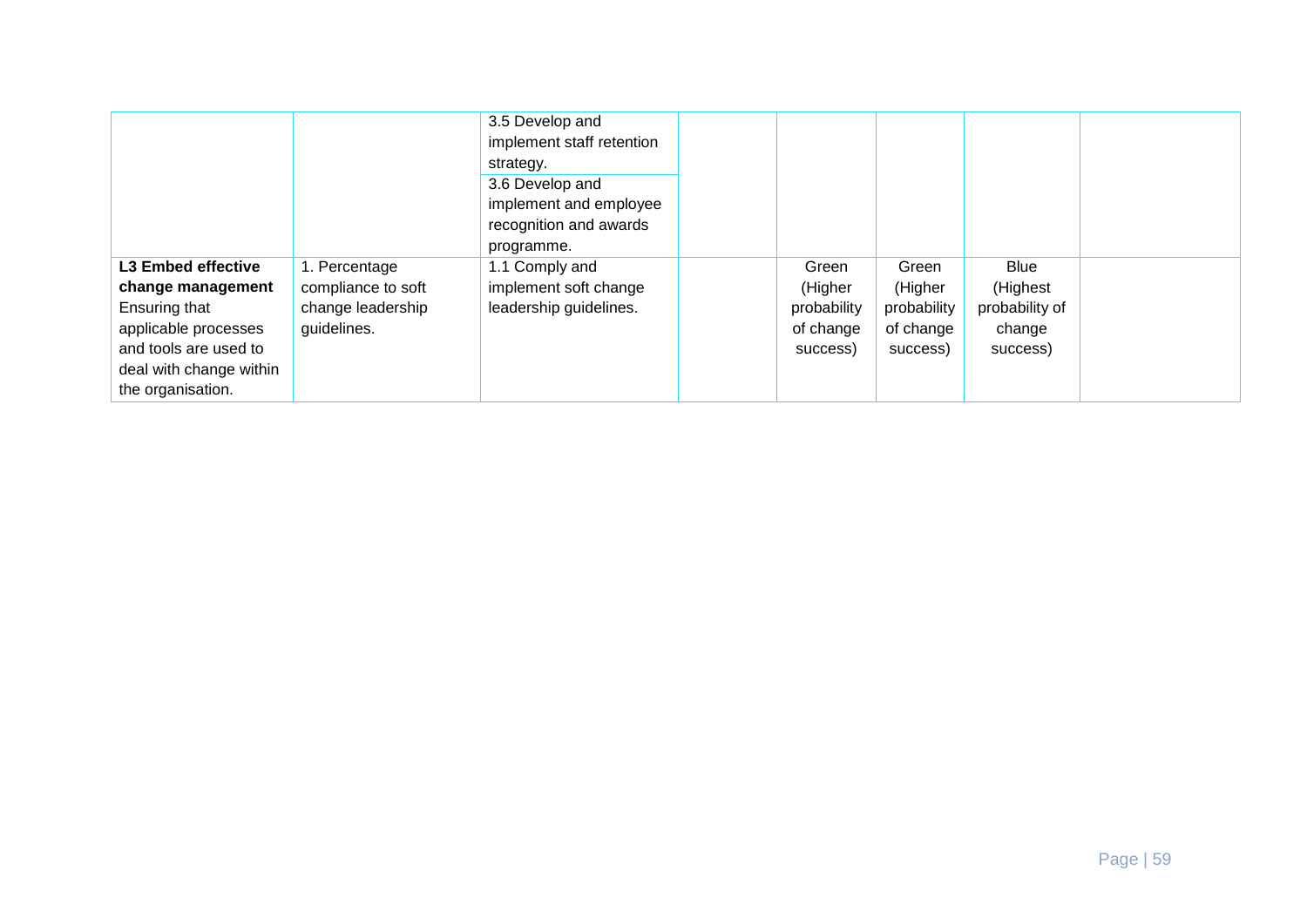|                           |                    | 3.5 Develop and           |             |             |                |  |
|---------------------------|--------------------|---------------------------|-------------|-------------|----------------|--|
|                           |                    | implement staff retention |             |             |                |  |
|                           |                    | strategy.                 |             |             |                |  |
|                           |                    | 3.6 Develop and           |             |             |                |  |
|                           |                    | implement and employee    |             |             |                |  |
|                           |                    | recognition and awards    |             |             |                |  |
|                           |                    | programme.                |             |             |                |  |
| <b>L3 Embed effective</b> | 1. Percentage      | 1.1 Comply and            | Green       | Green       | Blue           |  |
| change management         | compliance to soft | implement soft change     | (Higher     | (Higher     | (Highest       |  |
| Ensuring that             | change leadership  | leadership guidelines.    | probability | probability | probability of |  |
| applicable processes      | guidelines.        |                           | of change   | of change   | change         |  |
| and tools are used to     |                    |                           | success)    | success)    | success)       |  |
| deal with change within   |                    |                           |             |             |                |  |
| the organisation.         |                    |                           |             |             |                |  |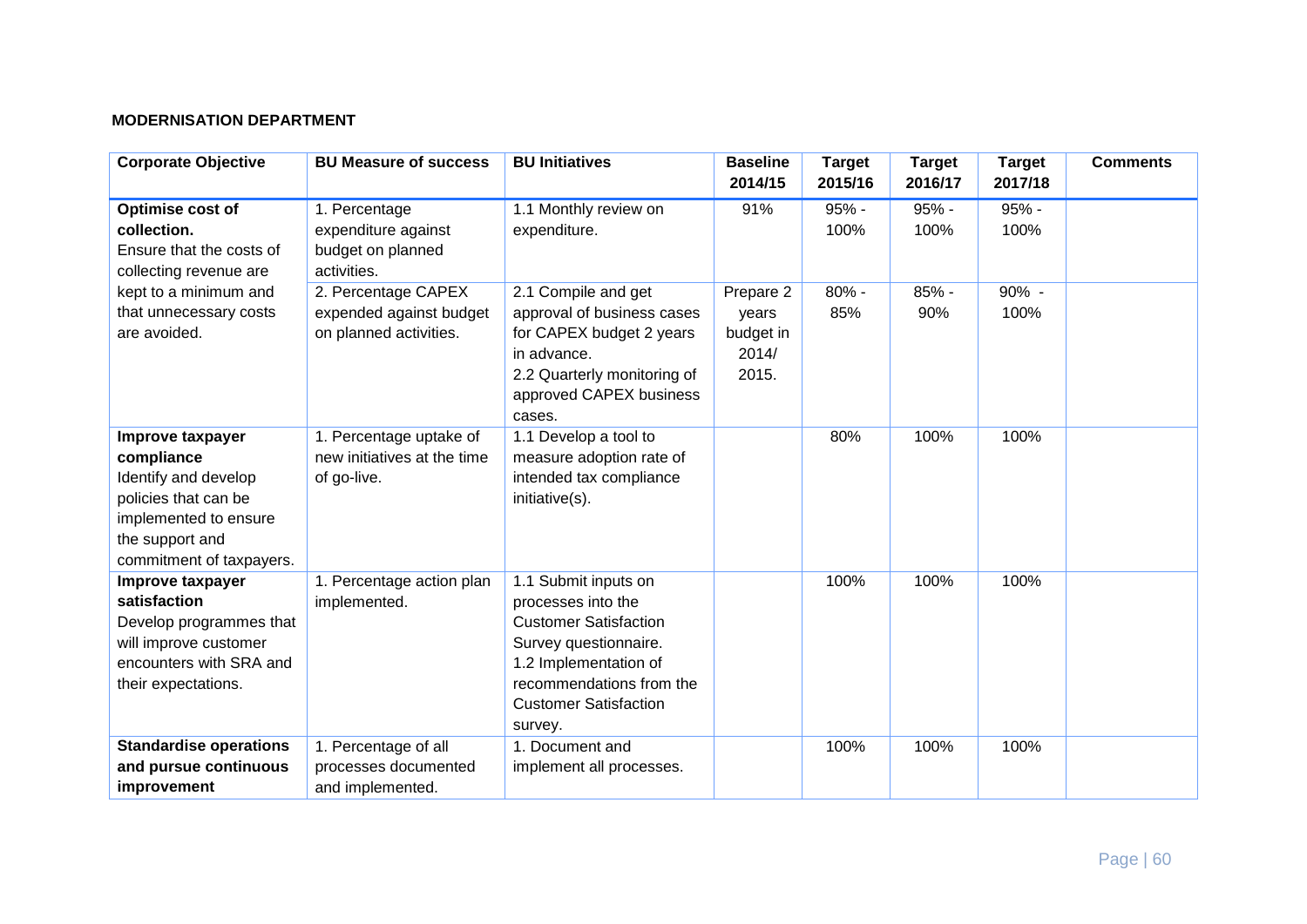#### **MODERNISATION DEPARTMENT**

| <b>Corporate Objective</b>                                                                                                                             | <b>BU Measure of success</b>                                             | <b>BU Initiatives</b>                                                                                                                                                                               | <b>Baseline</b><br>2014/15                        | <b>Target</b><br>2015/16 | <b>Target</b><br>2016/17 | <b>Target</b><br>2017/18 | <b>Comments</b> |
|--------------------------------------------------------------------------------------------------------------------------------------------------------|--------------------------------------------------------------------------|-----------------------------------------------------------------------------------------------------------------------------------------------------------------------------------------------------|---------------------------------------------------|--------------------------|--------------------------|--------------------------|-----------------|
| Optimise cost of<br>collection.<br>Ensure that the costs of<br>collecting revenue are                                                                  | 1. Percentage<br>expenditure against<br>budget on planned<br>activities. | 1.1 Monthly review on<br>expenditure.                                                                                                                                                               | 91%                                               | 95% -<br>100%            | 95% -<br>100%            | 95% -<br>100%            |                 |
| kept to a minimum and<br>that unnecessary costs<br>are avoided.                                                                                        | 2. Percentage CAPEX<br>expended against budget<br>on planned activities. | 2.1 Compile and get<br>approval of business cases<br>for CAPEX budget 2 years<br>in advance.<br>2.2 Quarterly monitoring of<br>approved CAPEX business<br>cases.                                    | Prepare 2<br>years<br>budget in<br>2014/<br>2015. | $80% -$<br>85%           | $85% -$<br>90%           | 90% -<br>100%            |                 |
| Improve taxpayer<br>compliance<br>Identify and develop<br>policies that can be<br>implemented to ensure<br>the support and<br>commitment of taxpayers. | 1. Percentage uptake of<br>new initiatives at the time<br>of go-live.    | 1.1 Develop a tool to<br>measure adoption rate of<br>intended tax compliance<br>initiative(s).                                                                                                      |                                                   | 80%                      | 100%                     | 100%                     |                 |
| Improve taxpayer<br>satisfaction<br>Develop programmes that<br>will improve customer<br>encounters with SRA and<br>their expectations.                 | 1. Percentage action plan<br>implemented.                                | 1.1 Submit inputs on<br>processes into the<br><b>Customer Satisfaction</b><br>Survey questionnaire.<br>1.2 Implementation of<br>recommendations from the<br><b>Customer Satisfaction</b><br>survey. |                                                   | 100%                     | 100%                     | 100%                     |                 |
| <b>Standardise operations</b><br>and pursue continuous<br>improvement                                                                                  | 1. Percentage of all<br>processes documented<br>and implemented.         | 1. Document and<br>implement all processes.                                                                                                                                                         |                                                   | 100%                     | 100%                     | 100%                     |                 |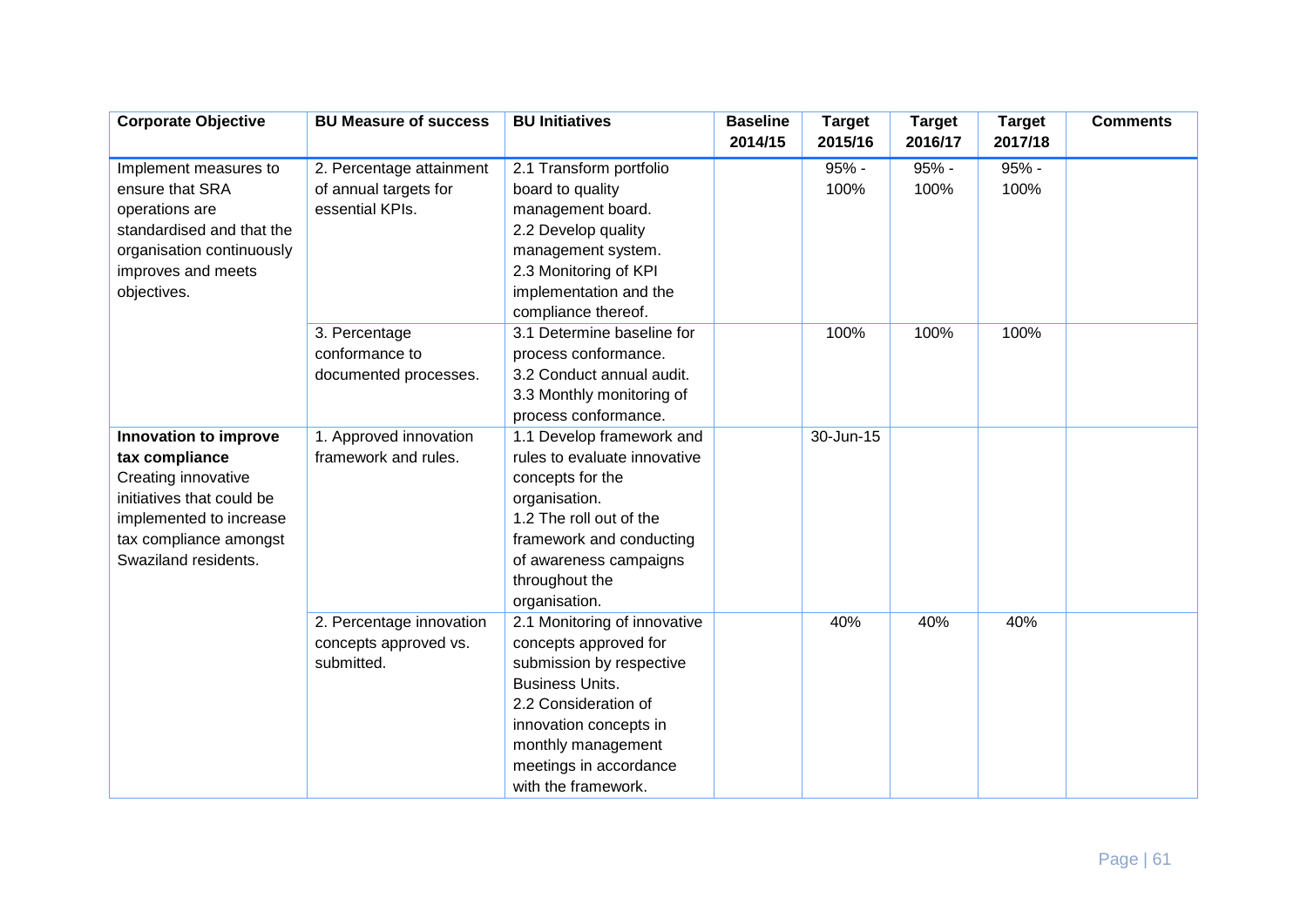| <b>Corporate Objective</b> | <b>BU Measure of success</b> | <b>BU Initiatives</b>        | <b>Baseline</b> | <b>Target</b> | <b>Target</b> | <b>Target</b> | <b>Comments</b> |
|----------------------------|------------------------------|------------------------------|-----------------|---------------|---------------|---------------|-----------------|
|                            |                              |                              | 2014/15         | 2015/16       | 2016/17       | 2017/18       |                 |
| Implement measures to      | 2. Percentage attainment     | 2.1 Transform portfolio      |                 | 95% -         | 95% -         | 95% -         |                 |
| ensure that SRA            | of annual targets for        | board to quality             |                 | 100%          | 100%          | 100%          |                 |
| operations are             | essential KPIs.              | management board.            |                 |               |               |               |                 |
| standardised and that the  |                              | 2.2 Develop quality          |                 |               |               |               |                 |
| organisation continuously  |                              | management system.           |                 |               |               |               |                 |
| improves and meets         |                              | 2.3 Monitoring of KPI        |                 |               |               |               |                 |
| objectives.                |                              | implementation and the       |                 |               |               |               |                 |
|                            |                              | compliance thereof.          |                 |               |               |               |                 |
|                            | 3. Percentage                | 3.1 Determine baseline for   |                 | 100%          | 100%          | 100%          |                 |
|                            | conformance to               | process conformance.         |                 |               |               |               |                 |
|                            | documented processes.        | 3.2 Conduct annual audit.    |                 |               |               |               |                 |
|                            |                              | 3.3 Monthly monitoring of    |                 |               |               |               |                 |
|                            |                              | process conformance.         |                 |               |               |               |                 |
| Innovation to improve      | 1. Approved innovation       | 1.1 Develop framework and    |                 | 30-Jun-15     |               |               |                 |
| tax compliance             | framework and rules.         | rules to evaluate innovative |                 |               |               |               |                 |
| Creating innovative        |                              | concepts for the             |                 |               |               |               |                 |
| initiatives that could be  |                              | organisation.                |                 |               |               |               |                 |
| implemented to increase    |                              | 1.2 The roll out of the      |                 |               |               |               |                 |
| tax compliance amongst     |                              | framework and conducting     |                 |               |               |               |                 |
| Swaziland residents.       |                              | of awareness campaigns       |                 |               |               |               |                 |
|                            |                              | throughout the               |                 |               |               |               |                 |
|                            |                              | organisation.                |                 |               |               |               |                 |
|                            | 2. Percentage innovation     | 2.1 Monitoring of innovative |                 | 40%           | 40%           | 40%           |                 |
|                            | concepts approved vs.        | concepts approved for        |                 |               |               |               |                 |
|                            | submitted.                   | submission by respective     |                 |               |               |               |                 |
|                            |                              | <b>Business Units.</b>       |                 |               |               |               |                 |
|                            |                              | 2.2 Consideration of         |                 |               |               |               |                 |
|                            |                              | innovation concepts in       |                 |               |               |               |                 |
|                            |                              | monthly management           |                 |               |               |               |                 |
|                            |                              | meetings in accordance       |                 |               |               |               |                 |
|                            |                              | with the framework.          |                 |               |               |               |                 |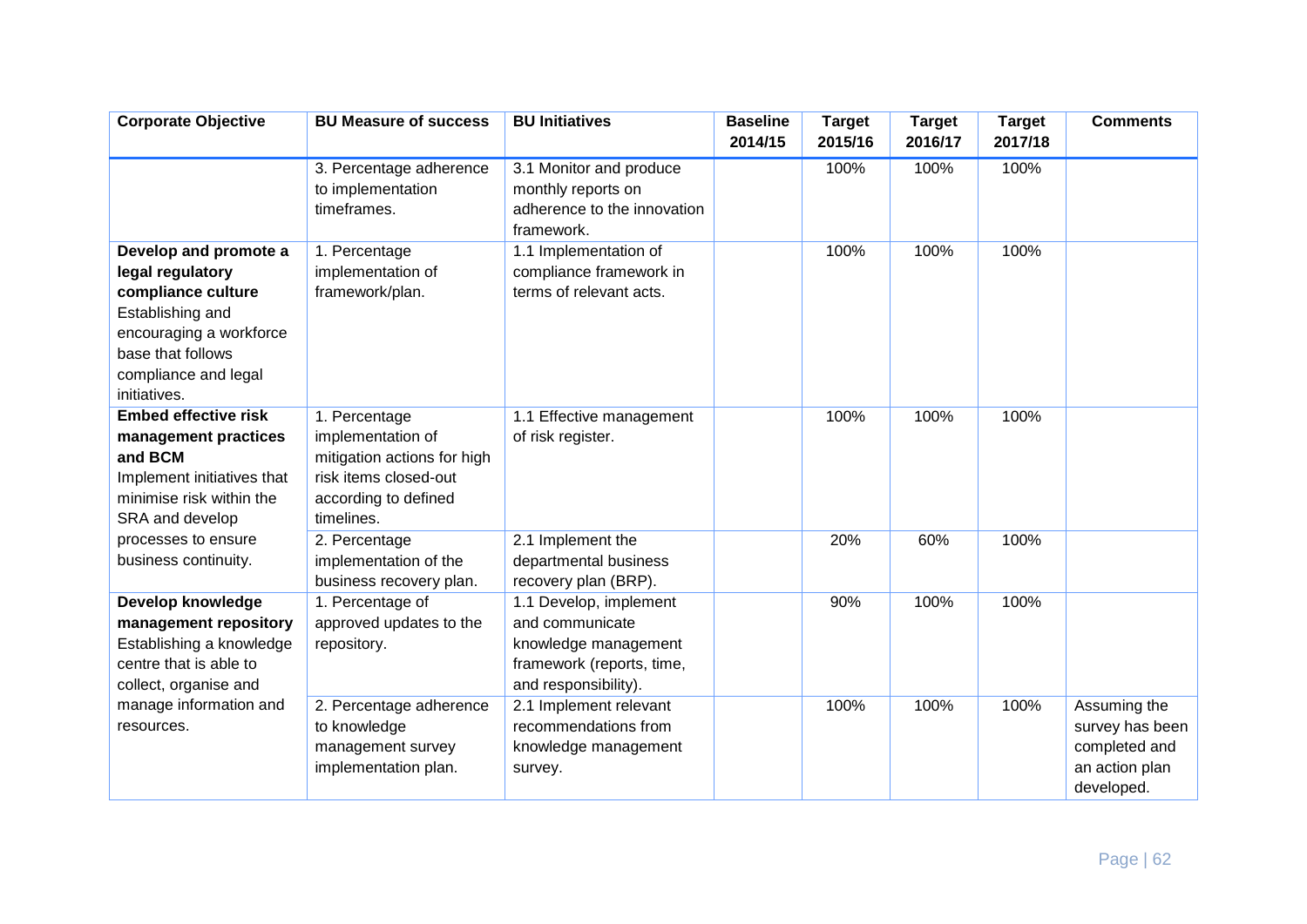| <b>Corporate Objective</b>                                                                                                                                                  | <b>BU Measure of success</b>                                                                                                     | <b>BU Initiatives</b>                                                                                                  | <b>Baseline</b><br>2014/15 | <b>Target</b><br>2015/16 | <b>Target</b><br>2016/17 | <b>Target</b><br>2017/18 | <b>Comments</b>                                                                  |
|-----------------------------------------------------------------------------------------------------------------------------------------------------------------------------|----------------------------------------------------------------------------------------------------------------------------------|------------------------------------------------------------------------------------------------------------------------|----------------------------|--------------------------|--------------------------|--------------------------|----------------------------------------------------------------------------------|
|                                                                                                                                                                             | 3. Percentage adherence<br>to implementation<br>timeframes.                                                                      | 3.1 Monitor and produce<br>monthly reports on<br>adherence to the innovation<br>framework.                             |                            | 100%                     | 100%                     | 100%                     |                                                                                  |
| Develop and promote a<br>legal regulatory<br>compliance culture<br>Establishing and<br>encouraging a workforce<br>base that follows<br>compliance and legal<br>initiatives. | 1. Percentage<br>implementation of<br>framework/plan.                                                                            | 1.1 Implementation of<br>compliance framework in<br>terms of relevant acts.                                            |                            | 100%                     | 100%                     | 100%                     |                                                                                  |
| <b>Embed effective risk</b><br>management practices<br>and BCM<br>Implement initiatives that<br>minimise risk within the<br>SRA and develop                                 | 1. Percentage<br>implementation of<br>mitigation actions for high<br>risk items closed-out<br>according to defined<br>timelines. | 1.1 Effective management<br>of risk register.                                                                          |                            | 100%                     | 100%                     | 100%                     |                                                                                  |
| processes to ensure<br>business continuity.                                                                                                                                 | 2. Percentage<br>implementation of the<br>business recovery plan.                                                                | 2.1 Implement the<br>departmental business<br>recovery plan (BRP).                                                     |                            | 20%                      | 60%                      | 100%                     |                                                                                  |
| Develop knowledge<br>management repository<br>Establishing a knowledge<br>centre that is able to<br>collect, organise and                                                   | 1. Percentage of<br>approved updates to the<br>repository.                                                                       | 1.1 Develop, implement<br>and communicate<br>knowledge management<br>framework (reports, time,<br>and responsibility). |                            | 90%                      | 100%                     | 100%                     |                                                                                  |
| manage information and<br>resources.                                                                                                                                        | 2. Percentage adherence<br>to knowledge<br>management survey<br>implementation plan.                                             | 2.1 Implement relevant<br>recommendations from<br>knowledge management<br>survey.                                      |                            | 100%                     | 100%                     | 100%                     | Assuming the<br>survey has been<br>completed and<br>an action plan<br>developed. |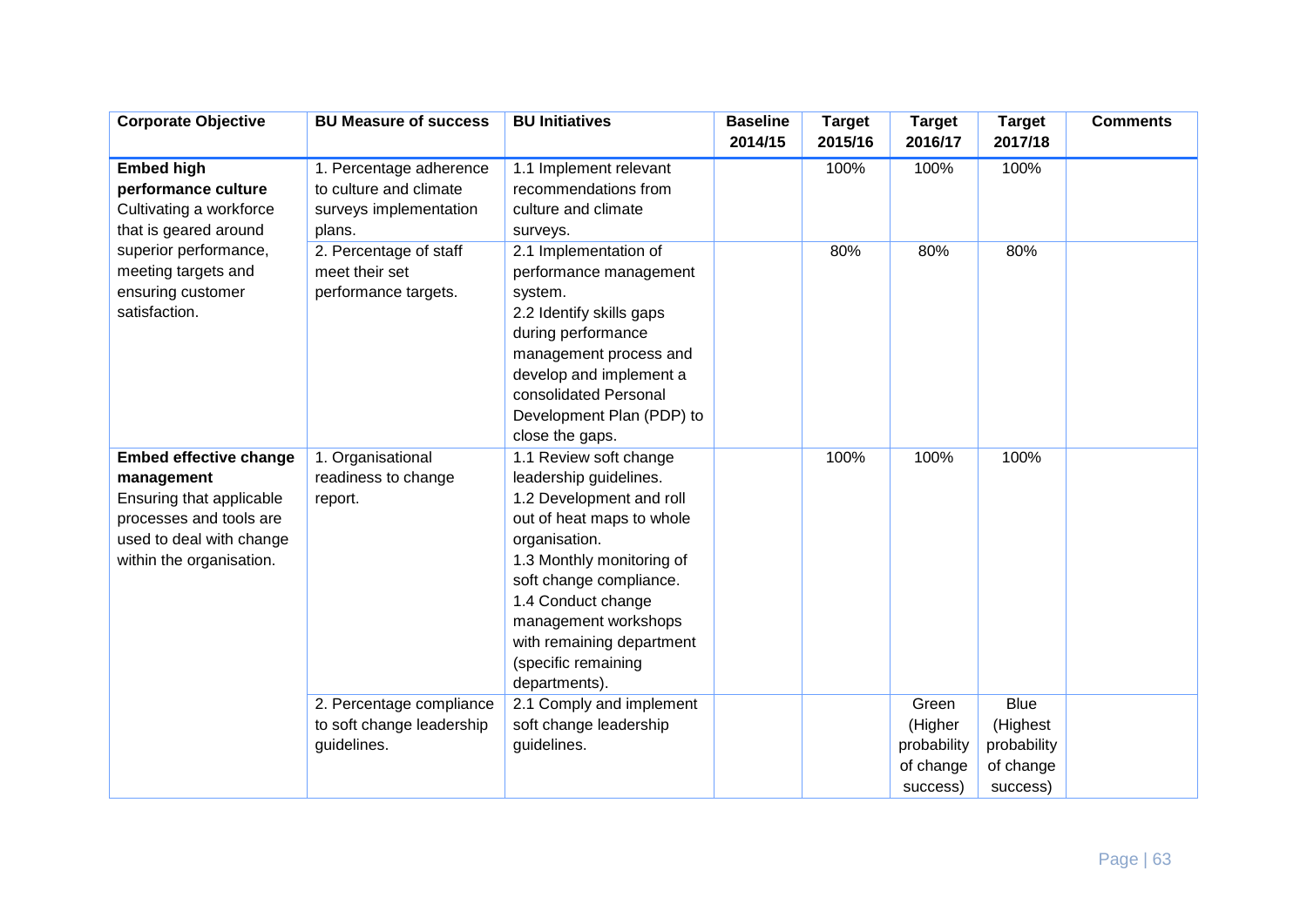| <b>Corporate Objective</b>    | <b>BU Measure of success</b> | <b>BU Initiatives</b>     | <b>Baseline</b><br>2014/15 | <b>Target</b><br>2015/16 | <b>Target</b><br>2016/17 | <b>Target</b><br>2017/18 | <b>Comments</b> |
|-------------------------------|------------------------------|---------------------------|----------------------------|--------------------------|--------------------------|--------------------------|-----------------|
|                               |                              |                           |                            |                          |                          |                          |                 |
| <b>Embed high</b>             | 1. Percentage adherence      | 1.1 Implement relevant    |                            | 100%                     | 100%                     | 100%                     |                 |
| performance culture           | to culture and climate       | recommendations from      |                            |                          |                          |                          |                 |
| Cultivating a workforce       | surveys implementation       | culture and climate       |                            |                          |                          |                          |                 |
| that is geared around         | plans.                       | surveys.                  |                            |                          |                          |                          |                 |
| superior performance,         | 2. Percentage of staff       | 2.1 Implementation of     |                            | 80%                      | 80%                      | 80%                      |                 |
| meeting targets and           | meet their set               | performance management    |                            |                          |                          |                          |                 |
| ensuring customer             | performance targets.         | system.                   |                            |                          |                          |                          |                 |
| satisfaction.                 |                              | 2.2 Identify skills gaps  |                            |                          |                          |                          |                 |
|                               |                              | during performance        |                            |                          |                          |                          |                 |
|                               |                              | management process and    |                            |                          |                          |                          |                 |
|                               |                              | develop and implement a   |                            |                          |                          |                          |                 |
|                               |                              | consolidated Personal     |                            |                          |                          |                          |                 |
|                               |                              | Development Plan (PDP) to |                            |                          |                          |                          |                 |
|                               |                              | close the gaps.           |                            |                          |                          |                          |                 |
| <b>Embed effective change</b> | 1. Organisational            | 1.1 Review soft change    |                            | 100%                     | 100%                     | 100%                     |                 |
| management                    | readiness to change          | leadership guidelines.    |                            |                          |                          |                          |                 |
| Ensuring that applicable      | report.                      | 1.2 Development and roll  |                            |                          |                          |                          |                 |
| processes and tools are       |                              | out of heat maps to whole |                            |                          |                          |                          |                 |
| used to deal with change      |                              | organisation.             |                            |                          |                          |                          |                 |
| within the organisation.      |                              | 1.3 Monthly monitoring of |                            |                          |                          |                          |                 |
|                               |                              | soft change compliance.   |                            |                          |                          |                          |                 |
|                               |                              | 1.4 Conduct change        |                            |                          |                          |                          |                 |
|                               |                              | management workshops      |                            |                          |                          |                          |                 |
|                               |                              | with remaining department |                            |                          |                          |                          |                 |
|                               |                              | (specific remaining       |                            |                          |                          |                          |                 |
|                               |                              | departments).             |                            |                          |                          |                          |                 |
|                               | 2. Percentage compliance     | 2.1 Comply and implement  |                            |                          | Green                    | <b>Blue</b>              |                 |
|                               | to soft change leadership    | soft change leadership    |                            |                          | (Higher                  | (Highest                 |                 |
|                               | guidelines.                  | guidelines.               |                            |                          | probability              | probability              |                 |
|                               |                              |                           |                            |                          | of change                | of change                |                 |
|                               |                              |                           |                            |                          | success)                 | success)                 |                 |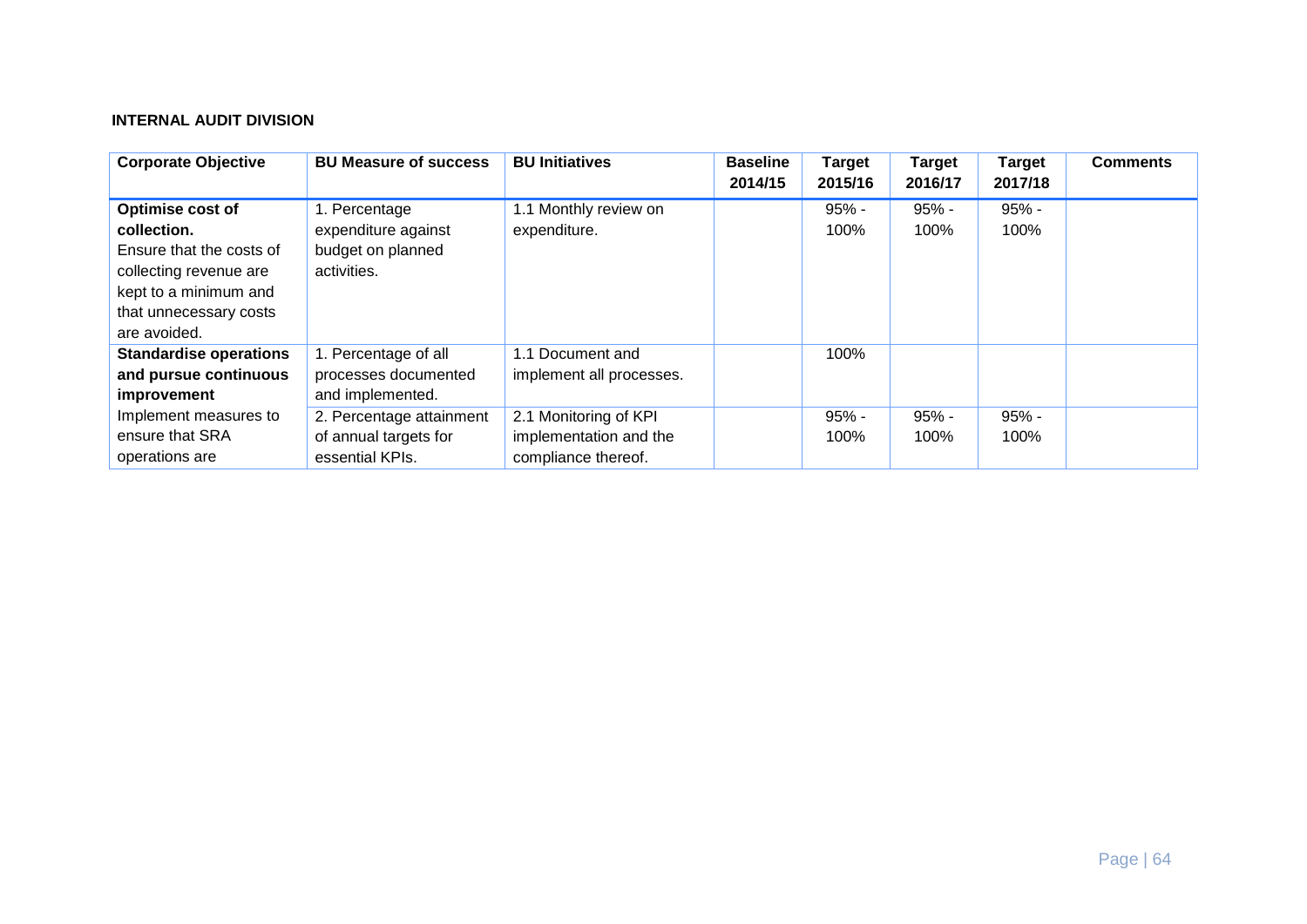# **INTERNAL AUDIT DIVISION**

| <b>Corporate Objective</b>                                                                                                                                      | <b>BU Measure of success</b>                                             | <b>BU Initiatives</b>                                                  | <b>Baseline</b><br>2014/15 | <b>Target</b><br>2015/16 | <b>Target</b><br>2016/17 | <b>Target</b><br>2017/18 | <b>Comments</b> |
|-----------------------------------------------------------------------------------------------------------------------------------------------------------------|--------------------------------------------------------------------------|------------------------------------------------------------------------|----------------------------|--------------------------|--------------------------|--------------------------|-----------------|
| <b>Optimise cost of</b><br>collection.<br>Ensure that the costs of<br>collecting revenue are<br>kept to a minimum and<br>that unnecessary costs<br>are avoided. | 1. Percentage<br>expenditure against<br>budget on planned<br>activities. | 1.1 Monthly review on<br>expenditure.                                  |                            | $95% -$<br>100%          | $95% -$<br>100%          | $95% -$<br>100%          |                 |
| <b>Standardise operations</b><br>and pursue continuous<br>improvement                                                                                           | 1. Percentage of all<br>processes documented<br>and implemented.         | 1.1 Document and<br>implement all processes.                           |                            | 100%                     |                          |                          |                 |
| Implement measures to<br>ensure that SRA<br>operations are                                                                                                      | 2. Percentage attainment<br>of annual targets for<br>essential KPIs.     | 2.1 Monitoring of KPI<br>implementation and the<br>compliance thereof. |                            | $95%$ -<br>100%          | $95% -$<br>100%          | $95% -$<br>100%          |                 |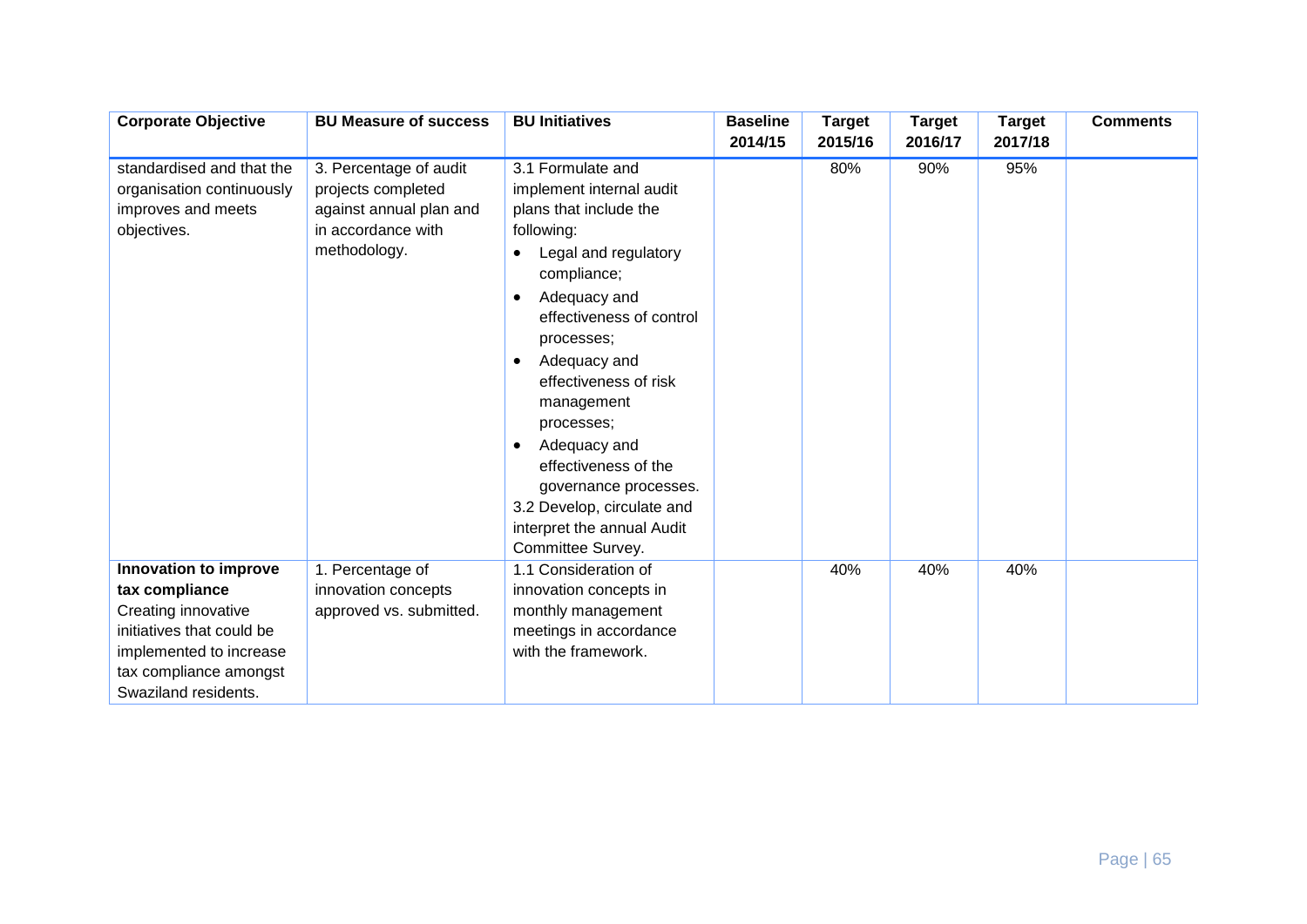| <b>Corporate Objective</b> | <b>BU Measure of success</b> | <b>BU Initiatives</b>             | <b>Baseline</b><br>2014/15 | <b>Target</b><br>2015/16 | <b>Target</b><br>2016/17 | <b>Target</b><br>2017/18 | <b>Comments</b> |
|----------------------------|------------------------------|-----------------------------------|----------------------------|--------------------------|--------------------------|--------------------------|-----------------|
|                            |                              |                                   |                            |                          |                          |                          |                 |
| standardised and that the  | 3. Percentage of audit       | 3.1 Formulate and                 |                            | 80%                      | 90%                      | 95%                      |                 |
| organisation continuously  | projects completed           | implement internal audit          |                            |                          |                          |                          |                 |
| improves and meets         | against annual plan and      | plans that include the            |                            |                          |                          |                          |                 |
| objectives.                | in accordance with           | following:                        |                            |                          |                          |                          |                 |
|                            | methodology.                 | Legal and regulatory<br>$\bullet$ |                            |                          |                          |                          |                 |
|                            |                              | compliance;                       |                            |                          |                          |                          |                 |
|                            |                              | Adequacy and<br>$\bullet$         |                            |                          |                          |                          |                 |
|                            |                              | effectiveness of control          |                            |                          |                          |                          |                 |
|                            |                              | processes;                        |                            |                          |                          |                          |                 |
|                            |                              | Adequacy and<br>$\bullet$         |                            |                          |                          |                          |                 |
|                            |                              | effectiveness of risk             |                            |                          |                          |                          |                 |
|                            |                              | management                        |                            |                          |                          |                          |                 |
|                            |                              | processes;                        |                            |                          |                          |                          |                 |
|                            |                              | Adequacy and<br>$\bullet$         |                            |                          |                          |                          |                 |
|                            |                              | effectiveness of the              |                            |                          |                          |                          |                 |
|                            |                              | governance processes.             |                            |                          |                          |                          |                 |
|                            |                              | 3.2 Develop, circulate and        |                            |                          |                          |                          |                 |
|                            |                              | interpret the annual Audit        |                            |                          |                          |                          |                 |
|                            |                              | Committee Survey.                 |                            |                          |                          |                          |                 |
| Innovation to improve      | 1. Percentage of             | 1.1 Consideration of              |                            | 40%                      | 40%                      | 40%                      |                 |
| tax compliance             | innovation concepts          | innovation concepts in            |                            |                          |                          |                          |                 |
| Creating innovative        | approved vs. submitted.      | monthly management                |                            |                          |                          |                          |                 |
| initiatives that could be  |                              | meetings in accordance            |                            |                          |                          |                          |                 |
| implemented to increase    |                              | with the framework.               |                            |                          |                          |                          |                 |
| tax compliance amongst     |                              |                                   |                            |                          |                          |                          |                 |
| Swaziland residents.       |                              |                                   |                            |                          |                          |                          |                 |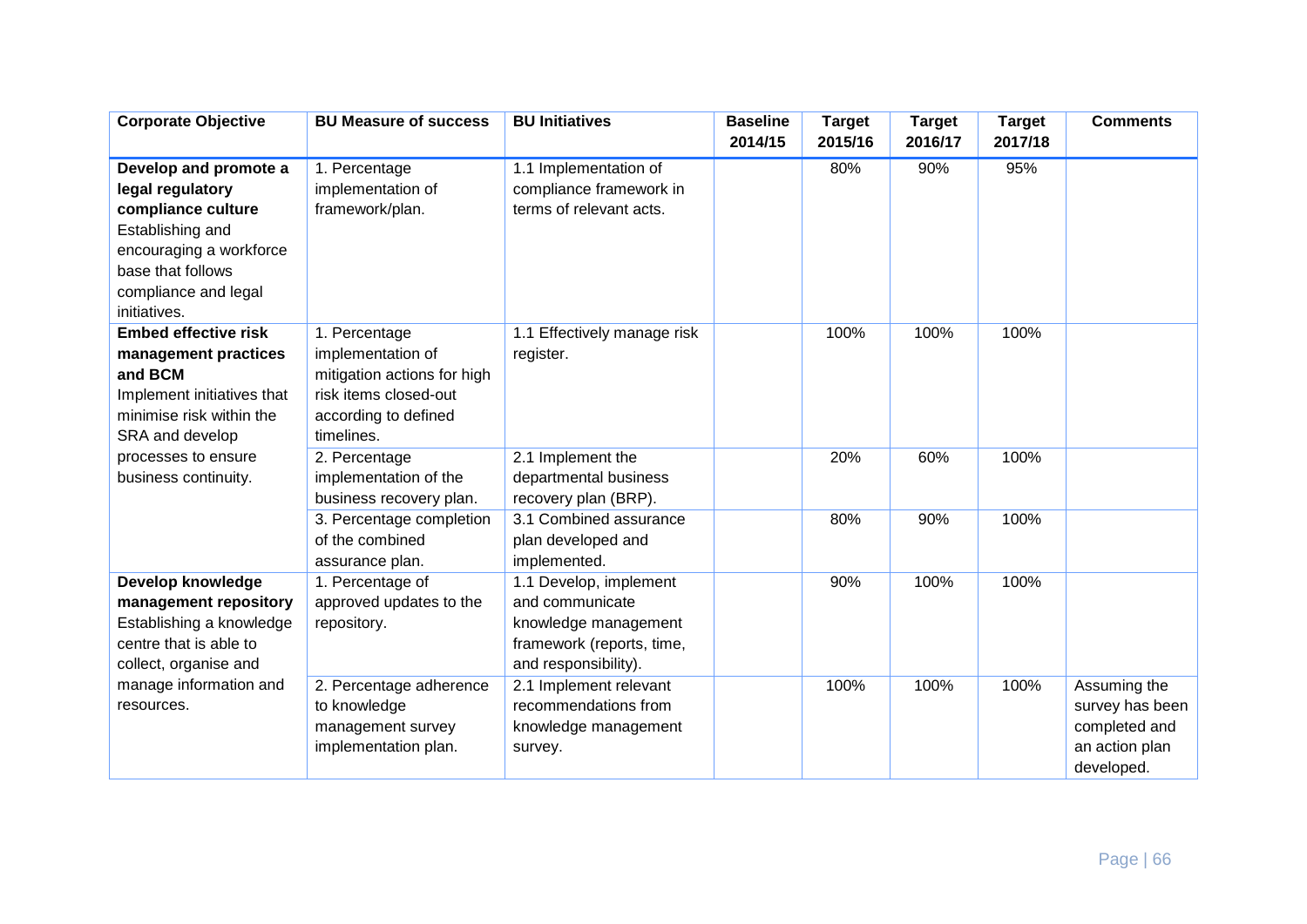| <b>Corporate Objective</b>  | <b>BU Measure of success</b> | <b>BU Initiatives</b>       | <b>Baseline</b> | <b>Target</b> | <b>Target</b> | <b>Target</b> | <b>Comments</b> |
|-----------------------------|------------------------------|-----------------------------|-----------------|---------------|---------------|---------------|-----------------|
|                             |                              |                             | 2014/15         | 2015/16       | 2016/17       | 2017/18       |                 |
| Develop and promote a       | 1. Percentage                | 1.1 Implementation of       |                 | 80%           | 90%           | 95%           |                 |
| legal regulatory            | implementation of            | compliance framework in     |                 |               |               |               |                 |
| compliance culture          | framework/plan.              | terms of relevant acts.     |                 |               |               |               |                 |
| Establishing and            |                              |                             |                 |               |               |               |                 |
| encouraging a workforce     |                              |                             |                 |               |               |               |                 |
| base that follows           |                              |                             |                 |               |               |               |                 |
| compliance and legal        |                              |                             |                 |               |               |               |                 |
| initiatives.                |                              |                             |                 |               |               |               |                 |
| <b>Embed effective risk</b> | 1. Percentage                | 1.1 Effectively manage risk |                 | 100%          | 100%          | 100%          |                 |
| management practices        | implementation of            | register.                   |                 |               |               |               |                 |
| and BCM                     | mitigation actions for high  |                             |                 |               |               |               |                 |
| Implement initiatives that  | risk items closed-out        |                             |                 |               |               |               |                 |
| minimise risk within the    | according to defined         |                             |                 |               |               |               |                 |
| SRA and develop             | timelines.                   |                             |                 |               |               |               |                 |
| processes to ensure         | 2. Percentage                | 2.1 Implement the           |                 | 20%           | 60%           | 100%          |                 |
| business continuity.        | implementation of the        | departmental business       |                 |               |               |               |                 |
|                             | business recovery plan.      | recovery plan (BRP).        |                 |               |               |               |                 |
|                             | 3. Percentage completion     | 3.1 Combined assurance      |                 | 80%           | 90%           | 100%          |                 |
|                             | of the combined              | plan developed and          |                 |               |               |               |                 |
|                             | assurance plan.              | implemented.                |                 |               |               |               |                 |
| Develop knowledge           | 1. Percentage of             | 1.1 Develop, implement      |                 | 90%           | 100%          | 100%          |                 |
| management repository       | approved updates to the      | and communicate             |                 |               |               |               |                 |
| Establishing a knowledge    | repository.                  | knowledge management        |                 |               |               |               |                 |
| centre that is able to      |                              | framework (reports, time,   |                 |               |               |               |                 |
| collect, organise and       |                              | and responsibility).        |                 |               |               |               |                 |
| manage information and      | 2. Percentage adherence      | 2.1 Implement relevant      |                 | 100%          | 100%          | 100%          | Assuming the    |
| resources.                  | to knowledge                 | recommendations from        |                 |               |               |               | survey has been |
|                             | management survey            | knowledge management        |                 |               |               |               | completed and   |
|                             | implementation plan.         | survey.                     |                 |               |               |               | an action plan  |
|                             |                              |                             |                 |               |               |               | developed.      |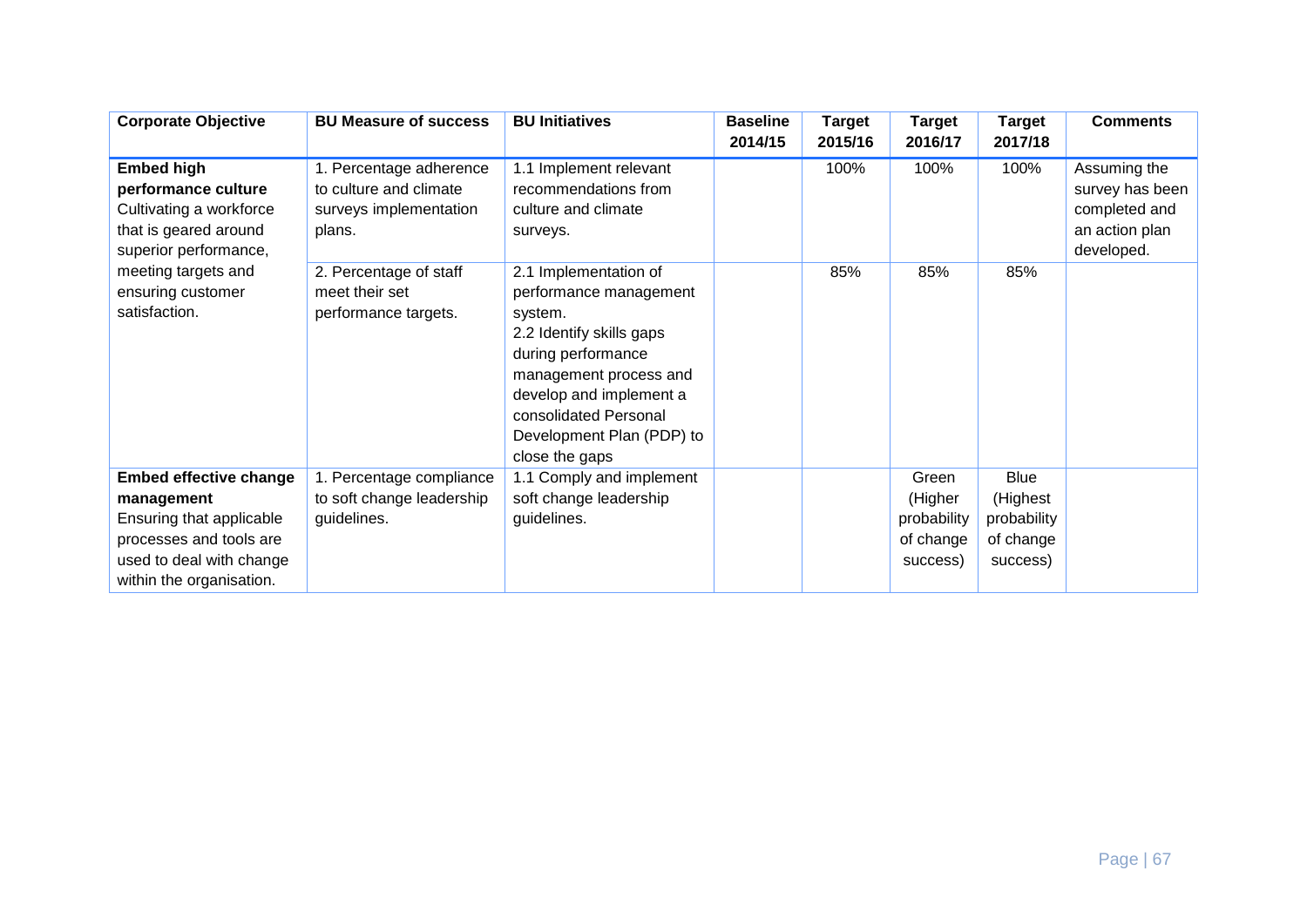| <b>Corporate Objective</b>                                                                                                                                                         | <b>BU Measure of success</b>                                                          | <b>BU Initiatives</b>                                                                                                                                                                                                                     | <b>Baseline</b><br>2014/15 | <b>Target</b><br>2015/16 | <b>Target</b><br>2016/17                                 | <b>Target</b><br>2017/18                                        | <b>Comments</b>                                                                  |
|------------------------------------------------------------------------------------------------------------------------------------------------------------------------------------|---------------------------------------------------------------------------------------|-------------------------------------------------------------------------------------------------------------------------------------------------------------------------------------------------------------------------------------------|----------------------------|--------------------------|----------------------------------------------------------|-----------------------------------------------------------------|----------------------------------------------------------------------------------|
| <b>Embed high</b><br>performance culture<br>Cultivating a workforce<br>that is geared around<br>superior performance,<br>meeting targets and<br>ensuring customer<br>satisfaction. | 1. Percentage adherence<br>to culture and climate<br>surveys implementation<br>plans. | 1.1 Implement relevant<br>recommendations from<br>culture and climate<br>surveys.                                                                                                                                                         |                            | 100%                     | 100%                                                     | 100%                                                            | Assuming the<br>survey has been<br>completed and<br>an action plan<br>developed. |
|                                                                                                                                                                                    | 2. Percentage of staff<br>meet their set<br>performance targets.                      | 2.1 Implementation of<br>performance management<br>system.<br>2.2 Identify skills gaps<br>during performance<br>management process and<br>develop and implement a<br>consolidated Personal<br>Development Plan (PDP) to<br>close the gaps |                            | 85%                      | 85%                                                      | 85%                                                             |                                                                                  |
| <b>Embed effective change</b><br>management<br>Ensuring that applicable<br>processes and tools are<br>used to deal with change<br>within the organisation.                         | 1. Percentage compliance<br>to soft change leadership<br>guidelines.                  | 1.1 Comply and implement<br>soft change leadership<br>guidelines.                                                                                                                                                                         |                            |                          | Green<br>(Higher<br>probability<br>of change<br>success) | <b>Blue</b><br>(Highest<br>probability<br>of change<br>success) |                                                                                  |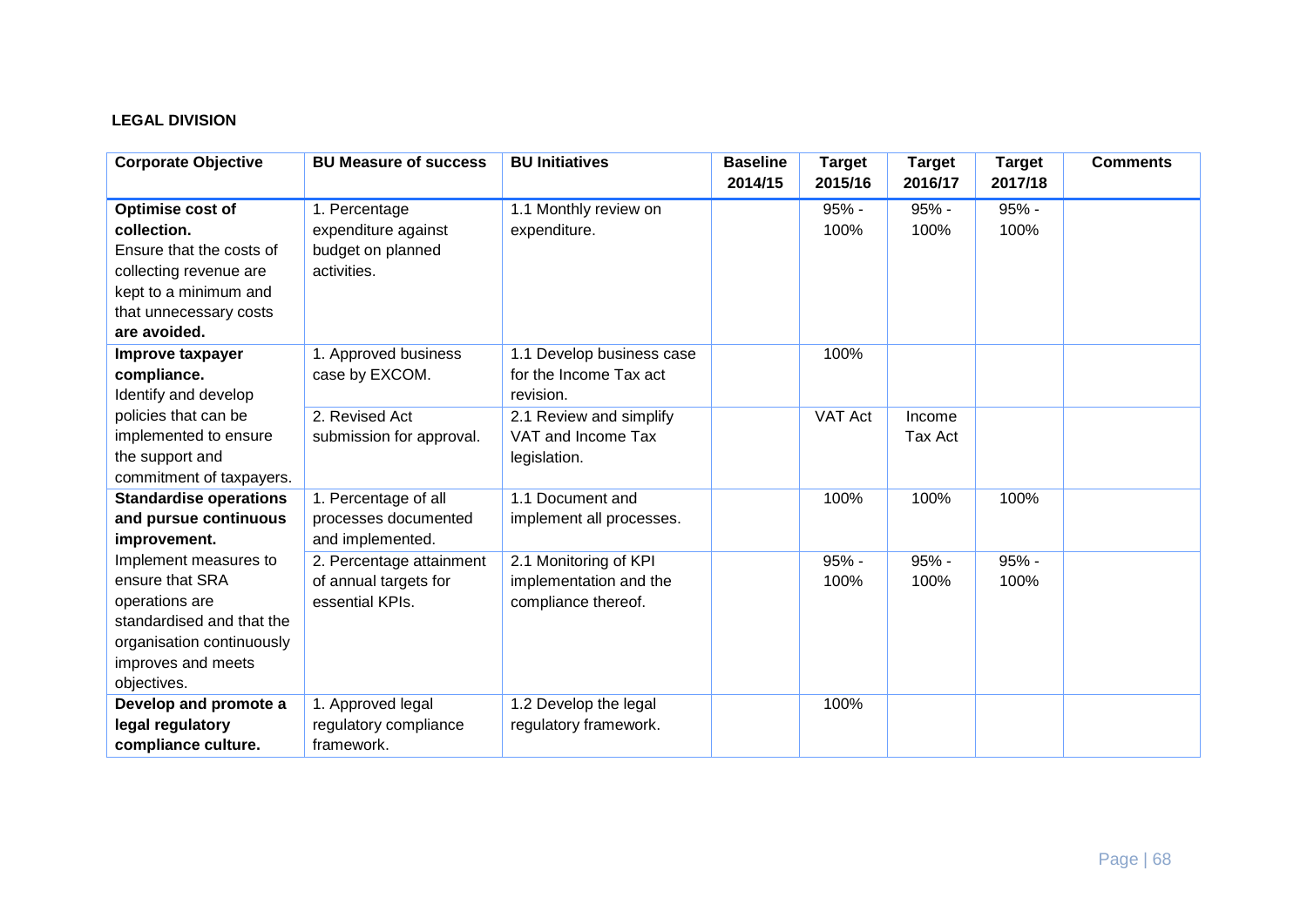# **LEGAL DIVISION**

| <b>Corporate Objective</b>    | <b>BU Measure of success</b> | <b>BU Initiatives</b>     | <b>Baseline</b><br>2014/15 | <b>Target</b><br>2015/16 | <b>Target</b><br>2016/17 | <b>Target</b><br>2017/18 | <b>Comments</b> |
|-------------------------------|------------------------------|---------------------------|----------------------------|--------------------------|--------------------------|--------------------------|-----------------|
| Optimise cost of              | 1. Percentage                | 1.1 Monthly review on     |                            | $95% -$                  | $95% -$                  | 95% -                    |                 |
| collection.                   | expenditure against          | expenditure.              |                            | 100%                     | 100%                     | 100%                     |                 |
| Ensure that the costs of      | budget on planned            |                           |                            |                          |                          |                          |                 |
| collecting revenue are        | activities.                  |                           |                            |                          |                          |                          |                 |
| kept to a minimum and         |                              |                           |                            |                          |                          |                          |                 |
| that unnecessary costs        |                              |                           |                            |                          |                          |                          |                 |
| are avoided.                  |                              |                           |                            |                          |                          |                          |                 |
| Improve taxpayer              | 1. Approved business         | 1.1 Develop business case |                            | 100%                     |                          |                          |                 |
| compliance.                   | case by EXCOM.               | for the Income Tax act    |                            |                          |                          |                          |                 |
| Identify and develop          |                              | revision.                 |                            |                          |                          |                          |                 |
| policies that can be          | 2. Revised Act               | 2.1 Review and simplify   |                            | VAT Act                  | Income                   |                          |                 |
| implemented to ensure         | submission for approval.     | VAT and Income Tax        |                            |                          | Tax Act                  |                          |                 |
| the support and               |                              | legislation.              |                            |                          |                          |                          |                 |
| commitment of taxpayers.      |                              |                           |                            |                          |                          |                          |                 |
| <b>Standardise operations</b> | 1. Percentage of all         | 1.1 Document and          |                            | 100%                     | 100%                     | 100%                     |                 |
| and pursue continuous         | processes documented         | implement all processes.  |                            |                          |                          |                          |                 |
| improvement.                  | and implemented.             |                           |                            |                          |                          |                          |                 |
| Implement measures to         | 2. Percentage attainment     | 2.1 Monitoring of KPI     |                            | 95% -                    | $95% -$                  | $95% -$                  |                 |
| ensure that SRA               | of annual targets for        | implementation and the    |                            | 100%                     | 100%                     | 100%                     |                 |
| operations are                | essential KPIs.              | compliance thereof.       |                            |                          |                          |                          |                 |
| standardised and that the     |                              |                           |                            |                          |                          |                          |                 |
| organisation continuously     |                              |                           |                            |                          |                          |                          |                 |
| improves and meets            |                              |                           |                            |                          |                          |                          |                 |
| objectives.                   |                              |                           |                            |                          |                          |                          |                 |
| Develop and promote a         | 1. Approved legal            | 1.2 Develop the legal     |                            | 100%                     |                          |                          |                 |
| legal regulatory              | regulatory compliance        | regulatory framework.     |                            |                          |                          |                          |                 |
| compliance culture.           | framework.                   |                           |                            |                          |                          |                          |                 |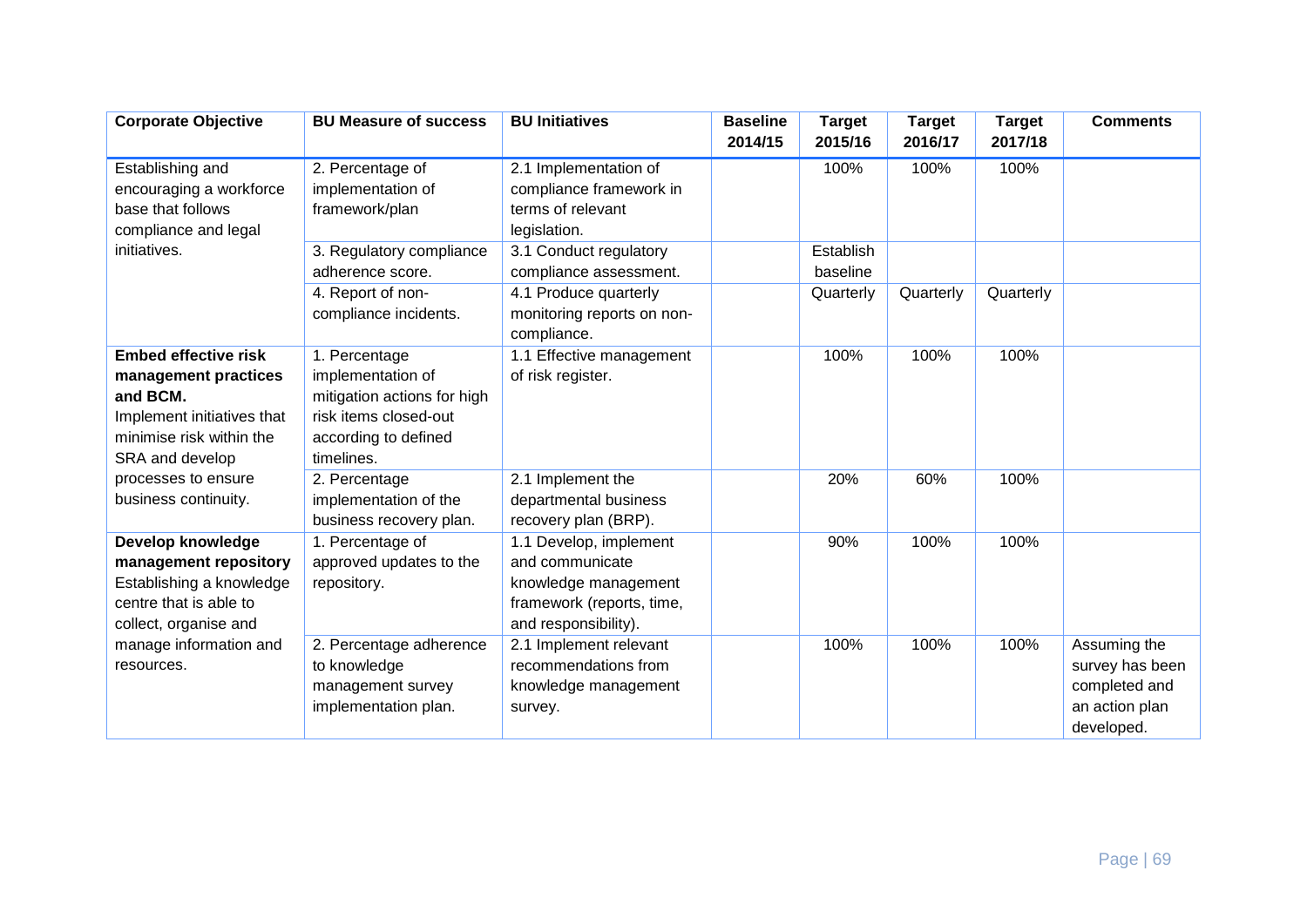| <b>Corporate Objective</b>  | <b>BU Measure of success</b> | <b>BU Initiatives</b>      | <b>Baseline</b><br>2014/15 | <b>Target</b><br>2015/16 | <b>Target</b><br>2016/17 | <b>Target</b><br>2017/18 | <b>Comments</b> |
|-----------------------------|------------------------------|----------------------------|----------------------------|--------------------------|--------------------------|--------------------------|-----------------|
| Establishing and            | 2. Percentage of             | 2.1 Implementation of      |                            | 100%                     | 100%                     | 100%                     |                 |
| encouraging a workforce     | implementation of            | compliance framework in    |                            |                          |                          |                          |                 |
| base that follows           | framework/plan               | terms of relevant          |                            |                          |                          |                          |                 |
| compliance and legal        |                              | legislation.               |                            |                          |                          |                          |                 |
| initiatives.                | 3. Regulatory compliance     | 3.1 Conduct regulatory     |                            | Establish                |                          |                          |                 |
|                             | adherence score.             | compliance assessment.     |                            | baseline                 |                          |                          |                 |
|                             | 4. Report of non-            | 4.1 Produce quarterly      |                            | Quarterly                | Quarterly                | Quarterly                |                 |
|                             |                              |                            |                            |                          |                          |                          |                 |
|                             | compliance incidents.        | monitoring reports on non- |                            |                          |                          |                          |                 |
| <b>Embed effective risk</b> |                              | compliance.                |                            | 100%                     | 100%                     | 100%                     |                 |
|                             | 1. Percentage                | 1.1 Effective management   |                            |                          |                          |                          |                 |
| management practices        | implementation of            | of risk register.          |                            |                          |                          |                          |                 |
| and BCM.                    | mitigation actions for high  |                            |                            |                          |                          |                          |                 |
| Implement initiatives that  | risk items closed-out        |                            |                            |                          |                          |                          |                 |
| minimise risk within the    | according to defined         |                            |                            |                          |                          |                          |                 |
| SRA and develop             | timelines.                   |                            |                            |                          |                          |                          |                 |
| processes to ensure         | 2. Percentage                | 2.1 Implement the          |                            | 20%                      | 60%                      | 100%                     |                 |
| business continuity.        | implementation of the        | departmental business      |                            |                          |                          |                          |                 |
|                             | business recovery plan.      | recovery plan (BRP).       |                            |                          |                          |                          |                 |
| Develop knowledge           | 1. Percentage of             | 1.1 Develop, implement     |                            | 90%                      | 100%                     | 100%                     |                 |
| management repository       | approved updates to the      | and communicate            |                            |                          |                          |                          |                 |
| Establishing a knowledge    | repository.                  | knowledge management       |                            |                          |                          |                          |                 |
| centre that is able to      |                              | framework (reports, time,  |                            |                          |                          |                          |                 |
| collect, organise and       |                              | and responsibility).       |                            |                          |                          |                          |                 |
| manage information and      | 2. Percentage adherence      | 2.1 Implement relevant     |                            | 100%                     | 100%                     | 100%                     | Assuming the    |
| resources.                  | to knowledge                 | recommendations from       |                            |                          |                          |                          | survey has been |
|                             | management survey            | knowledge management       |                            |                          |                          |                          | completed and   |
|                             | implementation plan.         | survey.                    |                            |                          |                          |                          | an action plan  |
|                             |                              |                            |                            |                          |                          |                          | developed.      |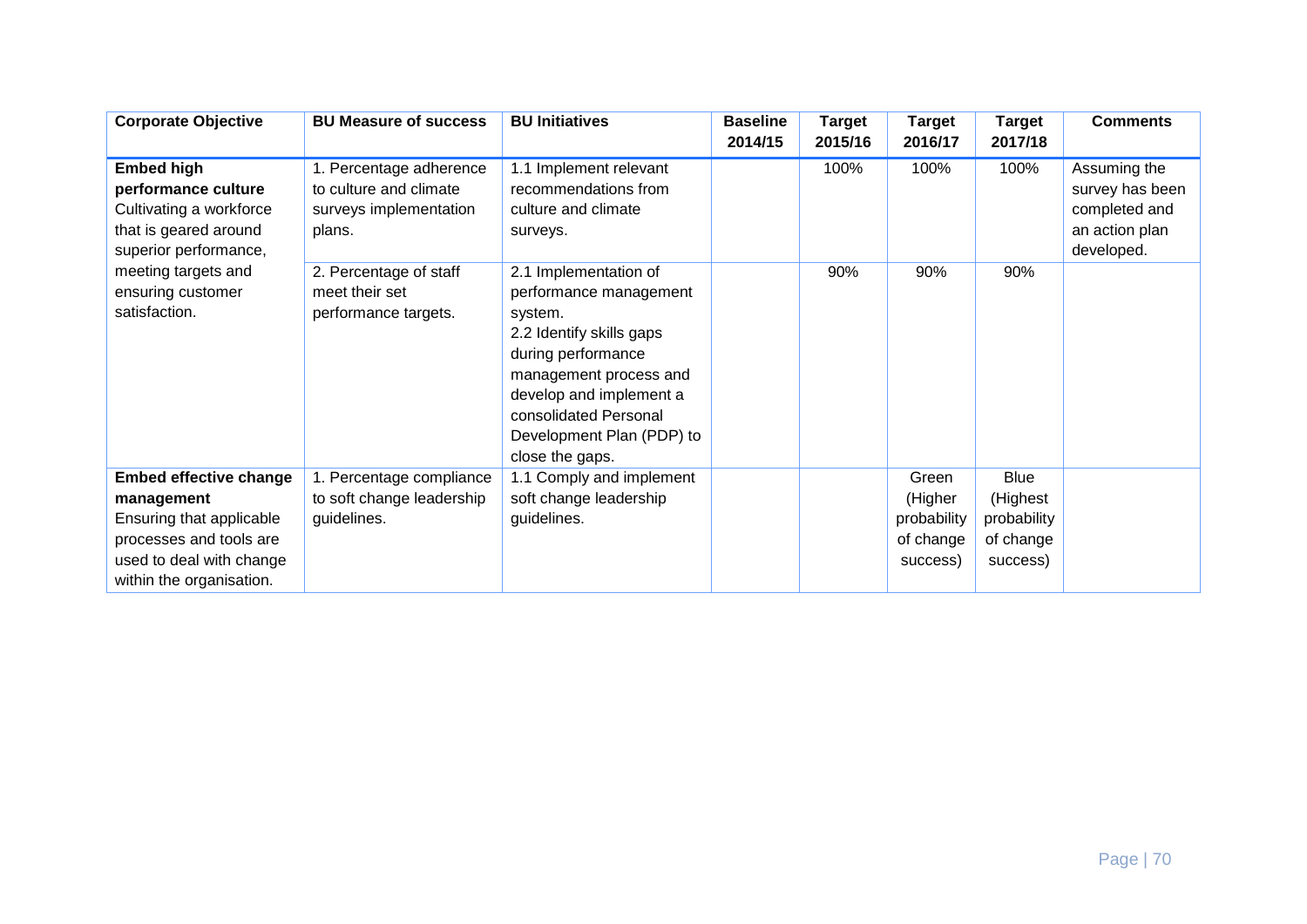| <b>Corporate Objective</b>                                                                                                                                                         | <b>BU Measure of success</b>                                                          | <b>BU Initiatives</b>                                                                                                                                                                                                                      | <b>Baseline</b><br>2014/15 | <b>Target</b><br>2015/16 | <b>Target</b><br>2016/17                                 | <b>Target</b><br>2017/18                                        | <b>Comments</b>                                                                  |
|------------------------------------------------------------------------------------------------------------------------------------------------------------------------------------|---------------------------------------------------------------------------------------|--------------------------------------------------------------------------------------------------------------------------------------------------------------------------------------------------------------------------------------------|----------------------------|--------------------------|----------------------------------------------------------|-----------------------------------------------------------------|----------------------------------------------------------------------------------|
| <b>Embed high</b><br>performance culture<br>Cultivating a workforce<br>that is geared around<br>superior performance,<br>meeting targets and<br>ensuring customer<br>satisfaction. | 1. Percentage adherence<br>to culture and climate<br>surveys implementation<br>plans. | 1.1 Implement relevant<br>recommendations from<br>culture and climate<br>surveys.                                                                                                                                                          |                            | 100%                     | 100%                                                     | 100%                                                            | Assuming the<br>survey has been<br>completed and<br>an action plan<br>developed. |
|                                                                                                                                                                                    | 2. Percentage of staff<br>meet their set<br>performance targets.                      | 2.1 Implementation of<br>performance management<br>system.<br>2.2 Identify skills gaps<br>during performance<br>management process and<br>develop and implement a<br>consolidated Personal<br>Development Plan (PDP) to<br>close the gaps. |                            | 90%                      | 90%                                                      | 90%                                                             |                                                                                  |
| <b>Embed effective change</b><br>management<br>Ensuring that applicable<br>processes and tools are<br>used to deal with change<br>within the organisation.                         | 1. Percentage compliance<br>to soft change leadership<br>guidelines.                  | 1.1 Comply and implement<br>soft change leadership<br>guidelines.                                                                                                                                                                          |                            |                          | Green<br>(Higher<br>probability<br>of change<br>success) | <b>Blue</b><br>(Highest<br>probability<br>of change<br>success) |                                                                                  |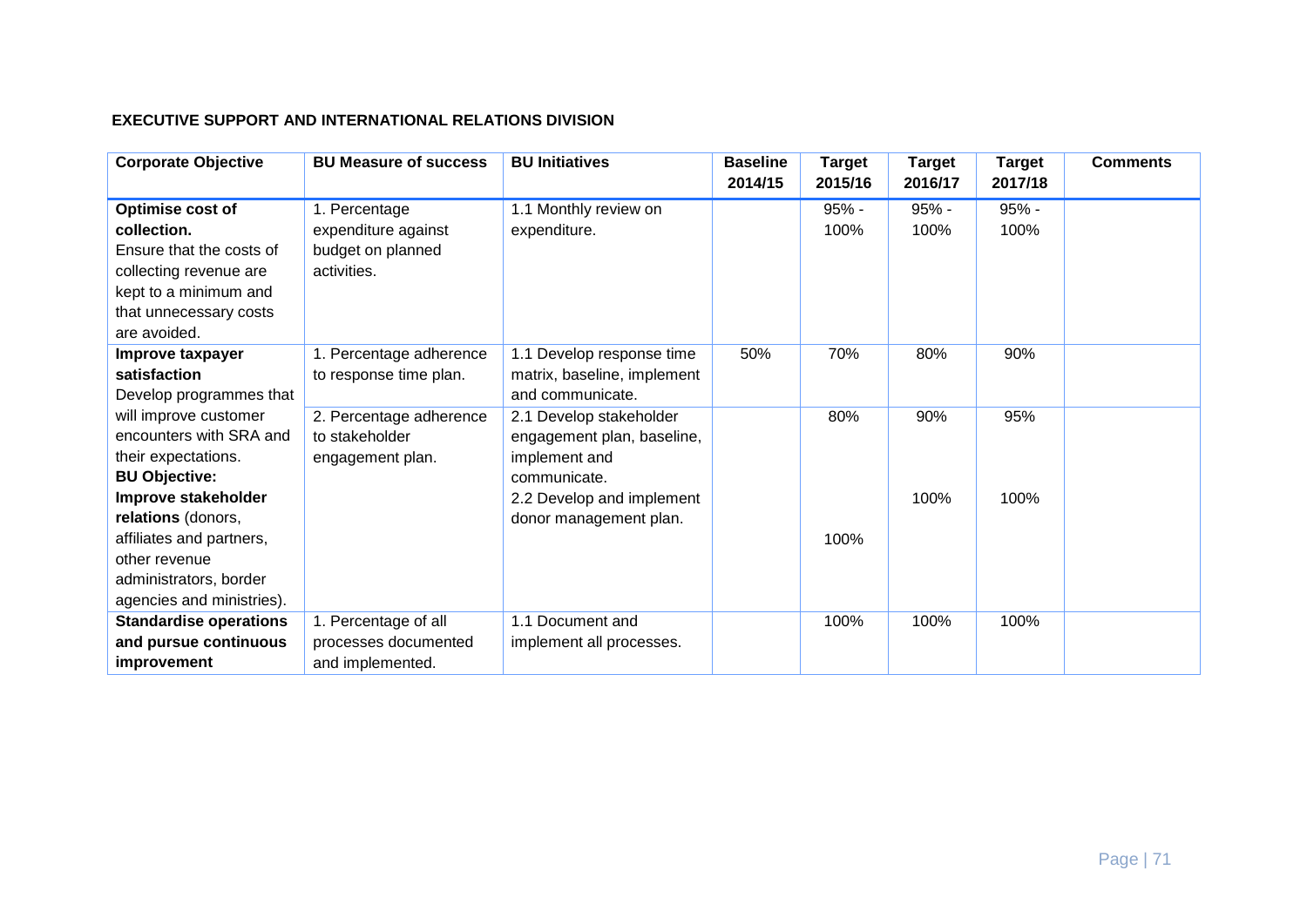#### **EXECUTIVE SUPPORT AND INTERNATIONAL RELATIONS DIVISION**

| <b>Corporate Objective</b>    | <b>BU Measure of success</b> | <b>BU Initiatives</b>       | <b>Baseline</b><br>2014/15 | <b>Target</b><br>2015/16 | <b>Target</b><br>2016/17 | <b>Target</b><br>2017/18 | <b>Comments</b> |
|-------------------------------|------------------------------|-----------------------------|----------------------------|--------------------------|--------------------------|--------------------------|-----------------|
| Optimise cost of              | 1. Percentage                | 1.1 Monthly review on       |                            | $95% -$                  | $95% -$                  | $95% -$                  |                 |
| collection.                   | expenditure against          | expenditure.                |                            | 100%                     | 100%                     | 100%                     |                 |
| Ensure that the costs of      | budget on planned            |                             |                            |                          |                          |                          |                 |
| collecting revenue are        | activities.                  |                             |                            |                          |                          |                          |                 |
| kept to a minimum and         |                              |                             |                            |                          |                          |                          |                 |
| that unnecessary costs        |                              |                             |                            |                          |                          |                          |                 |
| are avoided.                  |                              |                             |                            |                          |                          |                          |                 |
| Improve taxpayer              | 1. Percentage adherence      | 1.1 Develop response time   | 50%                        | 70%                      | 80%                      | 90%                      |                 |
| satisfaction                  | to response time plan.       | matrix, baseline, implement |                            |                          |                          |                          |                 |
| Develop programmes that       |                              | and communicate.            |                            |                          |                          |                          |                 |
| will improve customer         | 2. Percentage adherence      | 2.1 Develop stakeholder     |                            | 80%                      | 90%                      | 95%                      |                 |
| encounters with SRA and       | to stakeholder               | engagement plan, baseline,  |                            |                          |                          |                          |                 |
| their expectations.           | engagement plan.             | implement and               |                            |                          |                          |                          |                 |
| <b>BU Objective:</b>          |                              | communicate.                |                            |                          |                          |                          |                 |
| Improve stakeholder           |                              | 2.2 Develop and implement   |                            |                          | 100%                     | 100%                     |                 |
| relations (donors,            |                              | donor management plan.      |                            |                          |                          |                          |                 |
| affiliates and partners,      |                              |                             |                            | 100%                     |                          |                          |                 |
| other revenue                 |                              |                             |                            |                          |                          |                          |                 |
| administrators, border        |                              |                             |                            |                          |                          |                          |                 |
| agencies and ministries).     |                              |                             |                            |                          |                          |                          |                 |
| <b>Standardise operations</b> | 1. Percentage of all         | 1.1 Document and            |                            | 100%                     | 100%                     | 100%                     |                 |
| and pursue continuous         | processes documented         | implement all processes.    |                            |                          |                          |                          |                 |
| improvement                   | and implemented.             |                             |                            |                          |                          |                          |                 |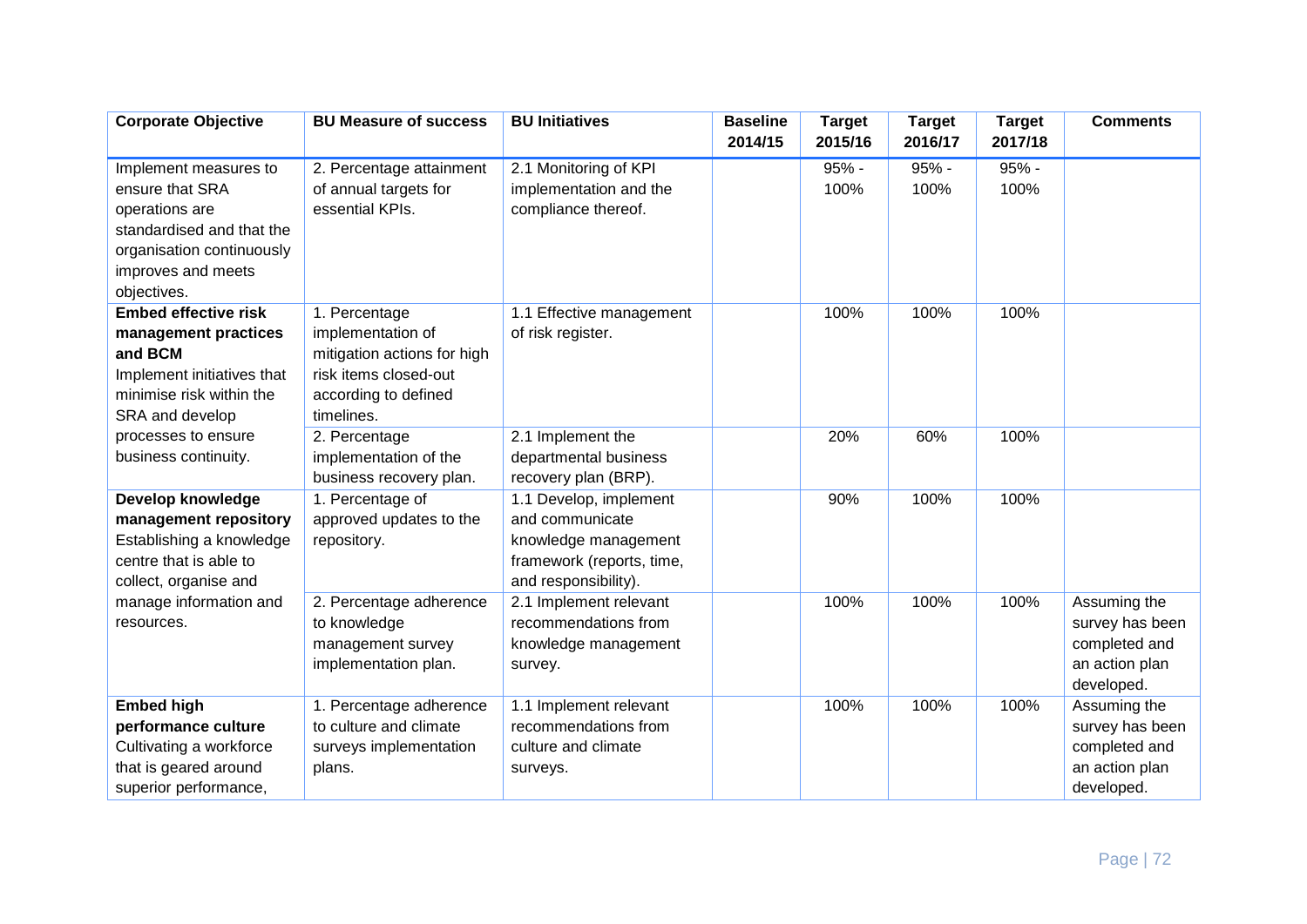| <b>Corporate Objective</b>               | <b>BU Measure of success</b>                      | <b>BU Initiatives</b>                          | <b>Baseline</b><br>2014/15 | <b>Target</b><br>2015/16 | <b>Target</b><br>2016/17 | <b>Target</b><br>2017/18 | <b>Comments</b>                 |
|------------------------------------------|---------------------------------------------------|------------------------------------------------|----------------------------|--------------------------|--------------------------|--------------------------|---------------------------------|
|                                          |                                                   |                                                |                            |                          |                          |                          |                                 |
| Implement measures to                    | 2. Percentage attainment                          | 2.1 Monitoring of KPI                          |                            | 95% -                    | 95% -                    | 95% -                    |                                 |
| ensure that SRA                          | of annual targets for                             | implementation and the                         |                            | 100%                     | 100%                     | 100%                     |                                 |
| operations are                           | essential KPIs.                                   | compliance thereof.                            |                            |                          |                          |                          |                                 |
| standardised and that the                |                                                   |                                                |                            |                          |                          |                          |                                 |
| organisation continuously                |                                                   |                                                |                            |                          |                          |                          |                                 |
| improves and meets<br>objectives.        |                                                   |                                                |                            |                          |                          |                          |                                 |
| <b>Embed effective risk</b>              | 1. Percentage                                     | 1.1 Effective management                       |                            | 100%                     | 100%                     | 100%                     |                                 |
| management practices                     | implementation of                                 | of risk register.                              |                            |                          |                          |                          |                                 |
| and BCM                                  | mitigation actions for high                       |                                                |                            |                          |                          |                          |                                 |
| Implement initiatives that               | risk items closed-out                             |                                                |                            |                          |                          |                          |                                 |
| minimise risk within the                 | according to defined                              |                                                |                            |                          |                          |                          |                                 |
| SRA and develop                          | timelines.                                        |                                                |                            |                          |                          |                          |                                 |
| processes to ensure                      | 2. Percentage                                     | 2.1 Implement the                              |                            | 20%                      | 60%                      | 100%                     |                                 |
| business continuity.                     | implementation of the                             | departmental business                          |                            |                          |                          |                          |                                 |
|                                          | business recovery plan.                           | recovery plan (BRP).                           |                            |                          |                          |                          |                                 |
| Develop knowledge                        | 1. Percentage of                                  | 1.1 Develop, implement                         |                            | 90%                      | 100%                     | 100%                     |                                 |
| management repository                    | approved updates to the                           | and communicate                                |                            |                          |                          |                          |                                 |
| Establishing a knowledge                 | repository.                                       | knowledge management                           |                            |                          |                          |                          |                                 |
| centre that is able to                   |                                                   | framework (reports, time,                      |                            |                          |                          |                          |                                 |
| collect, organise and                    |                                                   | and responsibility).                           |                            |                          |                          |                          |                                 |
| manage information and                   | 2. Percentage adherence                           | 2.1 Implement relevant                         |                            | 100%                     | 100%                     | 100%                     | Assuming the                    |
| resources.                               | to knowledge                                      | recommendations from                           |                            |                          |                          |                          | survey has been                 |
|                                          | management survey                                 | knowledge management                           |                            |                          |                          |                          | completed and                   |
|                                          | implementation plan.                              | survey.                                        |                            |                          |                          |                          | an action plan                  |
|                                          |                                                   |                                                |                            |                          |                          |                          | developed.                      |
| <b>Embed high</b><br>performance culture | 1. Percentage adherence<br>to culture and climate | 1.1 Implement relevant<br>recommendations from |                            | 100%                     | 100%                     | 100%                     | Assuming the<br>survey has been |
| Cultivating a workforce                  | surveys implementation                            | culture and climate                            |                            |                          |                          |                          | completed and                   |
| that is geared around                    | plans.                                            | surveys.                                       |                            |                          |                          |                          | an action plan                  |
| superior performance,                    |                                                   |                                                |                            |                          |                          |                          | developed.                      |
|                                          |                                                   |                                                |                            |                          |                          |                          |                                 |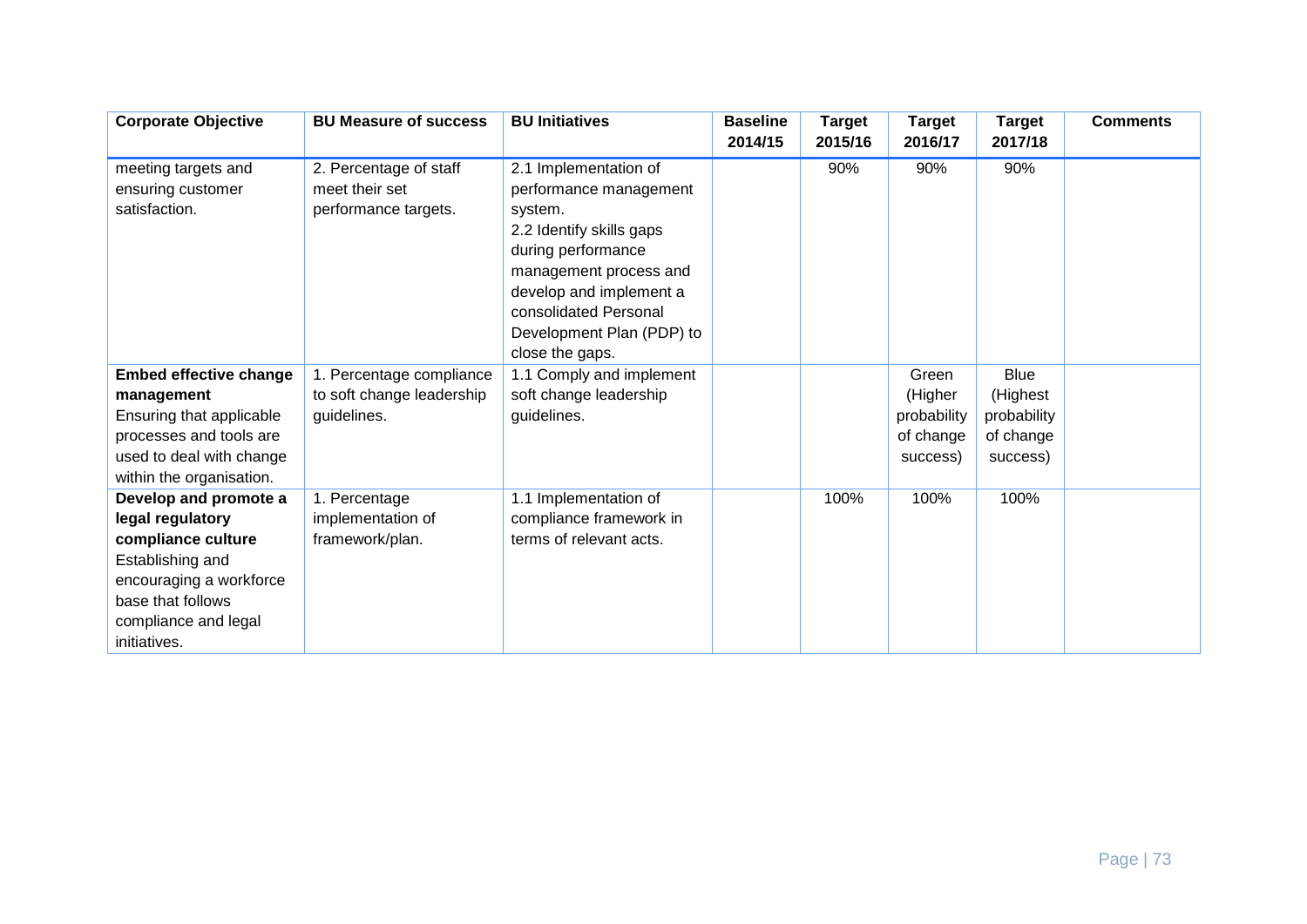| <b>Corporate Objective</b>                                                                                                                                                  | <b>BU Measure of success</b>                                         | <b>BU Initiatives</b>                                                                                                                                                                                                                      | <b>Baseline</b><br>2014/15 | <b>Target</b><br>2015/16 | <b>Target</b><br>2016/17                                 | <b>Target</b><br>2017/18                                        | <b>Comments</b> |
|-----------------------------------------------------------------------------------------------------------------------------------------------------------------------------|----------------------------------------------------------------------|--------------------------------------------------------------------------------------------------------------------------------------------------------------------------------------------------------------------------------------------|----------------------------|--------------------------|----------------------------------------------------------|-----------------------------------------------------------------|-----------------|
| meeting targets and<br>ensuring customer<br>satisfaction.                                                                                                                   | 2. Percentage of staff<br>meet their set<br>performance targets.     | 2.1 Implementation of<br>performance management<br>system.<br>2.2 Identify skills gaps<br>during performance<br>management process and<br>develop and implement a<br>consolidated Personal<br>Development Plan (PDP) to<br>close the gaps. |                            | 90%                      | 90%                                                      | 90%                                                             |                 |
| <b>Embed effective change</b><br>management<br>Ensuring that applicable<br>processes and tools are<br>used to deal with change<br>within the organisation.                  | 1. Percentage compliance<br>to soft change leadership<br>guidelines. | 1.1 Comply and implement<br>soft change leadership<br>guidelines.                                                                                                                                                                          |                            |                          | Green<br>(Higher<br>probability<br>of change<br>success) | <b>Blue</b><br>(Highest<br>probability<br>of change<br>success) |                 |
| Develop and promote a<br>legal regulatory<br>compliance culture<br>Establishing and<br>encouraging a workforce<br>base that follows<br>compliance and legal<br>initiatives. | 1. Percentage<br>implementation of<br>framework/plan.                | 1.1 Implementation of<br>compliance framework in<br>terms of relevant acts.                                                                                                                                                                |                            | 100%                     | 100%                                                     | 100%                                                            |                 |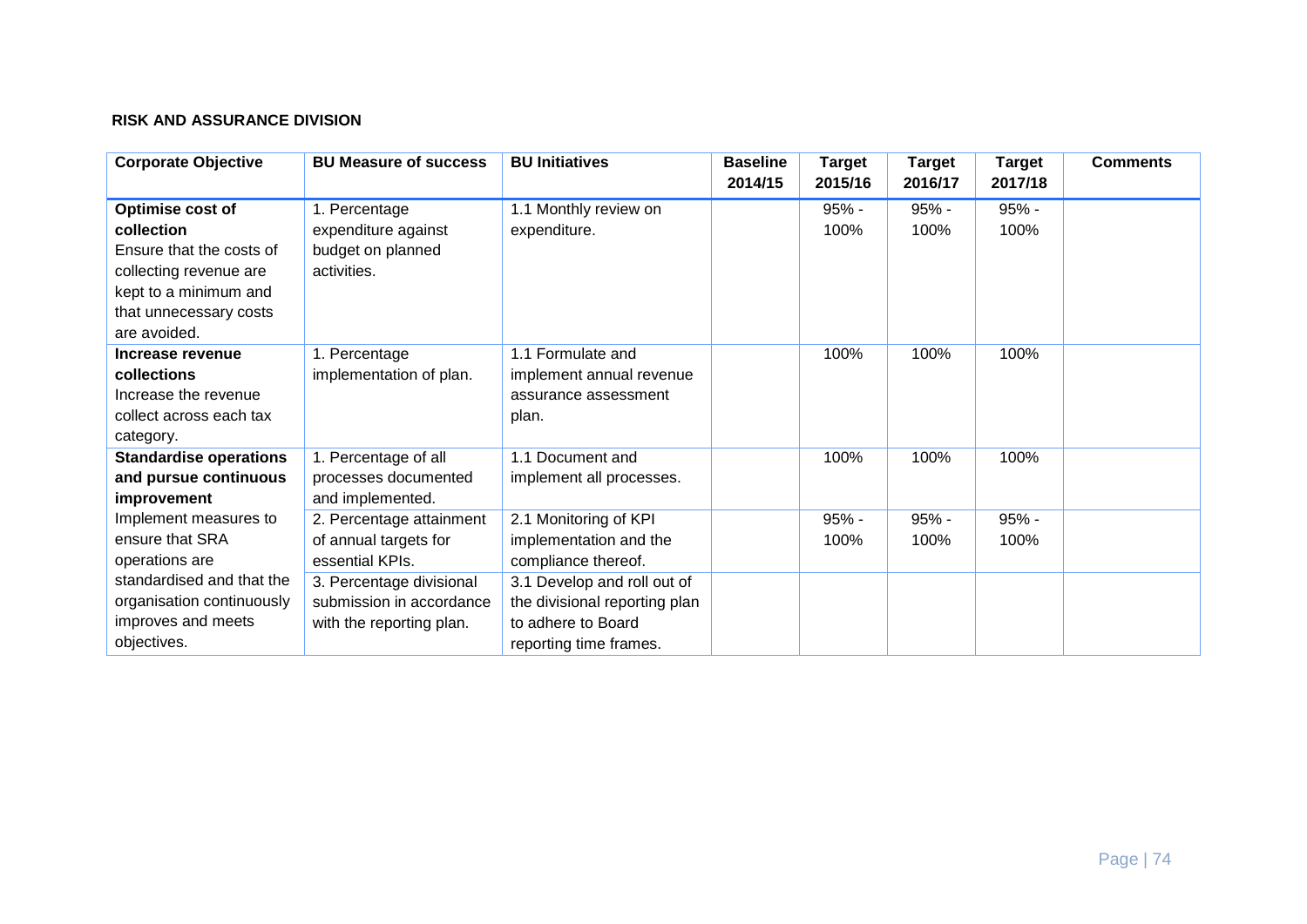## **RISK AND ASSURANCE DIVISION**

| <b>Corporate Objective</b>    | <b>BU Measure of success</b> | <b>BU Initiatives</b>         | <b>Baseline</b><br>2014/15 | <b>Target</b><br>2015/16 | Target<br>2016/17 | <b>Target</b><br>2017/18 | <b>Comments</b> |
|-------------------------------|------------------------------|-------------------------------|----------------------------|--------------------------|-------------------|--------------------------|-----------------|
| Optimise cost of              | 1. Percentage                | 1.1 Monthly review on         |                            | 95% -                    | $95% -$           | $95% -$                  |                 |
| collection                    | expenditure against          | expenditure.                  |                            | 100%                     | 100%              | 100%                     |                 |
| Ensure that the costs of      | budget on planned            |                               |                            |                          |                   |                          |                 |
| collecting revenue are        | activities.                  |                               |                            |                          |                   |                          |                 |
| kept to a minimum and         |                              |                               |                            |                          |                   |                          |                 |
| that unnecessary costs        |                              |                               |                            |                          |                   |                          |                 |
| are avoided.                  |                              |                               |                            |                          |                   |                          |                 |
| Increase revenue              | 1. Percentage                | 1.1 Formulate and             |                            | 100%                     | 100%              | 100%                     |                 |
| collections                   | implementation of plan.      | implement annual revenue      |                            |                          |                   |                          |                 |
| Increase the revenue          |                              | assurance assessment          |                            |                          |                   |                          |                 |
| collect across each tax       |                              | plan.                         |                            |                          |                   |                          |                 |
| category.                     |                              |                               |                            |                          |                   |                          |                 |
| <b>Standardise operations</b> | 1. Percentage of all         | 1.1 Document and              |                            | 100%                     | 100%              | 100%                     |                 |
| and pursue continuous         | processes documented         | implement all processes.      |                            |                          |                   |                          |                 |
| improvement                   | and implemented.             |                               |                            |                          |                   |                          |                 |
| Implement measures to         | 2. Percentage attainment     | 2.1 Monitoring of KPI         |                            | 95% -                    | $95% -$           | $95% -$                  |                 |
| ensure that SRA               | of annual targets for        | implementation and the        |                            | 100%                     | 100%              | 100%                     |                 |
| operations are                | essential KPIs.              | compliance thereof.           |                            |                          |                   |                          |                 |
| standardised and that the     | 3. Percentage divisional     | 3.1 Develop and roll out of   |                            |                          |                   |                          |                 |
| organisation continuously     | submission in accordance     | the divisional reporting plan |                            |                          |                   |                          |                 |
| improves and meets            | with the reporting plan.     | to adhere to Board            |                            |                          |                   |                          |                 |
| objectives.                   |                              | reporting time frames.        |                            |                          |                   |                          |                 |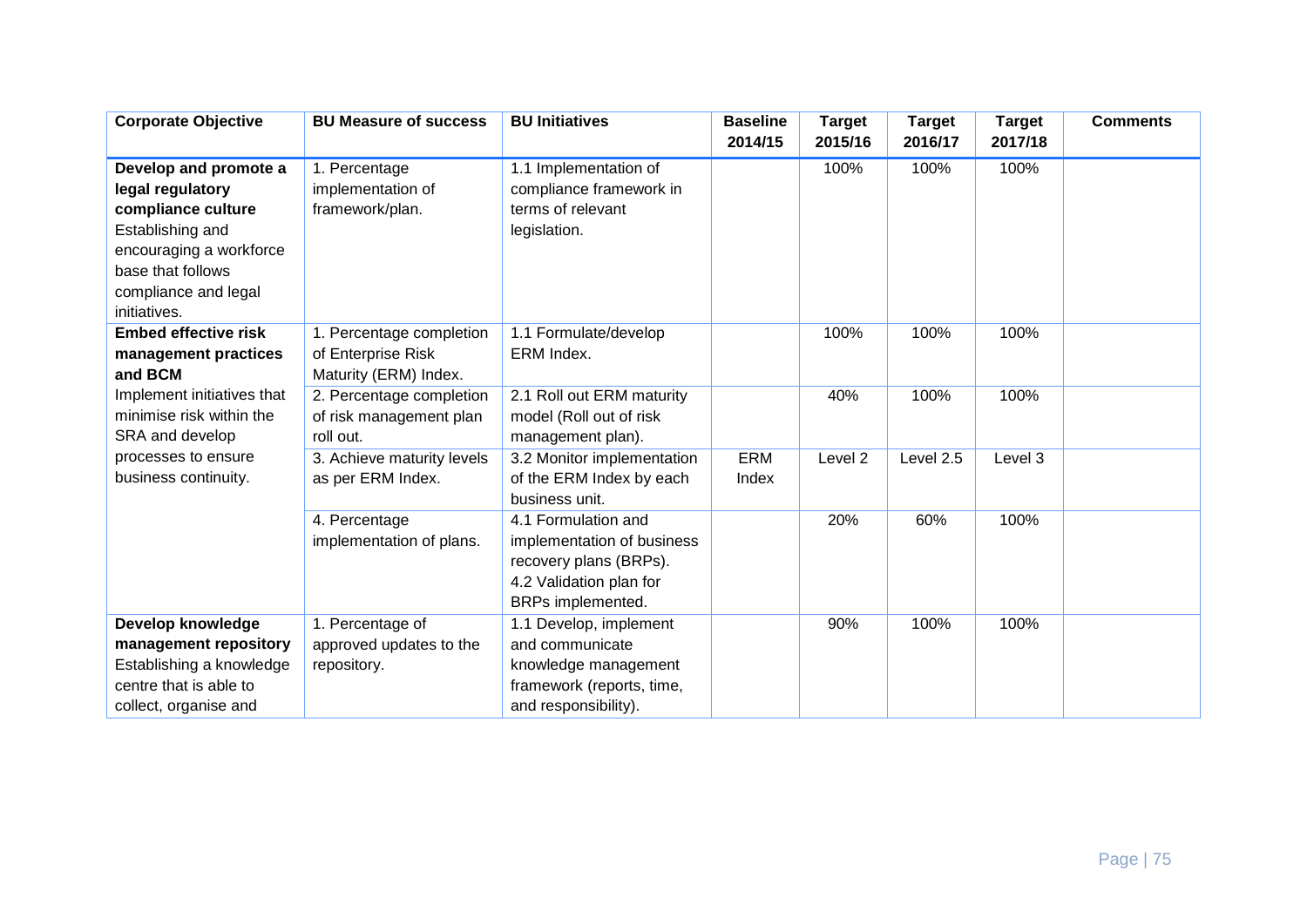| <b>Corporate Objective</b>                                                                                                                                                  | <b>BU Measure of success</b>                                            | <b>BU Initiatives</b>                                                                                                       | <b>Baseline</b><br>2014/15 | <b>Target</b><br>2015/16 | <b>Target</b><br>2016/17 | <b>Target</b><br>2017/18 | <b>Comments</b> |
|-----------------------------------------------------------------------------------------------------------------------------------------------------------------------------|-------------------------------------------------------------------------|-----------------------------------------------------------------------------------------------------------------------------|----------------------------|--------------------------|--------------------------|--------------------------|-----------------|
| Develop and promote a<br>legal regulatory<br>compliance culture<br>Establishing and<br>encouraging a workforce<br>base that follows<br>compliance and legal<br>initiatives. | 1. Percentage<br>implementation of<br>framework/plan.                   | 1.1 Implementation of<br>compliance framework in<br>terms of relevant<br>legislation.                                       |                            | 100%                     | 100%                     | 100%                     |                 |
| <b>Embed effective risk</b><br>management practices<br>and BCM                                                                                                              | 1. Percentage completion<br>of Enterprise Risk<br>Maturity (ERM) Index. | 1.1 Formulate/develop<br>ERM Index.                                                                                         |                            | 100%                     | 100%                     | 100%                     |                 |
| Implement initiatives that<br>minimise risk within the<br>SRA and develop                                                                                                   | 2. Percentage completion<br>of risk management plan<br>roll out.        | 2.1 Roll out ERM maturity<br>model (Roll out of risk<br>management plan).                                                   |                            | 40%                      | 100%                     | 100%                     |                 |
| processes to ensure<br>business continuity.                                                                                                                                 | 3. Achieve maturity levels<br>as per ERM Index.                         | 3.2 Monitor implementation<br>of the ERM Index by each<br>business unit.                                                    | <b>ERM</b><br>Index        | Level <sub>2</sub>       | Level 2.5                | Level 3                  |                 |
|                                                                                                                                                                             | 4. Percentage<br>implementation of plans.                               | 4.1 Formulation and<br>implementation of business<br>recovery plans (BRPs).<br>4.2 Validation plan for<br>BRPs implemented. |                            | 20%                      | 60%                      | 100%                     |                 |
| Develop knowledge<br>management repository<br>Establishing a knowledge<br>centre that is able to<br>collect, organise and                                                   | 1. Percentage of<br>approved updates to the<br>repository.              | 1.1 Develop, implement<br>and communicate<br>knowledge management<br>framework (reports, time,<br>and responsibility).      |                            | 90%                      | 100%                     | 100%                     |                 |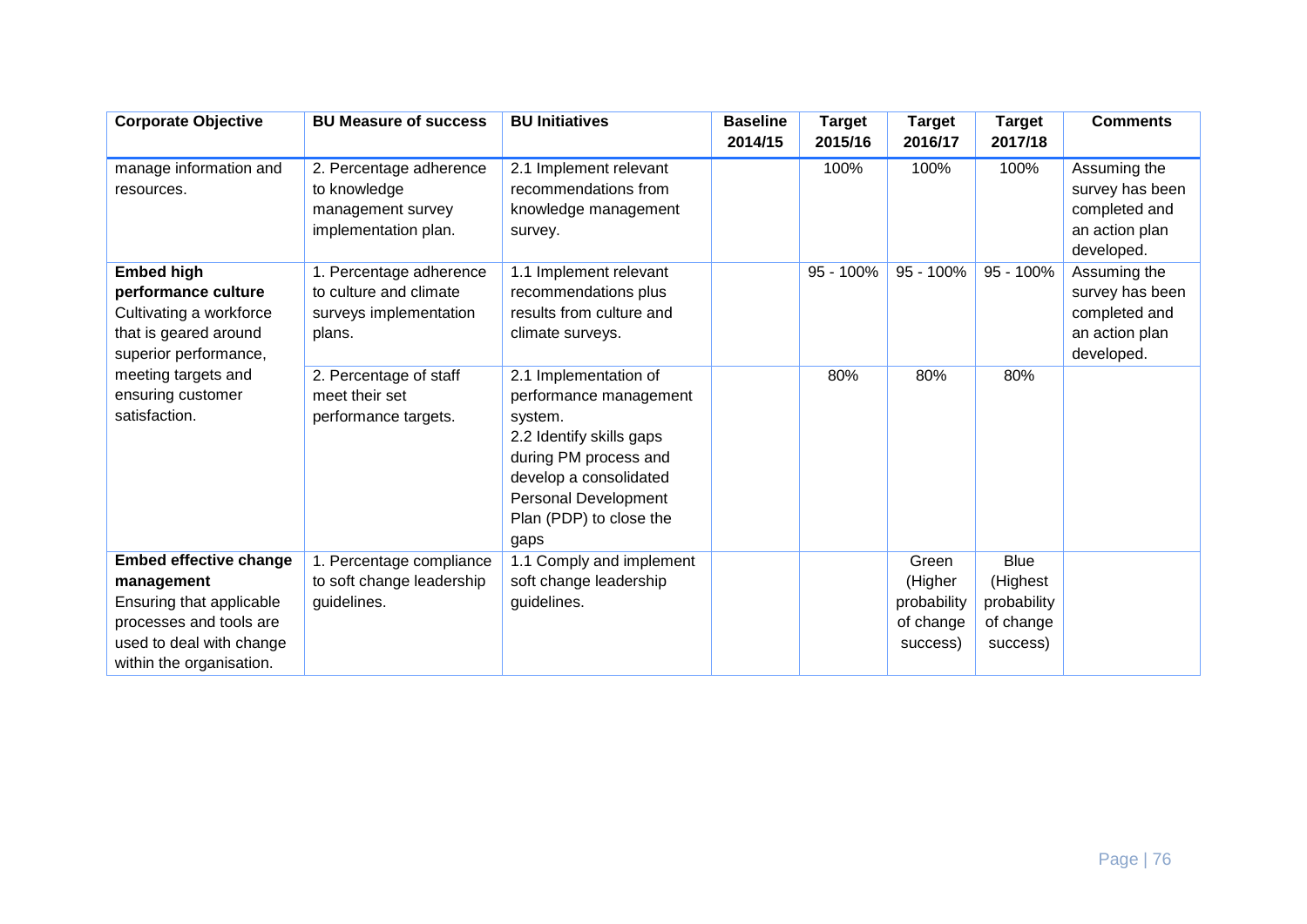| <b>Corporate Objective</b>                                                                                                                                 | <b>BU Measure of success</b>                                                          | <b>BU Initiatives</b>                                                                                                                                                                                | <b>Baseline</b><br>2014/15 | <b>Target</b><br>2015/16 | <b>Target</b><br>2016/17                                 | <b>Target</b><br>2017/18                                        | <b>Comments</b>                                                                  |
|------------------------------------------------------------------------------------------------------------------------------------------------------------|---------------------------------------------------------------------------------------|------------------------------------------------------------------------------------------------------------------------------------------------------------------------------------------------------|----------------------------|--------------------------|----------------------------------------------------------|-----------------------------------------------------------------|----------------------------------------------------------------------------------|
| manage information and<br>resources.                                                                                                                       | 2. Percentage adherence<br>to knowledge<br>management survey<br>implementation plan.  | 2.1 Implement relevant<br>recommendations from<br>knowledge management<br>survey.                                                                                                                    |                            | 100%                     | 100%                                                     | 100%                                                            | Assuming the<br>survey has been<br>completed and<br>an action plan<br>developed. |
| <b>Embed high</b><br>performance culture<br>Cultivating a workforce<br>that is geared around<br>superior performance,                                      | 1. Percentage adherence<br>to culture and climate<br>surveys implementation<br>plans. | 1.1 Implement relevant<br>recommendations plus<br>results from culture and<br>climate surveys.                                                                                                       |                            | 95 - 100%                | 95 - 100%                                                | 95 - 100%                                                       | Assuming the<br>survey has been<br>completed and<br>an action plan<br>developed. |
| meeting targets and<br>ensuring customer<br>satisfaction.                                                                                                  | 2. Percentage of staff<br>meet their set<br>performance targets.                      | 2.1 Implementation of<br>performance management<br>system.<br>2.2 Identify skills gaps<br>during PM process and<br>develop a consolidated<br>Personal Development<br>Plan (PDP) to close the<br>gaps |                            | 80%                      | 80%                                                      | 80%                                                             |                                                                                  |
| <b>Embed effective change</b><br>management<br>Ensuring that applicable<br>processes and tools are<br>used to deal with change<br>within the organisation. | 1. Percentage compliance<br>to soft change leadership<br>guidelines.                  | 1.1 Comply and implement<br>soft change leadership<br>guidelines.                                                                                                                                    |                            |                          | Green<br>(Higher<br>probability<br>of change<br>success) | <b>Blue</b><br>(Highest<br>probability<br>of change<br>success) |                                                                                  |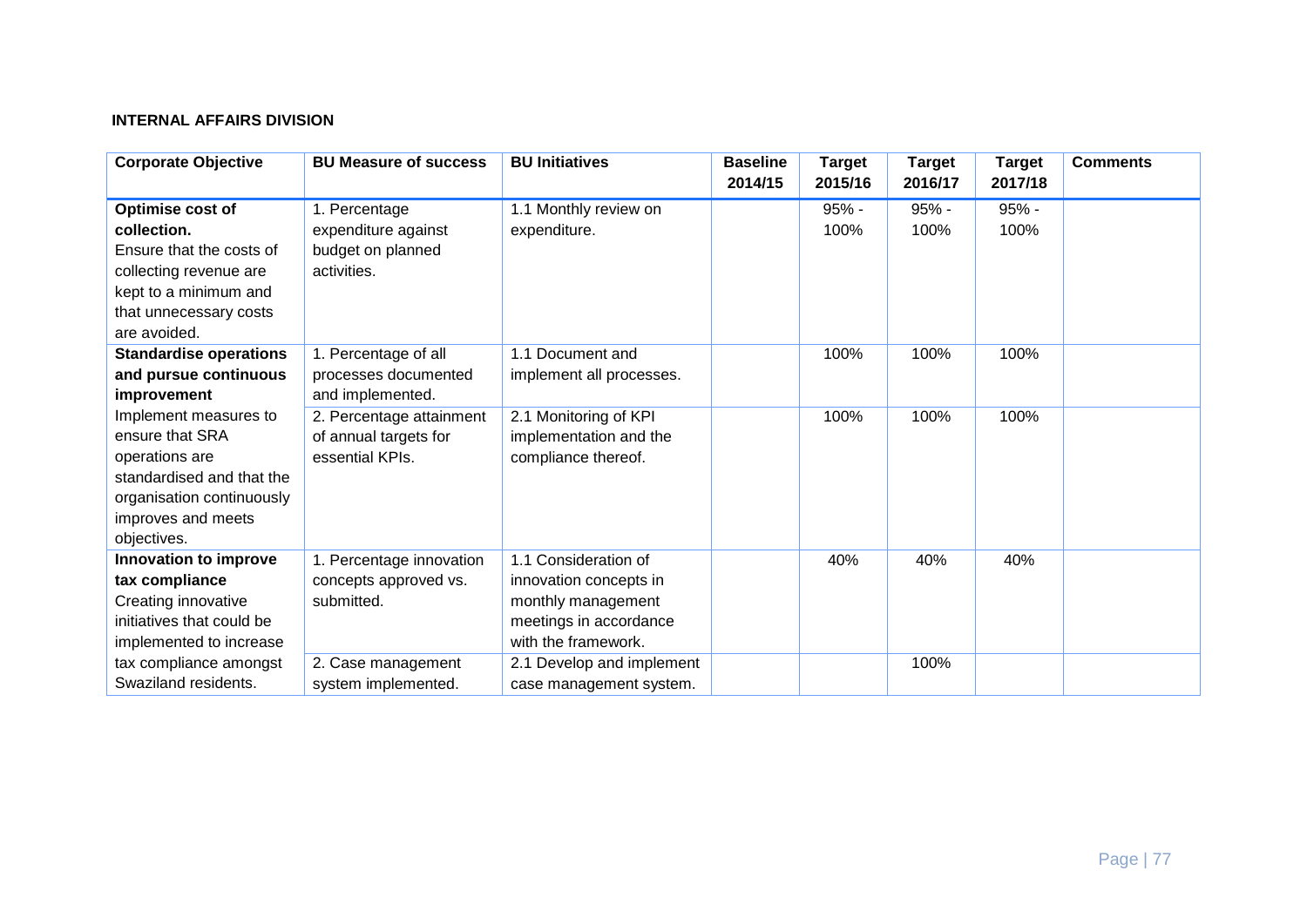## **INTERNAL AFFAIRS DIVISION**

| <b>Corporate Objective</b>    | <b>BU Measure of success</b> | <b>BU Initiatives</b>     | <b>Baseline</b><br>2014/15 | <b>Target</b><br>2015/16 | <b>Target</b><br>2016/17 | <b>Target</b><br>2017/18 | <b>Comments</b> |
|-------------------------------|------------------------------|---------------------------|----------------------------|--------------------------|--------------------------|--------------------------|-----------------|
| Optimise cost of              | 1. Percentage                | 1.1 Monthly review on     |                            | 95% -                    | 95% -                    | 95% -                    |                 |
| collection.                   | expenditure against          | expenditure.              |                            | 100%                     | 100%                     | 100%                     |                 |
| Ensure that the costs of      | budget on planned            |                           |                            |                          |                          |                          |                 |
| collecting revenue are        | activities.                  |                           |                            |                          |                          |                          |                 |
| kept to a minimum and         |                              |                           |                            |                          |                          |                          |                 |
| that unnecessary costs        |                              |                           |                            |                          |                          |                          |                 |
| are avoided.                  |                              |                           |                            |                          |                          |                          |                 |
| <b>Standardise operations</b> | 1. Percentage of all         | 1.1 Document and          |                            | 100%                     | 100%                     | 100%                     |                 |
| and pursue continuous         | processes documented         | implement all processes.  |                            |                          |                          |                          |                 |
| improvement                   | and implemented.             |                           |                            |                          |                          |                          |                 |
| Implement measures to         | 2. Percentage attainment     | 2.1 Monitoring of KPI     |                            | 100%                     | 100%                     | 100%                     |                 |
| ensure that SRA               | of annual targets for        | implementation and the    |                            |                          |                          |                          |                 |
| operations are                | essential KPIs.              | compliance thereof.       |                            |                          |                          |                          |                 |
| standardised and that the     |                              |                           |                            |                          |                          |                          |                 |
| organisation continuously     |                              |                           |                            |                          |                          |                          |                 |
| improves and meets            |                              |                           |                            |                          |                          |                          |                 |
| objectives.                   |                              |                           |                            |                          |                          |                          |                 |
| Innovation to improve         | 1. Percentage innovation     | 1.1 Consideration of      |                            | 40%                      | 40%                      | 40%                      |                 |
| tax compliance                | concepts approved vs.        | innovation concepts in    |                            |                          |                          |                          |                 |
| Creating innovative           | submitted.                   | monthly management        |                            |                          |                          |                          |                 |
| initiatives that could be     |                              | meetings in accordance    |                            |                          |                          |                          |                 |
| implemented to increase       |                              | with the framework.       |                            |                          |                          |                          |                 |
| tax compliance amongst        | 2. Case management           | 2.1 Develop and implement |                            |                          | 100%                     |                          |                 |
| Swaziland residents.          | system implemented.          | case management system.   |                            |                          |                          |                          |                 |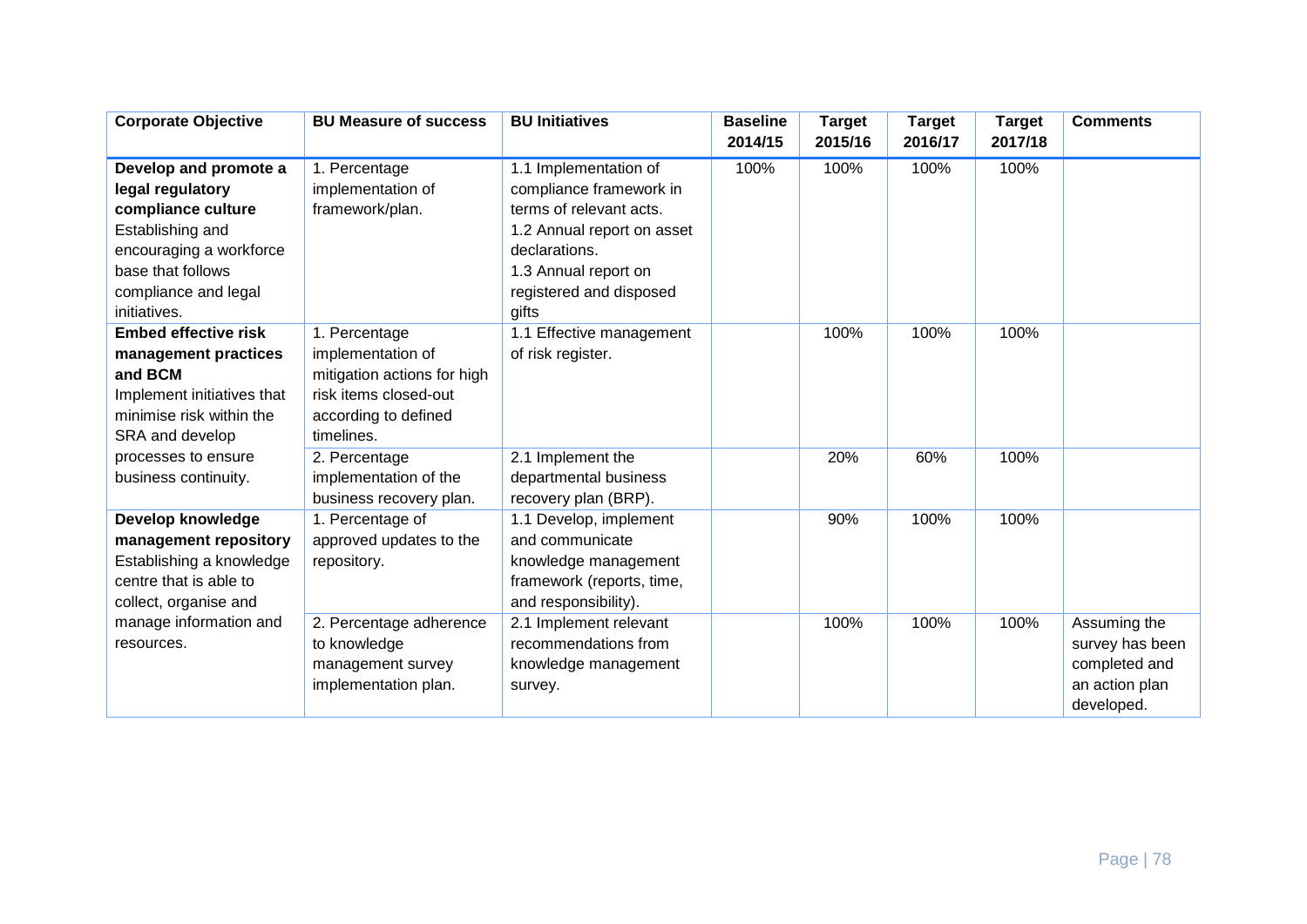| Develop and promote a<br>1.1 Implementation of<br>100%<br>100%<br>100%<br>100%<br>1. Percentage<br>implementation of<br>compliance framework in<br>legal regulatory<br>framework/plan.<br>compliance culture<br>terms of relevant acts.<br>Establishing and<br>1.2 Annual report on asset<br>encouraging a workforce<br>declarations.<br>base that follows<br>1.3 Annual report on<br>compliance and legal<br>registered and disposed<br>initiatives.<br>gifts<br>100%<br><b>Embed effective risk</b><br>100%<br>100%<br>1. Percentage<br>1.1 Effective management<br>management practices<br>implementation of<br>of risk register.<br>and BCM<br>mitigation actions for high<br>risk items closed-out<br>Implement initiatives that<br>minimise risk within the<br>according to defined<br>SRA and develop<br>timelines. | <b>Corporate Objective</b> | <b>BU Measure of success</b> | <b>BU Initiatives</b> | <b>Baseline</b><br>2014/15 | <b>Target</b><br>2015/16 | <b>Target</b><br>2016/17 | <b>Target</b><br>2017/18 | <b>Comments</b> |
|----------------------------------------------------------------------------------------------------------------------------------------------------------------------------------------------------------------------------------------------------------------------------------------------------------------------------------------------------------------------------------------------------------------------------------------------------------------------------------------------------------------------------------------------------------------------------------------------------------------------------------------------------------------------------------------------------------------------------------------------------------------------------------------------------------------------------|----------------------------|------------------------------|-----------------------|----------------------------|--------------------------|--------------------------|--------------------------|-----------------|
|                                                                                                                                                                                                                                                                                                                                                                                                                                                                                                                                                                                                                                                                                                                                                                                                                            |                            |                              |                       |                            |                          |                          |                          |                 |
|                                                                                                                                                                                                                                                                                                                                                                                                                                                                                                                                                                                                                                                                                                                                                                                                                            |                            |                              |                       |                            |                          |                          |                          |                 |
|                                                                                                                                                                                                                                                                                                                                                                                                                                                                                                                                                                                                                                                                                                                                                                                                                            |                            |                              |                       |                            |                          |                          |                          |                 |
|                                                                                                                                                                                                                                                                                                                                                                                                                                                                                                                                                                                                                                                                                                                                                                                                                            |                            |                              |                       |                            |                          |                          |                          |                 |
|                                                                                                                                                                                                                                                                                                                                                                                                                                                                                                                                                                                                                                                                                                                                                                                                                            |                            |                              |                       |                            |                          |                          |                          |                 |
|                                                                                                                                                                                                                                                                                                                                                                                                                                                                                                                                                                                                                                                                                                                                                                                                                            |                            |                              |                       |                            |                          |                          |                          |                 |
|                                                                                                                                                                                                                                                                                                                                                                                                                                                                                                                                                                                                                                                                                                                                                                                                                            |                            |                              |                       |                            |                          |                          |                          |                 |
|                                                                                                                                                                                                                                                                                                                                                                                                                                                                                                                                                                                                                                                                                                                                                                                                                            |                            |                              |                       |                            |                          |                          |                          |                 |
|                                                                                                                                                                                                                                                                                                                                                                                                                                                                                                                                                                                                                                                                                                                                                                                                                            |                            |                              |                       |                            |                          |                          |                          |                 |
|                                                                                                                                                                                                                                                                                                                                                                                                                                                                                                                                                                                                                                                                                                                                                                                                                            |                            |                              |                       |                            |                          |                          |                          |                 |
|                                                                                                                                                                                                                                                                                                                                                                                                                                                                                                                                                                                                                                                                                                                                                                                                                            |                            |                              |                       |                            |                          |                          |                          |                 |
|                                                                                                                                                                                                                                                                                                                                                                                                                                                                                                                                                                                                                                                                                                                                                                                                                            |                            |                              |                       |                            |                          |                          |                          |                 |
|                                                                                                                                                                                                                                                                                                                                                                                                                                                                                                                                                                                                                                                                                                                                                                                                                            |                            |                              |                       |                            |                          |                          |                          |                 |
| 100%<br>processes to ensure<br>2.1 Implement the<br>20%<br>60%<br>2. Percentage                                                                                                                                                                                                                                                                                                                                                                                                                                                                                                                                                                                                                                                                                                                                            |                            |                              |                       |                            |                          |                          |                          |                 |
| business continuity.<br>implementation of the<br>departmental business                                                                                                                                                                                                                                                                                                                                                                                                                                                                                                                                                                                                                                                                                                                                                     |                            |                              |                       |                            |                          |                          |                          |                 |
| business recovery plan.<br>recovery plan (BRP).                                                                                                                                                                                                                                                                                                                                                                                                                                                                                                                                                                                                                                                                                                                                                                            |                            |                              |                       |                            |                          |                          |                          |                 |
| Develop knowledge<br>100%<br>1. Percentage of<br>90%<br>100%<br>1.1 Develop, implement                                                                                                                                                                                                                                                                                                                                                                                                                                                                                                                                                                                                                                                                                                                                     |                            |                              |                       |                            |                          |                          |                          |                 |
| management repository<br>and communicate<br>approved updates to the                                                                                                                                                                                                                                                                                                                                                                                                                                                                                                                                                                                                                                                                                                                                                        |                            |                              |                       |                            |                          |                          |                          |                 |
| Establishing a knowledge<br>repository.<br>knowledge management                                                                                                                                                                                                                                                                                                                                                                                                                                                                                                                                                                                                                                                                                                                                                            |                            |                              |                       |                            |                          |                          |                          |                 |
| centre that is able to<br>framework (reports, time,                                                                                                                                                                                                                                                                                                                                                                                                                                                                                                                                                                                                                                                                                                                                                                        |                            |                              |                       |                            |                          |                          |                          |                 |
| collect, organise and<br>and responsibility).                                                                                                                                                                                                                                                                                                                                                                                                                                                                                                                                                                                                                                                                                                                                                                              |                            |                              |                       |                            |                          |                          |                          |                 |
| manage information and<br>2.1 Implement relevant<br>100%<br>100%<br>100%<br>Assuming the<br>2. Percentage adherence                                                                                                                                                                                                                                                                                                                                                                                                                                                                                                                                                                                                                                                                                                        |                            |                              |                       |                            |                          |                          |                          |                 |
| recommendations from<br>resources.<br>to knowledge<br>survey has been                                                                                                                                                                                                                                                                                                                                                                                                                                                                                                                                                                                                                                                                                                                                                      |                            |                              |                       |                            |                          |                          |                          |                 |
| completed and<br>management survey<br>knowledge management<br>an action plan<br>implementation plan.                                                                                                                                                                                                                                                                                                                                                                                                                                                                                                                                                                                                                                                                                                                       |                            |                              |                       |                            |                          |                          |                          |                 |
| survey.<br>developed.                                                                                                                                                                                                                                                                                                                                                                                                                                                                                                                                                                                                                                                                                                                                                                                                      |                            |                              |                       |                            |                          |                          |                          |                 |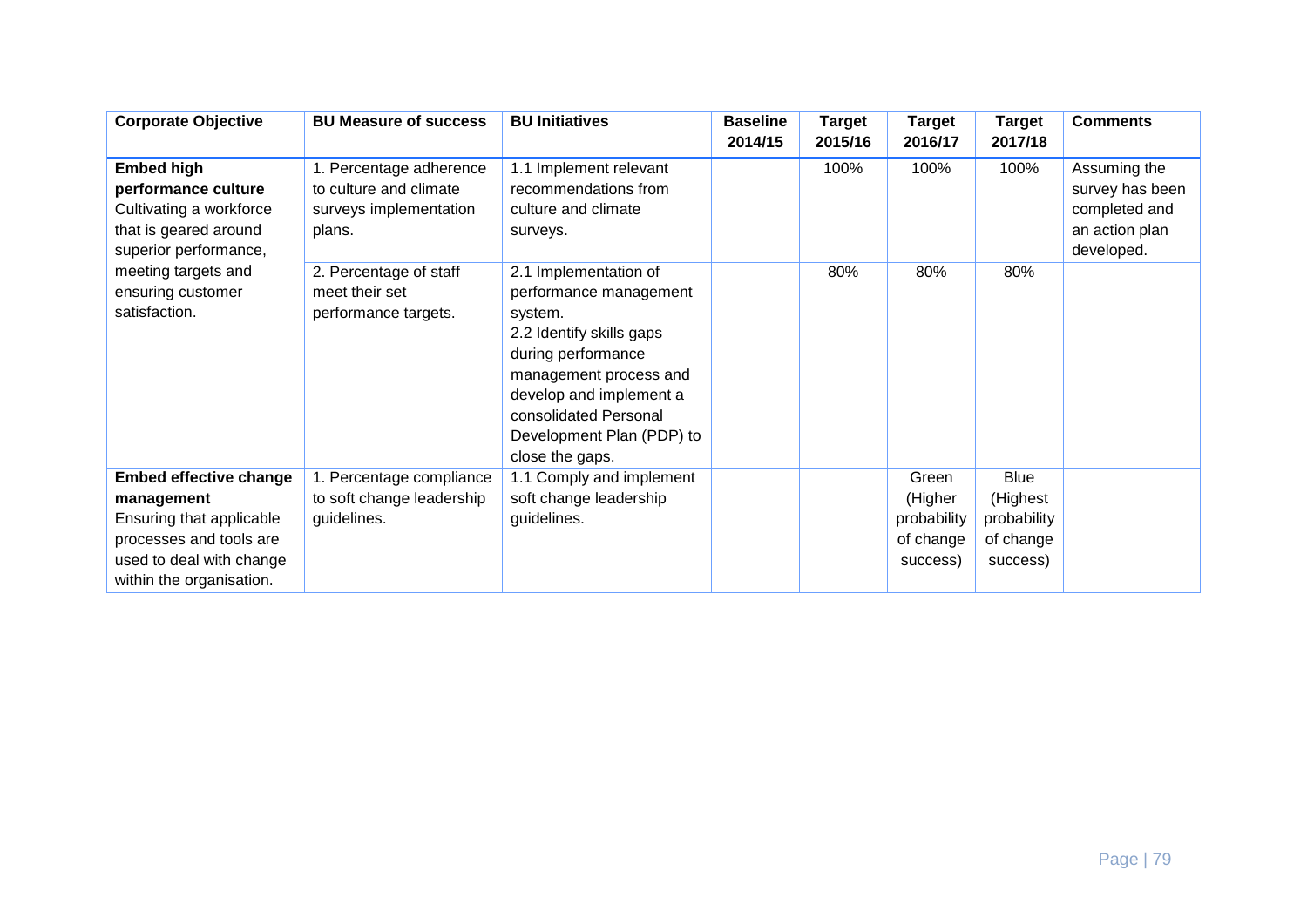| <b>Corporate Objective</b>                                                                                                                                 | <b>BU Measure of success</b>                                                          | <b>BU Initiatives</b>                                                                                                                                                                                                                      | <b>Baseline</b><br>2014/15 | <b>Target</b><br>2015/16 | <b>Target</b><br>2016/17                                 | <b>Target</b><br>2017/18                                        | <b>Comments</b>                                                                  |
|------------------------------------------------------------------------------------------------------------------------------------------------------------|---------------------------------------------------------------------------------------|--------------------------------------------------------------------------------------------------------------------------------------------------------------------------------------------------------------------------------------------|----------------------------|--------------------------|----------------------------------------------------------|-----------------------------------------------------------------|----------------------------------------------------------------------------------|
| <b>Embed high</b><br>performance culture<br>Cultivating a workforce<br>that is geared around<br>superior performance,                                      | 1. Percentage adherence<br>to culture and climate<br>surveys implementation<br>plans. | 1.1 Implement relevant<br>recommendations from<br>culture and climate<br>surveys.                                                                                                                                                          |                            | 100%                     | 100%                                                     | 100%                                                            | Assuming the<br>survey has been<br>completed and<br>an action plan<br>developed. |
| meeting targets and<br>ensuring customer<br>satisfaction.                                                                                                  | 2. Percentage of staff<br>meet their set<br>performance targets.                      | 2.1 Implementation of<br>performance management<br>system.<br>2.2 Identify skills gaps<br>during performance<br>management process and<br>develop and implement a<br>consolidated Personal<br>Development Plan (PDP) to<br>close the gaps. |                            | 80%                      | 80%                                                      | 80%                                                             |                                                                                  |
| <b>Embed effective change</b><br>management<br>Ensuring that applicable<br>processes and tools are<br>used to deal with change<br>within the organisation. | 1. Percentage compliance<br>to soft change leadership<br>guidelines.                  | 1.1 Comply and implement<br>soft change leadership<br>guidelines.                                                                                                                                                                          |                            |                          | Green<br>(Higher<br>probability<br>of change<br>success) | <b>Blue</b><br>(Highest<br>probability<br>of change<br>success) |                                                                                  |